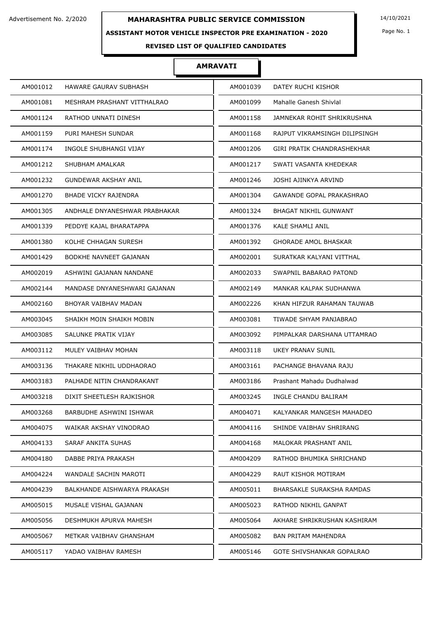### **ASSISTANT MOTOR VEHICLE INSPECTOR PRE EXAMINATION - 2020**

Page No. 1

## **REVISED LIST OF QUALIFIED CANDIDATES**

| AM001012                                | HAWARE GAURAV SUBHASH         | AM001039 | DATEY RUCHI KISHOR               |
|-----------------------------------------|-------------------------------|----------|----------------------------------|
| AM001081                                | MESHRAM PRASHANT VITTHALRAO   | AM001099 | Mahalle Ganesh Shivlal           |
| AM001124<br>RATHOD UNNATI DINESH        |                               | AM001158 | JAMNEKAR ROHIT SHRIKRUSHNA       |
| AM001159<br>PURI MAHESH SUNDAR          |                               | AM001168 | RAJPUT VIKRAMSINGH DILIPSINGH    |
| AM001174<br>INGOLE SHUBHANGI VIJAY      |                               | AM001206 | GIRI PRATIK CHANDRASHEKHAR       |
| AM001212<br>SHUBHAM AMALKAR             |                               | AM001217 | SWATI VASANTA KHEDEKAR           |
| AM001232<br>GUNDEWAR AKSHAY ANIL        |                               | AM001246 | JOSHI AJINKYA ARVIND             |
| <b>BHADE VICKY RAJENDRA</b><br>AM001270 |                               | AM001304 | GAWANDE GOPAL PRAKASHRAO         |
| AM001305                                | ANDHALE DNYANESHWAR PRABHAKAR | AM001324 | BHAGAT NIKHIL GUNWANT            |
| AM001339                                | PEDDYE KAJAL BHARATAPPA       | AM001376 | KALE SHAMLI ANIL                 |
| AM001380<br>KOLHE CHHAGAN SURESH        |                               | AM001392 | GHORADE AMOL BHASKAR             |
| AM001429                                | BODKHE NAVNEET GAJANAN        | AM002001 | SURATKAR KALYANI VITTHAL         |
| AM002019                                | ASHWINI GAJANAN NANDANE       | AM002033 | SWAPNIL BABARAO PATOND           |
| AM002144                                | MANDASE DNYANESHWARI GAJANAN  | AM002149 | MANKAR KALPAK SUDHANWA           |
| AM002160<br>BHOYAR VAIBHAV MADAN        |                               | AM002226 | KHAN HIFZUR RAHAMAN TAUWAB       |
| AM003045                                | SHAIKH MOIN SHAIKH MOBIN      | AM003081 | TIWADE SHYAM PANJABRAO           |
| AM003085<br>SALUNKE PRATIK VIJAY        |                               | AM003092 | PIMPALKAR DARSHANA UTTAMRAO      |
| AM003112<br>MULEY VAIBHAV MOHAN         |                               | AM003118 | UKEY PRANAV SUNIL                |
| AM003136                                | THAKARE NIKHIL UDDHAORAO      | AM003161 | PACHANGE BHAVANA RAJU            |
| AM003183                                | PALHADE NITIN CHANDRAKANT     | AM003186 | Prashant Mahadu Dudhalwad        |
| AM003218                                | DIXIT SHEETLESH RAJKISHOR     | AM003245 | INGLE CHANDU BALIRAM             |
| AM003268                                | BARBUDHE ASHWINI ISHWAR       | AM004071 | KALYANKAR MANGESH MAHADEO        |
| AM004075                                | WAIKAR AKSHAY VINODRAO        | AM004116 | SHINDE VAIBHAV SHRIRANG          |
| AM004133<br>SARAF ANKITA SUHAS          |                               | AM004168 | MALOKAR PRASHANT ANIL            |
| DABBE PRIYA PRAKASH<br>AM004180         |                               | AM004209 | RATHOD BHUMIKA SHRICHAND         |
| AM004224<br>WANDALE SACHIN MAROTI       |                               | AM004229 | RAUT KISHOR MOTIRAM              |
| AM004239                                | BALKHANDE AISHWARYA PRAKASH   | AM005011 | <b>BHARSAKLE SURAKSHA RAMDAS</b> |
| AM005015<br>MUSALE VISHAL GAJANAN       |                               | AM005023 | RATHOD NIKHIL GANPAT             |
| AM005056                                | DESHMUKH APURVA MAHESH        | AM005064 | AKHARE SHRIKRUSHAN KASHIRAM      |
| AM005067                                | METKAR VAIBHAV GHANSHAM       | AM005082 | <b>BAN PRITAM MAHENDRA</b>       |
| AM005117<br>YADAO VAIBHAV RAMESH        |                               | AM005146 | GOTE SHIVSHANKAR GOPALRAO        |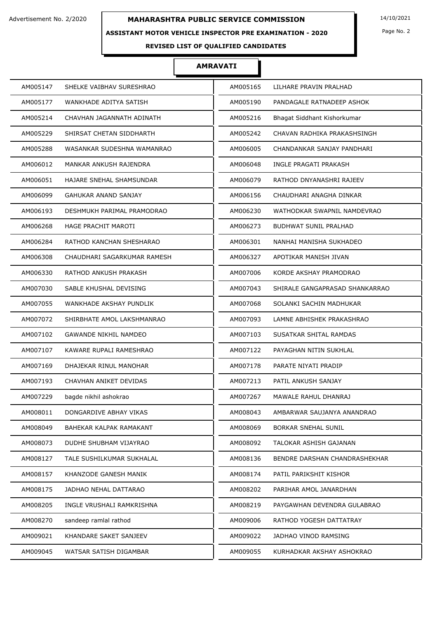## **ASSISTANT MOTOR VEHICLE INSPECTOR PRE EXAMINATION - 2020**

Page No. 2

## **REVISED LIST OF QUALIFIED CANDIDATES**

| AM005147 | SHELKE VAIBHAV SURESHRAO     | AM005165 | LILHARE PRAVIN PRALHAD         |
|----------|------------------------------|----------|--------------------------------|
| AM005177 | WANKHADE ADITYA SATISH       | AM005190 | PANDAGALE RATNADEEP ASHOK      |
| AM005214 | CHAVHAN JAGANNATH ADINATH    | AM005216 | Bhagat Siddhant Kishorkumar    |
| AM005229 | SHIRSAT CHETAN SIDDHARTH     | AM005242 | CHAVAN RADHIKA PRAKASHSINGH    |
| AM005288 | WASANKAR SUDESHNA WAMANRAO   | AM006005 | CHANDANKAR SANJAY PANDHARI     |
| AM006012 | MANKAR ANKUSH RAJENDRA       | AM006048 | INGLE PRAGATI PRAKASH          |
| AM006051 | HAJARE SNEHAL SHAMSUNDAR     | AM006079 | RATHOD DNYANASHRI RAJEEV       |
| AM006099 | <b>GAHUKAR ANAND SANJAY</b>  | AM006156 | CHAUDHARI ANAGHA DINKAR        |
| AM006193 | DESHMUKH PARIMAL PRAMODRAO   | AM006230 | WATHODKAR SWAPNIL NAMDEVRAO    |
| AM006268 | HAGE PRACHIT MAROTI          | AM006273 | <b>BUDHWAT SUNIL PRALHAD</b>   |
| AM006284 | RATHOD KANCHAN SHESHARAO     | AM006301 | NANHAI MANISHA SUKHADEO        |
| AM006308 | CHAUDHARI SAGARKUMAR RAMESH  | AM006327 | APOTIKAR MANISH JIVAN          |
| AM006330 | RATHOD ANKUSH PRAKASH        | AM007006 | KORDE AKSHAY PRAMODRAO         |
| AM007030 | SABLE KHUSHAL DEVISING       | AM007043 | SHIRALE GANGAPRASAD SHANKARRAO |
| AM007055 | WANKHADE AKSHAY PUNDLIK      | AM007068 | SOLANKI SACHIN MADHUKAR        |
| AM007072 | SHIRBHATE AMOL LAKSHMANRAO   | AM007093 | LAMNE ABHISHEK PRAKASHRAO      |
| AM007102 | <b>GAWANDE NIKHIL NAMDEO</b> | AM007103 | SUSATKAR SHITAL RAMDAS         |
| AM007107 | KAWARE RUPALI RAMESHRAO      | AM007122 | PAYAGHAN NITIN SUKHLAL         |
| AM007169 | DHAJEKAR RINUL MANOHAR       | AM007178 | PARATE NIYATI PRADIP           |
| AM007193 | CHAVHAN ANIKET DEVIDAS       | AM007213 | PATIL ANKUSH SANJAY            |
| AM007229 | bagde nikhil ashokrao        | AM007267 | MAWALE RAHUL DHANRAJ           |
| AM008011 | DONGARDIVE ABHAY VIKAS       | AM008043 | AMBARWAR SAUJANYA ANANDRAO     |
| AM008049 | BAHEKAR KALPAK RAMAKANT      | AM008069 | <b>BORKAR SNEHAL SUNIL</b>     |
| AM008073 | DUDHE SHUBHAM VIJAYRAO       | AM008092 | TALOKAR ASHISH GAJANAN         |
| AM008127 | TALE SUSHILKUMAR SUKHALAL    | AM008136 | BENDRE DARSHAN CHANDRASHEKHAR  |
| AM008157 | KHANZODE GANESH MANIK        | AM008174 | PATIL PARIKSHIT KISHOR         |
| AM008175 | JADHAO NEHAL DATTARAO        | AM008202 | PARIHAR AMOL JANARDHAN         |
| AM008205 | INGLE VRUSHALI RAMKRISHNA    | AM008219 | PAYGAWHAN DEVENDRA GULABRAO    |
| AM008270 | sandeep ramlal rathod        | AM009006 | RATHOD YOGESH DATTATRAY        |
| AM009021 | KHANDARE SAKET SANJEEV       | AM009022 | JADHAO VINOD RAMSING           |
| AM009045 | WATSAR SATISH DIGAMBAR       | AM009055 | KURHADKAR AKSHAY ASHOKRAO      |
|          |                              |          |                                |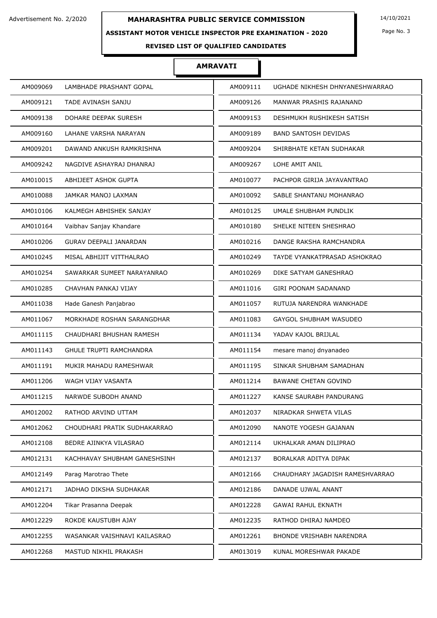### **ASSISTANT MOTOR VEHICLE INSPECTOR PRE EXAMINATION - 2020**

Page No. 3

## **REVISED LIST OF QUALIFIED CANDIDATES**

| AM009069                       | AM009111                        |
|--------------------------------|---------------------------------|
| LAMBHADE PRASHANT GOPAL        | UGHADE NIKHESH DHNYANESHWARRAO  |
| AM009121                       | AM009126                        |
| TADE AVINASH SANJU             | MANWAR PRASHIS RAJANAND         |
| AM009138                       | AM009153                        |
| DOHARE DEEPAK SURESH           | DESHMUKH RUSHIKESH SATISH       |
| AM009160                       | AM009189                        |
| LAHANE VARSHA NARAYAN          | <b>BAND SANTOSH DEVIDAS</b>     |
| AM009201                       | AM009204                        |
| DAWAND ANKUSH RAMKRISHNA       | SHIRBHATE KETAN SUDHAKAR        |
| AM009242                       | AM009267                        |
| NAGDIVE ASHAYRAJ DHANRAJ       | LOHE AMIT ANIL                  |
| AM010015                       | AM010077                        |
| ABHIJEET ASHOK GUPTA           | PACHPOR GIRIJA JAYAVANTRAO      |
| AM010088                       | AM010092                        |
| JAMKAR MANOJ LAXMAN            | SABLE SHANTANU MOHANRAO         |
| AM010106                       | AM010125                        |
| KALMEGH ABHISHEK SANJAY        | UMALE SHUBHAM PUNDLIK           |
| AM010164                       | AM010180                        |
| Vaibhav Sanjay Khandare        | SHELKE NITEEN SHESHRAO          |
| AM010206                       | AM010216                        |
| GURAV DEEPALI JANARDAN         | DANGE RAKSHA RAMCHANDRA         |
| AM010245                       | AM010249                        |
| MISAL ABHIJIT VITTHALRAO       | TAYDE VYANKATPRASAD ASHOKRAO    |
| AM010254                       | AM010269                        |
| SAWARKAR SUMEET NARAYANRAO     | DIKE SATYAM GANESHRAO           |
| AM010285                       | AM011016                        |
| CHAVHAN PANKAJ VIJAY           | <b>GIRI POONAM SADANAND</b>     |
| AM011038                       | AM011057                        |
| Hade Ganesh Panjabrao          | RUTUJA NARENDRA WANKHADE        |
| MORKHADE ROSHAN SARANGDHAR     | AM011083                        |
| AM011067                       | GAYGOL SHUBHAM WASUDEO          |
| AM011115                       | YADAV KAJOL BRIJLAL             |
| CHAUDHARI BHUSHAN RAMESH       | AM011134                        |
| AM011143                       | AM011154                        |
| <b>GHULE TRUPTI RAMCHANDRA</b> | mesare manoj dnyanadeo          |
| AM011191                       | AM011195                        |
| MUKIR MAHADU RAMESHWAR         | SINKAR SHUBHAM SAMADHAN         |
| AM011206                       | AM011214                        |
| WAGH VIJAY VASANTA             | <b>BAWANE CHETAN GOVIND</b>     |
| AM011215                       | AM011227                        |
| <b>NARWDE SUBODH ANAND</b>     | KANSE SAURABH PANDURANG         |
| AM012002                       | AM012037                        |
| RATHOD ARVIND UTTAM            | NIRADKAR SHWETA VILAS           |
| AM012062                       | AM012090                        |
| CHOUDHARI PRATIK SUDHAKARRAO   | NANOTE YOGESH GAJANAN           |
| AM012108                       | AM012114                        |
| BEDRE AJINKYA VILASRAO         | UKHALKAR AMAN DILIPRAO          |
| AM012131                       | AM012137                        |
| KACHHAVAY SHUBHAM GANESHSINH   | BORALKAR ADITYA DIPAK           |
| AM012149                       | AM012166                        |
| Parag Marotrao Thete           | CHAUDHARY JAGADISH RAMESHVARRAO |
| JADHAO DIKSHA SUDHAKAR         | AM012186                        |
| AM012171                       | DANADE UJWAL ANANT              |
| AM012204                       | AM012228                        |
| Tikar Prasanna Deepak          | <b>GAWAI RAHUL EKNATH</b>       |
| AM012229                       | AM012235                        |
| ROKDE KAUSTUBH AJAY            | RATHOD DHIRAJ NAMDEO            |
| AM012255                       | AM012261                        |
| WASANKAR VAISHNAVI KAILASRAO   | <b>BHONDE VRISHABH NARENDRA</b> |
| AM012268                       | KUNAL MORESHWAR PAKADE          |
| MASTUD NIKHIL PRAKASH          | AM013019                        |
|                                |                                 |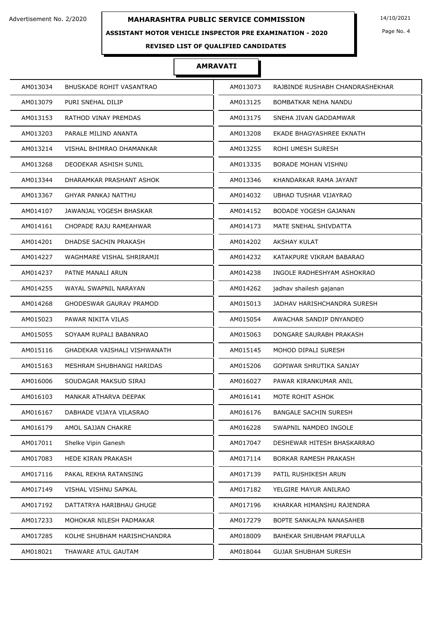### **ASSISTANT MOTOR VEHICLE INSPECTOR PRE EXAMINATION - 2020**

**REVISED LIST OF QUALIFIED CANDIDATES** 

## **AMRAVATI**

| AM013034 | BHUSKADE ROHIT VASANTRAO       | AM013073 | RAJBINDE RUSHABH CHANDRASHEKHAR |
|----------|--------------------------------|----------|---------------------------------|
| AM013079 | PURI SNEHAL DILIP              | AM013125 | BOMBATKAR NEHA NANDU            |
| AM013153 | <b>RATHOD VINAY PREMDAS</b>    | AM013175 | SNEHA JIVAN GADDAMWAR           |
| AM013203 | PARALE MILIND ANANTA           | AM013208 | EKADE BHAGYASHREE EKNATH        |
| AM013214 | VISHAL BHIMRAO DHAMANKAR       | AM013255 | ROHI UMESH SURESH               |
| AM013268 | DEODEKAR ASHISH SUNIL          | AM013335 | <b>BORADE MOHAN VISHNU</b>      |
| AM013344 | DHARAMKAR PRASHANT ASHOK       | AM013346 | KHANDARKAR RAMA JAYANT          |
| AM013367 | GHYAR PANKAJ NATTHU            | AM014032 | UBHAD TUSHAR VIJAYRAO           |
| AM014107 | JAWANJAL YOGESH BHASKAR        | AM014152 | <b>BODADE YOGESH GAJANAN</b>    |
| AM014161 | CHOPADE RAJU RAMEAHWAR         | AM014173 | MATE SNEHAL SHIVDATTA           |
| AM014201 | DHADSE SACHIN PRAKASH          | AM014202 | AKSHAY KULAT                    |
| AM014227 | WAGHMARE VISHAL SHRIRAMJI      | AM014232 | KATAKPURE VIKRAM BABARAO        |
| AM014237 | PATNE MANALI ARUN              | AM014238 | INGOLE RADHESHYAM ASHOKRAO      |
| AM014255 | WAYAL SWAPNIL NARAYAN          | AM014262 | jadhav shailesh gajanan         |
| AM014268 | <b>GHODESWAR GAURAV PRAMOD</b> | AM015013 | JADHAV HARISHCHANDRA SURESH     |
| AM015023 | PAWAR NIKITA VILAS             | AM015054 | AWACHAR SANDIP DNYANDEO         |
| AM015055 | SOYAAM RUPALI BABANRAO         | AM015063 | DONGARE SAURABH PRAKASH         |
| AM015116 | GHADEKAR VAISHALI VISHWANATH   | AM015145 | MOHOD DIPALI SURESH             |
| AM015163 | MESHRAM SHUBHANGI HARIDAS      | AM015206 | GOPIWAR SHRUTIKA SANJAY         |
| AM016006 | SOUDAGAR MAKSUD SIRAJ          | AM016027 | PAWAR KIRANKUMAR ANIL           |
| AM016103 | MANKAR ATHARVA DEEPAK          | AM016141 | MOTE ROHIT ASHOK                |
| AM016167 | DABHADE VIJAYA VILASRAO        | AM016176 | <b>BANGALE SACHIN SURESH</b>    |
| AM016179 | AMOL SAJJAN CHAKRE             | AM016228 | SWAPNIL NAMDEO INGOLE           |
| AM017011 | Shelke Vipin Ganesh            | AM017047 | DESHEWAR HITESH BHASKARRAO      |
| AM017083 | HEDE KIRAN PRAKASH             | AM017114 | BORKAR RAMESH PRAKASH           |
| AM017116 | PAKAL REKHA RATANSING          | AM017139 | PATIL RUSHIKESH ARUN            |
| AM017149 | <b>VISHAL VISHNU SAPKAL</b>    | AM017182 | YELGIRE MAYUR ANILRAO           |
| AM017192 | DATTATRYA HARIBHAU GHUGE       | AM017196 | KHARKAR HIMANSHU RAJENDRA       |
| AM017233 | MOHOKAR NILESH PADMAKAR        | AM017279 | BOPTE SANKALPA NANASAHEB        |
| AM017285 | KOLHE SHUBHAM HARISHCHANDRA    | AM018009 | BAHEKAR SHUBHAM PRAFULLA        |
| AM018021 | THAWARE ATUL GAUTAM            | AM018044 | <b>GUJAR SHUBHAM SURESH</b>     |

Page No. 4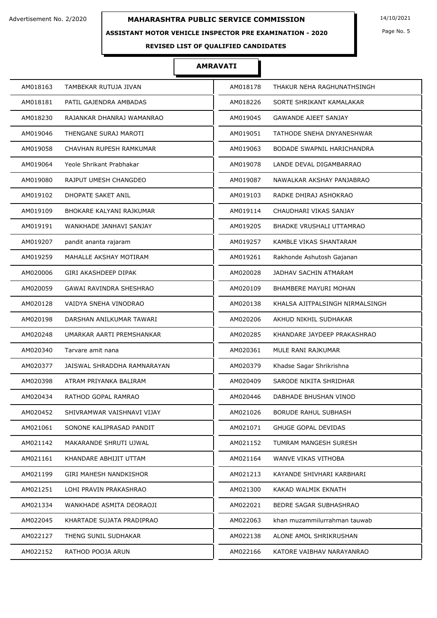### **ASSISTANT MOTOR VEHICLE INSPECTOR PRE EXAMINATION - 2020**

Page No. 5

## **REVISED LIST OF QUALIFIED CANDIDATES**

| AM018163 | TAMBEKAR RUTUJA JIVAN       | AM018178 | THAKUR NEHA RAGHUNATHSINGH      |
|----------|-----------------------------|----------|---------------------------------|
| AM018181 | PATIL GAJENDRA AMBADAS      | AM018226 | SORTE SHRIKANT KAMALAKAR        |
| AM018230 | RAJANKAR DHANRAJ WAMANRAO   | AM019045 | <b>GAWANDE AJEET SANJAY</b>     |
| AM019046 | THENGANE SURAJ MAROTI       | AM019051 | TATHODE SNEHA DNYANESHWAR       |
| AM019058 | CHAVHAN RUPESH RAMKUMAR     | AM019063 | BODADE SWAPNIL HARICHANDRA      |
| AM019064 | Yeole Shrikant Prabhakar    | AM019078 | LANDE DEVAL DIGAMBARRAO         |
| AM019080 | RAJPUT UMESH CHANGDEO       | AM019087 | NAWALKAR AKSHAY PANJABRAO       |
| AM019102 | DHOPATE SAKET ANIL          | AM019103 | RADKE DHIRAJ ASHOKRAO           |
| AM019109 | BHOKARE KALYANI RAJKUMAR    | AM019114 | CHAUDHARI VIKAS SANJAY          |
| AM019191 | WANKHADE JANHAVI SANJAY     | AM019205 | <b>BHADKE VRUSHALI UTTAMRAO</b> |
| AM019207 | pandit ananta rajaram       | AM019257 | KAMBLE VIKAS SHANTARAM          |
| AM019259 | MAHALLE AKSHAY MOTIRAM      | AM019261 | Rakhonde Ashutosh Gajanan       |
| AM020006 | GIRI AKASHDEEP DIPAK        | AM020028 | <b>JADHAV SACHIN ATMARAM</b>    |
| AM020059 | GAWAI RAVINDRA SHESHRAO     | AM020109 | <b>BHAMBERE MAYURI MOHAN</b>    |
| AM020128 | VAIDYA SNEHA VINODRAO       | AM020138 | KHALSA AJITPALSINGH NIRMALSINGH |
| AM020198 | DARSHAN ANILKUMAR TAWARI    | AM020206 | AKHUD NIKHIL SUDHAKAR           |
| AM020248 | UMARKAR AARTI PREMSHANKAR   | AM020285 | KHANDARE JAYDEEP PRAKASHRAO     |
| AM020340 | Tarvare amit nana           | AM020361 | MULE RANI RAJKUMAR              |
| AM020377 | JAISWAL SHRADDHA RAMNARAYAN | AM020379 | Khadse Sagar Shrikrishna        |
| AM020398 | ATRAM PRIYANKA BALIRAM      | AM020409 | SARODE NIKITA SHRIDHAR          |
| AM020434 | RATHOD GOPAL RAMRAO         | AM020446 | DABHADE BHUSHAN VINOD           |
| AM020452 | SHIVRAMWAR VAISHNAVI VIJAY  | AM021026 | <b>BORUDE RAHUL SUBHASH</b>     |
| AM021061 | SONONE KALIPRASAD PANDIT    | AM021071 | <b>GHUGE GOPAL DEVIDAS</b>      |
| AM021142 | MAKARANDE SHRUTI UJWAL      | AM021152 | TUMRAM MANGESH SURESH           |
| AM021161 | KHANDARE ABHIJIT UTTAM      | AM021164 | WANVE VIKAS VITHOBA             |
| AM021199 | GIRI MAHESH NANDKISHOR      | AM021213 | KAYANDE SHIVHARI KARBHARI       |
| AM021251 | LOHI PRAVIN PRAKASHRAO      | AM021300 | KAKAD WALMIK EKNATH             |
| AM021334 | WANKHADE ASMITA DEORAOJI    | AM022021 | BEDRE SAGAR SUBHASHRAO          |
| AM022045 | KHARTADE SUJATA PRADIPRAO   | AM022063 | khan muzammilurrahman tauwab    |
| AM022127 | THENG SUNIL SUDHAKAR        | AM022138 | ALONE AMOL SHRIKRUSHAN          |
| AM022152 | RATHOD POOJA ARUN           | AM022166 | KATORE VAIBHAV NARAYANRAO       |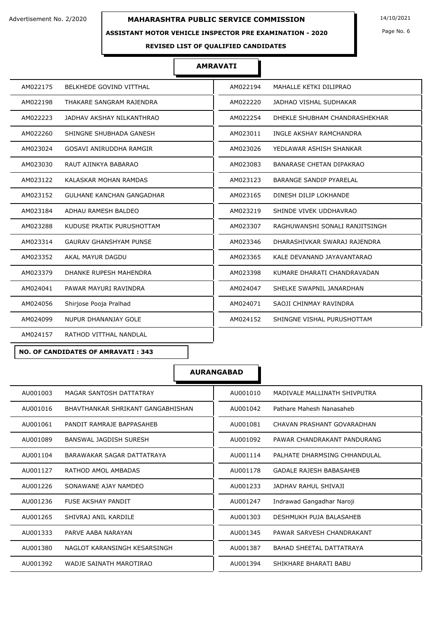#### **ASSISTANT MOTOR VEHICLE INSPECTOR PRE EXAMINATION - 2020**

Page No. 6

#### **REVISED LIST OF QUALIFIED CANDIDATES**

## **AMRAVATI**

| AM022175 | BELKHEDE GOVIND VITTHAL          | AM022194 | MAHALLE KETKI DILIPRAO          |
|----------|----------------------------------|----------|---------------------------------|
| AM022198 | THAKARE SANGRAM RAJENDRA         | AM022220 | JADHAO VISHAL SUDHAKAR          |
| AM022223 | JADHAV AKSHAY NILKANTHRAO        | AM022254 | DHEKLE SHUBHAM CHANDRASHEKHAR   |
| AM022260 | SHINGNE SHUBHADA GANESH          | AM023011 | INGLE AKSHAY RAMCHANDRA         |
| AM023024 | GOSAVI ANIRUDDHA RAMGIR          | AM023026 | YEDLAWAR ASHISH SHANKAR         |
| AM023030 | RAUT AJINKYA BABARAO             | AM023083 | <b>BANARASE CHETAN DIPAKRAO</b> |
| AM023122 | KALASKAR MOHAN RAMDAS            | AM023123 | BARANGE SANDIP PYARELAL         |
| AM023152 | <b>GULHANE KANCHAN GANGADHAR</b> | AM023165 | DINESH DILIP LOKHANDE           |
| AM023184 | ADHAU RAMESH BALDEO              | AM023219 | SHINDE VIVEK UDDHAVRAO          |
| AM023288 | KUDUSE PRATIK PURUSHOTTAM        | AM023307 | RAGHUWANSHI SONALI RANJITSINGH  |
| AM023314 | <b>GAURAV GHANSHYAM PUNSE</b>    | AM023346 | DHARASHIVKAR SWARAJ RAJENDRA    |
| AM023352 | AKAL MAYUR DAGDU                 | AM023365 | KALE DEVANAND JAYAVANTARAO      |
| AM023379 | DHANKE RUPESH MAHENDRA           | AM023398 | KUMARE DHARATI CHANDRAVADAN     |
| AM024041 | PAWAR MAYURI RAVINDRA            | AM024047 | SHELKE SWAPNIL JANARDHAN        |
| AM024056 | Shirjose Pooja Pralhad           | AM024071 | SAOJI CHINMAY RAVINDRA          |
| AM024099 | NUPUR DHANANJAY GOLE             | AM024152 | SHINGNE VISHAL PURUSHOTTAM      |
| AM024157 | RATHOD VITTHAL NANDLAL           |          |                                 |

**NO. OF CANDIDATES OF AMRAVATI : 343**

| AU001003                          | AU001010                        |
|-----------------------------------|---------------------------------|
| MAGAR SANTOSH DATTATRAY           | MADIVALE MALLINATH SHIVPUTRA    |
| AU001016                          | AU001042                        |
| BHAVTHANKAR SHRIKANT GANGABHISHAN | Pathare Mahesh Nanasaheb        |
| PANDIT RAMRAJE BAPPASAHEB         | AU001081                        |
| AU001061                          | CHAVAN PRASHANT GOVARADHAN      |
| AU001089                          | AU001092                        |
| BANSWAL JAGDISH SURESH            | PAWAR CHANDRAKANT PANDURANG     |
| AU001104                          | AU001114                        |
| BARAWAKAR SAGAR DATTATRAYA        | PALHATE DHARMSING CHHANDULAL    |
| AU001127                          | AU001178                        |
| RATHOD AMOL AMBADAS               | <b>GADALE RAJESH BABASAHEB</b>  |
| AU001226                          | AU001233                        |
| SONAWANE AJAY NAMDEO              | JADHAV RAHUL SHIVAJI            |
| AU001236                          | Indrawad Gangadhar Naroji       |
| <b>FUSE AKSHAY PANDIT</b>         | AU001247                        |
| AU001265                          | AU001303                        |
| SHIVRAJ ANIL KARDILE              | DESHMUKH PUJA BALASAHEB         |
| AU001333                          | AU001345                        |
| PARVE AABA NARAYAN                | PAWAR SARVESH CHANDRAKANT       |
| AU001380                          | AU001387                        |
| NAGLOT KARANSINGH KESARSINGH      | <b>BAHAD SHEETAL DATTATRAYA</b> |
| AU001392                          | AU001394                        |
| WADJE SAINATH MAROTIRAO           | SHIKHARE BHARATI BABU           |
|                                   |                                 |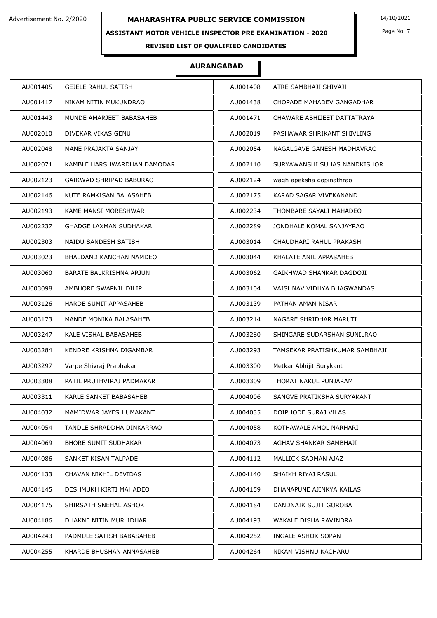### **ASSISTANT MOTOR VEHICLE INSPECTOR PRE EXAMINATION - 2020**

Page No. 7

## **REVISED LIST OF QUALIFIED CANDIDATES**

| AU001405 | <b>GEJELE RAHUL SATISH</b>     | AU001408 | ATRE SAMBHAJI SHIVAJI          |
|----------|--------------------------------|----------|--------------------------------|
| AU001417 | NIKAM NITIN MUKUNDRAO          | AU001438 | CHOPADE MAHADEV GANGADHAR      |
| AU001443 | MUNDE AMARJEET BABASAHEB       | AU001471 | CHAWARE ABHIJEET DATTATRAYA    |
| AU002010 | DIVEKAR VIKAS GENU             | AU002019 | PASHAWAR SHRIKANT SHIVLING     |
| AU002048 | MANE PRAJAKTA SANJAY           | AU002054 | NAGALGAVE GANESH MADHAVRAO     |
| AU002071 | KAMBLE HARSHWARDHAN DAMODAR    | AU002110 | SURYAWANSHI SUHAS NANDKISHOR   |
| AU002123 | GAIKWAD SHRIPAD BABURAO        | AU002124 | wagh apeksha gopinathrao       |
| AU002146 | KUTE RAMKISAN BALASAHEB        | AU002175 | KARAD SAGAR VIVEKANAND         |
| AU002193 | KAME MANSI MORESHWAR           | AU002234 | THOMBARE SAYALI MAHADEO        |
| AU002237 | <b>GHADGE LAXMAN SUDHAKAR</b>  | AU002289 | JONDHALE KOMAL SANJAYRAO       |
| AU002303 | NAIDU SANDESH SATISH           | AU003014 | CHAUDHARI RAHUL PRAKASH        |
| AU003023 | <b>BHALDAND KANCHAN NAMDEO</b> | AU003044 | KHALATE ANIL APPASAHEB         |
| AU003060 | BARATE BALKRISHNA ARJUN        | AU003062 | GAIKHWAD SHANKAR DAGDOJI       |
| AU003098 | AMBHORE SWAPNIL DILIP          | AU003104 | VAISHNAV VIDHYA BHAGWANDAS     |
| AU003126 | HARDE SUMIT APPASAHEB          | AU003139 | PATHAN AMAN NISAR              |
| AU003173 | MANDE MONIKA BALASAHEB         | AU003214 | NAGARE SHRIDHAR MARUTI         |
| AU003247 | KALE VISHAL BABASAHEB          | AU003280 | SHINGARE SUDARSHAN SUNILRAO    |
| AU003284 | KENDRE KRISHNA DIGAMBAR        | AU003293 | TAMSEKAR PRATISHKUMAR SAMBHAJI |
| AU003297 | Varpe Shivraj Prabhakar        | AU003300 | Metkar Abhijit Surykant        |
| AU003308 | PATIL PRUTHVIRAJ PADMAKAR      | AU003309 | THORAT NAKUL PUNJARAM          |
| AU003311 | KARLE SANKET BABASAHEB         | AU004006 | SANGVE PRATIKSHA SURYAKANT     |
| AU004032 | MAMIDWAR JAYESH UMAKANT        | AU004035 | DOIPHODE SURAJ VILAS           |
| AU004054 | TANDLE SHRADDHA DINKARRAO      | AU004058 | KOTHAWALE AMOL NARHARI         |
| AU004069 | <b>BHORE SUMIT SUDHAKAR</b>    | AU004073 | AGHAV SHANKAR SAMBHAJI         |
| AU004086 | SANKET KISAN TALPADE           | AU004112 | MALLICK SADMAN AJAZ            |
| AU004133 | CHAVAN NIKHIL DEVIDAS          | AU004140 | SHAIKH RIYAJ RASUL             |
| AU004145 | DESHMUKH KIRTI MAHADEO         | AU004159 | DHANAPUNE AJINKYA KAILAS       |
| AU004175 | SHIRSATH SNEHAL ASHOK          | AU004184 | DANDNAIK SUJIT GOROBA          |
| AU004186 | DHAKNE NITIN MURLIDHAR         | AU004193 | WAKALE DISHA RAVINDRA          |
| AU004243 | PADMULE SATISH BABASAHEB       | AU004252 | INGALE ASHOK SOPAN             |
| AU004255 | KHARDE BHUSHAN ANNASAHEB       | AU004264 | NIKAM VISHNU KACHARU           |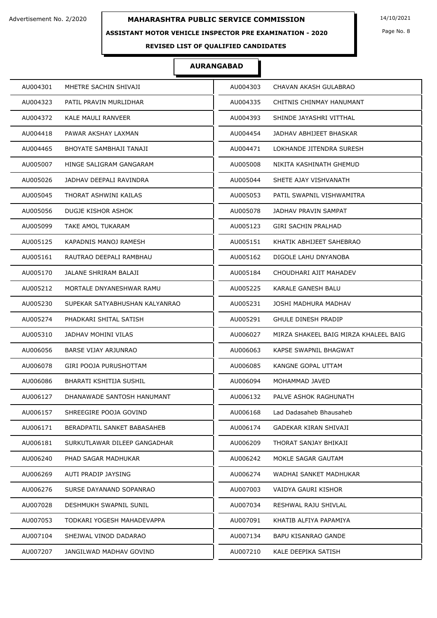### **ASSISTANT MOTOR VEHICLE INSPECTOR PRE EXAMINATION - 2020**

Page No. 8

## **REVISED LIST OF QUALIFIED CANDIDATES**

| AU004301                       | AU004303                              |
|--------------------------------|---------------------------------------|
| MHETRE SACHIN SHIVAJI          | CHAVAN AKASH GULABRAO                 |
| AU004323                       | AU004335                              |
| PATIL PRAVIN MURLIDHAR         | CHITNIS CHINMAY HANUMANT              |
| AU004372                       | AU004393                              |
| KALE MAULI RANVEER             | SHINDE JAYASHRI VITTHAL               |
| AU004418                       | AU004454                              |
| PAWAR AKSHAY LAXMAN            | JADHAV ABHIJEET BHASKAR               |
| AU004465                       | AU004471                              |
| BHOYATE SAMBHAJI TANAJI        | LOKHANDE JITENDRA SURESH              |
| AU005007                       | AU005008                              |
| HINGE SALIGRAM GANGARAM        | NIKITA KASHINATH GHEMUD               |
| AU005026                       | AU005044                              |
| JADHAV DEEPALI RAVINDRA        | SHETE AJAY VISHVANATH                 |
| AU005045                       | AU005053                              |
| THORAT ASHWINI KAILAS          | PATIL SWAPNIL VISHWAMITRA             |
| AU005056                       | AU005078                              |
| DUGJE KISHOR ASHOK             | JADHAV PRAVIN SAMPAT                  |
| AU005099                       | AU005123                              |
| TAKE AMOL TUKARAM              | <b>GIRI SACHIN PRALHAD</b>            |
| AU005125                       | AU005151                              |
| KAPADNIS MANOJ RAMESH          | KHATIK ABHIJEET SAHEBRAO              |
| AU005161                       | AU005162                              |
| RAUTRAO DEEPALI RAMBHAU        | DIGOLE LAHU DNYANOBA                  |
| AU005170                       | AU005184                              |
| JALANE SHRIRAM BALAJI          | CHOUDHARI AJIT MAHADEV                |
| AU005212                       | AU005225                              |
| MORTALE DNYANESHWAR RAMU       | KARALE GANESH BALU                    |
| AU005230                       | AU005231                              |
| SUPEKAR SATYABHUSHAN KALYANRAO | JOSHI MADHURA MADHAV                  |
| AU005274                       | AU005291                              |
| PHADKARI SHITAL SATISH         | <b>GHULE DINESH PRADIP</b>            |
| AU005310                       | AU006027                              |
| JADHAV MOHINI VILAS            | MIRZA SHAKEEL BAIG MIRZA KHALEEL BAIG |
| AU006056                       | AU006063                              |
| BARSE VIJAY ARJUNRAO           | KAPSE SWAPNIL BHAGWAT                 |
| AU006078                       | KANGNE GOPAL UTTAM                    |
| GIRI POOJA PURUSHOTTAM         | AU006085                              |
| AU006086                       | AU006094                              |
| BHARATI KSHITIJA SUSHIL        | MOHAMMAD JAVED                        |
| AU006127                       | PALVE ASHOK RAGHUNATH                 |
| DHANAWADE SANTOSH HANUMANT     | AU006132                              |
| AU006157                       | AU006168                              |
| SHREEGIRE POOJA GOVIND         | Lad Dadasaheb Bhausaheb               |
| AU006171                       | AU006174                              |
| BERADPATIL SANKET BABASAHEB    | <b>GADEKAR KIRAN SHIVAJI</b>          |
| AU006181                       | AU006209                              |
| SURKUTLAWAR DILEEP GANGADHAR   | THORAT SANJAY BHIKAJI                 |
| AU006240                       | AU006242                              |
| PHAD SAGAR MADHUKAR            | MOKLE SAGAR GAUTAM                    |
| AU006269                       | AU006274                              |
| AUTI PRADIP JAYSING            | WADHAI SANKET MADHUKAR                |
| AU006276                       | AU007003                              |
| SURSE DAYANAND SOPANRAO        | VAIDYA GAURI KISHOR                   |
| AU007028                       | AU007034                              |
| DESHMUKH SWAPNIL SUNIL         | RESHWAL RAJU SHIVLAL                  |
| AU007053                       | AU007091                              |
| TODKARI YOGESH MAHADEVAPPA     | KHATIB ALFIYA PAPAMIYA                |
| AU007104                       | BAPU KISANRAO GANDE                   |
| SHEJWAL VINOD DADARAO          | AU007134                              |
| AU007207                       | AU007210                              |
| JANGILWAD MADHAV GOVIND        | KALE DEEPIKA SATISH                   |
|                                |                                       |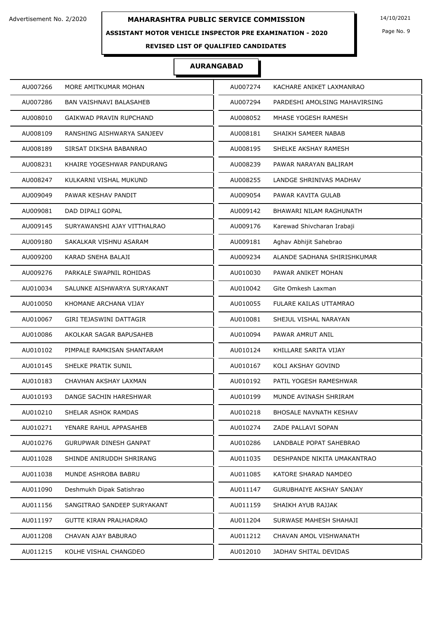### **ASSISTANT MOTOR VEHICLE INSPECTOR PRE EXAMINATION - 2020**

Page No. 9

## **REVISED LIST OF QUALIFIED CANDIDATES**

| AU007266 | MORE AMITKUMAR MOHAN          | AU007274 | KACHARE ANIKET LAXMANRAO        |
|----------|-------------------------------|----------|---------------------------------|
| AU007286 | BAN VAISHNAVI BALASAHEB       | AU007294 | PARDESHI AMOLSING MAHAVIRSING   |
| AU008010 | GAIKWAD PRAVIN RUPCHAND       | AU008052 | MHASE YOGESH RAMESH             |
| AU008109 | RANSHING AISHWARYA SANJEEV    | AU008181 | SHAIKH SAMEER NABAB             |
| AU008189 | SIRSAT DIKSHA BABANRAO        | AU008195 | SHELKE AKSHAY RAMESH            |
| AU008231 | KHAIRE YOGESHWAR PANDURANG    | AU008239 | PAWAR NARAYAN BALIRAM           |
| AU008247 | KULKARNI VISHAL MUKUND        | AU008255 | LANDGE SHRINIVAS MADHAV         |
| AU009049 | PAWAR KESHAV PANDIT           | AU009054 | PAWAR KAVITA GULAB              |
| AU009081 | DAD DIPALI GOPAL              | AU009142 | BHAWARI NILAM RAGHUNATH         |
| AU009145 | SURYAWANSHI AJAY VITTHALRAO   | AU009176 | Karewad Shivcharan Irabaji      |
| AU009180 | SAKALKAR VISHNU ASARAM        | AU009181 | Aghav Abhijit Sahebrao          |
| AU009200 | KARAD SNEHA BALAJI            | AU009234 | ALANDE SADHANA SHIRISHKUMAR     |
| AU009276 | PARKALE SWAPNIL ROHIDAS       | AU010030 | PAWAR ANIKET MOHAN              |
| AU010034 | SALUNKE AISHWARYA SURYAKANT   | AU010042 | Gite Omkesh Laxman              |
| AU010050 | KHOMANE ARCHANA VIJAY         | AU010055 | FULARE KAILAS UTTAMRAO          |
| AU010067 | GIRI TEJASWINI DATTAGIR       | AU010081 | SHEJUL VISHAL NARAYAN           |
| AU010086 | AKOLKAR SAGAR BAPUSAHEB       | AU010094 | PAWAR AMRUT ANIL                |
| AU010102 | PIMPALE RAMKISAN SHANTARAM    | AU010124 | KHILLARE SARITA VIJAY           |
| AU010145 | SHELKE PRATIK SUNIL           | AU010167 | KOLI AKSHAY GOVIND              |
| AU010183 | CHAVHAN AKSHAY LAXMAN         | AU010192 | PATIL YOGESH RAMESHWAR          |
| AU010193 | DANGE SACHIN HARESHWAR        | AU010199 | MUNDE AVINASH SHRIRAM           |
| AU010210 | SHELAR ASHOK RAMDAS           | AU010218 | BHOSALE NAVNATH KESHAV          |
| AU010271 | YENARE RAHUL APPASAHEB        | AU010274 | ZADE PALLAVI SOPAN              |
| AU010276 | GURUPWAR DINESH GANPAT        | AU010286 | LANDBALE POPAT SAHEBRAO         |
| AU011028 | SHINDE ANIRUDDH SHRIRANG      | AU011035 | DESHPANDE NIKITA UMAKANTRAO     |
| AU011038 | MUNDE ASHROBA BABRU           | AU011085 | KATORE SHARAD NAMDEO            |
| AU011090 | Deshmukh Dipak Satishrao      | AU011147 | <b>GURUBHAIYE AKSHAY SANJAY</b> |
| AU011156 | SANGITRAO SANDEEP SURYAKANT   | AU011159 | SHAIKH AYUB RAJJAK              |
| AU011197 | <b>GUTTE KIRAN PRALHADRAO</b> | AU011204 | SURWASE MAHESH SHAHAJI          |
| AU011208 | CHAVAN AJAY BABURAO           | AU011212 | CHAVAN AMOL VISHWANATH          |
| AU011215 | KOLHE VISHAL CHANGDEO         | AU012010 | JADHAV SHITAL DEVIDAS           |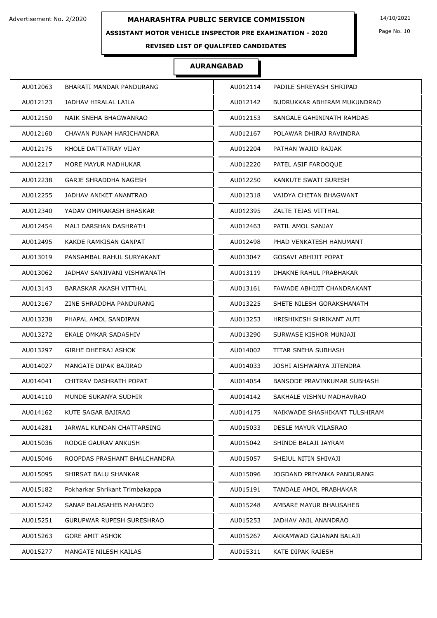### **ASSISTANT MOTOR VEHICLE INSPECTOR PRE EXAMINATION - 2020**

Page No. 10

## **REVISED LIST OF QUALIFIED CANDIDATES**

| AU012063                       | AU012114                      |
|--------------------------------|-------------------------------|
| BHARATI MANDAR PANDURANG       | PADILE SHREYASH SHRIPAD       |
| AU012123                       | AU012142                      |
| JADHAV HIRALAL LAILA           | BUDRUKKAR ABHIRAM MUKUNDRAO   |
| AU012150                       | AU012153                      |
| NAIK SNEHA BHAGWANRAO          | SANGALE GAHININATH RAMDAS     |
| AU012160                       | AU012167                      |
| CHAVAN PUNAM HARICHANDRA       | POLAWAR DHIRAJ RAVINDRA       |
| AU012175                       | AU012204                      |
| KHOLE DATTATRAY VIJAY          | PATHAN WAJID RAJJAK           |
| AU012217                       | AU012220                      |
| MORE MAYUR MADHUKAR            | PATEL ASIF FAROOQUE           |
| AU012238                       | AU012250                      |
| GARJE SHRADDHA NAGESH          | KANKUTE SWATI SURESH          |
| AU012255                       | AU012318                      |
| JADHAV ANIKET ANANTRAO         | VAIDYA CHETAN BHAGWANT        |
| AU012340                       | AU012395                      |
| YADAV OMPRAKASH BHASKAR        | ZALTE TEJAS VITTHAL           |
| AU012454                       | AU012463                      |
| MALI DARSHAN DASHRATH          | PATIL AMOL SANJAY             |
| KAKDE RAMKISAN GANPAT          | PHAD VENKATESH HANUMANT       |
| AU012495                       | AU012498                      |
| AU013019                       | AU013047                      |
| PANSAMBAL RAHUL SURYAKANT      | <b>GOSAVI ABHIJIT POPAT</b>   |
| AU013062                       | AU013119                      |
| JADHAV SANJIVANI VISHWANATH    | DHAKNE RAHUL PRABHAKAR        |
| AU013143                       | AU013161                      |
| BARASKAR AKASH VITTHAL         | FAWADE ABHIJIT CHANDRAKANT    |
| ZINE SHRADDHA PANDURANG        | SHETE NILESH GORAKSHANATH     |
| AU013167                       | AU013225                      |
| AU013238                       | HRISHIKESH SHRIKANT AUTI      |
| PHAPAL AMOL SANDIPAN           | AU013253                      |
| AU013272                       | AU013290                      |
| EKALE OMKAR SADASHIV           | SURWASE KISHOR MUNJAJI        |
| AU013297                       | AU014002                      |
| <b>GIRHE DHEERAJ ASHOK</b>     | TITAR SNEHA SUBHASH           |
| AU014027                       | JOSHI AISHWARYA JITENDRA      |
| MANGATE DIPAK BAJIRAO          | AU014033                      |
| AU014041                       | AU014054                      |
| CHITRAV DASHRATH POPAT         | BANSODE PRAVINKUMAR SUBHASH   |
| AU014110                       | SAKHALE VISHNU MADHAVRAO      |
| MUNDE SUKANYA SUDHIR           | AU014142                      |
| AU014162                       | AU014175                      |
| KUTE SAGAR BAJIRAO             | NAIKWADE SHASHIKANT TULSHIRAM |
| AU014281                       | AU015033                      |
| JARWAL KUNDAN CHATTARSING      | <b>DESLE MAYUR VILASRAO</b>   |
| AU015036                       | AU015042                      |
| RODGE GAURAV ANKUSH            | SHINDE BALAJI JAYRAM          |
| AU015046                       | AU015057                      |
| ROOPDAS PRASHANT BHALCHANDRA   | SHEJUL NITIN SHIVAJI          |
| AU015095                       | AU015096                      |
| SHIRSAT BALU SHANKAR           | JOGDAND PRIYANKA PANDURANG    |
| AU015182                       | AU015191                      |
| Pokharkar Shrikant Trimbakappa | TANDALE AMOL PRABHAKAR        |
| AU015242                       | AU015248                      |
| SANAP BALASAHEB MAHADEO        | AMBARE MAYUR BHAUSAHEB        |
| AU015251                       | AU015253                      |
| GURUPWAR RUPESH SURESHRAO      | JADHAV ANIL ANANDRAO          |
| AU015263                       | AU015267                      |
| <b>GORE AMIT ASHOK</b>         | AKKAMWAD GAJANAN BALAJI       |
| AU015277                       | AU015311                      |
| MANGATE NILESH KAILAS          | KATE DIPAK RAJESH             |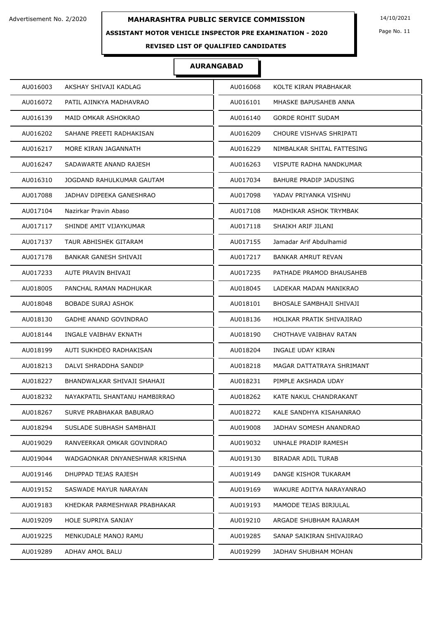### **ASSISTANT MOTOR VEHICLE INSPECTOR PRE EXAMINATION - 2020**

Page No. 11

## **REVISED LIST OF QUALIFIED CANDIDATES**

| AU016003                       | AU016068                      |
|--------------------------------|-------------------------------|
| AKSHAY SHIVAJI KADLAG          | KOLTE KIRAN PRABHAKAR         |
| AU016072                       | AU016101                      |
| PATIL AJINKYA MADHAVRAO        | MHASKE BAPUSAHEB ANNA         |
| AU016139                       | <b>GORDE ROHIT SUDAM</b>      |
| MAID OMKAR ASHOKRAO            | AU016140                      |
| AU016202                       | AU016209                      |
| SAHANE PREETI RADHAKISAN       | CHOURE VISHVAS SHRIPATI       |
| AU016217                       | NIMBALKAR SHITAL FATTESING    |
| MORE KIRAN JAGANNATH           | AU016229                      |
| AU016247                       | VISPUTE RADHA NANDKUMAR       |
| SADAWARTE ANAND RAJESH         | AU016263                      |
| AU016310                       | AU017034                      |
| JOGDAND RAHULKUMAR GAUTAM      | <b>BAHURE PRADIP JADUSING</b> |
| AU017088                       | AU017098                      |
| JADHAV DIPEEKA GANESHRAO       | YADAV PRIYANKA VISHNU         |
| AU017104                       | AU017108                      |
| Nazirkar Pravin Abaso          | MADHIKAR ASHOK TRYMBAK        |
| SHINDE AMIT VIJAYKUMAR         | SHAIKH ARIF JILANI            |
| AU017117                       | AU017118                      |
| TAUR ABHISHEK GITARAM          | AU017155                      |
| AU017137                       | Jamadar Arif Abdulhamid       |
| AU017178                       | AU017217                      |
| BANKAR GANESH SHIVAJI          | BANKAR AMRUT REVAN            |
| AU017233                       | AU017235                      |
| AUTE PRAVIN BHIVAJI            | PATHADE PRAMOD BHAUSAHEB      |
| AU018005                       | AU018045                      |
| PANCHAL RAMAN MADHUKAR         | LADEKAR MADAN MANIKRAO        |
| AU018048                       | BHOSALE SAMBHAJI SHIVAJI      |
| <b>BOBADE SURAJ ASHOK</b>      | AU018101                      |
| AU018130                       | HOLIKAR PRATIK SHIVAJIRAO     |
| <b>GADHE ANAND GOVINDRAO</b>   | AU018136                      |
| AU018144                       | AU018190                      |
| INGALE VAIBHAV EKNATH          | CHOTHAVE VAIBHAV RATAN        |
| AU018199                       | AU018204                      |
| AUTI SUKHDEO RADHAKISAN        | INGALE UDAY KIRAN             |
| AU018213                       | AU018218                      |
| DALVI SHRADDHA SANDIP          | MAGAR DATTATRAYA SHRIMANT     |
| AU018227                       | PIMPLE AKSHADA UDAY           |
| BHANDWALKAR SHIVAJI SHAHAJI    | AU018231                      |
| AU018232                       | KATE NAKUL CHANDRAKANT        |
| NAYAKPATIL SHANTANU HAMBIRRAO  | AU018262                      |
| AU018267                       | AU018272                      |
| SURVE PRABHAKAR BABURAO        | KALE SANDHYA KISAHANRAO       |
| AU018294                       | AU019008                      |
| SUSLADE SUBHASH SAMBHAJI       | JADHAV SOMESH ANANDRAO        |
| AU019029                       | UNHALE PRADIP RAMESH          |
| RANVEERKAR OMKAR GOVINDRAO     | AU019032                      |
| AU019044                       | AU019130                      |
| WADGAONKAR DNYANESHWAR KRISHNA | <b>BIRADAR ADIL TURAB</b>     |
| AU019146                       | DANGE KISHOR TUKARAM          |
| DHUPPAD TEJAS RAJESH           | AU019149                      |
| AU019152                       | AU019169                      |
| SASWADE MAYUR NARAYAN          | WAKURE ADITYA NARAYANRAO      |
| AU019183                       | AU019193                      |
| KHEDKAR PARMESHWAR PRABHAKAR   | MAMODE TEJAS BIRJULAL         |
| AU019209                       | AU019210                      |
| HOLE SUPRIYA SANJAY            | ARGADE SHUBHAM RAJARAM        |
| AU019225                       | AU019285                      |
| MENKUDALE MANOJ RAMU           | SANAP SAIKIRAN SHIVAJIRAO     |
| AU019289                       | AU019299                      |
| ADHAV AMOL BALU                | JADHAV SHUBHAM MOHAN          |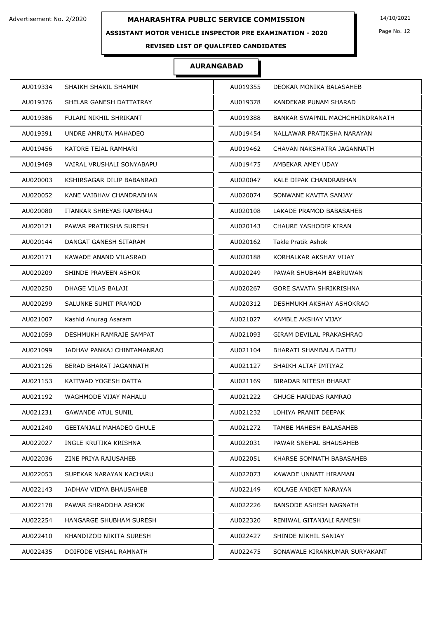### **ASSISTANT MOTOR VEHICLE INSPECTOR PRE EXAMINATION - 2020**

Page No. 12

## **REVISED LIST OF QUALIFIED CANDIDATES**

| AU019334 | SHAIKH SHAKIL SHAMIM            | AU019355 | DEOKAR MONIKA BALASAHEB         |
|----------|---------------------------------|----------|---------------------------------|
| AU019376 | SHELAR GANESH DATTATRAY         | AU019378 | KANDEKAR PUNAM SHARAD           |
| AU019386 | FULARI NIKHIL SHRIKANT          | AU019388 | BANKAR SWAPNIL MACHCHHINDRANATH |
| AU019391 | UNDRE AMRUTA MAHADEO            | AU019454 | NALLAWAR PRATIKSHA NARAYAN      |
| AU019456 | KATORE TEJAL RAMHARI            | AU019462 | CHAVAN NAKSHATRA JAGANNATH      |
| AU019469 | VAIRAL VRUSHALI SONYABAPU       | AU019475 | AMBEKAR AMEY UDAY               |
| AU020003 | KSHIRSAGAR DILIP BABANRAO       | AU020047 | KALE DIPAK CHANDRABHAN          |
| AU020052 | KANE VAIBHAV CHANDRABHAN        | AU020074 | SONWANE KAVITA SANJAY           |
| AU020080 | ITANKAR SHREYAS RAMBHAU         | AU020108 | LAKADE PRAMOD BABASAHEB         |
| AU020121 | PAWAR PRATIKSHA SURESH          | AU020143 | CHAURE YASHODIP KIRAN           |
| AU020144 | DANGAT GANESH SITARAM           | AU020162 | <b>Takle Pratik Ashok</b>       |
| AU020171 | KAWADE ANAND VILASRAO           | AU020188 | KORHALKAR AKSHAY VIJAY          |
| AU020209 | SHINDE PRAVEEN ASHOK            | AU020249 | PAWAR SHUBHAM BABRUWAN          |
| AU020250 | DHAGE VILAS BALAJI              | AU020267 | GORE SAVATA SHRIKRISHNA         |
| AU020299 | SALUNKE SUMIT PRAMOD            | AU020312 | DESHMUKH AKSHAY ASHOKRAO        |
| AU021007 | Kashid Anurag Asaram            | AU021027 | KAMBLE AKSHAY VIJAY             |
| AU021059 | DESHMUKH RAMRAJE SAMPAT         | AU021093 | GIRAM DEVILAL PRAKASHRAO        |
| AU021099 | JADHAV PANKAJ CHINTAMANRAO      | AU021104 | BHARATI SHAMBALA DATTU          |
| AU021126 | BERAD BHARAT JAGANNATH          | AU021127 | SHAIKH ALTAF IMTIYAZ            |
| AU021153 | KAITWAD YOGESH DATTA            | AU021169 | BIRADAR NITESH BHARAT           |
| AU021192 | WAGHMODE VIJAY MAHALU           | AU021222 | <b>GHUGE HARIDAS RAMRAO</b>     |
| AU021231 | <b>GAWANDE ATUL SUNIL</b>       | AU021232 | LOHIYA PRANIT DEEPAK            |
| AU021240 | <b>GEETANJALI MAHADEO GHULE</b> | AU021272 | TAMBE MAHESH BALASAHEB          |
| AU022027 | INGLE KRUTIKA KRISHNA           | AU022031 | PAWAR SNEHAL BHAUSAHEB          |
| AU022036 | ZINE PRIYA RAJUSAHEB            | AU022051 | KHARSE SOMNATH BABASAHEB        |
| AU022053 | SUPEKAR NARAYAN KACHARU         | AU022073 | KAWADE UNNATI HIRAMAN           |
| AU022143 | JADHAV VIDYA BHAUSAHEB          | AU022149 | KOLAGE ANIKET NARAYAN           |
| AU022178 | PAWAR SHRADDHA ASHOK            | AU022226 | BANSODE ASHISH NAGNATH          |
| AU022254 | HANGARGE SHUBHAM SURESH         | AU022320 | RENIWAL GITANJALI RAMESH        |
| AU022410 | KHANDIZOD NIKITA SURESH         | AU022427 | SHINDE NIKHIL SANJAY            |
| AU022435 | DOIFODE VISHAL RAMNATH          | AU022475 | SONAWALE KIRANKUMAR SURYAKANT   |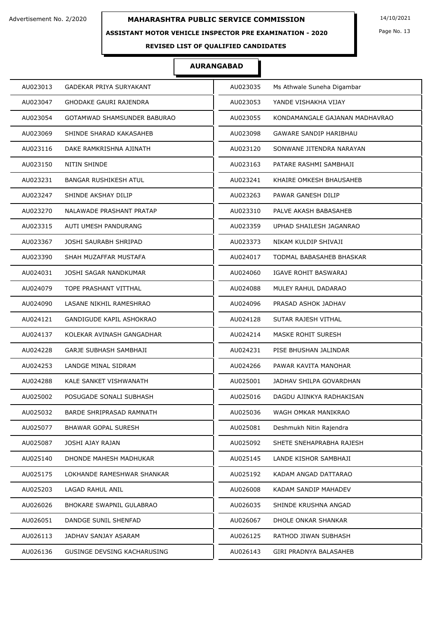### **ASSISTANT MOTOR VEHICLE INSPECTOR PRE EXAMINATION - 2020**

Page No. 13

## **REVISED LIST OF QUALIFIED CANDIDATES**

| AU023013 | GADEKAR PRIYA SURYAKANT       | AU023035 | Ms Athwale Suneha Digambar     |
|----------|-------------------------------|----------|--------------------------------|
| AU023047 | <b>GHODAKE GAURI RAJENDRA</b> | AU023053 | YANDE VISHAKHA VIJAY           |
| AU023054 | GOTAMWAD SHAMSUNDER BABURAO   | AU023055 | KONDAMANGALE GAJANAN MADHAVRAO |
| AU023069 | SHINDE SHARAD KAKASAHEB       | AU023098 | GAWARE SANDIP HARIBHAU         |
| AU023116 | DAKE RAMKRISHNA AJINATH       | AU023120 | SONWANE JITENDRA NARAYAN       |
| AU023150 | <b>NITIN SHINDE</b>           | AU023163 | PATARE RASHMI SAMBHAJI         |
| AU023231 | <b>BANGAR RUSHIKESH ATUL</b>  | AU023241 | KHAIRE OMKESH BHAUSAHEB        |
| AU023247 | SHINDE AKSHAY DILIP           | AU023263 | PAWAR GANESH DILIP             |
| AU023270 | NALAWADE PRASHANT PRATAP      | AU023310 | PALVE AKASH BABASAHEB          |
| AU023315 | AUTI UMESH PANDURANG          | AU023359 | UPHAD SHAILESH JAGANRAO        |
| AU023367 | JOSHI SAURABH SHRIPAD         | AU023373 | NIKAM KULDIP SHIVAJI           |
| AU023390 | SHAH MUZAFFAR MUSTAFA         | AU024017 | TODMAL BABASAHEB BHASKAR       |
| AU024031 | JOSHI SAGAR NANDKUMAR         | AU024060 | IGAVE ROHIT BASWARAJ           |
| AU024079 | TOPE PRASHANT VITTHAL         | AU024088 | MULEY RAHUL DADARAO            |
| AU024090 | LASANE NIKHIL RAMESHRAO       | AU024096 | PRASAD ASHOK JADHAV            |
| AU024121 | GANDIGUDE KAPIL ASHOKRAO      | AU024128 | SUTAR RAJESH VITHAL            |
| AU024137 | KOLEKAR AVINASH GANGADHAR     | AU024214 | MASKE ROHIT SURESH             |
| AU024228 | <b>GARJE SUBHASH SAMBHAJI</b> | AU024231 | PISE BHUSHAN JALINDAR          |
| AU024253 | LANDGE MINAL SIDRAM           | AU024266 | PAWAR KAVITA MANOHAR           |
| AU024288 | KALE SANKET VISHWANATH        | AU025001 | JADHAV SHILPA GOVARDHAN        |
| AU025002 | POSUGADE SONALI SUBHASH       | AU025016 | DAGDU AJINKYA RADHAKISAN       |
| AU025032 | BARDE SHRIPRASAD RAMNATH      | AU025036 | WAGH OMKAR MANIKRAO            |
| AU025077 | <b>BHAWAR GOPAL SURESH</b>    | AU025081 | Deshmukh Nitin Rajendra        |
| AU025087 | JOSHI AJAY RAJAN              | AU025092 | SHETE SNEHAPRABHA RAJESH       |
| AU025140 | DHONDE MAHESH MADHUKAR        | AU025145 | LANDE KISHOR SAMBHAJI          |
| AU025175 | LOKHANDE RAMESHWAR SHANKAR    | AU025192 | KADAM ANGAD DATTARAO           |
| AU025203 | LAGAD RAHUL ANIL              | AU026008 | KADAM SANDIP MAHADEV           |
| AU026026 | BHOKARE SWAPNIL GULABRAO      | AU026035 | SHINDE KRUSHNA ANGAD           |
| AU026051 | DANDGE SUNIL SHENFAD          | AU026067 | DHOLE ONKAR SHANKAR            |
| AU026113 | JADHAV SANJAY ASARAM          | AU026125 | RATHOD JIWAN SUBHASH           |
| AU026136 | GUSINGE DEVSING KACHARUSING   | AU026143 | GIRI PRADNYA BALASAHEB         |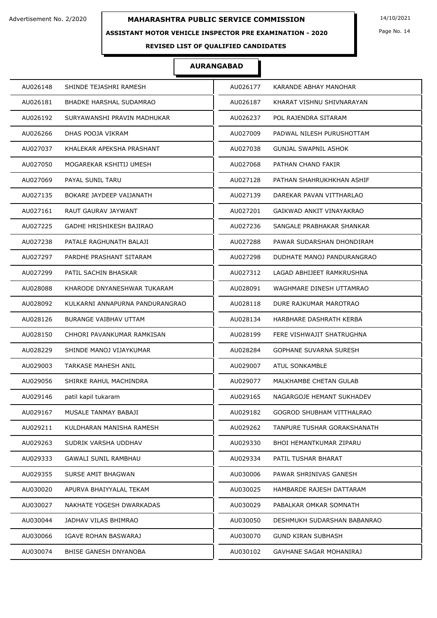### **ASSISTANT MOTOR VEHICLE INSPECTOR PRE EXAMINATION - 2020**

Page No. 14

## **REVISED LIST OF QUALIFIED CANDIDATES**

| AU026148 | SHINDE TEJASHRI RAMESH          | AU026177 | KARANDE ABHAY MANOHAR       |
|----------|---------------------------------|----------|-----------------------------|
| AU026181 | <b>BHADKE HARSHAL SUDAMRAO</b>  | AU026187 | KHARAT VISHNU SHIVNARAYAN   |
| AU026192 | SURYAWANSHI PRAVIN MADHUKAR     | AU026237 | POL RAJENDRA SITARAM        |
| AU026266 | DHAS POOJA VIKRAM               | AU027009 | PADWAL NILESH PURUSHOTTAM   |
| AU027037 | KHALEKAR APEKSHA PRASHANT       | AU027038 | <b>GUNJAL SWAPNIL ASHOK</b> |
| AU027050 | MOGAREKAR KSHITIJ UMESH         | AU027068 | PATHAN CHAND FAKIR          |
| AU027069 | PAYAL SUNIL TARU                | AU027128 | PATHAN SHAHRUKHKHAN ASHIF   |
| AU027135 | BOKARE JAYDEEP VAIJANATH        | AU027139 | DAREKAR PAVAN VITTHARLAO    |
| AU027161 | RAUT GAURAV JAYWANT             | AU027201 | GAIKWAD ANKIT VINAYAKRAO    |
| AU027225 | GADHE HRISHIKESH BAJIRAO        | AU027236 | SANGALE PRABHAKAR SHANKAR   |
| AU027238 | PATALE RAGHUNATH BALAJI         | AU027288 | PAWAR SUDARSHAN DHONDIRAM   |
| AU027297 | PARDHE PRASHANT SITARAM         | AU027298 | DUDHATE MANOJ PANDURANGRAO  |
| AU027299 | PATIL SACHIN BHASKAR            | AU027312 | LAGAD ABHIJEET RAMKRUSHNA   |
| AU028088 | KHARODE DNYANESHWAR TUKARAM     | AU028091 | WAGHMARE DINESH UTTAMRAO    |
| AU028092 | KULKARNI ANNAPURNA PANDURANGRAO | AU028118 | DURE RAJKUMAR MAROTRAO      |
| AU028126 | <b>BURANGE VAIBHAV UTTAM</b>    | AU028134 | HARBHARE DASHRATH KERBA     |
| AU028150 | CHHORI PAVANKUMAR RAMKISAN      | AU028199 | FERE VISHWAJIT SHATRUGHNA   |
| AU028229 | SHINDE MANOJ VIJAYKUMAR         | AU028284 | GOPHANE SUVARNA SURESH      |
| AU029003 | <b>TARKASE MAHESH ANIL</b>      | AU029007 | <b>ATUL SONKAMBLE</b>       |
| AU029056 | SHIRKE RAHUL MACHINDRA          | AU029077 | MALKHAMBE CHETAN GULAB      |
| AU029146 | patil kapil tukaram             | AU029165 | NAGARGOJE HEMANT SUKHADEV   |
| AU029167 | MUSALE TANMAY BABAJI            | AU029182 | GOGROD SHUBHAM VITTHALRAO   |
| AU029211 | KULDHARAN MANISHA RAMESH        | AU029262 | TANPURE TUSHAR GORAKSHANATH |
| AU029263 | SUDRIK VARSHA UDDHAV            | AU029330 | BHOI HEMANTKUMAR ZIPARU     |
| AU029333 | <b>GAWALI SUNIL RAMBHAU</b>     | AU029334 | PATIL TUSHAR BHARAT         |
| AU029355 | SURSE AMIT BHAGWAN              | AU030006 | PAWAR SHRINIVAS GANESH      |
| AU030020 | APURVA BHAIYYALAL TEKAM         | AU030025 | HAMBARDE RAJESH DATTARAM    |
| AU030027 | NAKHATE YOGESH DWARKADAS        | AU030029 | PABALKAR OMKAR SOMNATH      |
| AU030044 | JADHAV VILAS BHIMRAO            | AU030050 | DESHMUKH SUDARSHAN BABANRAO |
| AU030066 | IGAVE ROHAN BASWARAJ            | AU030070 | <b>GUND KIRAN SUBHASH</b>   |
| AU030074 | BHISE GANESH DNYANOBA           | AU030102 | GAVHANE SAGAR MOHANIRAJ     |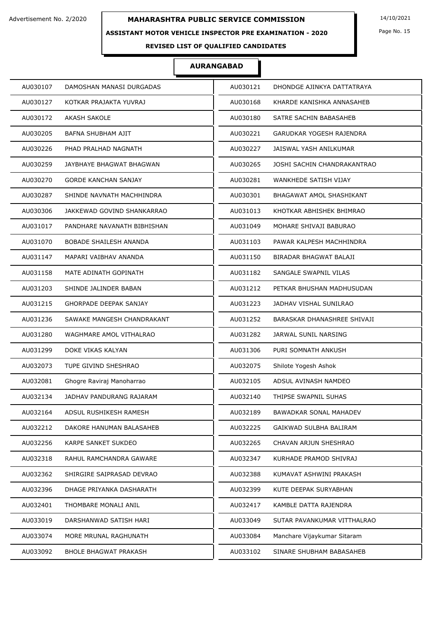### **ASSISTANT MOTOR VEHICLE INSPECTOR PRE EXAMINATION - 2020**

Page No. 15

## **REVISED LIST OF QUALIFIED CANDIDATES**

| AU030107<br>AU030121<br>DHONDGE AJINKYA DATTATRAYA<br>DAMOSHAN MANASI DURGADAS<br>AU030127<br>KOTKAR PRAJAKTA YUVRAJ<br>AU030168<br>KHARDE KANISHKA ANNASAHEB<br>AU030172<br><b>AKASH SAKOLE</b><br>AU030180<br>SATRE SACHIN BABASAHEB<br>AU030205<br>BAFNA SHUBHAM AJIT<br>AU030221<br>GARUDKAR YOGESH RAJENDRA<br>AU030226<br>AU030227<br>PHAD PRALHAD NAGNATH<br>JAISWAL YASH ANILKUMAR<br>AU030259<br>JAYBHAYE BHAGWAT BHAGWAN<br>AU030265<br>JOSHI SACHIN CHANDRAKANTRAO |  |
|-------------------------------------------------------------------------------------------------------------------------------------------------------------------------------------------------------------------------------------------------------------------------------------------------------------------------------------------------------------------------------------------------------------------------------------------------------------------------------|--|
|                                                                                                                                                                                                                                                                                                                                                                                                                                                                               |  |
|                                                                                                                                                                                                                                                                                                                                                                                                                                                                               |  |
|                                                                                                                                                                                                                                                                                                                                                                                                                                                                               |  |
|                                                                                                                                                                                                                                                                                                                                                                                                                                                                               |  |
|                                                                                                                                                                                                                                                                                                                                                                                                                                                                               |  |
|                                                                                                                                                                                                                                                                                                                                                                                                                                                                               |  |
| AU030270<br><b>GORDE KANCHAN SANJAY</b><br>AU030281<br>WANKHEDE SATISH VIJAY                                                                                                                                                                                                                                                                                                                                                                                                  |  |
| AU030287<br>SHINDE NAVNATH MACHHINDRA<br>AU030301<br>BHAGAWAT AMOL SHASHIKANT                                                                                                                                                                                                                                                                                                                                                                                                 |  |
| AU030306<br>JAKKEWAD GOVIND SHANKARRAO<br>AU031013<br>KHOTKAR ABHISHEK BHIMRAO                                                                                                                                                                                                                                                                                                                                                                                                |  |
| AU031049<br>MOHARE SHIVAJI BABURAO<br>AU031017<br>PANDHARE NAVANATH BIBHISHAN                                                                                                                                                                                                                                                                                                                                                                                                 |  |
| AU031070<br><b>BOBADE SHAILESH ANANDA</b><br>AU031103<br>PAWAR KALPESH MACHHINDRA                                                                                                                                                                                                                                                                                                                                                                                             |  |
| AU031147<br>MAPARI VAIBHAV ANANDA<br>AU031150<br>BIRADAR BHAGWAT BALAJI                                                                                                                                                                                                                                                                                                                                                                                                       |  |
| SANGALE SWAPNIL VILAS<br>AU031158<br>MATE ADINATH GOPINATH<br>AU031182                                                                                                                                                                                                                                                                                                                                                                                                        |  |
| AU031203<br>SHINDE JALINDER BABAN<br>AU031212<br>PETKAR BHUSHAN MADHUSUDAN                                                                                                                                                                                                                                                                                                                                                                                                    |  |
| AU031215<br><b>GHORPADE DEEPAK SANJAY</b><br>AU031223<br>JADHAV VISHAL SUNILRAO                                                                                                                                                                                                                                                                                                                                                                                               |  |
| AU031236<br>SAWAKE MANGESH CHANDRAKANT<br>AU031252<br>BARASKAR DHANASHREE SHIVAJI                                                                                                                                                                                                                                                                                                                                                                                             |  |
| AU031280<br>WAGHMARE AMOL VITHALRAO<br>AU031282<br>JARWAL SUNIL NARSING                                                                                                                                                                                                                                                                                                                                                                                                       |  |
| AU031299<br>DOKE VIKAS KALYAN<br>PURI SOMNATH ANKUSH<br>AU031306                                                                                                                                                                                                                                                                                                                                                                                                              |  |
| TUPE GIVIND SHESHRAO<br>Shilote Yogesh Ashok<br>AU032073<br>AU032075                                                                                                                                                                                                                                                                                                                                                                                                          |  |
| AU032081<br>Ghogre Raviraj Manoharrao<br>AU032105<br>ADSUL AVINASH NAMDEO                                                                                                                                                                                                                                                                                                                                                                                                     |  |
| JADHAV PANDURANG RAJARAM<br>AU032134<br>AU032140<br>THIPSE SWAPNIL SUHAS                                                                                                                                                                                                                                                                                                                                                                                                      |  |
| AU032164<br>ADSUL RUSHIKESH RAMESH<br>AU032189<br><b>BAWADKAR SONAL MAHADEV</b>                                                                                                                                                                                                                                                                                                                                                                                               |  |
| AU032212<br>DAKORE HANUMAN BALASAHEB<br>AU032225<br>GAIKWAD SULBHA BALIRAM                                                                                                                                                                                                                                                                                                                                                                                                    |  |
| AU032256<br>KARPE SANKET SUKDEO<br>AU032265<br>CHAVAN ARJUN SHESHRAO                                                                                                                                                                                                                                                                                                                                                                                                          |  |
| AU032318<br>RAHUL RAMCHANDRA GAWARE<br>AU032347<br>KURHADE PRAMOD SHIVRAJ                                                                                                                                                                                                                                                                                                                                                                                                     |  |
| AU032362<br>SHIRGIRE SAIPRASAD DEVRAO<br>AU032388<br>KUMAVAT ASHWINI PRAKASH                                                                                                                                                                                                                                                                                                                                                                                                  |  |
| AU032396<br>DHAGE PRIYANKA DASHARATH<br>AU032399<br>KUTE DEEPAK SURYABHAN                                                                                                                                                                                                                                                                                                                                                                                                     |  |
| AU032401<br>THOMBARE MONALI ANIL<br>AU032417<br>KAMBLE DATTA RAJENDRA                                                                                                                                                                                                                                                                                                                                                                                                         |  |
| AU033019<br>DARSHANWAD SATISH HARI<br>AU033049<br>SUTAR PAVANKUMAR VITTHALRAO                                                                                                                                                                                                                                                                                                                                                                                                 |  |
| AU033074<br>MORE MRUNAL RAGHUNATH<br>AU033084<br>Manchare Vijaykumar Sitaram                                                                                                                                                                                                                                                                                                                                                                                                  |  |
| AU033092<br><b>BHOLE BHAGWAT PRAKASH</b><br>AU033102<br>SINARE SHUBHAM BABASAHEB                                                                                                                                                                                                                                                                                                                                                                                              |  |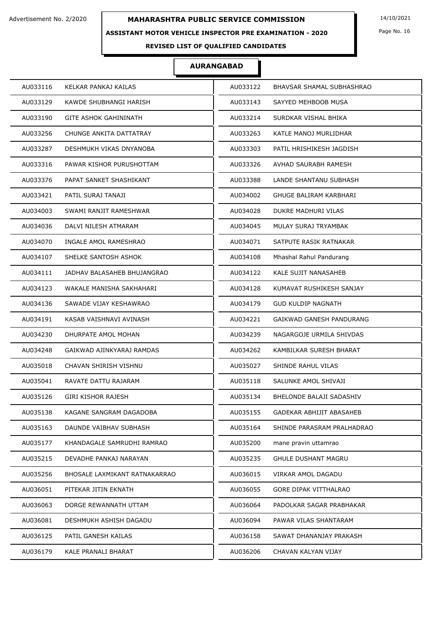### **ASSISTANT MOTOR VEHICLE INSPECTOR PRE EXAMINATION - 2020**

Page No. 16

## **REVISED LIST OF QUALIFIED CANDIDATES**

| AU033116                      | AU033122                     |
|-------------------------------|------------------------------|
| KELKAR PANKAJ KAILAS          | BHAVSAR SHAMAL SUBHASHRAO    |
| AU033129                      | AU033143                     |
| KAWDE SHUBHANGI HARISH        | SAYYED MEHBOOB MUSA          |
| AU033190                      | AU033214                     |
| <b>GITE ASHOK GAHININATH</b>  | SURDKAR VISHAL BHIKA         |
| AU033256                      | AU033263                     |
| CHUNGE ANKITA DATTATRAY       | KATLE MANOJ MURLIDHAR        |
| AU033287                      | AU033303                     |
| DESHMUKH VIKAS DNYANOBA       | PATIL HRISHIKESH JAGDISH     |
| AU033316                      | AU033326                     |
| PAWAR KISHOR PURUSHOTTAM      | AVHAD SAURABH RAMESH         |
| AU033376                      | AU033388                     |
| PAPAT SANKET SHASHIKANT       | LANDE SHANTANU SUBHASH       |
| AU033421                      | AU034002                     |
| PATIL SURAJ TANAJI            | GHUGE BALIRAM KARBHARI       |
| AU034003                      | AU034028                     |
| SWAMI RANJIT RAMESHWAR        | DUKRE MADHURI VILAS          |
| AU034036                      | AU034045                     |
| DALVI NILESH ATMARAM          | MULAY SURAJ TRYAMBAK         |
| AU034070                      | AU034071                     |
| INGALE AMOL RAMESHRAO         | SATPUTE RASIK RATNAKAR       |
| AU034107                      | AU034108                     |
| SHELKE SANTOSH ASHOK          | Mhashal Rahul Pandurang      |
| AU034111                      | AU034122                     |
| JADHAV BALASAHEB BHUJANGRAO   | <b>KALE SUJIT NANASAHEB</b>  |
| WAKALE MANISHA SAKHAHARI      | AU034128                     |
| AU034123                      | KUMAVAT RUSHIKESH SANJAY     |
| AU034136                      | <b>GUD KULDIP NAGNATH</b>    |
| SAWADE VIJAY KESHAWRAO        | AU034179                     |
| AU034191                      | AU034221                     |
| KASAB VAISHNAVI AVINASH       | GAIKWAD GANESH PANDURANG     |
| AU034230                      | AU034239                     |
| DHURPATE AMOL MOHAN           | NAGARGOJE URMILA SHIVDAS     |
| AU034248                      | AU034262                     |
| GAIKWAD AJINKYARAJ RAMDAS     | KAMBILKAR SURESH BHARAT      |
| AU035018                      | AU035027                     |
| CHAVAN SHIRISH VISHNU         | SHINDE RAHUL VILAS           |
| AU035041                      | AU035118                     |
| RAVATE DATTU RAJARAM          | SALUNKE AMOL SHIVAJI         |
| AU035126                      | AU035134                     |
| GIRI KISHOR RAJESH            | BHELONDE BALAJI SADASHIV     |
| AU035138                      | AU035155                     |
| KAGANE SANGRAM DAGADOBA       | GADEKAR ABHIJIT ABASAHEB     |
| AU035163                      | AU035164                     |
| DAUNDE VAIBHAV SUBHASH        | SHINDE PARASRAM PRALHADRAO   |
| AU035177                      | AU035200                     |
| KHANDAGALE SAMRUDHI RAMRAO    | mane pravin uttamrao         |
| AU035215                      | AU035235                     |
| DEVADHE PANKAJ NARAYAN        | <b>GHULE DUSHANT MAGRU</b>   |
| AU035256                      | AU036015                     |
| BHOSALE LAXMIKANT RATNAKARRAO | VIRKAR AMOL DAGADU           |
| AU036051                      | AU036055                     |
| PITEKAR JITIN EKNATH          | <b>GORE DIPAK VITTHALRAO</b> |
| AU036063                      | AU036064                     |
| DORGE REWANNATH UTTAM         | PADOLKAR SAGAR PRABHAKAR     |
| AU036081                      | AU036094                     |
| DESHMUKH ASHISH DAGADU        | PAWAR VILAS SHANTARAM        |
| AU036125                      | AU036158                     |
| PATIL GANESH KAILAS           | SAWAT DHANANJAY PRAKASH      |
| AU036179                      | AU036206                     |
| KALE PRANALI BHARAT           | CHAVAN KALYAN VIJAY          |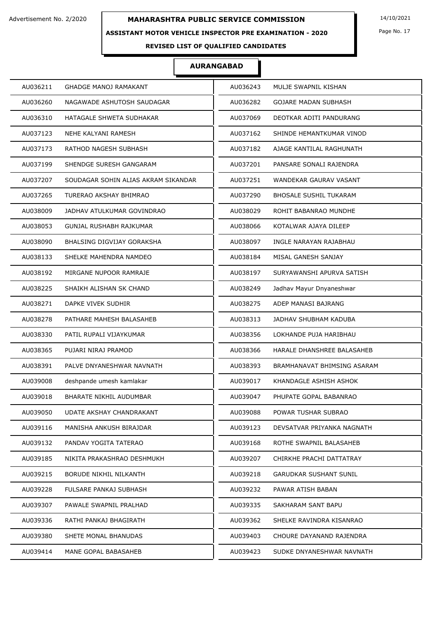### **ASSISTANT MOTOR VEHICLE INSPECTOR PRE EXAMINATION - 2020**

Page No. 17

## **REVISED LIST OF QUALIFIED CANDIDATES**

| AU036211 | <b>GHADGE MANOJ RAMAKANT</b>        | AU036243 | MULJE SWAPNIL KISHAN          |
|----------|-------------------------------------|----------|-------------------------------|
| AU036260 | NAGAWADE ASHUTOSH SAUDAGAR          | AU036282 | <b>GOJARE MADAN SUBHASH</b>   |
| AU036310 | HATAGALE SHWETA SUDHAKAR            | AU037069 | DEOTKAR ADITI PANDURANG       |
| AU037123 | NEHE KALYANI RAMESH                 | AU037162 | SHINDE HEMANTKUMAR VINOD      |
| AU037173 | RATHOD NAGESH SUBHASH               | AU037182 | AJAGE KANTILAL RAGHUNATH      |
| AU037199 | SHENDGE SURESH GANGARAM             | AU037201 | PANSARE SONALI RAJENDRA       |
| AU037207 | SOUDAGAR SOHIN ALIAS AKRAM SIKANDAR | AU037251 | WANDEKAR GAURAV VASANT        |
| AU037265 | TURERAO AKSHAY BHIMRAO              | AU037290 | <b>BHOSALE SUSHIL TUKARAM</b> |
| AU038009 | JADHAV ATULKUMAR GOVINDRAO          | AU038029 | ROHIT BABANRAO MUNDHE         |
| AU038053 | GUNJAL RUSHABH RAJKUMAR             | AU038066 | KOTALWAR AJAYA DILEEP         |
| AU038090 | BHALSING DIGVIJAY GORAKSHA          | AU038097 | INGLE NARAYAN RAJABHAU        |
| AU038133 | SHELKE MAHENDRA NAMDEO              | AU038184 | MISAL GANESH SANJAY           |
| AU038192 | MIRGANE NUPOOR RAMRAJE              | AU038197 | SURYAWANSHI APURVA SATISH     |
| AU038225 | SHAIKH ALISHAN SK CHAND             | AU038249 | Jadhav Mayur Dnyaneshwar      |
| AU038271 | DAPKE VIVEK SUDHIR                  | AU038275 | ADEP MANASI BAJRANG           |
| AU038278 | PATHARE MAHESH BALASAHEB            | AU038313 | JADHAV SHUBHAM KADUBA         |
| AU038330 | PATIL RUPALI VIJAYKUMAR             | AU038356 | LOKHANDE PUJA HARIBHAU        |
| AU038365 | PUJARI NIRAJ PRAMOD                 | AU038366 | HARALE DHANSHREE BALASAHEB    |
| AU038391 | PALVE DNYANESHWAR NAVNATH           | AU038393 | BRAMHANAVAT BHIMSING ASARAM   |
| AU039008 | deshpande umesh kamlakar            | AU039017 | KHANDAGLE ASHISH ASHOK        |
| AU039018 | BHARATE NIKHIL AUDUMBAR             | AU039047 | PHUPATE GOPAL BABANRAO        |
| AU039050 | UDATE AKSHAY CHANDRAKANT            | AU039088 | POWAR TUSHAR SUBRAO           |
| AU039116 | MANISHA ANKUSH BIRAJDAR             | AU039123 | DEVSATVAR PRIYANKA NAGNATH    |
| AU039132 | PANDAV YOGITA TATERAO               | AU039168 | ROTHE SWAPNIL BALASAHEB       |
| AU039185 | NIKITA PRAKASHRAO DESHMUKH          | AU039207 | CHIRKHE PRACHI DATTATRAY      |
| AU039215 | BORUDE NIKHIL NILKANTH              | AU039218 | GARUDKAR SUSHANT SUNIL        |
| AU039228 | FULSARE PANKAJ SUBHASH              | AU039232 | PAWAR ATISH BABAN             |
| AU039307 | PAWALE SWAPNIL PRALHAD              | AU039335 | SAKHARAM SANT BAPU            |
| AU039336 | RATHI PANKAJ BHAGIRATH              | AU039362 | SHELKE RAVINDRA KISANRAO      |
| AU039380 | SHETE MONAL BHANUDAS                | AU039403 | CHOURE DAYANAND RAJENDRA      |
| AU039414 | MANE GOPAL BABASAHEB                | AU039423 | SUDKE DNYANESHWAR NAVNATH     |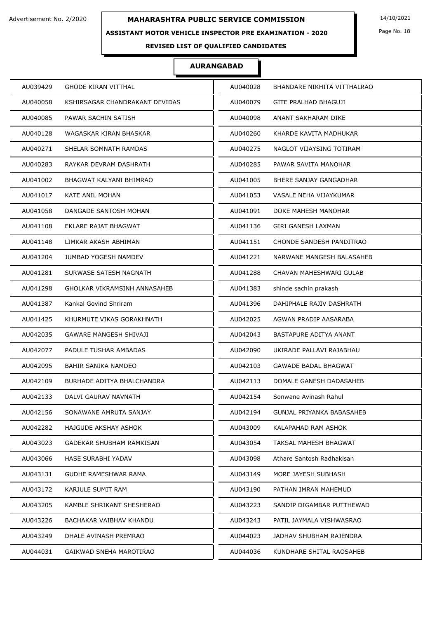### **ASSISTANT MOTOR VEHICLE INSPECTOR PRE EXAMINATION - 2020**

Page No. 18

## **REVISED LIST OF QUALIFIED CANDIDATES**

| AU039429 | <b>GHODE KIRAN VITTHAL</b>     | AU040028 | BHANDARE NIKHITA VITTHALRAO |
|----------|--------------------------------|----------|-----------------------------|
| AU040058 | KSHIRSAGAR CHANDRAKANT DEVIDAS | AU040079 | GITE PRALHAD BHAGUJI        |
| AU040085 | PAWAR SACHIN SATISH            | AU040098 | ANANT SAKHARAM DIKE         |
| AU040128 | WAGASKAR KIRAN BHASKAR         | AU040260 | KHARDE KAVITA MADHUKAR      |
| AU040271 | SHELAR SOMNATH RAMDAS          | AU040275 | NAGLOT VIJAYSING TOTIRAM    |
| AU040283 | RAYKAR DEVRAM DASHRATH         | AU040285 | PAWAR SAVITA MANOHAR        |
| AU041002 | BHAGWAT KALYANI BHIMRAO        | AU041005 | BHERE SANJAY GANGADHAR      |
| AU041017 | KATE ANIL MOHAN                | AU041053 | VASALE NEHA VIJAYKUMAR      |
| AU041058 | DANGADE SANTOSH MOHAN          | AU041091 | DOKE MAHESH MANOHAR         |
| AU041108 | EKLARE RAJAT BHAGWAT           | AU041136 | GIRI GANESH LAXMAN          |
| AU041148 | LIMKAR AKASH ABHIMAN           | AU041151 | CHONDE SANDESH PANDITRAO    |
| AU041204 | JUMBAD YOGESH NAMDEV           | AU041221 | NARWANE MANGESH BALASAHEB   |
| AU041281 | SURWASE SATESH NAGNATH         | AU041288 | CHAVAN MAHESHWARI GULAB     |
| AU041298 | GHOLKAR VIKRAMSINH ANNASAHEB   | AU041383 | shinde sachin prakash       |
| AU041387 | Kankal Govind Shriram          | AU041396 | DAHIPHALE RAJIV DASHRATH    |
| AU041425 | KHURMUTE VIKAS GORAKHNATH      | AU042025 | AGWAN PRADIP AASARABA       |
| AU042035 | <b>GAWARE MANGESH SHIVAJI</b>  | AU042043 | BASTAPURE ADITYA ANANT      |
| AU042077 | PADULE TUSHAR AMBADAS          | AU042090 | UKIRADE PALLAVI RAJABHAU    |
| AU042095 | BAHIR SANIKA NAMDEO            | AU042103 | <b>GAWADE BADAL BHAGWAT</b> |
| AU042109 | BURHADE ADITYA BHALCHANDRA     | AU042113 | DOMALE GANESH DADASAHEB     |
| AU042133 | DALVI GAURAV NAVNATH           | AU042154 | Sonwane Avinash Rahul       |
| AU042156 | SONAWANE AMRUTA SANJAY         | AU042194 | GUNJAL PRIYANKA BABASAHEB   |
| AU042282 | HAJGUDE AKSHAY ASHOK           | AU043009 | KALAPAHAD RAM ASHOK         |
| AU043023 | GADEKAR SHUBHAM RAMKISAN       | AU043054 | TAKSAL MAHESH BHAGWAT       |
| AU043066 | HASE SURABHI YADAV             | AU043098 | Athare Santosh Radhakisan   |
| AU043131 | GUDHE RAMESHWAR RAMA           | AU043149 | MORE JAYESH SUBHASH         |
| AU043172 | KARJULE SUMIT RAM              | AU043190 | PATHAN IMRAN MAHEMUD        |
| AU043205 | KAMBLE SHRIKANT SHESHERAO      | AU043223 | SANDIP DIGAMBAR PUTTHEWAD   |
| AU043226 | BACHAKAR VAIBHAV KHANDU        | AU043243 | PATIL JAYMALA VISHWASRAO    |
| AU043249 | DHALE AVINASH PREMRAO          | AU044023 | JADHAV SHUBHAM RAJENDRA     |
| AU044031 | GAIKWAD SNEHA MAROTIRAO        | AU044036 | KUNDHARE SHITAL RAOSAHEB    |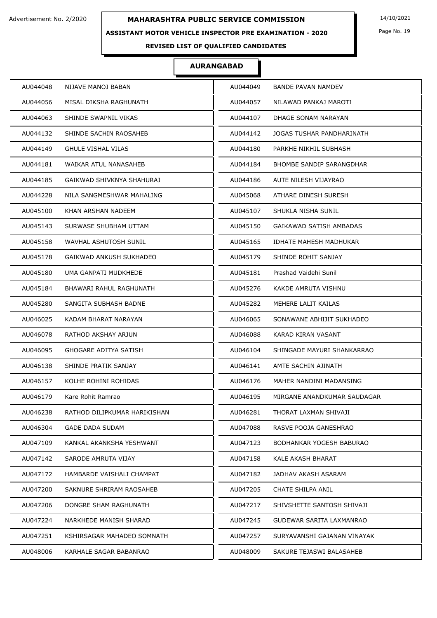### **ASSISTANT MOTOR VEHICLE INSPECTOR PRE EXAMINATION - 2020**

Page No. 19

## **REVISED LIST OF QUALIFIED CANDIDATES**

| AU044048<br>NIJAVE MANOJ BABAN           | AU044049 | <b>BANDE PAVAN NAMDEV</b>       |
|------------------------------------------|----------|---------------------------------|
| AU044056<br>MISAL DIKSHA RAGHUNATH       | AU044057 | NILAWAD PANKAJ MAROTI           |
| SHINDE SWAPNIL VIKAS<br>AU044063         | AU044107 | DHAGE SONAM NARAYAN             |
| AU044132<br>SHINDE SACHIN RAOSAHEB       | AU044142 | JOGAS TUSHAR PANDHARINATH       |
| AU044149<br><b>GHULE VISHAL VILAS</b>    | AU044180 | PARKHE NIKHIL SUBHASH           |
| AU044181<br>WAIKAR ATUL NANASAHEB        | AU044184 | <b>BHOMBE SANDIP SARANGDHAR</b> |
| AU044185<br>GAIKWAD SHIVKNYA SHAHURAJ    | AU044186 | AUTE NILESH VIJAYRAO            |
| AU044228<br>NILA SANGMESHWAR MAHALING    | AU045068 | ATHARE DINESH SURESH            |
| AU045100<br>KHAN ARSHAN NADEEM           | AU045107 | SHUKLA NISHA SUNIL              |
| SURWASE SHUBHAM UTTAM<br>AU045143        | AU045150 | GAIKAWAD SATISH AMBADAS         |
| WAVHAL ASHUTOSH SUNIL<br>AU045158        | AU045165 | IDHATE MAHESH MADHUKAR          |
| AU045178<br>GAIKWAD ANKUSH SUKHADEO      | AU045179 | SHINDE ROHIT SANJAY             |
| AU045180<br>UMA GANPATI MUDKHEDE         | AU045181 | Prashad Vaidehi Sunil           |
| AU045184<br>BHAWARI RAHUL RAGHUNATH      | AU045276 | KAKDE AMRUTA VISHNU             |
| AU045280<br>SANGITA SUBHASH BADNE        | AU045282 | MEHERE LALIT KAILAS             |
| KADAM BHARAT NARAYAN<br>AU046025         | AU046065 | SONAWANE ABHIJIT SUKHADEO       |
| AU046078<br>RATHOD AKSHAY ARJUN          | AU046088 | KARAD KIRAN VASANT              |
| AU046095<br>GHOGARE ADITYA SATISH        | AU046104 | SHINGADE MAYURI SHANKARRAO      |
| SHINDE PRATIK SANJAY<br>AU046138         | AU046141 | AMTE SACHIN AJINATH             |
| KOLHE ROHINI ROHIDAS<br>AU046157         | AU046176 | MAHER NANDINI MADANSING         |
| AU046179<br>Kare Rohit Ramrao            | AU046195 | MIRGANE ANANDKUMAR SAUDAGAR     |
| AU046238<br>RATHOD DILIPKUMAR HARIKISHAN | AU046281 | THORAT LAXMAN SHIVAJI           |
| AU046304<br><b>GADE DADA SUDAM</b>       | AU047088 | RASVE POOJA GANESHRAO           |
| AU047109<br>KANKAL AKANKSHA YESHWANT     | AU047123 | BODHANKAR YOGESH BABURAO        |
| SARODE AMRUTA VIJAY<br>AU047142          | AU047158 | KALE AKASH BHARAT               |
| AU047172<br>HAMBARDE VAISHALI CHAMPAT    | AU047182 | JADHAV AKASH ASARAM             |
| AU047200<br>SAKNURE SHRIRAM RAOSAHEB     | AU047205 | CHATE SHILPA ANIL               |
| AU047206<br>DONGRE SHAM RAGHUNATH        | AU047217 | SHIVSHETTE SANTOSH SHIVAJI      |
| AU047224<br>NARKHEDE MANISH SHARAD       | AU047245 | GUDEWAR SARITA LAXMANRAO        |
| AU047251<br>KSHIRSAGAR MAHADEO SOMNATH   | AU047257 | SURYAVANSHI GAJANAN VINAYAK     |
| AU048006<br>KARHALE SAGAR BABANRAO       | AU048009 | SAKURE TEJASWI BALASAHEB        |
|                                          |          |                                 |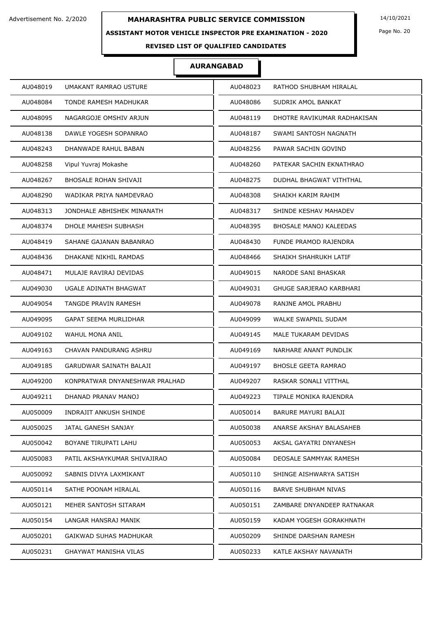### **ASSISTANT MOTOR VEHICLE INSPECTOR PRE EXAMINATION - 2020**

Page No. 20

## **REVISED LIST OF QUALIFIED CANDIDATES**

| AU048019                       | AU048023                       |
|--------------------------------|--------------------------------|
| UMAKANT RAMRAO USTURE          | RATHOD SHUBHAM HIRALAL         |
| AU048084                       | AU048086                       |
| TONDE RAMESH MADHUKAR          | SUDRIK AMOL BANKAT             |
| AU048095                       | AU048119                       |
| NAGARGOJE OMSHIV ARJUN         | DHOTRE RAVIKUMAR RADHAKISAN    |
| AU048138                       | AU048187                       |
| DAWLE YOGESH SOPANRAO          | SWAMI SANTOSH NAGNATH          |
| AU048243                       | AU048256                       |
| DHANWADE RAHUL BABAN           | PAWAR SACHIN GOVIND            |
| AU048258                       | AU048260                       |
| Vipul Yuvraj Mokashe           | PATEKAR SACHIN EKNATHRAO       |
| AU048267                       | AU048275                       |
| <b>BHOSALE ROHAN SHIVAJI</b>   | DUDHAL BHAGWAT VITHTHAL        |
| AU048290                       | AU048308                       |
| WADIKAR PRIYA NAMDEVRAO        | SHAIKH KARIM RAHIM             |
| AU048313                       | AU048317                       |
| JONDHALE ABHISHEK MINANATH     | SHINDE KESHAV MAHADEV          |
| AU048374                       | AU048395                       |
| DHOLE MAHESH SUBHASH           | <b>BHOSALE MANOJ KALEEDAS</b>  |
| AU048419                       | AU048430                       |
| SAHANE GAJANAN BABANRAO        | <b>FUNDE PRAMOD RAJENDRA</b>   |
| AU048436                       | AU048466                       |
| DHAKANE NIKHIL RAMDAS          | SHAIKH SHAHRUKH LATIF          |
| AU048471                       | AU049015                       |
| MULAJE RAVIRAJ DEVIDAS         | NARODE SANI BHASKAR            |
| AU049030                       | AU049031                       |
| UGALE ADINATH BHAGWAT          | <b>GHUGE SARJERAO KARBHARI</b> |
| AU049054                       | RANJNE AMOL PRABHU             |
| TANGDE PRAVIN RAMESH           | AU049078                       |
| AU049095                       | WALKE SWAPNIL SUDAM            |
| <b>GAPAT SEEMA MURLIDHAR</b>   | AU049099                       |
| AU049102                       | AU049145                       |
| WAHUL MONA ANIL                | MALE TUKARAM DEVIDAS           |
| AU049163                       | AU049169                       |
| CHAVAN PANDURANG ASHRU         | NARHARE ANANT PUNDLIK          |
| AU049185                       | <b>BHOSLE GEETA RAMRAO</b>     |
| GARUDWAR SAINATH BALAJI        | AU049197                       |
| AU049200                       | AU049207                       |
| KONPRATWAR DNYANESHWAR PRALHAD | RASKAR SONALI VITTHAL          |
| AU049211                       | TIPALE MONIKA RAJENDRA         |
| DHANAD PRANAV MANOJ            | AU049223                       |
| AU050009                       | AU050014                       |
| INDRAJIT ANKUSH SHINDE         | BARURE MAYURI BALAJI           |
| AU050025                       | AU050038                       |
| JATAL GANESH SANJAY            | ANARSE AKSHAY BALASAHEB        |
| AU050042                       | AU050053                       |
| BOYANE TIRUPATI LAHU           | AKSAL GAYATRI DNYANESH         |
| AU050083                       | AU050084                       |
| PATIL AKSHAYKUMAR SHIVAJIRAO   | DEOSALE SAMMYAK RAMESH         |
| AU050092                       | AU050110                       |
| SABNIS DIVYA LAXMIKANT         | SHINGE AISHWARYA SATISH        |
| AU050114                       | AU050116                       |
| SATHE POONAM HIRALAL           | <b>BARVE SHUBHAM NIVAS</b>     |
| AU050121                       | AU050151                       |
| MEHER SANTOSH SITARAM          | ZAMBARE DNYANDEEP RATNAKAR     |
| AU050154                       | AU050159                       |
| LANGAR HANSRAJ MANIK           | KADAM YOGESH GORAKHNATH        |
| AU050201                       | SHINDE DARSHAN RAMESH          |
| GAIKWAD SUHAS MADHUKAR         | AU050209                       |
| AU050231                       | AU050233                       |
| GHAYWAT MANISHA VILAS          | KATLE AKSHAY NAVANATH          |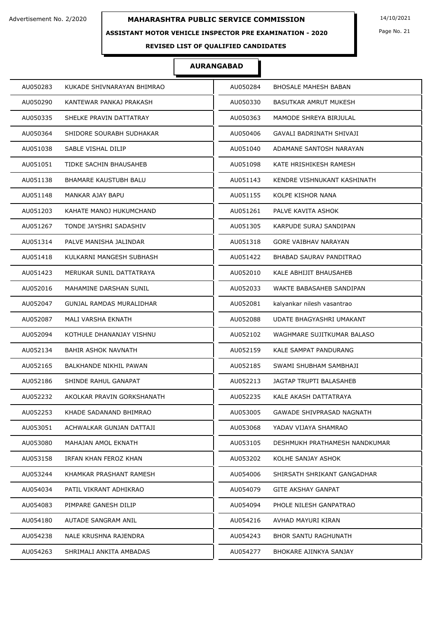### **ASSISTANT MOTOR VEHICLE INSPECTOR PRE EXAMINATION - 2020**

Page No. 21

## **REVISED LIST OF QUALIFIED CANDIDATES**

| AU050283 | KUKADE SHIVNARAYAN BHIMRAO   | AU050284 | <b>BHOSALE MAHESH BABAN</b>      |
|----------|------------------------------|----------|----------------------------------|
| AU050290 | KANTEWAR PANKAJ PRAKASH      | AU050330 | BASUTKAR AMRUT MUKESH            |
| AU050335 | SHELKE PRAVIN DATTATRAY      | AU050363 | MAMODE SHREYA BIRJULAL           |
| AU050364 | SHIDORE SOURABH SUDHAKAR     | AU050406 | GAVALI BADRINATH SHIVAJI         |
| AU051038 | SABLE VISHAL DILIP           | AU051040 | ADAMANE SANTOSH NARAYAN          |
| AU051051 | TIDKE SACHIN BHAUSAHEB       | AU051098 | KATE HRISHIKESH RAMESH           |
| AU051138 | <b>BHAMARE KAUSTUBH BALU</b> | AU051143 | KENDRE VISHNUKANT KASHINATH      |
| AU051148 | MANKAR AJAY BAPU             | AU051155 | KOLPE KISHOR NANA                |
| AU051203 | KAHATE MANOJ HUKUMCHAND      | AU051261 | PALVE KAVITA ASHOK               |
| AU051267 | TONDE JAYSHRI SADASHIV       | AU051305 | KARPUDE SURAJ SANDIPAN           |
| AU051314 | PALVE MANISHA JALINDAR       | AU051318 | <b>GORE VAIBHAV NARAYAN</b>      |
| AU051418 | KULKARNI MANGESH SUBHASH     | AU051422 | BHABAD SAURAV PANDITRAO          |
| AU051423 | MERUKAR SUNIL DATTATRAYA     | AU052010 | KALE ABHIJIT BHAUSAHEB           |
| AU052016 | MAHAMINE DARSHAN SUNIL       | AU052033 | WAKTE BABASAHEB SANDIPAN         |
| AU052047 | GUNJAL RAMDAS MURALIDHAR     | AU052081 | kalyankar nilesh vasantrao       |
| AU052087 | MALI VARSHA EKNATH           | AU052088 | UDATE BHAGYASHRI UMAKANT         |
| AU052094 | KOTHULE DHANANJAY VISHNU     | AU052102 | WAGHMARE SUJITKUMAR BALASO       |
| AU052134 | BAHIR ASHOK NAVNATH          | AU052159 | KALE SAMPAT PANDURANG            |
| AU052165 | BALKHANDE NIKHIL PAWAN       | AU052185 | SWAMI SHUBHAM SAMBHAJI           |
| AU052186 | SHINDE RAHUL GANAPAT         | AU052213 | JAGTAP TRUPTI BALASAHEB          |
| AU052232 | AKOLKAR PRAVIN GORKSHANATH   | AU052235 | KALE AKASH DATTATRAYA            |
| AU052253 | KHADE SADANAND BHIMRAO       | AU053005 | <b>GAWADE SHIVPRASAD NAGNATH</b> |
| AU053051 | ACHWALKAR GUNJAN DATTAJI     | AU053068 | YADAV VIJAYA SHAMRAO             |
| AU053080 | MAHAJAN AMOL EKNATH          | AU053105 | DESHMUKH PRATHAMESH NANDKUMAR    |
| AU053158 | IRFAN KHAN FEROZ KHAN        | AU053202 | KOLHE SANJAY ASHOK               |
| AU053244 | KHAMKAR PRASHANT RAMESH      | AU054006 | SHIRSATH SHRIKANT GANGADHAR      |
| AU054034 | PATIL VIKRANT ADHIKRAO       | AU054079 | GITE AKSHAY GANPAT               |
| AU054083 | PIMPARE GANESH DILIP         | AU054094 | PHOLE NILESH GANPATRAO           |
| AU054180 | AUTADE SANGRAM ANIL          | AU054216 | AVHAD MAYURI KIRAN               |
| AU054238 | NALE KRUSHNA RAJENDRA        | AU054243 | <b>BHOR SANTU RAGHUNATH</b>      |
| AU054263 | SHRIMALI ANKITA AMBADAS      | AU054277 | BHOKARE AJINKYA SANJAY           |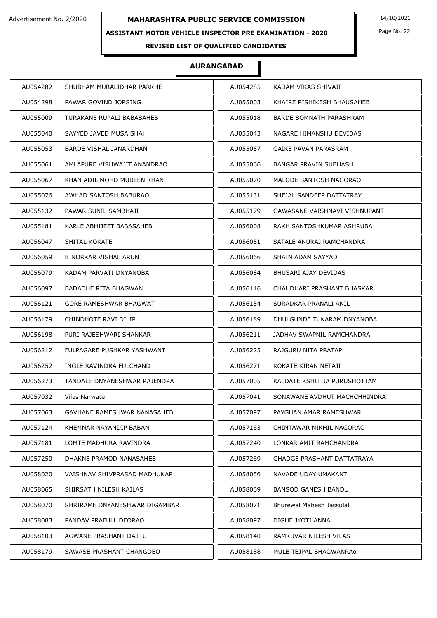### **ASSISTANT MOTOR VEHICLE INSPECTOR PRE EXAMINATION - 2020**

Page No. 22

## **REVISED LIST OF QUALIFIED CANDIDATES**

| AU054282                      | AU054285                          |
|-------------------------------|-----------------------------------|
| SHUBHAM MURALIDHAR PARKHE     | KADAM VIKAS SHIVAJI               |
| AU054298                      | AU055003                          |
| PAWAR GOVIND JORSING          | KHAIRE RISHIKESH BHAUSAHEB        |
| AU055009                      | AU055018                          |
| TURAKANE RUPALI BABASAHEB     | BARDE SOMNATH PARASHRAM           |
| AU055040                      | AU055043                          |
| SAYYED JAVED MUSA SHAH        | NAGARE HIMANSHU DEVIDAS           |
| AU055053                      | AU055057                          |
| BARDE VISHAL JANARDHAN        | <b>GAIKE PAVAN PARASRAM</b>       |
| AU055061                      | AU055066                          |
| AMLAPURE VISHWAJIT ANANDRAO   | <b>BANGAR PRAVIN SUBHASH</b>      |
| AU055067                      | AU055070                          |
| KHAN ADIL MOHD MUBEEN KHAN    | MALODE SANTOSH NAGORAO            |
| AU055076                      | AU055131                          |
| AWHAD SANTOSH BABURAO         | SHEJAL SANDEEP DATTATRAY          |
| AU055132                      | AU055179                          |
| PAWAR SUNIL SAMBHAJI          | GAWASANE VAISHNAVI VISHNUPANT     |
| AU055181                      | AU056008                          |
| KARLE ABHIJEET BABASAHEB      | RAKH SANTOSHKUMAR ASHRUBA         |
| SHITAL KOKATE                 | AU056051                          |
| AU056047                      | SATALE ANURAJ RAMCHANDRA          |
| AU056059                      | AU056066                          |
| BINORKAR VISHAL ARUN          | SHAIN ADAM SAYYAD                 |
| AU056079                      | AU056084                          |
| KADAM PARVATI DNYANOBA        | BHUSARI AJAY DEVIDAS              |
| AU056097                      | AU056116                          |
| <b>BADADHE RITA BHAGWAN</b>   | CHAUDHARI PRASHANT BHASKAR        |
| GORE RAMESHWAR BHAGWAT        | SURADKAR PRANALI ANIL             |
| AU056121                      | AU056154                          |
| AU056179                      | AU056189                          |
| CHINDHOTE RAVI DILIP          | DHULGUNDE TUKARAM DNYANOBA        |
| AU056198                      | AU056211                          |
| PURI RAJESHWARI SHANKAR       | JADHAV SWAPNIL RAMCHANDRA         |
| AU056212                      | AU056225                          |
| FULPAGARE PUSHKAR YASHWANT    | RAJGURU NITA PRATAP               |
| AU056252                      | KOKATE KIRAN NETAJI               |
| INGLE RAVINDRA FULCHAND       | AU056271                          |
| AU056273                      | AU057005                          |
| TANDALE DNYANESHWAR RAJENDRA  | KALDATE KSHITIJA PURUSHOTTAM      |
| AU057032                      | AU057041                          |
| Vilas Narwate                 | SONAWANE AVDHUT MACHCHHINDRA      |
| AU057063                      | AU057097                          |
| GAVHANE RAMESHWAR NANASAHEB   | PAYGHAN AMAR RAMESHWAR            |
| AU057124                      | AU057163                          |
| KHEMNAR NAYANDIP BABAN        | CHINTAWAR NIKHIL NAGORAO          |
| AU057181                      | AU057240                          |
| LOMTE MADHURA RAVINDRA        | LONKAR AMIT RAMCHANDRA            |
| DHAKNE PRAMOD NANASAHEB       | <b>GHADGE PRASHANT DATTATRAYA</b> |
| AU057250                      | AU057269                          |
| AU058020                      | AU058056                          |
| VAISHNAV SHIVPRASAD MADHUKAR  | NAVADE UDAY UMAKANT               |
| AU058065                      | AU058069                          |
| SHIRSATH NILESH KAILAS        | <b>BANSOD GANESH BANDU</b>        |
| AU058070                      | AU058071                          |
| SHRIRAME DNYANESHWAR DIGAMBAR | Bhurewal Mahesh Jassulal          |
| AU058083                      | AU058097                          |
| PANDAV PRAFULL DEORAO         | DIGHE JYOTI ANNA                  |
| AU058103                      | AU058140                          |
| AGWANE PRASHANT DATTU         | RAMKUVAR NILESH VILAS             |
| AU058179                      | AU058188                          |
| SAWASE PRASHANT CHANGDEO      | MULE TEJPAL BHAGWANRA0            |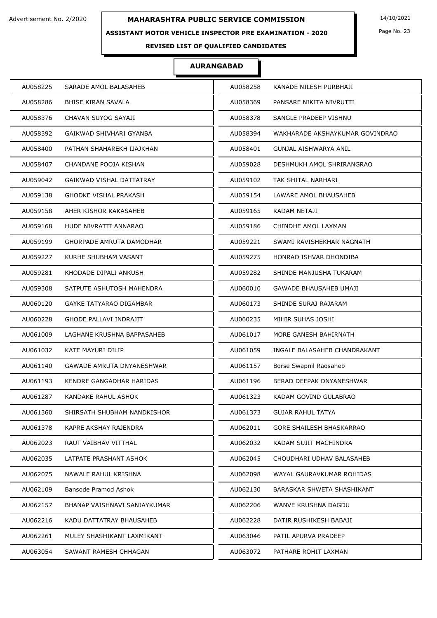### **ASSISTANT MOTOR VEHICLE INSPECTOR PRE EXAMINATION - 2020**

Page No. 23

## **REVISED LIST OF QUALIFIED CANDIDATES**

| AU058225 | SARADE AMOL BALASAHEB          | AU058258 | KANADE NILESH PURBHAJI          |
|----------|--------------------------------|----------|---------------------------------|
| AU058286 | <b>BHISE KIRAN SAVALA</b>      | AU058369 | PANSARE NIKITA NIVRUTTI         |
| AU058376 | CHAVAN SUYOG SAYAJI            | AU058378 | SANGLE PRADEEP VISHNU           |
| AU058392 | GAIKWAD SHIVHARI GYANBA        | AU058394 | WAKHARADE AKSHAYKUMAR GOVINDRAO |
| AU058400 | PATHAN SHAHAREKH IJAJKHAN      | AU058401 | GUNJAL AISHWARYA ANIL           |
| AU058407 | CHANDANE POOJA KISHAN          | AU059028 | DESHMUKH AMOL SHRIRANGRAO       |
| AU059042 | GAIKWAD VISHAL DATTATRAY       | AU059102 | TAK SHITAL NARHARI              |
| AU059138 | <b>GHODKE VISHAL PRAKASH</b>   | AU059154 | LAWARE AMOL BHAUSAHEB           |
| AU059158 | AHER KISHOR KAKASAHEB          | AU059165 | KADAM NETAJI                    |
| AU059168 | HUDE NIVRATTI ANNARAO          | AU059186 | CHINDHE AMOL LAXMAN             |
| AU059199 | GHORPADE AMRUTA DAMODHAR       | AU059221 | SWAMI RAVISHEKHAR NAGNATH       |
| AU059227 | KURHE SHUBHAM VASANT           | AU059275 | HONRAO ISHVAR DHONDIBA          |
| AU059281 | KHODADE DIPALI ANKUSH          | AU059282 | SHINDE MANJUSHA TUKARAM         |
| AU059308 | SATPUTE ASHUTOSH MAHENDRA      | AU060010 | GAWADE BHAUSAHEB UMAJI          |
| AU060120 | <b>GAYKE TATYARAO DIGAMBAR</b> | AU060173 | SHINDE SURAJ RAJARAM            |
| AU060228 | <b>GHODE PALLAVI INDRAJIT</b>  | AU060235 | MIHIR SUHAS JOSHI               |
| AU061009 | LAGHANE KRUSHNA BAPPASAHEB     | AU061017 | MORE GANESH BAHIRNATH           |
| AU061032 | KATE MAYURI DILIP              | AU061059 | INGALE BALASAHEB CHANDRAKANT    |
| AU061140 | GAWADE AMRUTA DNYANESHWAR      | AU061157 | Borse Swapnil Raosaheb          |
| AU061193 | KENDRE GANGADHAR HARIDAS       | AU061196 | BERAD DEEPAK DNYANESHWAR        |
| AU061287 | KANDAKE RAHUL ASHOK            | AU061323 | KADAM GOVIND GULABRAO           |
| AU061360 | SHIRSATH SHUBHAM NANDKISHOR    | AU061373 | <b>GUJAR RAHUL TATYA</b>        |
| AU061378 | KAPRE AKSHAY RAJENDRA          | AU062011 | GORE SHAILESH BHASKARRAO        |
| AU062023 | RAUT VAIBHAV VITTHAL           | AU062032 | KADAM SUJIT MACHINDRA           |
| AU062035 | LATPATE PRASHANT ASHOK         | AU062045 | CHOUDHARI UDHAV BALASAHEB       |
| AU062075 | NAWALE RAHUL KRISHNA           | AU062098 | WAYAL GAURAVKUMAR ROHIDAS       |
| AU062109 | Bansode Pramod Ashok           | AU062130 | BARASKAR SHWETA SHASHIKANT      |
| AU062157 | BHANAP VAISHNAVI SANJAYKUMAR   | AU062206 | WANVE KRUSHNA DAGDU             |
| AU062216 | KADU DATTATRAY BHAUSAHEB       | AU062228 | DATIR RUSHIKESH BABAJI          |
| AU062261 | MULEY SHASHIKANT LAXMIKANT     | AU063046 | PATIL APURVA PRADEEP            |
| AU063054 | SAWANT RAMESH CHHAGAN          | AU063072 | PATHARE ROHIT LAXMAN            |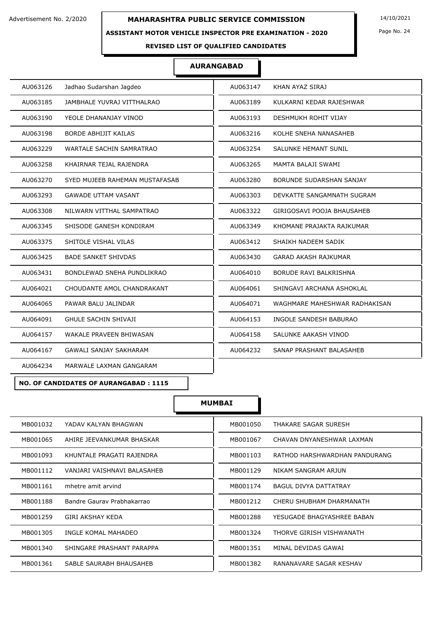#### **ASSISTANT MOTOR VEHICLE INSPECTOR PRE EXAMINATION - 2020**

Page No. 24

#### **REVISED LIST OF QUALIFIED CANDIDATES**

#### **AURANGABAD**

| Jadhao Sudarshan Jagdeo             | AU063147                      |
|-------------------------------------|-------------------------------|
| AU063126                            | KHAN AYAZ SIRAJ               |
| AU063185                            | AU063189                      |
| JAMBHALE YUVRAJ VITTHALRAO          | KULKARNI KEDAR RAJESHWAR      |
| AU063190                            | AU063193                      |
| YEOLE DHANANJAY VINOD               | DESHMUKH ROHIT VIJAY          |
| AU063198                            | AU063216                      |
| <b>BORDE ABHIJIT KAILAS</b>         | KOLHE SNEHA NANASAHEB         |
| AU063229                            | AU063254                      |
| WARTALE SACHIN SAMRATRAO            | <b>SALUNKE HEMANT SUNIL</b>   |
| AU063258                            | AU063265                      |
| KHAIRNAR TEJAL RAJENDRA             | MAMTA BALAJI SWAMI            |
| AU063270                            | AU063280                      |
| SYED MUJEEB RAHEMAN MUSTAFASAB      | BORUNDE SUDARSHAN SANJAY      |
| AU063293                            | AU063303                      |
| <b>GAWADE UTTAM VASANT</b>          | DEVKATTE SANGAMNATH SUGRAM    |
| AU063308                            | AU063322                      |
| NILWARN VITTHAL SAMPATRAO           | GIRIGOSAVI POOJA BHAUSAHEB    |
| SHISODE GANESH KONDIRAM             | AU063349                      |
| AU063345                            | KHOMANE PRAJAKTA RAJKUMAR     |
| SHITOLE VISHAL VILAS                | SHAIKH NADEEM SADIK           |
| AU063375                            | AU063412                      |
| <b>BADE SANKET SHIVDAS</b>          | <b>GARAD AKASH RAJKUMAR</b>   |
| AU063425                            | AU063430                      |
| BONDLEWAD SNEHA PUNDLIKRAO          | AU064010                      |
| AU063431                            | BORUDE RAVI BALKRISHNA        |
| CHOUDANTE AMOL CHANDRAKANT          | SHINGAVI ARCHANA ASHOKLAL     |
| AU064021                            | AU064061                      |
| PAWAR BALU JALINDAR                 | AU064071                      |
| AU064065                            | WAGHMARE MAHESHWAR RADHAKISAN |
| AU064091                            | AU064153                      |
| <b>GHULE SACHIN SHIVAJI</b>         | INGOLE SANDESH BABURAO        |
| AU064157                            | AU064158                      |
| WAKALE PRAVEEN BHIWASAN             | SALUNKE AAKASH VINOD          |
| <b>GAWALI SANJAY SAKHARAM</b>       | SANAP PRASHANT BALASAHEB      |
| AU064167                            | AU064232                      |
| AU064234<br>MARWALE LAXMAN GANGARAM |                               |
|                                     |                               |

#### **NO. OF CANDIDATES OF AURANGABAD : 1115**

| MB001032                    | MB001050                      |
|-----------------------------|-------------------------------|
| YADAV KALYAN BHAGWAN        | THAKARE SAGAR SURESH          |
| MB001065                    | MB001067                      |
| AHIRE JEEVANKUMAR BHASKAR   | CHAVAN DNYANESHWAR LAXMAN     |
| MB001093                    | MB001103                      |
| KHUNTALE PRAGATI RAJENDRA   | RATHOD HARSHWARDHAN PANDURANG |
| MB001112                    | MB001129                      |
| VANJARI VAISHNAVI BALASAHEB | NIKAM SANGRAM ARJUN           |
| MB001161                    | MB001174                      |
| mhetre amit arvind          | <b>BAGUL DIVYA DATTATRAY</b>  |
| Bandre Gauray Prabhakarrao  | MB001212                      |
| MB001188                    | CHERU SHUBHAM DHARMANATH      |
| MB001259                    | MB001288                      |
| GIRI AKSHAY KEDA            | YESUGADE BHAGYASHREE BABAN    |
| MB001305                    | MB001324                      |
| INGLE KOMAL MAHADEO         | THORVE GIRISH VISHWANATH      |
| MB001340                    | MB001351                      |
| SHINGARE PRASHANT PARAPPA   | MINAL DEVIDAS GAWAI           |
| MB001361                    | MB001382                      |
| SABLE SAURABH BHAUSAHEB     | RANANAVARE SAGAR KESHAV       |
|                             |                               |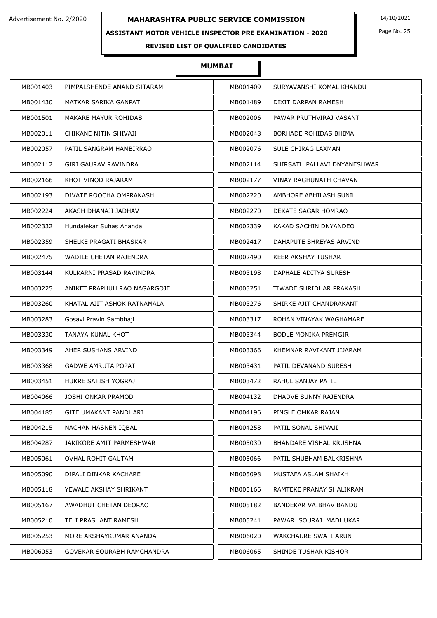### **ASSISTANT MOTOR VEHICLE INSPECTOR PRE EXAMINATION - 2020**

Page No. 25

## **REVISED LIST OF QUALIFIED CANDIDATES**

| MB001403<br>PIMPALSHENDE ANAND SITARAM   | MB001409 | SURYAVANSHI KOMAL KHANDU      |
|------------------------------------------|----------|-------------------------------|
| MATKAR SARIKA GANPAT<br>MB001430         | MB001489 | DIXIT DARPAN RAMESH           |
| MB001501<br>MAKARE MAYUR ROHIDAS         | MB002006 | PAWAR PRUTHVIRAJ VASANT       |
| MB002011<br>CHIKANE NITIN SHIVAJI        | MB002048 | BORHADE ROHIDAS BHIMA         |
| MB002057<br>PATIL SANGRAM HAMBIRRAO      | MB002076 | SULE CHIRAG LAXMAN            |
| MB002112<br>GIRI GAURAV RAVINDRA         | MB002114 | SHIRSATH PALLAVI DNYANESHWAR  |
| MB002166<br>KHOT VINOD RAJARAM           | MB002177 | <b>VINAY RAGHUNATH CHAVAN</b> |
| MB002193<br>DIVATE ROOCHA OMPRAKASH      | MB002220 | AMBHORE ABHILASH SUNIL        |
| MB002224<br>AKASH DHANAJI JADHAV         | MB002270 | DEKATE SAGAR HOMRAO           |
| MB002332<br>Hundalekar Suhas Ananda      | MB002339 | KAKAD SACHIN DNYANDEO         |
| MB002359<br>SHELKE PRAGATI BHASKAR       | MB002417 | DAHAPUTE SHREYAS ARVIND       |
| MB002475<br>WADILE CHETAN RAJENDRA       | MB002490 | KEER AKSHAY TUSHAR            |
| MB003144<br>KULKARNI PRASAD RAVINDRA     | MB003198 | DAPHALE ADITYA SURESH         |
| MB003225<br>ANIKET PRAPHULLRAO NAGARGOJE | MB003251 | TIWADE SHRIDHAR PRAKASH       |
| MB003260<br>KHATAL AJIT ASHOK RATNAMALA  | MB003276 | SHIRKE AJIT CHANDRAKANT       |
| MB003283<br>Gosavi Pravin Sambhaji       | MB003317 | ROHAN VINAYAK WAGHAMARE       |
| MB003330<br>TANAYA KUNAL KHOT            | MB003344 | <b>BODLE MONIKA PREMGIR</b>   |
| MB003349<br>AHER SUSHANS ARVIND          | MB003366 | KHEMNAR RAVIKANT JIJARAM      |
| MB003368<br><b>GADWE AMRUTA POPAT</b>    | MB003431 | PATIL DEVANAND SURESH         |
| MB003451<br>HUKRE SATISH YOGRAJ          | MB003472 | RAHUL SANJAY PATIL            |
| MB004066<br>JOSHI ONKAR PRAMOD           | MB004132 | DHADVE SUNNY RAJENDRA         |
| MB004185<br>GITE UMAKANT PANDHARI        | MB004196 | PINGLE OMKAR RAJAN            |
| MB004215<br>NACHAN HASNEN IQBAL          | MB004258 | PATIL SONAL SHIVAJI           |
| MB004287<br>JAKIKORE AMIT PARMESHWAR     | MB005030 | BHANDARE VISHAL KRUSHNA       |
| MB005061<br>OVHAL ROHIT GAUTAM           | MB005066 | PATIL SHUBHAM BALKRISHNA      |
| MB005090<br>DIPALI DINKAR KACHARE        | MB005098 | MUSTAFA ASLAM SHAIKH          |
| MB005118<br>YEWALE AKSHAY SHRIKANT       | MB005166 | RAMTEKE PRANAY SHALIKRAM      |
| MB005167<br>AWADHUT CHETAN DEORAO        | MB005182 | BANDEKAR VAIBHAV BANDU        |
| MB005210<br>TELI PRASHANT RAMESH         | MB005241 | PAWAR SOURAJ MADHUKAR         |
| MB005253<br>MORE AKSHAYKUMAR ANANDA      | MB006020 | WAKCHAURE SWATI ARUN          |
| MB006053<br>GOVEKAR SOURABH RAMCHANDRA   | MB006065 | SHINDE TUSHAR KISHOR          |
|                                          |          |                               |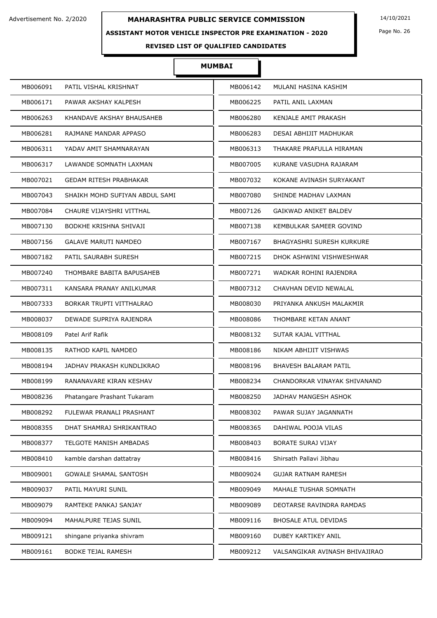### **ASSISTANT MOTOR VEHICLE INSPECTOR PRE EXAMINATION - 2020**

Page No. 26

## **REVISED LIST OF QUALIFIED CANDIDATES**

| MB006091 | PATIL VISHAL KRISHNAT          | MB006142 | MULANI HASINA KASHIM             |
|----------|--------------------------------|----------|----------------------------------|
| MB006171 | PAWAR AKSHAY KALPESH           | MB006225 | PATIL ANIL LAXMAN                |
| MB006263 | KHANDAVE AKSHAY BHAUSAHEB      | MB006280 | KENJALE AMIT PRAKASH             |
| MB006281 | RAJMANE MANDAR APPASO          | MB006283 | DESAI ABHIJIT MADHUKAR           |
| MB006311 | YADAV AMIT SHAMNARAYAN         | MB006313 | THAKARE PRAFULLA HIRAMAN         |
| MB006317 | LAWANDE SOMNATH LAXMAN         | MB007005 | KURANE VASUDHA RAJARAM           |
| MB007021 | <b>GEDAM RITESH PRABHAKAR</b>  | MB007032 | KOKANE AVINASH SURYAKANT         |
| MB007043 | SHAIKH MOHD SUFIYAN ABDUL SAMI | MB007080 | SHINDE MADHAV LAXMAN             |
| MB007084 | CHAURE VIJAYSHRI VITTHAL       | MB007126 | <b>GAIKWAD ANIKET BALDEV</b>     |
| MB007130 | <b>BODKHE KRISHNA SHIVAJI</b>  | MB007138 | KEMBULKAR SAMEER GOVIND          |
| MB007156 | <b>GALAVE MARUTI NAMDEO</b>    | MB007167 | <b>BHAGYASHRI SURESH KURKURE</b> |
| MB007182 | PATIL SAURABH SURESH           | MB007215 | DHOK ASHWINI VISHWESHWAR         |
| MB007240 | THOMBARE BABITA BAPUSAHEB      | MB007271 | WADKAR ROHINI RAJENDRA           |
| MB007311 | KANSARA PRANAY ANILKUMAR       | MB007312 | CHAVHAN DEVID NEWALAL            |
| MB007333 | BORKAR TRUPTI VITTHALRAO       | MB008030 | PRIYANKA ANKUSH MALAKMIR         |
| MB008037 | DEWADE SUPRIYA RAJENDRA        | MB008086 | THOMBARE KETAN ANANT             |
| MB008109 | Patel Arif Rafik               | MB008132 | SUTAR KAJAL VITTHAL              |
| MB008135 | RATHOD KAPIL NAMDEO            | MB008186 | NIKAM ABHIJIT VISHWAS            |
| MB008194 | JADHAV PRAKASH KUNDLIKRAO      | MB008196 | BHAVESH BALARAM PATIL            |
| MB008199 | RANANAVARE KIRAN KESHAV        | MB008234 | CHANDORKAR VINAYAK SHIVANAND     |
| MB008236 | Phatangare Prashant Tukaram    | MB008250 | JADHAV MANGESH ASHOK             |
| MB008292 | FULEWAR PRANALI PRASHANT       | MB008302 | PAWAR SUJAY JAGANNATH            |
| MB008355 | DHAT SHAMRAJ SHRIKANTRAO       | MB008365 | DAHIWAL POOJA VILAS              |
| MB008377 | TELGOTE MANISH AMBADAS         | MB008403 | BORATE SURAJ VIJAY               |
| MB008410 | kamble darshan dattatray       | MB008416 | Shirsath Pallavi Jibhau          |
| MB009001 | GOWALE SHAMAL SANTOSH          | MB009024 | <b>GUJAR RATNAM RAMESH</b>       |
| MB009037 | PATIL MAYURI SUNIL             | MB009049 | MAHALE TUSHAR SOMNATH            |
| MB009079 | RAMTEKE PANKAJ SANJAY          | MB009089 | DEOTARSE RAVINDRA RAMDAS         |
| MB009094 | MAHALPURE TEJAS SUNIL          | MB009116 | <b>BHOSALE ATUL DEVIDAS</b>      |
| MB009121 | shingane priyanka shivram      | MB009160 | DUBEY KARTIKEY ANIL              |
| MB009161 | <b>BODKE TEJAL RAMESH</b>      | MB009212 | VALSANGIKAR AVINASH BHIVAJIRAO   |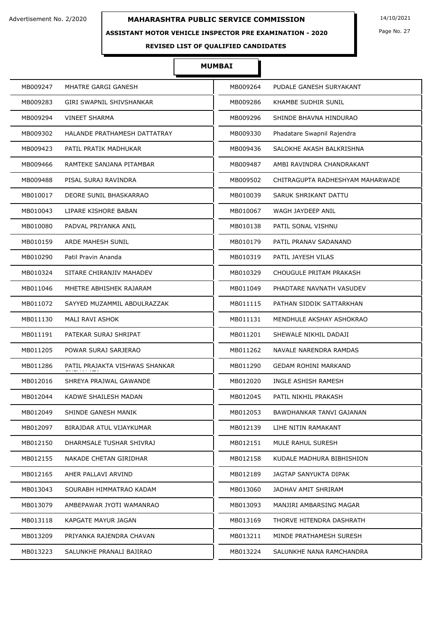### **ASSISTANT MOTOR VEHICLE INSPECTOR PRE EXAMINATION - 2020**

Page No. 27

## **REVISED LIST OF QUALIFIED CANDIDATES**

| MB009247<br>MHATRE GARGI GANESH            | MB009264 | PUDALE GANESH SURYAKANT          |
|--------------------------------------------|----------|----------------------------------|
| MB009283<br>GIRI SWAPNIL SHIVSHANKAR       | MB009286 | KHAMBE SUDHIR SUNIL              |
| MB009294<br><b>VINEET SHARMA</b>           | MB009296 | SHINDE BHAVNA HINDURAO           |
| MB009302<br>HALANDE PRATHAMESH DATTATRAY   | MB009330 | Phadatare Swapnil Rajendra       |
| MB009423<br>PATIL PRATIK MADHUKAR          | MB009436 | SALOKHE AKASH BALKRISHNA         |
| MB009466<br>RAMTEKE SANJANA PITAMBAR       | MB009487 | AMBI RAVINDRA CHANDRAKANT        |
| MB009488<br>PISAL SURAJ RAVINDRA           | MB009502 | CHITRAGUPTA RADHESHYAM MAHARWADE |
| MB010017<br>DEORE SUNIL BHASKARRAO         | MB010039 | SARUK SHRIKANT DATTU             |
| MB010043<br>LIPARE KISHORE BABAN           | MB010067 | WAGH JAYDEEP ANIL                |
| MB010080<br>PADVAL PRIYANKA ANIL           | MB010138 | PATIL SONAL VISHNU               |
| MB010159<br>ARDE MAHESH SUNIL              | MB010179 | PATIL PRANAV SADANAND            |
| MB010290<br>Patil Pravin Ananda            | MB010319 | PATIL JAYESH VILAS               |
| MB010324<br>SITARE CHIRANJIV MAHADEV       | MB010329 | CHOUGULE PRITAM PRAKASH          |
| MB011046<br>MHETRE ABHISHEK RAJARAM        | MB011049 | PHADTARE NAVNATH VASUDEV         |
| MB011072<br>SAYYED MUZAMMIL ABDULRAZZAK    | MB011115 | PATHAN SIDDIK SATTARKHAN         |
| MB011130<br>MALI RAVI ASHOK                | MB011131 | MENDHULE AKSHAY ASHOKRAO         |
| MB011191<br>PATEKAR SURAJ SHRIPAT          | MB011201 | SHEWALE NIKHIL DADAJI            |
| MB011205<br>POWAR SURAJ SARJERAO           | MB011262 | NAVALE NARENDRA RAMDAS           |
| MB011286<br>PATIL PRAJAKTA VISHWAS SHANKAR | MB011290 | <b>GEDAM ROHINI MARKAND</b>      |
| MB012016<br>SHREYA PRAJWAL GAWANDE         | MB012020 | INGLE ASHISH RAMESH              |
| MB012044<br>KADWE SHAILESH MADAN           | MB012045 | PATIL NIKHIL PRAKASH             |
| MB012049<br>SHINDE GANESH MANIK            | MB012053 | BAWDHANKAR TANVI GAJANAN         |
| MB012097<br>BIRAJDAR ATUL VIJAYKUMAR       | MB012139 | LIHE NITIN RAMAKANT              |
| MB012150<br>DHARMSALE TUSHAR SHIVRAJ       | MB012151 | MULE RAHUL SURESH                |
| MB012155<br>NAKADE CHETAN GIRIDHAR         | MB012158 | KUDALE MADHURA BIBHISHION        |
| MB012165<br>AHER PALLAVI ARVIND            | MB012189 | JAGTAP SANYUKTA DIPAK            |
| MB013043<br>SOURABH HIMMATRAO KADAM        | MB013060 | JADHAV AMIT SHRIRAM              |
| MB013079<br>AMBEPAWAR JYOTI WAMANRAO       | MB013093 | MANJIRI AMBARSING MAGAR          |
| MB013118<br>KAPGATE MAYUR JAGAN            | MB013169 | THORVE HITENDRA DASHRATH         |
| MB013209<br>PRIYANKA RAJENDRA CHAVAN       | MB013211 | MINDE PRATHAMESH SURESH          |
| SALUNKHE PRANALI BAJIRAO<br>MB013223       | MB013224 | SALUNKHE NANA RAMCHANDRA         |
|                                            |          |                                  |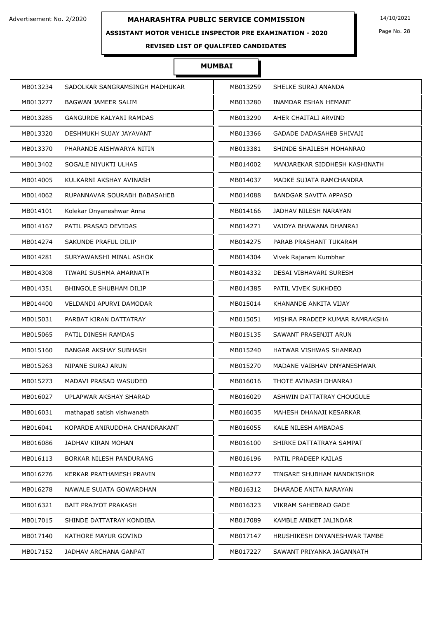### **ASSISTANT MOTOR VEHICLE INSPECTOR PRE EXAMINATION - 2020**

Page No. 28

## **REVISED LIST OF QUALIFIED CANDIDATES**

| MB013234 | SADOLKAR SANGRAMSINGH MADHUKAR | MB013259 | SHELKE SURAJ ANANDA            |
|----------|--------------------------------|----------|--------------------------------|
| MB013277 | BAGWAN JAMEER SALIM            | MB013280 | INAMDAR ESHAN HEMANT           |
| MB013285 | <b>GANGURDE KALYANI RAMDAS</b> | MB013290 | AHER CHAITALI ARVIND           |
| MB013320 | DESHMUKH SUJAY JAYAVANT        | MB013366 | GADADE DADASAHEB SHIVAJI       |
| MB013370 | PHARANDE AISHWARYA NITIN       | MB013381 | SHINDE SHAILESH MOHANRAO       |
| MB013402 | SOGALE NIYUKTI ULHAS           | MB014002 | MANJAREKAR SIDDHESH KASHINATH  |
| MB014005 | KULKARNI AKSHAY AVINASH        | MB014037 | MADKE SUJATA RAMCHANDRA        |
| MB014062 | RUPANNAVAR SOURABH BABASAHEB   | MB014088 | BANDGAR SAVITA APPASO          |
| MB014101 | Kolekar Dnyaneshwar Anna       | MB014166 | JADHAV NILESH NARAYAN          |
| MB014167 | PATIL PRASAD DEVIDAS           | MB014271 | VAIDYA BHAWANA DHANRAJ         |
| MB014274 | SAKUNDE PRAFUL DILIP           | MB014275 | PARAB PRASHANT TUKARAM         |
| MB014281 | SURYAWANSHI MINAL ASHOK        | MB014304 | Vivek Rajaram Kumbhar          |
| MB014308 | TIWARI SUSHMA AMARNATH         | MB014332 | DESAI VIBHAVARI SURESH         |
| MB014351 | <b>BHINGOLE SHUBHAM DILIP</b>  | MB014385 | PATIL VIVEK SUKHDEO            |
| MB014400 | VELDANDI APURVI DAMODAR        | MB015014 | KHANANDE ANKITA VIJAY          |
| MB015031 | PARBAT KIRAN DATTATRAY         | MB015051 | MISHRA PRADEEP KUMAR RAMRAKSHA |
| MB015065 | PATIL DINESH RAMDAS            | MB015135 | SAWANT PRASENJIT ARUN          |
| MB015160 | BANGAR AKSHAY SUBHASH          | MB015240 | HATWAR VISHWAS SHAMRAO         |
| MB015263 | NIPANE SURAJ ARUN              | MB015270 | MADANE VAIBHAV DNYANESHWAR     |
| MB015273 | MADAVI PRASAD WASUDEO          | MB016016 | THOTE AVINASH DHANRAJ          |
| MB016027 | UPLAPWAR AKSHAY SHARAD         | MB016029 | ASHWIN DATTATRAY CHOUGULE      |
| MB016031 | mathapati satish vishwanath    | MB016035 | MAHESH DHANAJI KESARKAR        |
| MB016041 | KOPARDE ANIRUDDHA CHANDRAKANT  | MB016055 | KALE NILESH AMBADAS            |
| MB016086 | JADHAV KIRAN MOHAN             | MB016100 | SHIRKE DATTATRAYA SAMPAT       |
| MB016113 | BORKAR NILESH PANDURANG        | MB016196 | PATIL PRADEEP KAILAS           |
| MB016276 | KERKAR PRATHAMESH PRAVIN       | MB016277 | TINGARE SHUBHAM NANDKISHOR     |
| MB016278 | NAWALE SUJATA GOWARDHAN        | MB016312 | DHARADE ANITA NARAYAN          |
| MB016321 | <b>BAIT PRAJYOT PRAKASH</b>    | MB016323 | VIKRAM SAHEBRAO GADE           |
| MB017015 | SHINDE DATTATRAY KONDIBA       | MB017089 | KAMBLE ANIKET JALINDAR         |
| MB017140 | KATHORE MAYUR GOVIND           | MB017147 | HRUSHIKESH DNYANESHWAR TAMBE   |
| MB017152 | JADHAV ARCHANA GANPAT          | MB017227 | SAWANT PRIYANKA JAGANNATH      |
|          |                                |          |                                |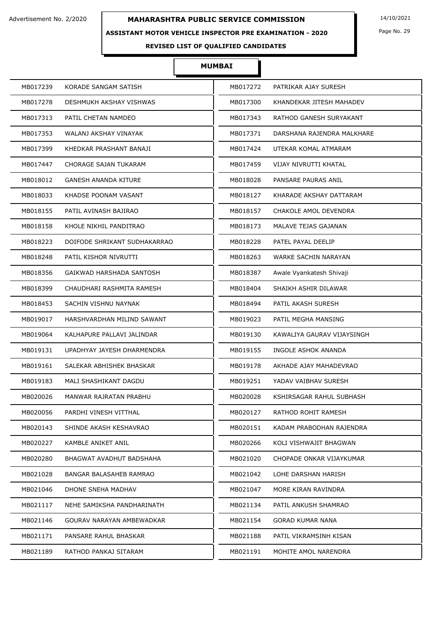### **ASSISTANT MOTOR VEHICLE INSPECTOR PRE EXAMINATION - 2020**

Page No. 29

## **REVISED LIST OF QUALIFIED CANDIDATES**

| MB017239 | KORADE SANGAM SATISH         | MB017272 | PATRIKAR AJAY SURESH       |
|----------|------------------------------|----------|----------------------------|
| MB017278 | DESHMUKH AKSHAY VISHWAS      | MB017300 | KHANDEKAR JITESH MAHADEV   |
| MB017313 | PATIL CHETAN NAMDEO          | MB017343 | RATHOD GANESH SURYAKANT    |
| MB017353 | WALANJ AKSHAY VINAYAK        | MB017371 | DARSHANA RAJENDRA MALKHARE |
| MB017399 | KHEDKAR PRASHANT BANAJI      | MB017424 | UTEKAR KOMAL ATMARAM       |
| MB017447 | CHORAGE SAJAN TUKARAM        | MB017459 | VIJAY NIVRUTTI KHATAL      |
| MB018012 | <b>GANESH ANANDA KITURE</b>  | MB018028 | PANSARE PAURAS ANIL        |
| MB018033 | KHADSE POONAM VASANT         | MB018127 | KHARADE AKSHAY DATTARAM    |
| MB018155 | PATIL AVINASH BAJIRAO        | MB018157 | CHAKOLE AMOL DEVENDRA      |
| MB018158 | KHOLE NIKHIL PANDITRAO       | MB018173 | MALAVE TEJAS GAJANAN       |
| MB018223 | DOIFODE SHRIKANT SUDHAKARRAO | MB018228 | PATEL PAYAL DEELIP         |
| MB018248 | PATIL KISHOR NIVRUTTI        | MB018263 | WARKE SACHIN NARAYAN       |
| MB018356 | GAIKWAD HARSHADA SANTOSH     | MB018387 | Awale Vyankatesh Shivaji   |
| MB018399 | CHAUDHARI RASHMITA RAMESH    | MB018404 | SHAIKH ASHIR DILAWAR       |
| MB018453 | SACHIN VISHNU NAYNAK         | MB018494 | PATIL AKASH SURESH         |
| MB019017 | HARSHVARDHAN MILIND SAWANT   | MB019023 | PATIL MEGHA MANSING        |
| MB019064 | KALHAPURE PALLAVI JALINDAR   | MB019130 | KAWALIYA GAURAV VIJAYSINGH |
| MB019131 | UPADHYAY JAYESH DHARMENDRA   | MB019155 | INGOLE ASHOK ANANDA        |
| MB019161 | SALEKAR ABHISHEK BHASKAR     | MB019178 | AKHADE AJAY MAHADEVRAO     |
| MB019183 | MALI SHASHIKANT DAGDU        | MB019251 | YADAV VAIBHAV SURESH       |
| MB020026 | MANWAR RAJRATAN PRABHU       | MB020028 | KSHIRSAGAR RAHUL SUBHASH   |
| MB020056 | PARDHI VINESH VITTHAL        | MB020127 | RATHOD ROHIT RAMESH        |
| MB020143 | SHINDE AKASH KESHAVRAO       | MB020151 | KADAM PRABODHAN RAJENDRA   |
| MB020227 | KAMBLE ANIKET ANIL           | MB020266 | KOLI VISHWAJIT BHAGWAN     |
| MB020280 | BHAGWAT AVADHUT BADSHAHA     | MB021020 | CHOPADE ONKAR VIJAYKUMAR   |
| MB021028 | BANGAR BALASAHEB RAMRAO      | MB021042 | LOHE DARSHAN HARISH        |
| MB021046 | DHONE SNEHA MADHAV           | MB021047 | MORE KIRAN RAVINDRA        |
| MB021117 | NEHE SAMIKSHA PANDHARINATH   | MB021134 | PATIL ANKUSH SHAMRAO       |
| MB021146 | GOURAV NARAYAN AMBEWADKAR    | MB021154 | <b>GORAD KUMAR NANA</b>    |
| MB021171 | PANSARE RAHUL BHASKAR        | MB021188 | PATIL VIKRAMSINH KISAN     |
| MB021189 | RATHOD PANKAJ SITARAM        | MB021191 | MOHITE AMOL NARENDRA       |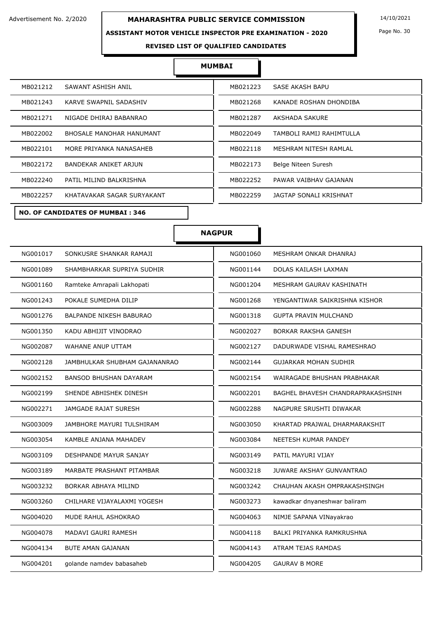### **ASSISTANT MOTOR VEHICLE INSPECTOR PRE EXAMINATION - 2020**

Page No. 30

**REVISED LIST OF QUALIFIED CANDIDATES** 

#### **MUMBAI**

| MB021212 | SAWANT ASHISH ANIL               | MB021223 | SASE AKASH BAPU          |
|----------|----------------------------------|----------|--------------------------|
| MB021243 | KARVE SWAPNIL SADASHIV           | MB021268 | KANADE ROSHAN DHONDIBA   |
| MB021271 | NIGADE DHIRAJ BABANRAO           | MB021287 | AKSHADA SAKURE           |
| MB022002 | BHOSALE MANOHAR HANUMANT         | MB022049 | TAMBOLI RAMIJ RAHIMTULLA |
| MB022101 | MORE PRIYANKA NANASAHEB          | MB022118 | MESHRAM NITESH RAMLAL    |
| MB022172 | BANDEKAR ANIKET ARJUN            | MB022173 | Belge Niteen Suresh      |
| MB022240 | PATIL MILIND BALKRISHNA          | MB022252 | PAWAR VAIBHAV GAJANAN    |
| MB022257 | KHATAVAKAR SAGAR SURYAKANT       | MB022259 | JAGTAP SONALI KRISHNAT   |
|          | MO OF CANDIDATES OF MUMDAT . 245 |          |                          |

| MB021223 | SASE AKASH BAPU          |
|----------|--------------------------|
| MB021268 | KANADE ROSHAN DHONDIBA   |
| MB021287 | AKSHADA SAKURE           |
| MB022049 | TAMBOLI RAMIJ RAHIMTULLA |
| MB022118 | MESHRAM NITESH RAMLAL    |
| MB022173 | Belge Niteen Suresh      |
| MB022252 | PAWAR VAIBHAV GAJANAN    |
| MB022259 | JAGTAP SONALI KRISHNAT   |
|          |                          |

**NO. OF CANDIDATES OF MUMBAI : 346**

## **NAGPUR**

| NG001017<br>SONKUSRE SHANKAR RAMAJI<br>NG001060<br>MESHRAM ONKAR DHANRAJ<br>SHAMBHARKAR SUPRIYA SUDHIR<br>DOLAS KAILASH LAXMAN<br>NG001089<br>NG001144<br>Ramteke Amrapali Lakhopati<br>NG001204<br>NG001160<br>MESHRAM GAURAV KASHINATH<br>POKALE SUMEDHA DILIP<br>NG001243<br>NG001268<br>YENGANTIWAR SAIKRISHNA KISHOR<br><b>GUPTA PRAVIN MULCHAND</b><br>NG001276<br><b>BALPANDE NIKESH BABURAO</b><br>NG001318<br>NG001350<br>KADU ABHIJIT VINODRAO<br>NG002027<br><b>BORKAR RAKSHA GANESH</b><br>NG002087<br>WAHANE ANUP UTTAM<br>NG002127<br>DADURWADE VISHAL RAMESHRAO<br>JAMBHULKAR SHUBHAM GAJANANRAO<br>NG002144<br><b>GUJARKAR MOHAN SUDHIR</b><br>NG002128<br>NG002152<br><b>BANSOD BHUSHAN DAYARAM</b><br>NG002154<br>WAIRAGADE BHUSHAN PRABHAKAR<br>NG002199<br>SHENDE ABHISHEK DINESH<br>NG002201<br>BAGHEL BHAVESH CHANDRAPRAKASHSINH<br>NG002271<br>JAMGADE RAJAT SURESH<br>NG002288<br>NAGPURE SRUSHTI DIWAKAR<br>NG003009<br>JAMBHORE MAYURI TULSHIRAM<br>NG003050<br>KHARTAD PRAJWAL DHARMARAKSHIT<br>NG003084<br>NG003054<br>KAMBLE ANJANA MAHADEV<br>NEETESH KUMAR PANDEY<br>NG003109<br><b>DESHPANDE MAYUR SANJAY</b><br>NG003149<br>PATIL MAYURI VIJAY<br>NG003189<br>NG003218<br>MARBATE PRASHANT PITAMBAR<br>JUWARE AKSHAY GUNVANTRAO<br>NG003232<br>BORKAR ABHAYA MILIND<br>NG003242<br>CHAUHAN AKASH OMPRAKASHSINGH<br>NG003260<br>CHILHARE VIJAYALAXMI YOGESH<br>NG003273<br>kawadkar dnyaneshwar baliram<br>NG004020<br>MUDE RAHUL ASHOKRAO<br>NG004063<br>NIMJE SAPANA VINayakrao<br>NG004078<br>NG004118<br>MADAVI GAURI RAMESH<br>BALKI PRIYANKA RAMKRUSHNA<br>NG004143<br>NG004134<br><b>BUTE AMAN GAJANAN</b><br>ATRAM TEJAS RAMDAS<br>golande namdev babasaheb<br>NG004205<br><b>GAURAV B MORE</b><br>NG004201 |  |
|-----------------------------------------------------------------------------------------------------------------------------------------------------------------------------------------------------------------------------------------------------------------------------------------------------------------------------------------------------------------------------------------------------------------------------------------------------------------------------------------------------------------------------------------------------------------------------------------------------------------------------------------------------------------------------------------------------------------------------------------------------------------------------------------------------------------------------------------------------------------------------------------------------------------------------------------------------------------------------------------------------------------------------------------------------------------------------------------------------------------------------------------------------------------------------------------------------------------------------------------------------------------------------------------------------------------------------------------------------------------------------------------------------------------------------------------------------------------------------------------------------------------------------------------------------------------------------------------------------------------------------------------------------------------------------------------------------------------------------------------------------|--|
|                                                                                                                                                                                                                                                                                                                                                                                                                                                                                                                                                                                                                                                                                                                                                                                                                                                                                                                                                                                                                                                                                                                                                                                                                                                                                                                                                                                                                                                                                                                                                                                                                                                                                                                                                     |  |
|                                                                                                                                                                                                                                                                                                                                                                                                                                                                                                                                                                                                                                                                                                                                                                                                                                                                                                                                                                                                                                                                                                                                                                                                                                                                                                                                                                                                                                                                                                                                                                                                                                                                                                                                                     |  |
|                                                                                                                                                                                                                                                                                                                                                                                                                                                                                                                                                                                                                                                                                                                                                                                                                                                                                                                                                                                                                                                                                                                                                                                                                                                                                                                                                                                                                                                                                                                                                                                                                                                                                                                                                     |  |
|                                                                                                                                                                                                                                                                                                                                                                                                                                                                                                                                                                                                                                                                                                                                                                                                                                                                                                                                                                                                                                                                                                                                                                                                                                                                                                                                                                                                                                                                                                                                                                                                                                                                                                                                                     |  |
|                                                                                                                                                                                                                                                                                                                                                                                                                                                                                                                                                                                                                                                                                                                                                                                                                                                                                                                                                                                                                                                                                                                                                                                                                                                                                                                                                                                                                                                                                                                                                                                                                                                                                                                                                     |  |
|                                                                                                                                                                                                                                                                                                                                                                                                                                                                                                                                                                                                                                                                                                                                                                                                                                                                                                                                                                                                                                                                                                                                                                                                                                                                                                                                                                                                                                                                                                                                                                                                                                                                                                                                                     |  |
|                                                                                                                                                                                                                                                                                                                                                                                                                                                                                                                                                                                                                                                                                                                                                                                                                                                                                                                                                                                                                                                                                                                                                                                                                                                                                                                                                                                                                                                                                                                                                                                                                                                                                                                                                     |  |
|                                                                                                                                                                                                                                                                                                                                                                                                                                                                                                                                                                                                                                                                                                                                                                                                                                                                                                                                                                                                                                                                                                                                                                                                                                                                                                                                                                                                                                                                                                                                                                                                                                                                                                                                                     |  |
|                                                                                                                                                                                                                                                                                                                                                                                                                                                                                                                                                                                                                                                                                                                                                                                                                                                                                                                                                                                                                                                                                                                                                                                                                                                                                                                                                                                                                                                                                                                                                                                                                                                                                                                                                     |  |
|                                                                                                                                                                                                                                                                                                                                                                                                                                                                                                                                                                                                                                                                                                                                                                                                                                                                                                                                                                                                                                                                                                                                                                                                                                                                                                                                                                                                                                                                                                                                                                                                                                                                                                                                                     |  |
|                                                                                                                                                                                                                                                                                                                                                                                                                                                                                                                                                                                                                                                                                                                                                                                                                                                                                                                                                                                                                                                                                                                                                                                                                                                                                                                                                                                                                                                                                                                                                                                                                                                                                                                                                     |  |
|                                                                                                                                                                                                                                                                                                                                                                                                                                                                                                                                                                                                                                                                                                                                                                                                                                                                                                                                                                                                                                                                                                                                                                                                                                                                                                                                                                                                                                                                                                                                                                                                                                                                                                                                                     |  |
|                                                                                                                                                                                                                                                                                                                                                                                                                                                                                                                                                                                                                                                                                                                                                                                                                                                                                                                                                                                                                                                                                                                                                                                                                                                                                                                                                                                                                                                                                                                                                                                                                                                                                                                                                     |  |
|                                                                                                                                                                                                                                                                                                                                                                                                                                                                                                                                                                                                                                                                                                                                                                                                                                                                                                                                                                                                                                                                                                                                                                                                                                                                                                                                                                                                                                                                                                                                                                                                                                                                                                                                                     |  |
|                                                                                                                                                                                                                                                                                                                                                                                                                                                                                                                                                                                                                                                                                                                                                                                                                                                                                                                                                                                                                                                                                                                                                                                                                                                                                                                                                                                                                                                                                                                                                                                                                                                                                                                                                     |  |
|                                                                                                                                                                                                                                                                                                                                                                                                                                                                                                                                                                                                                                                                                                                                                                                                                                                                                                                                                                                                                                                                                                                                                                                                                                                                                                                                                                                                                                                                                                                                                                                                                                                                                                                                                     |  |
|                                                                                                                                                                                                                                                                                                                                                                                                                                                                                                                                                                                                                                                                                                                                                                                                                                                                                                                                                                                                                                                                                                                                                                                                                                                                                                                                                                                                                                                                                                                                                                                                                                                                                                                                                     |  |
|                                                                                                                                                                                                                                                                                                                                                                                                                                                                                                                                                                                                                                                                                                                                                                                                                                                                                                                                                                                                                                                                                                                                                                                                                                                                                                                                                                                                                                                                                                                                                                                                                                                                                                                                                     |  |
|                                                                                                                                                                                                                                                                                                                                                                                                                                                                                                                                                                                                                                                                                                                                                                                                                                                                                                                                                                                                                                                                                                                                                                                                                                                                                                                                                                                                                                                                                                                                                                                                                                                                                                                                                     |  |
|                                                                                                                                                                                                                                                                                                                                                                                                                                                                                                                                                                                                                                                                                                                                                                                                                                                                                                                                                                                                                                                                                                                                                                                                                                                                                                                                                                                                                                                                                                                                                                                                                                                                                                                                                     |  |
|                                                                                                                                                                                                                                                                                                                                                                                                                                                                                                                                                                                                                                                                                                                                                                                                                                                                                                                                                                                                                                                                                                                                                                                                                                                                                                                                                                                                                                                                                                                                                                                                                                                                                                                                                     |  |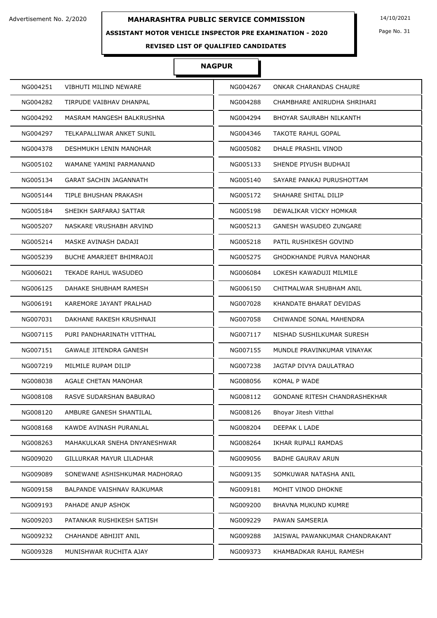### **ASSISTANT MOTOR VEHICLE INSPECTOR PRE EXAMINATION - 2020**

### **NAGPUR**

| NG004251 | <b>VIBHUTI MILIND NEWARE</b>  | NG004267 | ONKAR CHARANDAS CHAURE          |
|----------|-------------------------------|----------|---------------------------------|
| NG004282 | TIRPUDE VAIBHAV DHANPAL       | NG004288 | CHAMBHARE ANIRUDHA SHRIHARI     |
| NG004292 | MASRAM MANGESH BALKRUSHNA     | NG004294 | BHOYAR SAURABH NILKANTH         |
| NG004297 | TELKAPALLIWAR ANKET SUNIL     | NG004346 | TAKOTE RAHUL GOPAL              |
| NG004378 | DESHMUKH LENIN MANOHAR        | NG005082 | DHALE PRASHIL VINOD             |
| NG005102 | WAMANE YAMINI PARMANAND       | NG005133 | SHENDE PIYUSH BUDHAJI           |
| NG005134 | <b>GARAT SACHIN JAGANNATH</b> | NG005140 | SAYARE PANKAJ PURUSHOTTAM       |
| NG005144 | TIPLE BHUSHAN PRAKASH         | NG005172 | SHAHARE SHITAL DILIP            |
| NG005184 | SHEIKH SARFARAJ SATTAR        | NG005198 | DEWALIKAR VICKY HOMKAR          |
| NG005207 | NASKARE VRUSHABH ARVIND       | NG005213 | GANESH WASUDEO ZUNGARE          |
| NG005214 | MASKE AVINASH DADAJI          | NG005218 | PATIL RUSHIKESH GOVIND          |
| NG005239 | BUCHE AMARJEET BHIMRAOJI      | NG005275 | <b>GHODKHANDE PURVA MANOHAR</b> |
| NG006021 | TEKADE RAHUL WASUDEO          | NG006084 | LOKESH KAWADUJI MILMILE         |
| NG006125 | DAHAKE SHUBHAM RAMESH         | NG006150 | CHITMALWAR SHUBHAM ANIL         |
| NG006191 | KAREMORE JAYANT PRALHAD       | NG007028 | KHANDATE BHARAT DEVIDAS         |
| NG007031 | DAKHANE RAKESH KRUSHNAJI      | NG007058 | CHIWANDE SONAL MAHENDRA         |
| NG007115 | PURI PANDHARINATH VITTHAL     | NG007117 | NISHAD SUSHILKUMAR SURESH       |
| NG007151 | GAWALE JITENDRA GANESH        | NG007155 | MUNDLE PRAVINKUMAR VINAYAK      |
| NG007219 | MILMILE RUPAM DILIP           | NG007238 | JAGTAP DIVYA DAULATRAO          |
| NG008038 | AGALE CHETAN MANOHAR          | NG008056 | KOMAL P WADE                    |
| NG008108 | RASVE SUDARSHAN BABURAO       | NG008112 | GONDANE RITESH CHANDRASHEKHAR   |
| NG008120 | AMBURE GANESH SHANTILAL       | NG008126 | Bhoyar Jitesh Vitthal           |
| NG008168 | KAWDE AVINASH PURANLAL        | NG008204 | DEEPAK L LADE                   |
| NG008263 | MAHAKULKAR SNEHA DNYANESHWAR  | NG008264 | IKHAR RUPALI RAMDAS             |
| NG009020 | GILLURKAR MAYUR LILADHAR      | NG009056 | <b>BADHE GAURAV ARUN</b>        |
| NG009089 | SONEWANE ASHISHKUMAR MADHORAO | NG009135 | SOMKUWAR NATASHA ANIL           |
| NG009158 | BALPANDE VAISHNAV RAJKUMAR    | NG009181 | MOHIT VINOD DHOKNE              |
| NG009193 | PAHADE ANUP ASHOK             | NG009200 | BHAVNA MUKUND KUMRE             |
| NG009203 | PATANKAR RUSHIKESH SATISH     | NG009229 | PAWAN SAMSERIA                  |
| NG009232 | CHAHANDE ABHIJIT ANIL         | NG009288 | JAISWAL PAWANKUMAR CHANDRAKANT  |
| NG009328 | MUNISHWAR RUCHITA AJAY        | NG009373 | KHAMBADKAR RAHUL RAMESH         |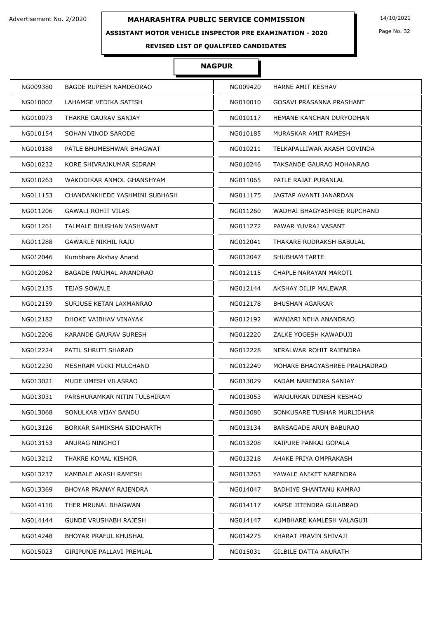## **ASSISTANT MOTOR VEHICLE INSPECTOR PRE EXAMINATION - 2020**

Page No. 32

## **REVISED LIST OF QUALIFIED CANDIDATES**

#### **NAGPUR**

| NG009380 | <b>BAGDE RUPESH NAMDEORAO</b>  | NG009420 | HARNE AMIT KESHAV             |
|----------|--------------------------------|----------|-------------------------------|
| NG010002 | LAHAMGE VEDIKA SATISH          | NG010010 | GOSAVI PRASANNA PRASHANT      |
| NG010073 | THAKRE GAURAV SANJAY           | NG010117 | HEMANE KANCHAN DURYODHAN      |
| NG010154 | SOHAN VINOD SARODE             | NG010185 | MURASKAR AMIT RAMESH          |
| NG010188 | PATLE BHUMESHWAR BHAGWAT       | NG010211 | TELKAPALLIWAR AKASH GOVINDA   |
| NG010232 | KORE SHIVRAJKUMAR SIDRAM       | NG010246 | TAKSANDE GAURAO MOHANRAO      |
| NG010263 | WAKODIKAR ANMOL GHANSHYAM      | NG011065 | PATLE RAJAT PURANLAL          |
| NG011153 | CHANDANKHEDE YASHMINI SUBHASH  | NG011175 | JAGTAP AVANTI JANARDAN        |
| NG011206 | <b>GAWALI ROHIT VILAS</b>      | NG011260 | WADHAI BHAGYASHREE RUPCHAND   |
| NG011261 | TALMALE BHUSHAN YASHWANT       | NG011272 | PAWAR YUVRAJ VASANT           |
| NG011288 | <b>GAWARLE NIKHIL RAJU</b>     | NG012041 | THAKARE RUDRAKSH BABULAL      |
| NG012046 | Kumbhare Akshay Anand          | NG012047 | <b>SHUBHAM TARTE</b>          |
| NG012062 | <b>BAGADE PARIMAL ANANDRAO</b> | NG012115 | CHAPLE NARAYAN MAROTI         |
| NG012135 | <b>TEJAS SOWALE</b>            | NG012144 | AKSHAY DILIP MALEWAR          |
| NG012159 | SURJUSE KETAN LAXMANRAO        | NG012178 | <b>BHUSHAN AGARKAR</b>        |
| NG012182 | DHOKE VAIBHAV VINAYAK          | NG012192 | WANJARI NEHA ANANDRAO         |
| NG012206 | KARANDE GAURAV SURESH          | NG012220 | ZALKE YOGESH KAWADUJI         |
| NG012224 | PATIL SHRUTI SHARAD            | NG012228 | NERALWAR ROHIT RAJENDRA       |
| NG012230 | MESHRAM VIKKI MULCHAND         | NG012249 | MOHARE BHAGYASHREE PRALHADRAO |
| NG013021 | MUDE UMESH VILASRAO            | NG013029 | KADAM NARENDRA SANJAY         |
| NG013031 | PARSHURAMKAR NITIN TULSHIRAM   | NG013053 | WARJURKAR DINESH KESHAO       |
| NG013068 | SONULKAR VIJAY BANDU           | NG013080 | SONKUSARE TUSHAR MURLIDHAR    |
| NG013126 | BORKAR SAMIKSHA SIDDHARTH      | NG013134 | <b>BARSAGADE ARUN BABURAO</b> |
| NG013153 | ANURAG NINGHOT                 | NG013208 | RAIPURE PANKAJ GOPALA         |
| NG013212 | THAKRE KOMAL KISHOR            | NG013218 | AHAKE PRIYA OMPRAKASH         |
| NG013237 | KAMBALE AKASH RAMESH           | NG013263 | YAWALE ANIKET NARENDRA        |
| NG013369 | BHOYAR PRANAY RAJENDRA         | NG014047 | BADHIYE SHANTANU KAMRAJ       |
| NG014110 | THER MRUNAL BHAGWAN            | NG014117 | KAPSE JITENDRA GULABRAO       |
| NG014144 | GUNDE VRUSHABH RAJESH          | NG014147 | KUMBHARE KAMLESH VALAGUJI     |
| NG014248 | <b>BHOYAR PRAFUL KHUSHAL</b>   | NG014275 | KHARAT PRAVIN SHIVAJI         |
| NG015023 | GIRIPUNJE PALLAVI PREMLAL      | NG015031 | <b>GILBILE DATTA ANURATH</b>  |
|          |                                |          |                               |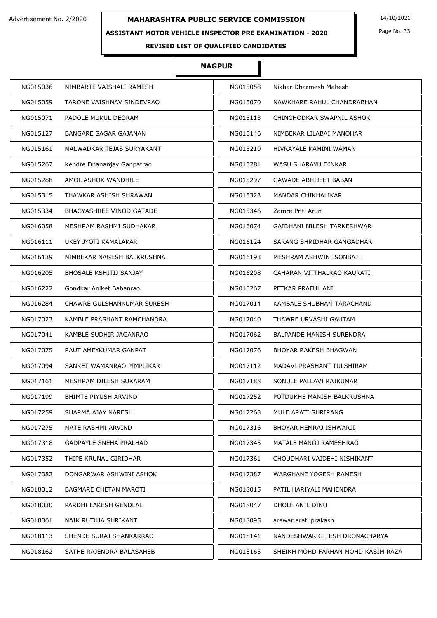### **ASSISTANT MOTOR VEHICLE INSPECTOR PRE EXAMINATION - 2020**

Page No. 33

## **REVISED LIST OF QUALIFIED CANDIDATES**

#### **NAGPUR**

| NG015036                        | NG015058                           |
|---------------------------------|------------------------------------|
| NIMBARTE VAISHALI RAMESH        | Nikhar Dharmesh Mahesh             |
| NG015059                        | NG015070                           |
| TARONE VAISHNAV SINDEVRAO       | NAWKHARE RAHUL CHANDRABHAN         |
| NG015071                        | NG015113                           |
| PADOLE MUKUL DEORAM             | CHINCHODKAR SWAPNIL ASHOK          |
| NG015127                        | NG015146                           |
| BANGARE SAGAR GAJANAN           | NIMBEKAR LILABAI MANOHAR           |
| NG015161                        | NG015210                           |
| MALWADKAR TEJAS SURYAKANT       | HIVRAYALE KAMINI WAMAN             |
| NG015267                        | NG015281                           |
| Kendre Dhananjay Ganpatrao      | WASU SHARAYU DINKAR                |
| AMOL ASHOK WANDHILE             | NG015297                           |
| NG015288                        | <b>GAWADE ABHIJEET BABAN</b>       |
| NG015315                        | NG015323                           |
| THAWKAR ASHISH SHRAWAN          | MANDAR CHIKHALIKAR                 |
| NG015334                        | NG015346                           |
| <b>BHAGYASHREE VINOD GATADE</b> | Zamre Priti Arun                   |
| NG016058                        | NG016074                           |
| MESHRAM RASHMI SUDHAKAR         | GAIDHANI NILESH TARKESHWAR         |
| NG016111                        | NG016124                           |
| UKEY JYOTI KAMALAKAR            | SARANG SHRIDHAR GANGADHAR          |
| NIMBEKAR NAGESH BALKRUSHNA      | NG016193                           |
| NG016139                        | MESHRAM ASHWINI SONBAJI            |
| <b>BHOSALE KSHITIJ SANJAY</b>   | NG016208                           |
| NG016205                        | CAHARAN VITTHALRAO KAURATI         |
| NG016222                        | NG016267                           |
| Gondkar Aniket Babanrao         | PETKAR PRAFUL ANIL                 |
| NG016284                        | NG017014                           |
| CHAWRE GULSHANKUMAR SURESH      | KAMBALE SHUBHAM TARACHAND          |
| NG017023                        | NG017040                           |
| KAMBLE PRASHANT RAMCHANDRA      | THAWRE URVASHI GAUTAM              |
| NG017041                        | NG017062                           |
| KAMBLE SUDHIR JAGANRAO          | <b>BALPANDE MANISH SURENDRA</b>    |
| NG017075                        | NG017076                           |
| RAUT AMEYKUMAR GANPAT           | BHOYAR RAKESH BHAGWAN              |
| NG017094                        | NG017112                           |
| SANKET WAMANRAO PIMPLIKAR       | MADAVI PRASHANT TULSHIRAM          |
| NG017161                        | NG017188                           |
| MESHRAM DILESH SUKARAM          | SONULE PALLAVI RAJKUMAR            |
| <b>BHIMTE PIYUSH ARVIND</b>     | POTDUKHE MANISH BALKRUSHNA         |
| NG017199                        | NG017252                           |
| NG017259                        | NG017263                           |
| SHARMA AJAY NARESH              | MULE ARATI SHRIRANG                |
| NG017275                        | NG017316                           |
| MATE RASHMI ARVIND              | BHOYAR HEMRAJ ISHWARJI             |
| NG017318                        | NG017345                           |
| GADPAYLE SNEHA PRALHAD          | MATALE MANOJ RAMESHRAO             |
| NG017352                        | NG017361                           |
| THIPE KRUNAL GIRIDHAR           | CHOUDHARI VAIDEHI NISHIKANT        |
| NG017382                        | NG017387                           |
| DONGARWAR ASHWINI ASHOK         | WARGHANE YOGESH RAMESH             |
| NG018012                        | NG018015                           |
| <b>BAGMARE CHETAN MAROTI</b>    | PATIL HARIYALI MAHENDRA            |
| NG018030                        | NG018047                           |
| PARDHI LAKESH GENDLAL           | DHOLE ANIL DINU                    |
| NG018061                        | NG018095                           |
| NAIK RUTUJA SHRIKANT            | arewar arati prakash               |
| NG018113                        | NG018141                           |
| SHENDE SURAJ SHANKARRAO         | NANDESHWAR GITESH DRONACHARYA      |
| NG018162                        | NG018165                           |
| SATHE RAJENDRA BALASAHEB        | SHEIKH MOHD FARHAN MOHD KASIM RAZA |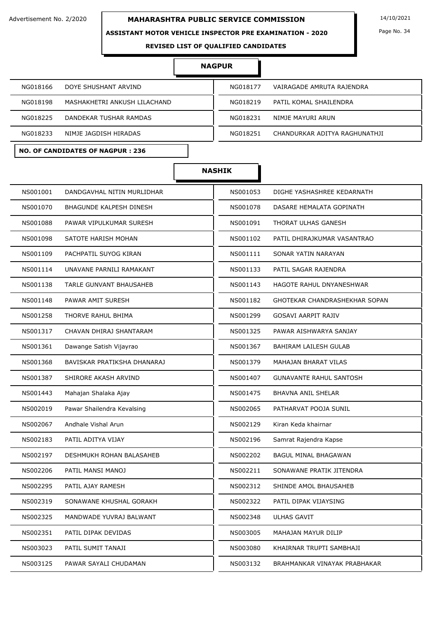### **ASSISTANT MOTOR VEHICLE INSPECTOR PRE EXAMINATION - 2020**

Page No. 34

**REVISED LIST OF QUALIFIED CANDIDATES** 

## **NAGPUR**

| NG018166                     | VAIRAGADE AMRUTA RAJENDRA     |
|------------------------------|-------------------------------|
| DOYE SHUSHANT ARVIND         | NG018177                      |
| NG018198                     | PATIL KOMAL SHAILENDRA        |
| MASHAKHETRI ANKUSH LILACHAND | NG018219                      |
| NG018225                     | NIMJE MAYURI ARUN             |
| DANDEKAR TUSHAR RAMDAS       | NG018231                      |
| NIMJE JAGDISH HIRADAS        | CHANDURKAR ADITYA RAGHUNATHJI |
| NG018233                     | NG018251                      |

Г

## **NO. OF CANDIDATES OF NAGPUR : 236**

| NG018219 | PATIL KOMAL SHAILENDRA        |
|----------|-------------------------------|
| NG018231 | NIMJE MAYURI ARUN             |
| NG018251 | CHANDURKAR ADITYA RAGHUNATHJI |
|          |                               |

|          |                                 | <b>NASHIK</b> |                                |
|----------|---------------------------------|---------------|--------------------------------|
| NS001001 | DANDGAVHAL NITIN MURLIDHAR      | NS001053      | DIGHE YASHASHREE KEDARNATH     |
| NS001070 | BHAGUNDE KALPESH DINESH         | NS001078      | DASARE HEMALATA GOPINATH       |
| NS001088 | PAWAR VIPULKUMAR SURESH         | NS001091      | THORAT ULHAS GANESH            |
| NS001098 | SATOTE HARISH MOHAN             | NS001102      | PATIL DHIRAJKUMAR VASANTRAO    |
| NS001109 | PACHPATIL SUYOG KIRAN           | NS001111      | SONAR YATIN NARAYAN            |
| NS001114 | UNAVANE PARNILI RAMAKANT        | NS001133      | PATIL SAGAR RAJENDRA           |
| NS001138 | TARLE GUNVANT BHAUSAHEB         | NS001143      | HAGOTE RAHUL DNYANESHWAR       |
| NS001148 | PAWAR AMIT SURESH               | NS001182      | GHOTEKAR CHANDRASHEKHAR SOPAN  |
| NS001258 | THORVE RAHUL BHIMA              | NS001299      | <b>GOSAVI AARPIT RAJIV</b>     |
| NS001317 | CHAVAN DHIRAJ SHANTARAM         | NS001325      | PAWAR AISHWARYA SANJAY         |
| NS001361 | Dawange Satish Vijayrao         | NS001367      | <b>BAHIRAM LAILESH GULAB</b>   |
| NS001368 | BAVISKAR PRATIKSHA DHANARAJ     | NS001379      | <b>MAHAJAN BHARAT VILAS</b>    |
| NS001387 | SHIRORE AKASH ARVIND            | NS001407      | <b>GUNAVANTE RAHUL SANTOSH</b> |
| NS001443 | Mahajan Shalaka Ajay            | NS001475      | <b>BHAVNA ANIL SHELAR</b>      |
| NS002019 | Pawar Shailendra Kevalsing      | NS002065      | PATHARVAT POOJA SUNIL          |
| NS002067 | Andhale Vishal Arun             | NS002129      | Kiran Keda khairnar            |
| NS002183 | PATIL ADITYA VIJAY              | NS002196      | Samrat Rajendra Kapse          |
| NS002197 | <b>DESHMUKH ROHAN BALASAHEB</b> | NS002202      | <b>BAGUL MINAL BHAGAWAN</b>    |
| NS002206 | PATIL MANSI MANOJ               | NS002211      | SONAWANE PRATIK JITENDRA       |
| NS002295 | PATIL AJAY RAMESH               | NS002312      | SHINDE AMOL BHAUSAHEB          |
| NS002319 | SONAWANE KHUSHAL GORAKH         | NS002322      | PATIL DIPAK VIJAYSING          |
| NS002325 | MANDWADE YUVRAJ BALWANT         | NS002348      | ULHAS GAVIT                    |
| NS002351 | PATIL DIPAK DEVIDAS             | NS003005      | MAHAJAN MAYUR DILIP            |
| NS003023 | PATIL SUMIT TANAJI              | NS003080      | KHAIRNAR TRUPTI SAMBHAJI       |
| NS003125 | PAWAR SAYALI CHUDAMAN           | NS003132      | BRAHMANKAR VINAYAK PRABHAKAR   |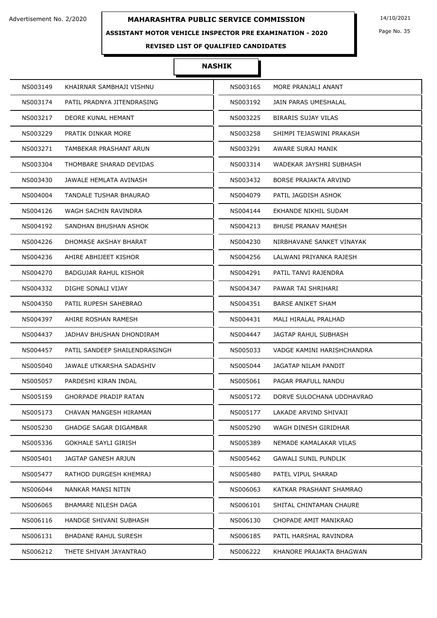### **ASSISTANT MOTOR VEHICLE INSPECTOR PRE EXAMINATION - 2020**

Page No. 35

## **REVISED LIST OF QUALIFIED CANDIDATES**

### **NASHIK**

| NS003149 | KHAIRNAR SAMBHAJI VISHNU      | NS003165 | MORE PRANJALI ANANT          |
|----------|-------------------------------|----------|------------------------------|
| NS003174 | PATIL PRADNYA JITENDRASING    | NS003192 | JAIN PARAS UMESHALAL         |
| NS003217 | DEORE KUNAL HEMANT            | NS003225 | <b>BIRARIS SUJAY VILAS</b>   |
| NS003229 | PRATIK DINKAR MORE            | NS003258 | SHIMPI TEJASWINI PRAKASH     |
| NS003271 | TAMBEKAR PRASHANT ARUN        | NS003291 | AWARE SURAJ MANIK            |
| NS003304 | THOMBARE SHARAD DEVIDAS       | NS003314 | WADEKAR JAYSHRI SUBHASH      |
| NS003430 | JAWALE HEMLATA AVINASH        | NS003432 | <b>BORSE PRAJAKTA ARVIND</b> |
| NS004004 | TANDALE TUSHAR BHAURAO        | NS004079 | PATIL JAGDISH ASHOK          |
| NS004126 | WAGH SACHIN RAVINDRA          | NS004144 | EKHANDE NIKHIL SUDAM         |
| NS004192 | SANDHAN BHUSHAN ASHOK         | NS004213 | <b>BHUSE PRANAV MAHESH</b>   |
| NS004226 | DHOMASE AKSHAY BHARAT         | NS004230 | NIRBHAVANE SANKET VINAYAK    |
| NS004236 | AHIRE ABHIJEET KISHOR         | NS004256 | LALWANI PRIYANKA RAJESH      |
| NS004270 | BADGUJAR RAHUL KISHOR         | NS004291 | PATIL TANVI RAJENDRA         |
| NS004332 | DIGHE SONALI VIJAY            | NS004347 | PAWAR TAI SHRIHARI           |
| NS004350 | PATIL RUPESH SAHEBRAO         | NS004351 | <b>BARSE ANIKET SHAM</b>     |
| NS004397 | AHIRE ROSHAN RAMESH           | NS004431 | MALI HIRALAL PRALHAD         |
| NS004437 | JADHAV BHUSHAN DHONDIRAM      | NS004447 | JAGTAP RAHUL SUBHASH         |
| NS004457 | PATIL SANDEEP SHAILENDRASINGH | NS005033 | VADGE KAMINI HARISHCHANDRA   |
| NS005040 | JAWALE UTKARSHA SADASHIV      | NS005044 | JAGATAP NILAM PANDIT         |
| NS005057 | PARDESHI KIRAN INDAL          | NS005061 | PAGAR PRAFULL NANDU          |
| NS005159 | GHORPADE PRADIP RATAN         | NS005172 | DORVE SULOCHANA UDDHAVRAO    |
| NS005173 | CHAVAN MANGESH HIRAMAN        | NS005177 | LAKADE ARVIND SHIVAJI        |
| NS005230 | GHADGE SAGAR DIGAMBAR         | NS005290 | WAGH DINESH GIRIDHAR         |
| NS005336 | GOKHALE SAYLI GIRISH          | NS005389 | NEMADE KAMALAKAR VILAS       |
| NS005401 | JAGTAP GANESH ARJUN           | NS005462 | <b>GAWALI SUNIL PUNDLIK</b>  |
| NS005477 | RATHOD DURGESH KHEMRAJ        | NS005480 | PATEL VIPUL SHARAD           |
| NS006044 | NANKAR MANSI NITIN            | NS006063 | KATKAR PRASHANT SHAMRAO      |
| NS006065 | BHAMARE NILESH DAGA           | NS006101 | SHITAL CHINTAMAN CHAURE      |
| NS006116 | HANDGE SHIVANI SUBHASH        | NS006130 | CHOPADE AMIT MANIKRAO        |
| NS006131 | <b>BHADANE RAHUL SURESH</b>   | NS006185 | PATIL HARSHAL RAVINDRA       |
| NS006212 | THETE SHIVAM JAYANTRAO        | NS006222 | KHANORE PRAJAKTA BHAGWAN     |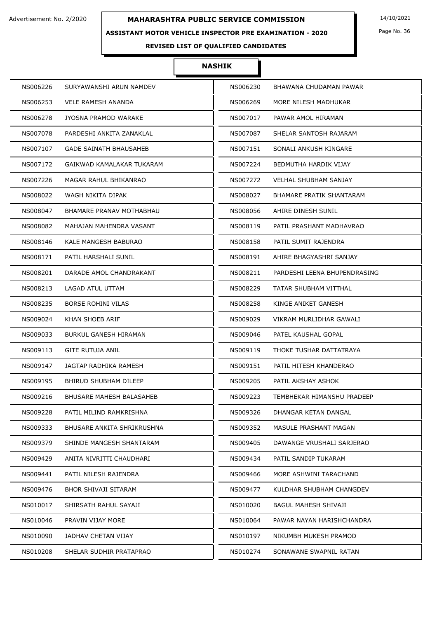### **ASSISTANT MOTOR VEHICLE INSPECTOR PRE EXAMINATION - 2020**

## **NASHIK**

| NS006226 | SURYAWANSHI ARUN NAMDEV           | NS006230 | BHAWANA CHUDAMAN PAWAR       |
|----------|-----------------------------------|----------|------------------------------|
| NS006253 | <b>VELE RAMESH ANANDA</b>         | NS006269 | MORE NILESH MADHUKAR         |
| NS006278 | JYOSNA PRAMOD WARAKE              | NS007017 | PAWAR AMOL HIRAMAN           |
| NS007078 | PARDESHI ANKITA ZANAKLAL          | NS007087 | SHELAR SANTOSH RAJARAM       |
| NS007107 | <b>GADE SAINATH BHAUSAHEB</b>     | NS007151 | SONALI ANKUSH KINGARE        |
| NS007172 | GAIKWAD KAMALAKAR TUKARAM         | NS007224 | BEDMUTHA HARDIK VIJAY        |
| NS007226 | MAGAR RAHUL BHIKANRAO             | NS007272 | <b>VELHAL SHUBHAM SANJAY</b> |
| NS008022 | WAGH NIKITA DIPAK                 | NS008027 | BHAMARE PRATIK SHANTARAM     |
| NS008047 | BHAMARE PRANAV MOTHABHAU          | NS008056 | AHIRE DINESH SUNIL           |
| NS008082 | MAHAJAN MAHENDRA VASANT           | NS008119 | PATIL PRASHANT MADHAVRAO     |
| NS008146 | KALE MANGESH BABURAO              | NS008158 | PATIL SUMIT RAJENDRA         |
| NS008171 | PATIL HARSHALI SUNIL              | NS008191 | AHIRE BHAGYASHRI SANJAY      |
| NS008201 | DARADE AMOL CHANDRAKANT           | NS008211 | PARDESHI LEENA BHUPENDRASING |
| NS008213 | LAGAD ATUL UTTAM                  | NS008229 | TATAR SHUBHAM VITTHAL        |
| NS008235 | <b>BORSE ROHINI VILAS</b>         | NS008258 | KINGE ANIKET GANESH          |
| NS009024 | KHAN SHOEB ARIF                   | NS009029 | VIKRAM MURLIDHAR GAWALI      |
| NS009033 | BURKUL GANESH HIRAMAN             | NS009046 | PATEL KAUSHAL GOPAL          |
| NS009113 | GITE RUTUJA ANIL                  | NS009119 | THOKE TUSHAR DATTATRAYA      |
| NS009147 | JAGTAP RADHIKA RAMESH             | NS009151 | PATIL HITESH KHANDERAO       |
| NS009195 | <b>BHIRUD SHUBHAM DILEEP</b>      | NS009205 | PATIL AKSHAY ASHOK           |
| NS009216 | BHUSARE MAHESH BALASAHEB          | NS009223 | TEMBHEKAR HIMANSHU PRADEEP   |
| NS009228 | PATIL MILIND RAMKRISHNA           | NS009326 | DHANGAR KETAN DANGAL         |
| NS009333 | <b>BHUSARE ANKITA SHRIKRUSHNA</b> | NS009352 | MASULE PRASHANT MAGAN        |
| NS009379 | SHINDE MANGESH SHANTARAM          | NS009405 | DAWANGE VRUSHALI SARJERAO    |
| NS009429 | ANITA NIVRITTI CHAUDHARI          | NS009434 | PATIL SANDIP TUKARAM         |
| NS009441 | PATIL NILESH RAJENDRA             | NS009466 | MORE ASHWINI TARACHAND       |
| NS009476 | <b>BHOR SHIVAJI SITARAM</b>       | NS009477 | KULDHAR SHUBHAM CHANGDEV     |
| NS010017 | SHIRSATH RAHUL SAYAJI             | NS010020 | BAGUL MAHESH SHIVAJI         |
| NS010046 | PRAVIN VIJAY MORE                 | NS010064 | PAWAR NAYAN HARISHCHANDRA    |
| NS010090 | JADHAV CHETAN VIJAY               | NS010197 | NIKUMBH MUKESH PRAMOD        |
| NS010208 | SHELAR SUDHIR PRATAPRAO           | NS010274 | SONAWANE SWAPNIL RATAN       |

Page No. 36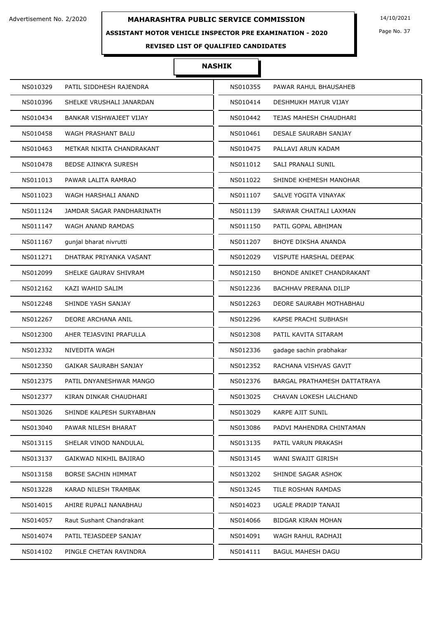# **ASSISTANT MOTOR VEHICLE INSPECTOR PRE EXAMINATION - 2020**

Page No. 37

# **REVISED LIST OF QUALIFIED CANDIDATES**

| NS010329 | PATIL SIDDHESH RAJENDRA     | NS010355 | PAWAR RAHUL BHAUSAHEB            |
|----------|-----------------------------|----------|----------------------------------|
| NS010396 | SHELKE VRUSHALI JANARDAN    | NS010414 | DESHMUKH MAYUR VIJAY             |
| NS010434 | BANKAR VISHWAJEET VIJAY     | NS010442 | TEJAS MAHESH CHAUDHARI           |
| NS010458 | WAGH PRASHANT BALU          | NS010461 | DESALE SAURABH SANJAY            |
| NS010463 | METKAR NIKITA CHANDRAKANT   | NS010475 | PALLAVI ARUN KADAM               |
| NS010478 | <b>BEDSE AJINKYA SURESH</b> | NS011012 | SALI PRANALI SUNIL               |
| NS011013 | PAWAR LALITA RAMRAO         | NS011022 | SHINDE KHEMESH MANOHAR           |
| NS011023 | WAGH HARSHALI ANAND         | NS011107 | SALVE YOGITA VINAYAK             |
| NS011124 | JAMDAR SAGAR PANDHARINATH   | NS011139 | SARWAR CHAITALI LAXMAN           |
| NS011147 | WAGH ANAND RAMDAS           | NS011150 | PATIL GOPAL ABHIMAN              |
| NS011167 | gunjal bharat nivrutti      | NS011207 | <b>BHOYE DIKSHA ANANDA</b>       |
| NS011271 | DHATRAK PRIYANKA VASANT     | NS012029 | VISPUTE HARSHAL DEEPAK           |
| NS012099 | SHELKE GAURAV SHIVRAM       | NS012150 | <b>BHONDE ANIKET CHANDRAKANT</b> |
| NS012162 | KAZI WAHID SALIM            | NS012236 | BACHHAV PRERANA DILIP            |
| NS012248 | SHINDE YASH SANJAY          | NS012263 | DEORE SAURABH MOTHABHAU          |
| NS012267 | DEORE ARCHANA ANIL          | NS012296 | KAPSE PRACHI SUBHASH             |
| NS012300 | AHER TEJASVINI PRAFULLA     | NS012308 | PATIL KAVITA SITARAM             |
| NS012332 | NIVEDITA WAGH               | NS012336 | gadage sachin prabhakar          |
| NS012350 | GAIKAR SAURABH SANJAY       | NS012352 | RACHANA VISHVAS GAVIT            |
| NS012375 | PATIL DNYANESHWAR MANGO     | NS012376 | BARGAL PRATHAMESH DATTATRAYA     |
| NS012377 | KIRAN DINKAR CHAUDHARI      | NS013025 | CHAVAN LOKESH LALCHAND           |
| NS013026 | SHINDE KALPESH SURYABHAN    | NS013029 | KARPE AJIT SUNIL                 |
| NS013040 | PAWAR NILESH BHARAT         | NS013086 | PADVI MAHENDRA CHINTAMAN         |
| NS013115 | SHELAR VINOD NANDULAL       | NS013135 | PATIL VARUN PRAKASH              |
| NS013137 | GAIKWAD NIKHIL BAJIRAO      | NS013145 | WANI SWAJIT GIRISH               |
| NS013158 | BORSE SACHIN HIMMAT         | NS013202 | SHINDE SAGAR ASHOK               |
| NS013228 | KARAD NILESH TRAMBAK        | NS013245 | TILE ROSHAN RAMDAS               |
| NS014015 | AHIRE RUPALI NANABHAU       | NS014023 | UGALE PRADIP TANAJI              |
| NS014057 | Raut Sushant Chandrakant    | NS014066 | BIDGAR KIRAN MOHAN               |
| NS014074 | PATIL TEJASDEEP SANJAY      | NS014091 | WAGH RAHUL RADHAJI               |
| NS014102 | PINGLE CHETAN RAVINDRA      | NS014111 | <b>BAGUL MAHESH DAGU</b>         |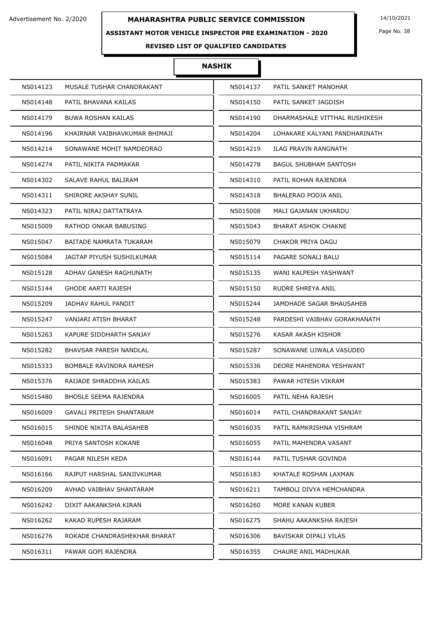# **ASSISTANT MOTOR VEHICLE INSPECTOR PRE EXAMINATION - 2020**

Page No. 38

# **REVISED LIST OF QUALIFIED CANDIDATES**

| NS014123                        | NS014137                      |
|---------------------------------|-------------------------------|
| MUSALE TUSHAR CHANDRAKANT       | PATIL SANKET MANOHAR          |
| NS014148                        | NS014150                      |
| PATIL BHAVANA KAILAS            | PATIL SANKET JAGDISH          |
| <b>BUWA ROSHAN KAILAS</b>       | DHARMASHALE VITTHAL RUSHIKESH |
| NS014179                        | NS014190                      |
| NS014196                        | NS014204                      |
| KHAIRNAR VAIBHAVKUMAR BHIMAJI   | LOHAKARE KALYANI PANDHARINATH |
| SONAWANE MOHIT NAMDEORAO        | ILAG PRAVIN RANGNATH          |
| NS014214                        | NS014219                      |
| NS014274                        | NS014278                      |
| PATIL NIKITA PADMAKAR           | <b>BAGUL SHUBHAM SANTOSH</b>  |
| NS014302                        | PATIL ROHAN RAJENDRA          |
| SALAVE RAHUL BALIRAM            | NS014310                      |
| SHIRORE AKSHAY SUNIL            | BHALERAO POOJA ANIL           |
| NS014311                        | NS014318                      |
| NS014323                        | NS015008                      |
| PATIL NIRAJ DATTATRAYA          | MALI GAJANAN UKHARDU          |
| NS015009                        | NS015043                      |
| RATHOD ONKAR BABUSING           | BHARAT ASHOK CHAKNE           |
| NS015047                        | NS015079                      |
| <b>BAITADE NAMRATA TUKARAM</b>  | CHAKOR PRIYA DAGU             |
| JAGTAP PIYUSH SUSHILKUMAR       | PAGARE SONALI BALU            |
| NS015084                        | NS015114                      |
| ADHAV GANESH RAGHUNATH          | NS015135                      |
| NS015128                        | WANI KALPESH YASHWANT         |
| <b>GHODE AARTI RAJESH</b>       | RUDRE SHREYA ANIL             |
| NS015144                        | NS015150                      |
| NS015209                        | JAMDHADE SAGAR BHAUSAHEB      |
| JADHAV RAHUL PANDIT             | NS015244                      |
| NS015247                        | NS015248                      |
| VANJARI ATISH BHARAT            | PARDESHI VAIBHAV GORAKHANATH  |
| KAPURE SIDDHARTH SANJAY         | KASAR AKASH KISHOR            |
| NS015263                        | NS015276                      |
| NS015282                        | SONAWANE UJWALA VASUDEO       |
| BHAVSAR PARESH NANDLAL          | NS015287                      |
| BOMBALE RAVINDRA RAMESH         | NS015336                      |
| NS015333                        | DEORE MAHENDRA YESHWANT       |
| NS015376                        | NS015383                      |
| RAIJADE SHRADDHA KAILAS         | PAWAR HITESH VIKRAM           |
| <b>BHOSLE SEEMA RAJENDRA</b>    | NS016005                      |
| NS015480                        | PATIL NEHA RAJESH             |
| NS016009                        | NS016014                      |
| <b>GAVALI PRITESH SHANTARAM</b> | PATIL CHANDRAKANT SANJAY      |
| NS016015                        | NS016035                      |
| SHINDE NIKITA BALASAHEB         | PATIL RAMKRISHNA VISHRAM      |
| NS016048                        | NS016055                      |
| PRIYA SANTOSH KOKANE            | PATIL MAHENDRA VASANT         |
| NS016091                        | NS016144                      |
| PAGAR NILESH KEDA               | PATIL TUSHAR GOVINDA          |
| RAJPUT HARSHAL SANJIVKUMAR      | KHATALE ROSHAN LAXMAN         |
| NS016166                        | NS016183                      |
| NS016209                        | NS016211                      |
| AVHAD VAIBHAV SHANTARAM         | TAMBOLI DIVYA HEMCHANDRA      |
| NS016242                        | NS016260                      |
| DIXIT AAKANKSHA KIRAN           | MORE KANAN KUBER              |
| NS016262                        | NS016275                      |
| KAKAD RUPESH RAJARAM            | SHAHU AAKANKSHA RAJESH        |
| NS016276                        | BAVISKAR DIPALI VILAS         |
| ROKADE CHANDRASHEKHAR BHARAT    | NS016306                      |
| NS016311                        | NS016355                      |
| PAWAR GOPI RAJENDRA             | CHAURE ANIL MADHUKAR          |
|                                 |                               |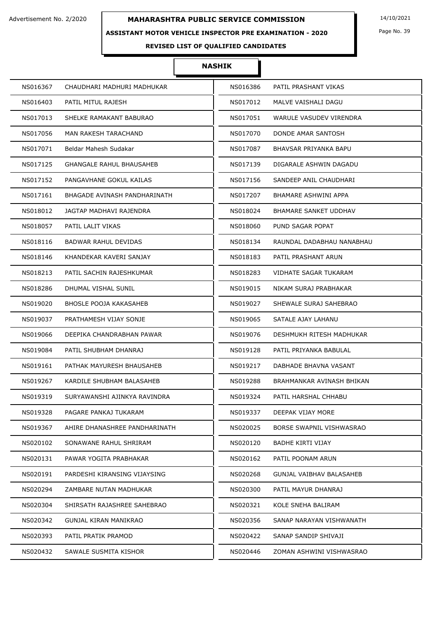## **ASSISTANT MOTOR VEHICLE INSPECTOR PRE EXAMINATION - 2020**

Page No. 39

# **REVISED LIST OF QUALIFIED CANDIDATES**

| NS016367                          | CHAUDHARI MADHURI MADHUKAR    | NS016386 | PATIL PRASHANT VIKAS      |
|-----------------------------------|-------------------------------|----------|---------------------------|
| NS016403<br>PATIL MITUL RAJESH    |                               | NS017012 | MALVE VAISHALI DAGU       |
| NS017013                          | SHELKE RAMAKANT BABURAO       | NS017051 | WARULE VASUDEV VIRENDRA   |
| NS017056                          | MAN RAKESH TARACHAND          | NS017070 | DONDE AMAR SANTOSH        |
| NS017071<br>Beldar Mahesh Sudakar |                               | NS017087 | BHAVSAR PRIYANKA BAPU     |
| NS017125                          | GHANGALE RAHUL BHAUSAHEB      | NS017139 | DIGARALE ASHWIN DAGADU    |
| NS017152                          | PANGAVHANE GOKUL KAILAS       | NS017156 | SANDEEP ANIL CHAUDHARI    |
| NS017161                          | BHAGADE AVINASH PANDHARINATH  | NS017207 | BHAMARE ASHWINI APPA      |
| NS018012                          | JAGTAP MADHAVI RAJENDRA       | NS018024 | BHAMARE SANKET UDDHAV     |
| NS018057<br>PATIL LALIT VIKAS     |                               | NS018060 | PUND SAGAR POPAT          |
| NS018116                          | BADWAR RAHUL DEVIDAS          | NS018134 | RAUNDAL DADABHAU NANABHAU |
| NS018146                          | KHANDEKAR KAVERI SANJAY       | NS018183 | PATIL PRASHANT ARUN       |
| NS018213                          | PATIL SACHIN RAJESHKUMAR      | NS018283 | VIDHATE SAGAR TUKARAM     |
| NS018286<br>DHUMAL VISHAL SUNIL   |                               | NS019015 | NIKAM SURAJ PRABHAKAR     |
| NS019020                          | <b>BHOSLE POOJA KAKASAHEB</b> | NS019027 | SHEWALE SURAJ SAHEBRAO    |
| NS019037                          | PRATHAMESH VIJAY SONJE        | NS019065 | SATALE AJAY LAHANU        |
| NS019066                          | DEEPIKA CHANDRABHAN PAWAR     | NS019076 | DESHMUKH RITESH MADHUKAR  |
| NS019084                          | PATIL SHUBHAM DHANRAJ         | NS019128 | PATIL PRIYANKA BABULAL    |
| NS019161                          | PATHAK MAYURESH BHAUSAHEB     | NS019217 | DABHADE BHAVNA VASANT     |
| NS019267                          | KARDILE SHUBHAM BALASAHEB     | NS019288 | BRAHMANKAR AVINASH BHIKAN |
| NS019319                          | SURYAWANSHI AJINKYA RAVINDRA  | NS019324 | PATIL HARSHAL CHHABU      |
| NS019328                          | PAGARE PANKAJ TUKARAM         | NS019337 | DEEPAK VIJAY MORE         |
| NS019367                          | AHIRE DHANASHREE PANDHARINATH | NS020025 | BORSE SWAPNIL VISHWASRAO  |
| NS020102                          | SONAWANE RAHUL SHRIRAM        | NS020120 | <b>BADHE KIRTI VIJAY</b>  |
| NS020131                          | PAWAR YOGITA PRABHAKAR        | NS020162 | PATIL POONAM ARUN         |
| NS020191                          | PARDESHI KIRANSING VIJAYSING  | NS020268 | GUNJAL VAIBHAV BALASAHEB  |
| NS020294                          | ZAMBARE NUTAN MADHUKAR        | NS020300 | PATIL MAYUR DHANRAJ       |
| NS020304                          | SHIRSATH RAJASHREE SAHEBRAO   | NS020321 | KOLE SNEHA BALIRAM        |
| NS020342                          | GUNJAL KIRAN MANIKRAO         | NS020356 | SANAP NARAYAN VISHWANATH  |
| PATIL PRATIK PRAMOD<br>NS020393   |                               | NS020422 | SANAP SANDIP SHIVAJI      |
| NS020432                          | SAWALE SUSMITA KISHOR         | NS020446 | ZOMAN ASHWINI VISHWASRAO  |
|                                   |                               |          |                           |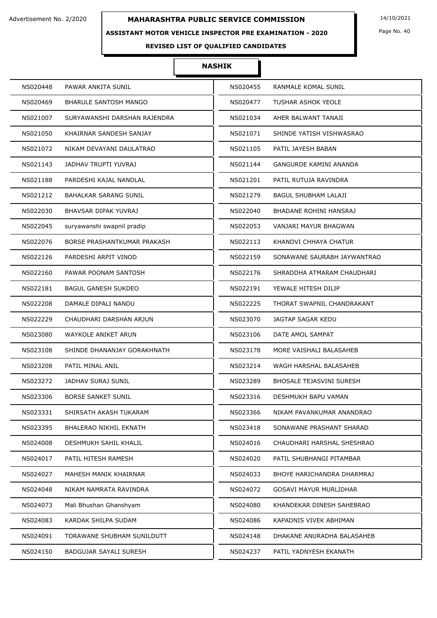## **ASSISTANT MOTOR VEHICLE INSPECTOR PRE EXAMINATION - 2020**

Page No. 40

# **REVISED LIST OF QUALIFIED CANDIDATES**

| NS020448 | PAWAR ANKITA SUNIL            | NS020455 | RANMALE KOMAL SUNIL             |
|----------|-------------------------------|----------|---------------------------------|
| NS020469 | <b>BHARULE SANTOSH MANGO</b>  | NS020477 | TUSHAR ASHOK YEOLE              |
| NS021007 | SURYAWANSHI DARSHAN RAJENDRA  | NS021034 | AHER BALWANT TANAJI             |
| NS021050 | KHAIRNAR SANDESH SANJAY       | NS021071 | SHINDE YATISH VISHWASRAO        |
| NS021072 | NIKAM DEVAYANI DAULATRAO      | NS021105 | PATIL JAYESH BABAN              |
| NS021143 | <b>JADHAV TRUPTI YUVRAJ</b>   | NS021144 | GANGURDE KAMINI ANANDA          |
| NS021188 | PARDESHI KAJAL NANDLAL        | NS021201 | PATIL RUTUJA RAVINDRA           |
| NS021212 | BAHALKAR SARANG SUNIL         | NS021279 | BAGUL SHUBHAM LALAJI            |
| NS022030 | BHAVSAR DIPAK YUVRAJ          | NS022040 | BHADANE ROHINI HANSRAJ          |
| NS022045 | suryawanshi swapnil pradip    | NS022053 | VANJARI MAYUR BHAGWAN           |
| NS022076 | BORSE PRASHANTKUMAR PRAKASH   | NS022113 | KHANDVI CHHAYA CHATUR           |
| NS022126 | PARDESHI ARPIT VINOD          | NS022159 | SONAWANE SAURABH JAYWANTRAO     |
| NS022160 | PAWAR POONAM SANTOSH          | NS022176 | SHRADDHA ATMARAM CHAUDHARI      |
| NS022181 | <b>BAGUL GANESH SUKDEO</b>    | NS022191 | YEWALE HITESH DILIP             |
| NS022208 | DAMALE DIPALI NANDU           | NS022225 | THORAT SWAPNIL CHANDRAKANT      |
| NS022229 | CHAUDHARI DARSHAN ARJUN       | NS023070 | JAGTAP SAGAR KEDU               |
| NS023080 | WAYKOLE ANIKET ARUN           | NS023106 | DATE AMOL SAMPAT                |
| NS023108 | SHINDE DHANANJAY GORAKHNATH   | NS023178 | MORE VAISHALI BALASAHEB         |
| NS023208 | PATIL MINAL ANIL              | NS023214 | WAGH HARSHAL BALASAHEB          |
| NS023272 | <b>JADHAV SURAJ SUNIL</b>     | NS023289 | <b>BHOSALE TEJASVINI SURESH</b> |
| NS023306 | <b>BORSE SANKET SUNIL</b>     | NS023316 | DESHMUKH BAPU VAMAN             |
| NS023331 | SHIRSATH AKASH TUKARAM        | NS023366 | NIKAM PAVANKUMAR ANANDRAO       |
| NS023395 | <b>BHALERAO NIKHIL EKNATH</b> | NS023418 | SONAWANE PRASHANT SHARAD        |
| NS024008 | DESHMUKH SAHIL KHALIL         | NS024016 | CHAUDHARI HARSHAL SHESHRAO      |
| NS024017 | PATIL HITESH RAMESH           | NS024020 | PATIL SHUBHANGI PITAMBAR        |
| NS024027 | MAHESH MANIK KHAIRNAR         | NS024033 | BHOYE HARICHANDRA DHARMRAJ      |
| NS024048 | NIKAM NAMRATA RAVINDRA        | NS024072 | <b>GOSAVI MAYUR MURLIDHAR</b>   |
| NS024073 | Mali Bhushan Ghanshyam        | NS024080 | KHANDEKAR DINESH SAHEBRAO       |
| NS024083 | KARDAK SHILPA SUDAM           | NS024086 | KAPADNIS VIVEK ABHIMAN          |
| NS024091 | TORAWANE SHUBHAM SUNILDUTT    | NS024148 | DHAKANE ANURADHA BALASAHEB      |
| NS024150 | BADGUJAR SAYALI SURESH        | NS024237 | PATIL YADNYESH EKANATH          |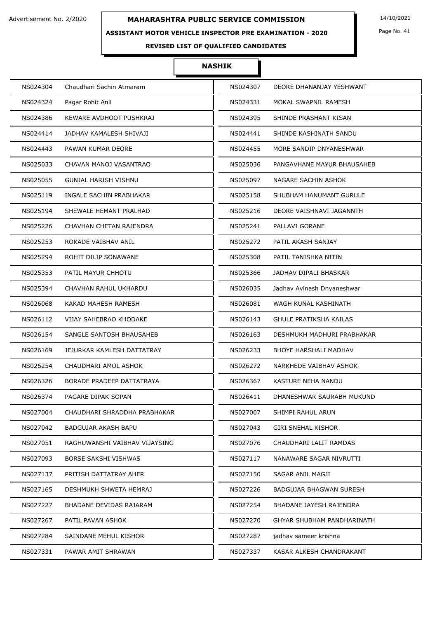## **ASSISTANT MOTOR VEHICLE INSPECTOR PRE EXAMINATION - 2020**

Page No. 41

# **REVISED LIST OF QUALIFIED CANDIDATES**

| NS024304 | Chaudhari Sachin Atmaram      | NS024307 | DEORE DHANANJAY YESHWANT       |
|----------|-------------------------------|----------|--------------------------------|
| NS024324 | Pagar Rohit Anil              | NS024331 | MOKAL SWAPNIL RAMESH           |
| NS024386 | KEWARE AVDHOOT PUSHKRAJ       | NS024395 | SHINDE PRASHANT KISAN          |
| NS024414 | JADHAV KAMALESH SHIVAJI       | NS024441 | SHINDE KASHINATH SANDU         |
| NS024443 | PAWAN KUMAR DEORE             | NS024455 | MORE SANDIP DNYANESHWAR        |
| NS025033 | CHAVAN MANOJ VASANTRAO        | NS025036 | PANGAVHANE MAYUR BHAUSAHEB     |
| NS025055 | <b>GUNJAL HARISH VISHNU</b>   | NS025097 | NAGARE SACHIN ASHOK            |
| NS025119 | INGALE SACHIN PRABHAKAR       | NS025158 | SHUBHAM HANUMANT GURULE        |
| NS025194 | SHEWALE HEMANT PRALHAD        | NS025216 | DEORE VAISHNAVI JAGANNTH       |
| NS025226 | CHAVHAN CHETAN RAJENDRA       | NS025241 | PALLAVI GORANE                 |
| NS025253 | ROKADE VAIBHAV ANIL           | NS025272 | PATIL AKASH SANJAY             |
| NS025294 | ROHIT DILIP SONAWANE          | NS025308 | PATIL TANISHKA NITIN           |
| NS025353 | PATIL MAYUR CHHOTU            | NS025366 | JADHAV DIPALI BHASKAR          |
| NS025394 | CHAVHAN RAHUL UKHARDU         | NS026035 | Jadhav Avinash Dnyaneshwar     |
| NS026068 | KAKAD MAHESH RAMESH           | NS026081 | WAGH KUNAL KASHINATH           |
| NS026112 | VIJAY SAHEBRAO KHODAKE        | NS026143 | <b>GHULE PRATIKSHA KAILAS</b>  |
| NS026154 | SANGLE SANTOSH BHAUSAHEB      | NS026163 | DESHMUKH MADHURI PRABHAKAR     |
| NS026169 | JEJURKAR KAMLESH DATTATRAY    | NS026233 | <b>BHOYE HARSHALI MADHAV</b>   |
| NS026254 | CHAUDHARI AMOL ASHOK          | NS026272 | NARKHEDE VAIBHAV ASHOK         |
| NS026326 | BORADE PRADEEP DATTATRAYA     | NS026367 | KASTURE NEHA NANDU             |
| NS026374 | PAGARE DIPAK SOPAN            | NS026411 | DHANESHWAR SAURABH MUKUND      |
| NS027004 | CHAUDHARI SHRADDHA PRABHAKAR  | NS027007 | SHIMPI RAHUL ARUN              |
| NS027042 | BADGUJAR AKASH BAPU           | NS027043 | <b>GIRI SNEHAL KISHOR</b>      |
| NS027051 | RAGHUWANSHI VAIBHAV VIJAYSING | NS027076 | CHAUDHARI LALIT RAMDAS         |
| NS027093 | <b>BORSE SAKSHI VISHWAS</b>   | NS027117 | NANAWARE SAGAR NIVRUTTI        |
| NS027137 | PRITISH DATTATRAY AHER        | NS027150 | SAGAR ANIL MAGJI               |
| NS027165 | DESHMUKH SHWETA HEMRAJ        | NS027226 | <b>BADGUJAR BHAGWAN SURESH</b> |
| NS027227 | BHADANE DEVIDAS RAJARAM       | NS027254 | BHADANE JAYESH RAJENDRA        |
| NS027267 | PATIL PAVAN ASHOK             | NS027270 | GHYAR SHUBHAM PANDHARINATH     |
| NS027284 | SAINDANE MEHUL KISHOR         | NS027287 | jadhav sameer krishna          |
| NS027331 | PAWAR AMIT SHRAWAN            | NS027337 | KASAR ALKESH CHANDRAKANT       |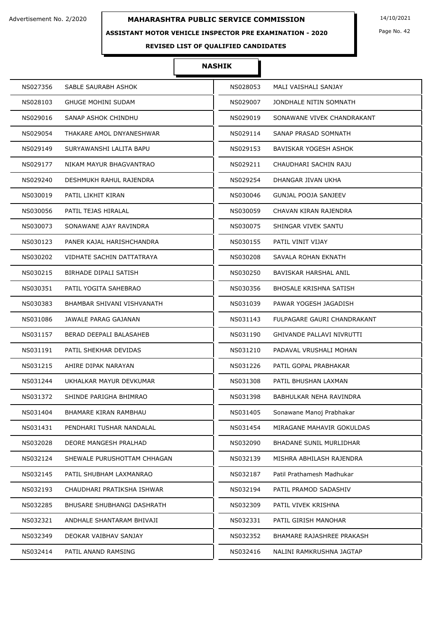## **ASSISTANT MOTOR VEHICLE INSPECTOR PRE EXAMINATION - 2020**

Page No. 42

# **REVISED LIST OF QUALIFIED CANDIDATES**

| NS027356 | SABLE SAURABH ASHOK         | NS028053 | MALI VAISHALI SANJAY           |
|----------|-----------------------------|----------|--------------------------------|
| NS028103 | <b>GHUGE MOHINI SUDAM</b>   | NS029007 | JONDHALE NITIN SOMNATH         |
| NS029016 | SANAP ASHOK CHINDHU         | NS029019 | SONAWANE VIVEK CHANDRAKANT     |
| NS029054 | THAKARE AMOL DNYANESHWAR    | NS029114 | SANAP PRASAD SOMNATH           |
| NS029149 | SURYAWANSHI LALITA BAPU     | NS029153 | BAVISKAR YOGESH ASHOK          |
| NS029177 | NIKAM MAYUR BHAGVANTRAO     | NS029211 | CHAUDHARI SACHIN RAJU          |
| NS029240 | DESHMUKH RAHUL RAJENDRA     | NS029254 | DHANGAR JIVAN UKHA             |
| NS030019 | PATIL LIKHIT KIRAN          | NS030046 | GUNJAL POOJA SANJEEV           |
| NS030056 | PATIL TEJAS HIRALAL         | NS030059 | CHAVAN KIRAN RAJENDRA          |
| NS030073 | SONAWANE AJAY RAVINDRA      | NS030075 | SHINGAR VIVEK SANTU            |
| NS030123 | PANER KAJAL HARISHCHANDRA   | NS030155 | PATIL VINIT VIJAY              |
| NS030202 | VIDHATE SACHIN DATTATRAYA   | NS030208 | SAVALA ROHAN EKNATH            |
| NS030215 | BIRHADE DIPALI SATISH       | NS030250 | BAVISKAR HARSHAL ANIL          |
| NS030351 | PATIL YOGITA SAHEBRAO       | NS030356 | <b>BHOSALE KRISHNA SATISH</b>  |
| NS030383 | BHAMBAR SHIVANI VISHVANATH  | NS031039 | PAWAR YOGESH JAGADISH          |
| NS031086 | JAWALE PARAG GAJANAN        | NS031143 | FULPAGARE GAURI CHANDRAKANT    |
| NS031157 | BERAD DEEPALI BALASAHEB     | NS031190 | GHIVANDE PALLAVI NIVRUTTI      |
| NS031191 | PATIL SHEKHAR DEVIDAS       | NS031210 | PADAVAL VRUSHALI MOHAN         |
| NS031215 | AHIRE DIPAK NARAYAN         | NS031226 | PATIL GOPAL PRABHAKAR          |
| NS031244 | UKHALKAR MAYUR DEVKUMAR     | NS031308 | PATIL BHUSHAN LAXMAN           |
| NS031372 | SHINDE PARIGHA BHIMRAO      | NS031398 | BABHULKAR NEHA RAVINDRA        |
| NS031404 | BHAMARE KIRAN RAMBHAU       | NS031405 | Sonawane Manoj Prabhakar       |
| NS031431 | PENDHARI TUSHAR NANDALAL    | NS031454 | MIRAGANE MAHAVIR GOKULDAS      |
| NS032028 | DEORE MANGESH PRALHAD       | NS032090 | <b>BHADANE SUNIL MURLIDHAR</b> |
| NS032124 | SHEWALE PURUSHOTTAM CHHAGAN | NS032139 | MISHRA ABHILASH RAJENDRA       |
| NS032145 | PATIL SHUBHAM LAXMANRAO     | NS032187 | Patil Prathamesh Madhukar      |
| NS032193 | CHAUDHARI PRATIKSHA ISHWAR  | NS032194 | PATIL PRAMOD SADASHIV          |
| NS032285 | BHUSARE SHUBHANGI DASHRATH  | NS032309 | PATIL VIVEK KRISHNA            |
| NS032321 | ANDHALE SHANTARAM BHIVAJI   | NS032331 | PATIL GIRISH MANOHAR           |
| NS032349 | DEOKAR VAIBHAV SANJAY       | NS032352 | BHAMARE RAJASHREE PRAKASH      |
| NS032414 | PATIL ANAND RAMSING         | NS032416 | NALINI RAMKRUSHNA JAGTAP       |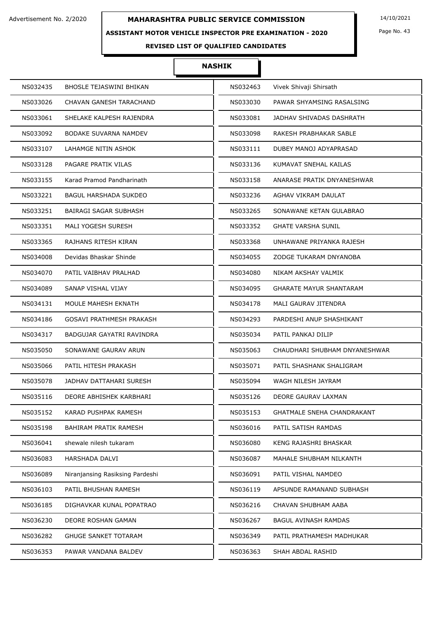# **ASSISTANT MOTOR VEHICLE INSPECTOR PRE EXAMINATION - 2020**

Page No. 43

# **REVISED LIST OF QUALIFIED CANDIDATES**

| NS032435 | <b>BHOSLE TEJASWINI BHIKAN</b>  | NS032463 | Vivek Shivaji Shirsath            |
|----------|---------------------------------|----------|-----------------------------------|
| NS033026 | CHAVAN GANESH TARACHAND         | NS033030 | PAWAR SHYAMSING RASALSING         |
| NS033061 | SHELAKE KALPESH RAJENDRA        | NS033081 | JADHAV SHIVADAS DASHRATH          |
| NS033092 | <b>BODAKE SUVARNA NAMDEV</b>    | NS033098 | RAKESH PRABHAKAR SABLE            |
| NS033107 | LAHAMGE NITIN ASHOK             | NS033111 | DUBEY MANOJ ADYAPRASAD            |
| NS033128 | PAGARE PRATIK VILAS             | NS033136 | KUMAVAT SNEHAL KAILAS             |
| NS033155 | Karad Pramod Pandharinath       | NS033158 | ANARASE PRATIK DNYANESHWAR        |
| NS033221 | <b>BAGUL HARSHADA SUKDEO</b>    | NS033236 | AGHAV VIKRAM DAULAT               |
| NS033251 | BAIRAGI SAGAR SUBHASH           | NS033265 | SONAWANE KETAN GULABRAO           |
| NS033351 | MALI YOGESH SURESH              | NS033352 | <b>GHATE VARSHA SUNIL</b>         |
| NS033365 | RAJHANS RITESH KIRAN            | NS033368 | UNHAWANE PRIYANKA RAJESH          |
| NS034008 | Devidas Bhaskar Shinde          | NS034055 | ZODGE TUKARAM DNYANOBA            |
| NS034070 | PATIL VAIBHAV PRALHAD           | NS034080 | NIKAM AKSHAY VALMIK               |
| NS034089 | SANAP VISHAL VIJAY              | NS034095 | <b>GHARATE MAYUR SHANTARAM</b>    |
| NS034131 | MOULE MAHESH EKNATH             | NS034178 | MALI GAURAV JITENDRA              |
| NS034186 | GOSAVI PRATHMESH PRAKASH        | NS034293 | PARDESHI ANUP SHASHIKANT          |
| NS034317 | BADGUJAR GAYATRI RAVINDRA       | NS035034 | PATIL PANKAJ DILIP                |
| NS035050 | SONAWANE GAURAV ARUN            | NS035063 | CHAUDHARI SHUBHAM DNYANESHWAR     |
| NS035066 | PATIL HITESH PRAKASH            | NS035071 | PATIL SHASHANK SHALIGRAM          |
| NS035078 | JADHAV DATTAHARI SURESH         | NS035094 | WAGH NILESH JAYRAM                |
| NS035116 | DEORE ABHISHEK KARBHARI         | NS035126 | DEORE GAURAV LAXMAN               |
| NS035152 | KARAD PUSHPAK RAMESH            | NS035153 | <b>GHATMALE SNEHA CHANDRAKANT</b> |
| NS035198 | BAHIRAM PRATIK RAMESH           | NS036016 | PATIL SATISH RAMDAS               |
| NS036041 | shewale nilesh tukaram          | NS036080 | KENG RAJASHRI BHASKAR             |
| NS036083 | HARSHADA DALVI                  | NS036087 | MAHALE SHUBHAM NILKANTH           |
| NS036089 | Niranjansing Rasiksing Pardeshi | NS036091 | PATIL VISHAL NAMDEO               |
| NS036103 | PATIL BHUSHAN RAMESH            | NS036119 | APSUNDE RAMANAND SUBHASH          |
| NS036185 | DIGHAVKAR KUNAL POPATRAO        | NS036216 | CHAVAN SHUBHAM AABA               |
| NS036230 | DEORE ROSHAN GAMAN              | NS036267 | BAGUL AVINASH RAMDAS              |
| NS036282 | <b>GHUGE SANKET TOTARAM</b>     | NS036349 | PATIL PRATHAMESH MADHUKAR         |
| NS036353 | PAWAR VANDANA BALDEV            | NS036363 | SHAH ABDAL RASHID                 |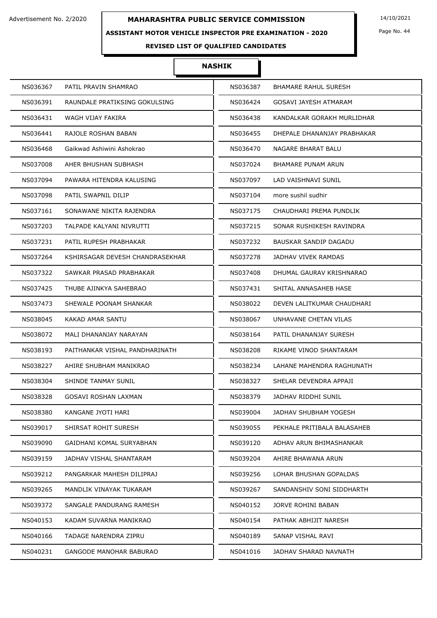## **ASSISTANT MOTOR VEHICLE INSPECTOR PRE EXAMINATION - 2020**

Page No. 44

# **REVISED LIST OF QUALIFIED CANDIDATES**

| NS036367 | PATIL PRAVIN SHAMRAO            | NS036387 | <b>BHAMARE RAHUL SURESH</b>  |
|----------|---------------------------------|----------|------------------------------|
| NS036391 | RAUNDALE PRATIKSING GOKULSING   | NS036424 | GOSAVI JAYESH ATMARAM        |
| NS036431 | WAGH VIJAY FAKIRA               | NS036438 | KANDALKAR GORAKH MURLIDHAR   |
| NS036441 | RAJOLE ROSHAN BABAN             | NS036455 | DHEPALE DHANANJAY PRABHAKAR  |
| NS036468 | Gaikwad Ashiwini Ashokrao       | NS036470 | NAGARE BHARAT BALU           |
| NS037008 | AHER BHUSHAN SUBHASH            | NS037024 | <b>BHAMARE PUNAM ARUN</b>    |
| NS037094 | PAWARA HITENDRA KALUSING        | NS037097 | LAD VAISHNAVI SUNIL          |
| NS037098 | PATIL SWAPNIL DILIP             | NS037104 | more sushil sudhir           |
| NS037161 | SONAWANE NIKITA RAJENDRA        | NS037175 | CHAUDHARI PREMA PUNDLIK      |
| NS037203 | TALPADE KALYANI NIVRUTTI        | NS037215 | SONAR RUSHIKESH RAVINDRA     |
| NS037231 | PATIL RUPESH PRABHAKAR          | NS037232 | <b>BAUSKAR SANDIP DAGADU</b> |
| NS037264 | KSHIRSAGAR DEVESH CHANDRASEKHAR | NS037278 | JADHAV VIVEK RAMDAS          |
| NS037322 | SAWKAR PRASAD PRABHAKAR         | NS037408 | DHUMAL GAURAV KRISHNARAO     |
| NS037425 | THUBE AJINKYA SAHEBRAO          | NS037431 | SHITAL ANNASAHEB HASE        |
| NS037473 | SHEWALE POONAM SHANKAR          | NS038022 | DEVEN LALITKUMAR CHAUDHARI   |
| NS038045 | KAKAD AMAR SANTU                | NS038067 | UNHAVANE CHETAN VILAS        |
| NS038072 | MALI DHANANJAY NARAYAN          | NS038164 | PATIL DHANANJAY SURESH       |
| NS038193 | PAITHANKAR VISHAL PANDHARINATH  | NS038208 | RIKAME VINOD SHANTARAM       |
| NS038227 | AHIRE SHUBHAM MANIKRAO          | NS038234 | LAHANE MAHENDRA RAGHUNATH    |
| NS038304 | SHINDE TANMAY SUNIL             | NS038327 | SHELAR DEVENDRA APPAJI       |
| NS038328 | <b>GOSAVI ROSHAN LAXMAN</b>     | NS038379 | JADHAV RIDDHI SUNIL          |
| NS038380 | KANGANE JYOTI HARI              | NS039004 | JADHAV SHUBHAM YOGESH        |
| NS039017 | SHIRSAT ROHIT SURESH            | NS039055 | PEKHALE PRITIBALA BALASAHEB  |
| NS039090 | GAIDHANI KOMAL SURYABHAN        | NS039120 | ADHAV ARUN BHIMASHANKAR      |
| NS039159 | JADHAV VISHAL SHANTARAM         | NS039204 | AHIRE BHAWANA ARUN           |
| NS039212 | PANGARKAR MAHESH DILIPRAJ       | NS039256 | LOHAR BHUSHAN GOPALDAS       |
| NS039265 | MANDLIK VINAYAK TUKARAM         | NS039267 | SANDANSHIV SONI SIDDHARTH    |
| NS039372 | SANGALE PANDURANG RAMESH        | NS040152 | JORVE ROHINI BABAN           |
| NS040153 | KADAM SUVARNA MANIKRAO          | NS040154 | PATHAK ABHIJIT NARESH        |
| NS040166 | TADAGE NARENDRA ZIPRU           | NS040189 | SANAP VISHAL RAVI            |
| NS040231 | <b>GANGODE MANOHAR BABURAO</b>  | NS041016 | JADHAV SHARAD NAVNATH        |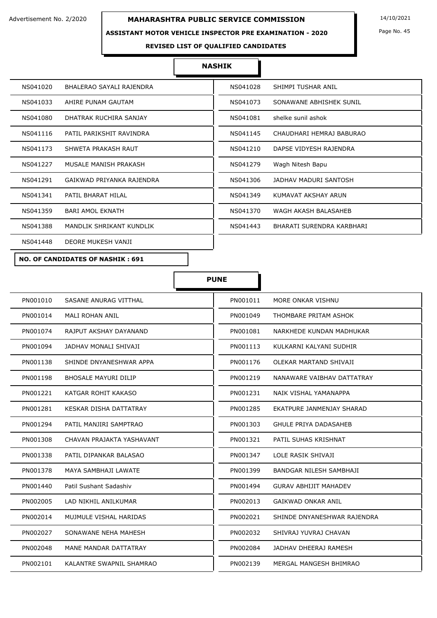## **ASSISTANT MOTOR VEHICLE INSPECTOR PRE EXAMINATION - 2020**

Page No. 45

#### **REVISED LIST OF QUALIFIED CANDIDATES**

#### **NASHIK**

| NS041020                       | NS041028                  |
|--------------------------------|---------------------------|
| BHALERAO SAYALI RAJENDRA       | SHIMPI TUSHAR ANIL        |
| NS041033                       | NS041073                  |
| AHIRE PUNAM GAUTAM             | SONAWANE ABHISHEK SUNIL   |
| NS041080                       | shelke sunil ashok        |
| DHATRAK RUCHIRA SANJAY         | NS041081                  |
| NS041116                       | NS041145                  |
| PATIL PARIKSHIT RAVINDRA       | CHAUDHARI HEMRAJ BABURAO  |
| NS041173                       | NS041210                  |
| SHWETA PRAKASH RAUT            | DAPSE VIDYESH RAJENDRA    |
| NS041227                       | Wagh Nitesh Bapu          |
| MUSALE MANISH PRAKASH          | NS041279                  |
| NS041291                       | NS041306                  |
| GAIKWAD PRIYANKA RAJENDRA      | JADHAV MADURI SANTOSH     |
| NS041341                       | NS041349                  |
| PATIL BHARAT HILAL             | KUMAVAT AKSHAY ARUN       |
| <b>BARI AMOL EKNATH</b>        | NS041370                  |
| NS041359                       | WAGH AKASH BALASAHEB      |
| NS041388                       | NS041443                  |
| MANDLIK SHRIKANT KUNDLIK       | BHARATI SURENDRA KARBHARI |
| DEORE MUKESH VANJI<br>NS041448 |                           |
|                                |                           |

**PUNE**

П

#### **NO. OF CANDIDATES OF NASHIK : 691**

| PN001010 | SASANE ANURAG VITTHAL       | PN001011 | MORE ONKAR VISHNU              |
|----------|-----------------------------|----------|--------------------------------|
| PN001014 | <b>MALI ROHAN ANIL</b>      | PN001049 | THOMBARE PRITAM ASHOK          |
| PN001074 | RAJPUT AKSHAY DAYANAND      | PN001081 | NARKHEDE KUNDAN MADHUKAR       |
| PN001094 | JADHAV MONALI SHIVAJI       | PN001113 | KULKARNI KALYANI SUDHIR        |
| PN001138 | SHINDE DNYANESHWAR APPA     | PN001176 | OLEKAR MARTAND SHIVAJI         |
| PN001198 | <b>BHOSALE MAYURI DILIP</b> | PN001219 | NANAWARE VAIBHAV DATTATRAY     |
| PN001221 | KATGAR ROHIT KAKASO         | PN001231 | NAIK VISHAL YAMANAPPA          |
| PN001281 | KESKAR DISHA DATTATRAY      | PN001285 | EKATPURE JANMENJAY SHARAD      |
| PN001294 | PATIL MANJIRI SAMPTRAO      | PN001303 | <b>GHULE PRIYA DADASAHEB</b>   |
| PN001308 | CHAVAN PRAJAKTA YASHAVANT   | PN001321 | PATIL SUHAS KRISHNAT           |
| PN001338 | PATIL DIPANKAR BALASAO      | PN001347 | LOLE RASIK SHIVAJI             |
| PN001378 | MAYA SAMBHAJI LAWATE        | PN001399 | <b>BANDGAR NILESH SAMBHAJI</b> |
| PN001440 | Patil Sushant Sadashiv      | PN001494 | <b>GURAV ABHIJIT MAHADEV</b>   |
| PN002005 | LAD NIKHIL ANILKUMAR        | PN002013 | <b>GAIKWAD ONKAR ANIL</b>      |
| PN002014 | MUJMULE VISHAL HARIDAS      | PN002021 | SHINDE DNYANESHWAR RAJENDRA    |
| PN002027 | SONAWANE NEHA MAHESH        | PN002032 | SHIVRAJ YUVRAJ CHAVAN          |
| PN002048 | MANE MANDAR DATTATRAY       | PN002084 | JADHAV DHEERAJ RAMESH          |
| PN002101 | KALANTRE SWAPNIL SHAMRAO    | PN002139 | MERGAL MANGESH BHIMRAO         |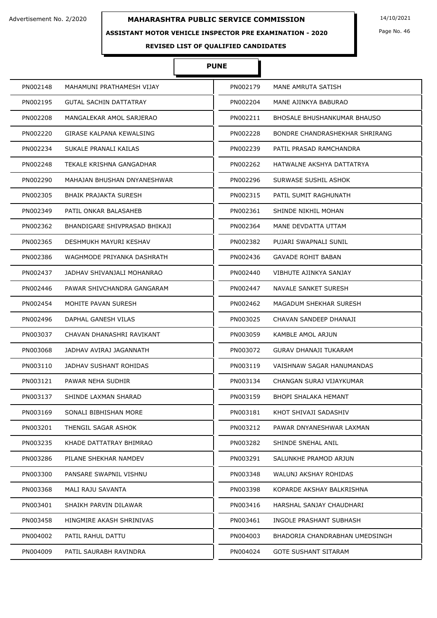#### **ASSISTANT MOTOR VEHICLE INSPECTOR PRE EXAMINATION - 2020**

Page No. 46

# **REVISED LIST OF QUALIFIED CANDIDATES**

# **PUNE**

| PN002148 | MAHAMUNI PRATHAMESH VIJAY     | PN002179 | MANE AMRUTA SATISH             |
|----------|-------------------------------|----------|--------------------------------|
| PN002195 | GUTAL SACHIN DATTATRAY        | PN002204 | MANE AJINKYA BABURAO           |
| PN002208 | MANGALEKAR AMOL SARJERAO      | PN002211 | BHOSALE BHUSHANKUMAR BHAUSO    |
| PN002220 | GIRASE KALPANA KEWALSING      | PN002228 | BONDRE CHANDRASHEKHAR SHRIRANG |
| PN002234 | SUKALE PRANALI KAILAS         | PN002239 | PATIL PRASAD RAMCHANDRA        |
| PN002248 | TEKALE KRISHNA GANGADHAR      | PN002262 | HATWALNE AKSHYA DATTATRYA      |
| PN002290 | MAHAJAN BHUSHAN DNYANESHWAR   | PN002296 | SURWASE SUSHIL ASHOK           |
| PN002305 | <b>BHAIK PRAJAKTA SURESH</b>  | PN002315 | PATIL SUMIT RAGHUNATH          |
| PN002349 | PATIL ONKAR BALASAHEB         | PN002361 | SHINDE NIKHIL MOHAN            |
| PN002362 | BHANDIGARE SHIVPRASAD BHIKAJI | PN002364 | MANE DEVDATTA UTTAM            |
| PN002365 | DESHMUKH MAYURI KESHAV        | PN002382 | PUJARI SWAPNALI SUNIL          |
| PN002386 | WAGHMODE PRIYANKA DASHRATH    | PN002436 | <b>GAVADE ROHIT BABAN</b>      |
| PN002437 | JADHAV SHIVANJALI MOHANRAO    | PN002440 | VIBHUTE AJINKYA SANJAY         |
| PN002446 | PAWAR SHIVCHANDRA GANGARAM    | PN002447 | NAVALE SANKET SURESH           |
| PN002454 | MOHITE PAVAN SURESH           | PN002462 | MAGADUM SHEKHAR SURESH         |
| PN002496 | DAPHAL GANESH VILAS           | PN003025 | CHAVAN SANDEEP DHANAJI         |
| PN003037 | CHAVAN DHANASHRI RAVIKANT     | PN003059 | KAMBLE AMOL ARJUN              |
| PN003068 | JADHAV AVIRAJ JAGANNATH       | PN003072 | GURAV DHANAJI TUKARAM          |
| PN003110 | JADHAV SUSHANT ROHIDAS        | PN003119 | VAISHNAW SAGAR HANUMANDAS      |
| PN003121 | PAWAR NEHA SUDHIR             | PN003134 | CHANGAN SURAJ VIJAYKUMAR       |
| PN003137 | SHINDE LAXMAN SHARAD          | PN003159 | <b>BHOPI SHALAKA HEMANT</b>    |
| PN003169 | SONALI BIBHISHAN MORE         | PN003181 | KHOT SHIVAJI SADASHIV          |
| PN003201 | THENGIL SAGAR ASHOK           | PN003212 | PAWAR DNYANESHWAR LAXMAN       |
| PN003235 | KHADE DATTATRAY BHIMRAO       | PN003282 | SHINDE SNEHAL ANIL             |
| PN003286 | PILANE SHEKHAR NAMDEV         | PN003291 | SALUNKHE PRAMOD ARJUN          |
| PN003300 | PANSARE SWAPNIL VISHNU        | PN003348 | <b>WALUNJ AKSHAY ROHIDAS</b>   |
| PN003368 | MALI RAJU SAVANTA             | PN003398 | KOPARDE AKSHAY BALKRISHNA      |
| PN003401 | SHAIKH PARVIN DILAWAR         | PN003416 | HARSHAL SANJAY CHAUDHARI       |
| PN003458 | HINGMIRE AKASH SHRINIVAS      | PN003461 | INGOLE PRASHANT SUBHASH        |
| PN004002 | PATIL RAHUL DATTU             | PN004003 | BHADORIA CHANDRABHAN UMEDSINGH |
| PN004009 | PATIL SAURABH RAVINDRA        | PN004024 | <b>GOTE SUSHANT SITARAM</b>    |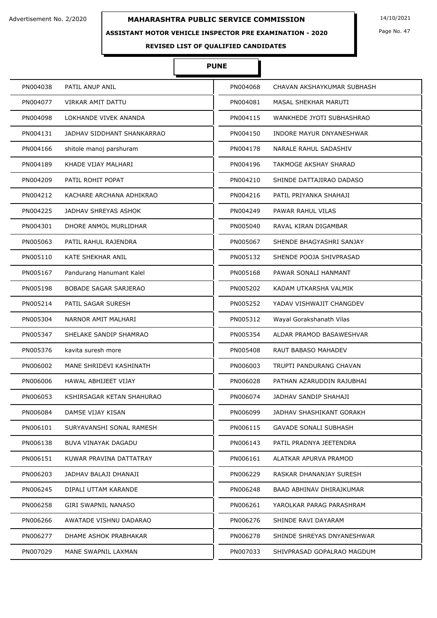## **ASSISTANT MOTOR VEHICLE INSPECTOR PRE EXAMINATION - 2020**

**REVISED LIST OF QUALIFIED CANDIDATES** 

# **PUNE**

Ì

| PN004038 | PATIL ANUP ANIL              | PN004068 | CHAVAN AKSHAYKUMAR SUBHASH |
|----------|------------------------------|----------|----------------------------|
| PN004077 | VIRKAR AMIT DATTU            | PN004081 | MASAL SHEKHAR MARUTI       |
| PN004098 | LOKHANDE VIVEK ANANDA        | PN004115 | WANKHEDE JYOTI SUBHASHRAO  |
| PN004131 | JADHAV SIDDHANT SHANKARRAO   | PN004150 | INDORE MAYUR DNYANESHWAR   |
| PN004166 | shitole manoj parshuram      | PN004178 | NARALE RAHUL SADASHIV      |
| PN004189 | KHADE VIJAY MALHARI          | PN004196 | TAKMOGE AKSHAY SHARAD      |
| PN004209 | PATIL ROHIT POPAT            | PN004210 | SHINDE DATTAJIRAO DADASO   |
| PN004212 | KACHARE ARCHANA ADHIKRAO     | PN004216 | PATIL PRIYANKA SHAHAJI     |
| PN004225 | JADHAV SHREYAS ASHOK         | PN004249 | PAWAR RAHUL VILAS          |
| PN004301 | DHORE ANMOL MURLIDHAR        | PN005040 | RAVAL KIRAN DIGAMBAR       |
| PN005063 | PATIL RAHUL RAJENDRA         | PN005067 | SHENDE BHAGYASHRI SANJAY   |
| PN005110 | <b>KATE SHEKHAR ANIL</b>     | PN005132 | SHENDE POOJA SHIVPRASAD    |
| PN005167 | Pandurang Hanumant Kalel     | PN005168 | PAWAR SONALI HANMANT       |
| PN005198 | <b>BOBADE SAGAR SARJERAO</b> | PN005202 | KADAM UTKARSHA VALMIK      |
| PN005214 | PATIL SAGAR SURESH           | PN005252 | YADAV VISHWAJIT CHANGDEV   |
| PN005304 | NARNOR AMIT MALHARI          | PN005312 | Wayal Gorakshanath Vilas   |
| PN005347 | SHELAKE SANDIP SHAMRAO       | PN005354 | ALDAR PRAMOD BASAWESHVAR   |
| PN005376 | kavita suresh more           | PN005408 | RAUT BABASO MAHADEV        |
| PN006002 | MANE SHRIDEVI KASHINATH      | PN006003 | TRUPTI PANDURANG CHAVAN    |
| PN006006 | HAWAL ABHIJEET VIJAY         | PN006028 | PATHAN AZARUDDIN RAJUBHAI  |
| PN006053 | KSHIRSAGAR KETAN SHAHURAO    | PN006074 | JADHAV SANDIP SHAHAJI      |
| PN006084 | DAMSE VIJAY KISAN            | PN006099 | JADHAV SHASHIKANT GORAKH   |
| PN006101 | SURYAVANSHI SONAL RAMESH     | PN006115 | GAVADE SONALI SUBHASH      |
| PN006138 | BUVA VINAYAK DAGADU          | PN006143 | PATIL PRADNYA JEETENDRA    |
| PN006151 | KUWAR PRAVINA DATTATRAY      | PN006161 | ALATKAR APURVA PRAMOD      |
| PN006203 | JADHAV BALAJI DHANAJI        | PN006229 | RASKAR DHANANJAY SURESH    |
| PN006245 | DIPALI UTTAM KARANDE         | PN006248 | BAAD ABHINAV DHIRAJKUMAR   |
| PN006258 | GIRI SWAPNIL NANASO          | PN006261 | YAROLKAR PARAG PARASHRAM   |
| PN006266 | AWATADE VISHNU DADARAO       | PN006276 | SHINDE RAVI DAYARAM        |
| PN006277 | DHAME ASHOK PRABHAKAR        | PN006278 | SHINDE SHREYAS DNYANESHWAR |
| PN007029 | MANE SWAPNIL LAXMAN          | PN007033 | SHIVPRASAD GOPALRAO MAGDUM |

Page No. 47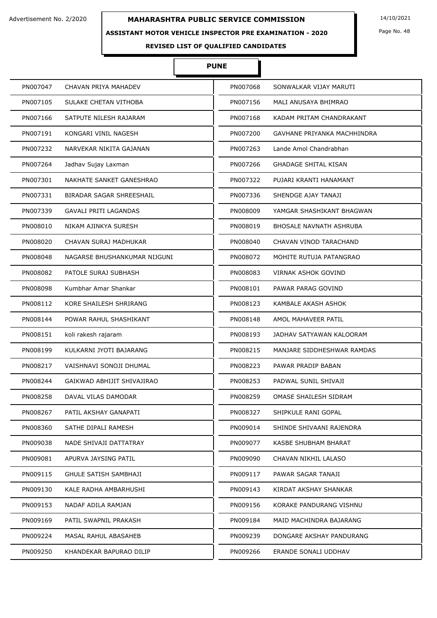#### **ASSISTANT MOTOR VEHICLE INSPECTOR PRE EXAMINATION - 2020**

Page No. 48

**REVISED LIST OF QUALIFIED CANDIDATES** 

# **PUNE**

| PN007047 | CHAVAN PRIYA MAHADEV         | PN007068 | SONWALKAR VIJAY MARUTI         |
|----------|------------------------------|----------|--------------------------------|
| PN007105 | SULAKE CHETAN VITHOBA        | PN007156 | MALI ANUSAYA BHIMRAO           |
| PN007166 | SATPUTE NILESH RAJARAM       | PN007168 | KADAM PRITAM CHANDRAKANT       |
| PN007191 | KONGARI VINIL NAGESH         | PN007200 | GAVHANE PRIYANKA MACHHINDRA    |
| PN007232 | NARVEKAR NIKITA GAJANAN      | PN007263 | Lande Amol Chandrabhan         |
| PN007264 | Jadhav Sujay Laxman          | PN007266 | <b>GHADAGE SHITAL KISAN</b>    |
| PN007301 | NAKHATE SANKET GANESHRAO     | PN007322 | PUJARI KRANTI HANAMANT         |
| PN007331 | BIRADAR SAGAR SHREESHAIL     | PN007336 | SHENDGE AJAY TANAJI            |
| PN007339 | <b>GAVALI PRITI LAGANDAS</b> | PN008009 | YAMGAR SHASHIKANT BHAGWAN      |
| PN008010 | NIKAM AJINKYA SURESH         | PN008019 | <b>BHOSALE NAVNATH ASHRUBA</b> |
| PN008020 | CHAVAN SURAJ MADHUKAR        | PN008040 | CHAVAN VINOD TARACHAND         |
| PN008048 | NAGARSE BHUSHANKUMAR NIJGUNI | PN008072 | MOHITE RUTUJA PATANGRAO        |
| PN008082 | PATOLE SURAJ SUBHASH         | PN008083 | <b>VIRNAK ASHOK GOVIND</b>     |
| PN008098 | Kumbhar Amar Shankar         | PN008101 | PAWAR PARAG GOVIND             |
| PN008112 | KORE SHAILESH SHRIRANG       | PN008123 | KAMBALE AKASH ASHOK            |
| PN008144 | POWAR RAHUL SHASHIKANT       | PN008148 | AMOL MAHAVEER PATIL            |
| PN008151 | koli rakesh rajaram          | PN008193 | JADHAV SATYAWAN KALOORAM       |
| PN008199 | KULKARNI JYOTI BAJARANG      | PN008215 | MANJARE SIDDHESHWAR RAMDAS     |
| PN008217 | VAISHNAVI SONOJI DHUMAL      | PN008223 | PAWAR PRADIP BABAN             |
| PN008244 | GAIKWAD ABHIJIT SHIVAJIRAO   | PN008253 | PADWAL SUNIL SHIVAJI           |
| PN008258 | DAVAL VILAS DAMODAR          | PN008259 | OMASE SHAILESH SIDRAM          |
| PN008267 | PATIL AKSHAY GANAPATI        | PN008327 | SHIPKULE RANI GOPAL            |
| PN008360 | SATHE DIPALI RAMESH          | PN009014 | SHINDE SHIVAANI RAJENDRA       |
| PN009038 | NADE SHIVAJI DATTATRAY       | PN009077 | KASBE SHUBHAM BHARAT           |
| PN009081 | APURVA JAYSING PATIL         | PN009090 | CHAVAN NIKHIL LALASO           |
| PN009115 | <b>GHULE SATISH SAMBHAJI</b> | PN009117 | PAWAR SAGAR TANAJI             |
| PN009130 | KALE RADHA AMBARHUSHI        | PN009143 | KIRDAT AKSHAY SHANKAR          |
| PN009153 | NADAF ADILA RAMJAN           | PN009156 | KORAKE PANDURANG VISHNU        |
| PN009169 | PATIL SWAPNIL PRAKASH        | PN009184 | MAID MACHINDRA BAJARANG        |
| PN009224 | MASAL RAHUL ABASAHEB         | PN009239 | DONGARE AKSHAY PANDURANG       |
| PN009250 | KHANDEKAR BAPURAO DILIP      | PN009266 | ERANDE SONALI UDDHAV           |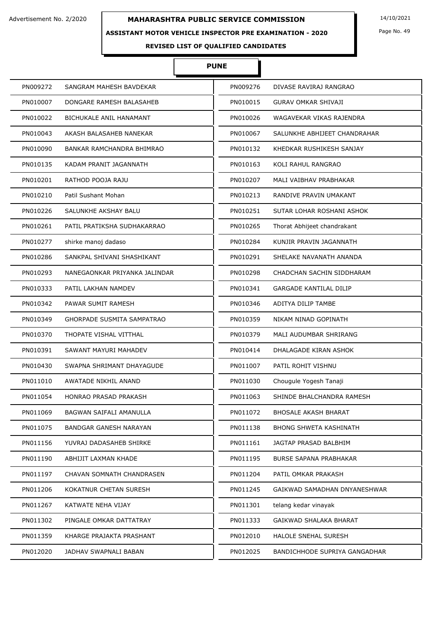## **ASSISTANT MOTOR VEHICLE INSPECTOR PRE EXAMINATION - 2020**

Page No. 49

**REVISED LIST OF QUALIFIED CANDIDATES** 

# **PUNE**

| PN009272 | SANGRAM MAHESH BAVDEKAR        | PN009276 | DIVASE RAVIRAJ RANGRAO        |
|----------|--------------------------------|----------|-------------------------------|
| PN010007 | DONGARE RAMESH BALASAHEB       | PN010015 | <b>GURAV OMKAR SHIVAJI</b>    |
| PN010022 | <b>BICHUKALE ANIL HANAMANT</b> | PN010026 | WAGAVEKAR VIKAS RAJENDRA      |
| PN010043 | AKASH BALASAHEB NANEKAR        | PN010067 | SALUNKHE ABHIJEET CHANDRAHAR  |
| PN010090 | BANKAR RAMCHANDRA BHIMRAO      | PN010132 | KHEDKAR RUSHIKESH SANJAY      |
| PN010135 | KADAM PRANIT JAGANNATH         | PN010163 | KOLI RAHUL RANGRAO            |
| PN010201 | RATHOD POOJA RAJU              | PN010207 | MALI VAIBHAV PRABHAKAR        |
| PN010210 | Patil Sushant Mohan            | PN010213 | RANDIVE PRAVIN UMAKANT        |
| PN010226 | SALUNKHE AKSHAY BALU           | PN010251 | SUTAR LOHAR ROSHANI ASHOK     |
| PN010261 | PATIL PRATIKSHA SUDHAKARRAO    | PN010265 | Thorat Abhijeet chandrakant   |
| PN010277 | shirke manoj dadaso            | PN010284 | KUNJIR PRAVIN JAGANNATH       |
| PN010286 | SANKPAL SHIVANI SHASHIKANT     | PN010291 | SHELAKE NAVANATH ANANDA       |
| PN010293 | NANEGAONKAR PRIYANKA JALINDAR  | PN010298 | CHADCHAN SACHIN SIDDHARAM     |
| PN010333 | PATIL LAKHAN NAMDEV            | PN010341 | <b>GARGADE KANTILAL DILIP</b> |
| PN010342 | PAWAR SUMIT RAMESH             | PN010346 | ADITYA DILIP TAMBE            |
| PN010349 | GHORPADE SUSMITA SAMPATRAO     | PN010359 | NIKAM NINAD GOPINATH          |
| PN010370 | THOPATE VISHAL VITTHAL         | PN010379 | MALI AUDUMBAR SHRIRANG        |
| PN010391 | SAWANT MAYURI MAHADEV          | PN010414 | DHALAGADE KIRAN ASHOK         |
| PN010430 | SWAPNA SHRIMANT DHAYAGUDE      | PN011007 | PATIL ROHIT VISHNU            |
| PN011010 | <b>AWATADE NIKHIL ANAND</b>    | PN011030 | Chougule Yogesh Tanaji        |
| PN011054 | <b>HONRAO PRASAD PRAKASH</b>   | PN011063 | SHINDE BHALCHANDRA RAMESH     |
| PN011069 | BAGWAN SAIFALI AMANULLA        | PN011072 | BHOSALE AKASH BHARAT          |
| PN011075 | BANDGAR GANESH NARAYAN         | PN011138 | <b>BHONG SHWETA KASHINATH</b> |
| PN011156 | YUVRAJ DADASAHEB SHIRKE        | PN011161 | JAGTAP PRASAD BALBHIM         |
| PN011190 | ABHIJIT LAXMAN KHADE           | PN011195 | <b>BURSE SAPANA PRABHAKAR</b> |
| PN011197 | CHAVAN SOMNATH CHANDRASEN      | PN011204 | PATIL OMKAR PRAKASH           |
| PN011206 | KOKATNUR CHETAN SURESH         | PN011245 | GAIKWAD SAMADHAN DNYANESHWAR  |
| PN011267 | KATWATE NEHA VIJAY             | PN011301 | telang kedar vinayak          |
| PN011302 | PINGALE OMKAR DATTATRAY        | PN011333 | GAIKWAD SHALAKA BHARAT        |
| PN011359 | KHARGE PRAJAKTA PRASHANT       | PN012010 | HALOLE SNEHAL SURESH          |
| PN012020 | JADHAV SWAPNALI BABAN          | PN012025 | BANDICHHODE SUPRIYA GANGADHAR |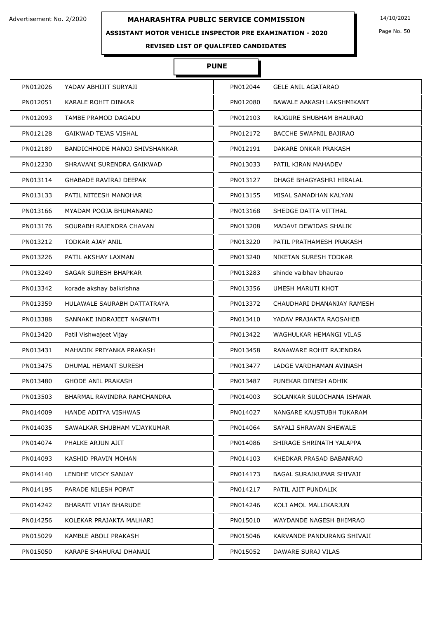## **ASSISTANT MOTOR VEHICLE INSPECTOR PRE EXAMINATION - 2020**

Page No. 50

# **REVISED LIST OF QUALIFIED CANDIDATES**

# **PUNE**

| PN012026 | YADAV ABHIJIT SURYAJI         | PN012044 | <b>GELE ANIL AGATARAO</b>     |
|----------|-------------------------------|----------|-------------------------------|
| PN012051 | KARALE ROHIT DINKAR           | PN012080 | BAWALE AAKASH LAKSHMIKANT     |
| PN012093 | TAMBE PRAMOD DAGADU           | PN012103 | RAJGURE SHUBHAM BHAURAO       |
| PN012128 | GAIKWAD TEJAS VISHAL          | PN012172 | <b>BACCHE SWAPNIL BAJIRAO</b> |
| PN012189 | BANDICHHODE MANOJ SHIVSHANKAR | PN012191 | DAKARE ONKAR PRAKASH          |
| PN012230 | SHRAVANI SURENDRA GAIKWAD     | PN013033 | PATIL KIRAN MAHADEV           |
| PN013114 | <b>GHABADE RAVIRAJ DEEPAK</b> | PN013127 | DHAGE BHAGYASHRI HIRALAL      |
| PN013133 | PATIL NITEESH MANOHAR         | PN013155 | MISAL SAMADHAN KALYAN         |
| PN013166 | MYADAM POOJA BHUMANAND        | PN013168 | SHEDGE DATTA VITTHAL          |
| PN013176 | SOURABH RAJENDRA CHAVAN       | PN013208 | MADAVI DEWIDAS SHALIK         |
| PN013212 | TODKAR AJAY ANIL              | PN013220 | PATIL PRATHAMESH PRAKASH      |
| PN013226 | PATIL AKSHAY LAXMAN           | PN013240 | NIKETAN SURESH TODKAR         |
| PN013249 | SAGAR SURESH BHAPKAR          | PN013283 | shinde vaibhay bhaurao        |
| PN013342 | korade akshay balkrishna      | PN013356 | UMESH MARUTI KHOT             |
| PN013359 | HULAWALE SAURABH DATTATRAYA   | PN013372 | CHAUDHARI DHANANJAY RAMESH    |
| PN013388 | SANNAKE INDRAJEET NAGNATH     | PN013410 | YADAV PRAJAKTA RAOSAHEB       |
| PN013420 | Patil Vishwajeet Vijay        | PN013422 | WAGHULKAR HEMANGI VILAS       |
| PN013431 | MAHADIK PRIYANKA PRAKASH      | PN013458 | RANAWARE ROHIT RAJENDRA       |
| PN013475 | DHUMAL HEMANT SURESH          | PN013477 | LADGE VARDHAMAN AVINASH       |
| PN013480 | <b>GHODE ANIL PRAKASH</b>     | PN013487 | PUNEKAR DINESH ADHIK          |
| PN013503 | BHARMAL RAVINDRA RAMCHANDRA   | PN014003 | SOLANKAR SULOCHANA ISHWAR     |
| PN014009 | HANDE ADITYA VISHWAS          | PN014027 | NANGARE KAUSTUBH TUKARAM      |
| PN014035 | SAWALKAR SHUBHAM VIJAYKUMAR   | PN014064 | SAYALI SHRAVAN SHEWALE        |
| PN014074 | PHALKE ARJUN AJIT             | PN014086 | SHIRAGE SHRINATH YALAPPA      |
| PN014093 | KASHID PRAVIN MOHAN           | PN014103 | KHEDKAR PRASAD BABANRAO       |
| PN014140 | LENDHE VICKY SANJAY           | PN014173 | BAGAL SURAJKUMAR SHIVAJI      |
| PN014195 | PARADE NILESH POPAT           | PN014217 | PATIL AJIT PUNDALIK           |
| PN014242 | BHARATI VIJAY BHARUDE         | PN014246 | KOLI AMOL MALLIKARJUN         |
| PN014256 | KOLEKAR PRAJAKTA MALHARI      | PN015010 | WAYDANDE NAGESH BHIMRAO       |
| PN015029 | KAMBLE ABOLI PRAKASH          | PN015046 | KARVANDE PANDURANG SHIVAJI    |
| PN015050 | KARAPE SHAHURAJ DHANAJI       | PN015052 | DAWARE SURAJ VILAS            |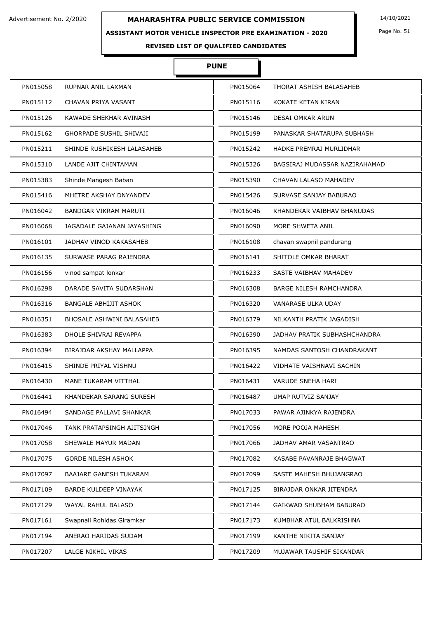#### **ASSISTANT MOTOR VEHICLE INSPECTOR PRE EXAMINATION - 2020**

Page No. 51

# **REVISED LIST OF QUALIFIED CANDIDATES**

# **PUNE**

| PN015058 | RUPNAR ANIL LAXMAN               | PN015064 | THORAT ASHISH BALASAHEB       |
|----------|----------------------------------|----------|-------------------------------|
| PN015112 | CHAVAN PRIYA VASANT              | PN015116 | KOKATE KETAN KIRAN            |
| PN015126 | KAWADE SHEKHAR AVINASH           | PN015146 | DESAI OMKAR ARUN              |
| PN015162 | <b>GHORPADE SUSHIL SHIVAJI</b>   | PN015199 | PANASKAR SHATARUPA SUBHASH    |
| PN015211 | SHINDE RUSHIKESH LALASAHEB       | PN015242 | HADKE PREMRAJ MURLIDHAR       |
| PN015310 | LANDE AJIT CHINTAMAN             | PN015326 | BAGSIRAJ MUDASSAR NAZIRAHAMAD |
| PN015383 | Shinde Mangesh Baban             | PN015390 | CHAVAN LALASO MAHADEV         |
| PN015416 | MHETRE AKSHAY DNYANDEV           | PN015426 | SURVASE SANJAY BABURAO        |
| PN016042 | BANDGAR VIKRAM MARUTI            | PN016046 | KHANDEKAR VAIBHAV BHANUDAS    |
| PN016068 | JAGADALE GAJANAN JAYASHING       | PN016090 | MORE SHWETA ANIL              |
| PN016101 | JADHAV VINOD KAKASAHEB           | PN016108 | chavan swapnil pandurang      |
| PN016135 | SURWASE PARAG RAJENDRA           | PN016141 | SHITOLE OMKAR BHARAT          |
| PN016156 | vinod sampat lonkar              | PN016233 | SASTE VAIBHAV MAHADEV         |
| PN016298 | DARADE SAVITA SUDARSHAN          | PN016308 | BARGE NILESH RAMCHANDRA       |
| PN016316 | BANGALE ABHIJIT ASHOK            | PN016320 | VANARASE ULKA UDAY            |
| PN016351 | <b>BHOSALE ASHWINI BALASAHEB</b> | PN016379 | NILKANTH PRATIK JAGADISH      |
| PN016383 | DHOLE SHIVRAJ REVAPPA            | PN016390 | JADHAV PRATIK SUBHASHCHANDRA  |
| PN016394 | BIRAJDAR AKSHAY MALLAPPA         | PN016395 | NAMDAS SANTOSH CHANDRAKANT    |
| PN016415 | SHINDE PRIYAL VISHNU             | PN016422 | VIDHATE VAISHNAVI SACHIN      |
| PN016430 | MANE TUKARAM VITTHAL             | PN016431 | <b>VARUDE SNEHA HARI</b>      |
| PN016441 | KHANDEKAR SARANG SURESH          | PN016487 | UMAP RUTVIZ SANJAY            |
| PN016494 | SANDAGE PALLAVI SHANKAR          | PN017033 | PAWAR AJINKYA RAJENDRA        |
| PN017046 | TANK PRATAPSINGH AJITSINGH       | PN017056 | MORE POOJA MAHESH             |
| PN017058 | SHEWALE MAYUR MADAN              | PN017066 | JADHAV AMAR VASANTRAO         |
| PN017075 | <b>GORDE NILESH ASHOK</b>        | PN017082 | KASABE PAVANRAJE BHAGWAT      |
| PN017097 | <b>BAAJARE GANESH TUKARAM</b>    | PN017099 | SASTE MAHESH BHUJANGRAO       |
| PN017109 | BARDE KULDEEP VINAYAK            | PN017125 | BIRAJDAR ONKAR JITENDRA       |
| PN017129 | WAYAL RAHUL BALASO               | PN017144 | GAIKWAD SHUBHAM BABURAO       |
| PN017161 | Swapnali Rohidas Giramkar        | PN017173 | KUMBHAR ATUL BALKRISHNA       |
| PN017194 | ANERAO HARIDAS SUDAM             | PN017199 | KANTHE NIKITA SANJAY          |
| PN017207 | LALGE NIKHIL VIKAS               | PN017209 | MUJAWAR TAUSHIF SIKANDAR      |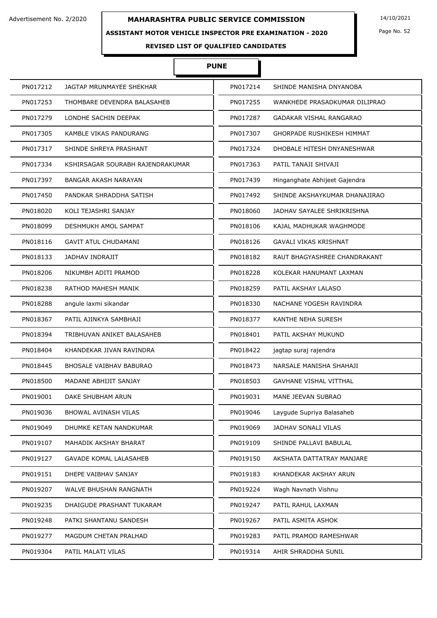## **ASSISTANT MOTOR VEHICLE INSPECTOR PRE EXAMINATION - 2020**

Page No. 52

# **REVISED LIST OF QUALIFIED CANDIDATES**

# **PUNE**

| PN017212 | JAGTAP MRUNMAYEE SHEKHAR         | PN017214 | SHINDE MANISHA DNYANOBA          |
|----------|----------------------------------|----------|----------------------------------|
| PN017253 | THOMBARE DEVENDRA BALASAHEB      | PN017255 | WANKHEDE PRASADKUMAR DILIPRAO    |
| PN017279 | LONDHE SACHIN DEEPAK             | PN017287 | GADAKAR VISHAL RANGARAO          |
| PN017305 | KAMBLE VIKAS PANDURANG           | PN017307 | <b>GHORPADE RUSHIKESH HIMMAT</b> |
| PN017317 | SHINDE SHREYA PRASHANT           | PN017324 | DHOBALE HITESH DNYANESHWAR       |
| PN017334 | KSHIRSAGAR SOURABH RAJENDRAKUMAR | PN017363 | PATIL TANAJI SHIVAJI             |
| PN017397 | <b>BANGAR AKASH NARAYAN</b>      | PN017439 | Hinganghate Abhijeet Gajendra    |
| PN017450 | PANDKAR SHRADDHA SATISH          | PN017492 | SHINDE AKSHAYKUMAR DHANAJIRAO    |
| PN018020 | KOLI TEJASHRI SANJAY             | PN018060 | JADHAV SAYALEE SHRIKRISHNA       |
| PN018099 | DESHMUKH AMOL SAMPAT             | PN018106 | KAJAL MADHUKAR WAGHMODE          |
| PN018116 | <b>GAVIT ATUL CHUDAMANI</b>      | PN018126 | <b>GAVALI VIKAS KRISHNAT</b>     |
| PN018133 | JADHAV INDRAJIT                  | PN018182 | RAUT BHAGYASHREE CHANDRAKANT     |
| PN018206 | NIKUMBH ADITI PRAMOD             | PN018228 | KOLEKAR HANUMANT LAXMAN          |
| PN018238 | RATHOD MAHESH MANIK              | PN018259 | PATIL AKSHAY LALASO              |
| PN018288 | angule laxmi sikandar            | PN018330 | NACHANE YOGESH RAVINDRA          |
| PN018367 | PATIL AJINKYA SAMBHAJI           | PN018377 | KANTHE NEHA SURESH               |
| PN018394 | TRIBHUVAN ANIKET BALASAHEB       | PN018401 | PATIL AKSHAY MUKUND              |
| PN018404 | KHANDEKAR JIVAN RAVINDRA         | PN018422 | jagtap suraj rajendra            |
| PN018445 | <b>BHOSALE VAIBHAV BABURAO</b>   | PN018473 | NARSALE MANISHA SHAHAJI          |
| PN018500 | MADANE ABHIJIT SANJAY            | PN018503 | <b>GAVHANE VISHAL VITTHAL</b>    |
| PN019001 | DAKE SHUBHAM ARUN                | PN019031 | MANE JEEVAN SUBRAO               |
| PN019036 | BHOWAL AVINASH VILAS             | PN019046 | Laygude Supriya Balasaheb        |
| PN019049 | DHUMKE KETAN NANDKUMAR           | PN019069 | JADHAV SONALI VILAS              |
| PN019107 | MAHADIK AKSHAY BHARAT            | PN019109 | SHINDE PALLAVI BABULAL           |
| PN019127 | <b>GAVADE KOMAL LALASAHEB</b>    | PN019150 | AKSHATA DATTATRAY MANJARE        |
| PN019151 | DHEPE VAIBHAV SANJAY             | PN019183 | KHANDEKAR AKSHAY ARUN            |
| PN019207 | WALVE BHUSHAN RANGNATH           | PN019224 | Wagh Navnath Vishnu              |
| PN019235 | DHAIGUDE PRASHANT TUKARAM        | PN019247 | PATIL RAHUL LAXMAN               |
| PN019248 | PATKI SHANTANU SANDESH           | PN019267 | PATIL ASMITA ASHOK               |
| PN019277 | MAGDUM CHETAN PRALHAD            | PN019283 | PATIL PRAMOD RAMESHWAR           |
| PN019304 | PATIL MALATI VILAS               | PN019314 | AHIR SHRADDHA SUNIL              |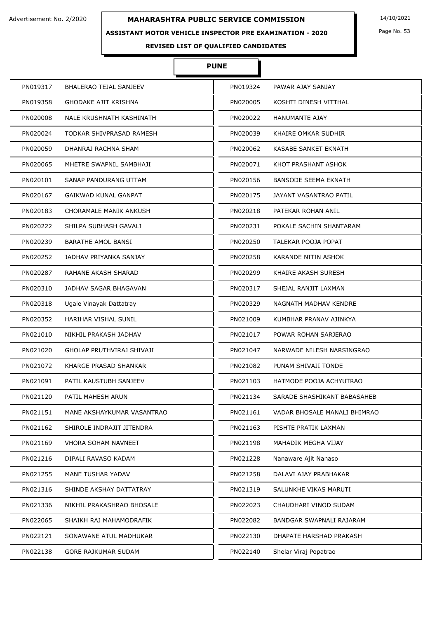## **ASSISTANT MOTOR VEHICLE INSPECTOR PRE EXAMINATION - 2020**

Page No. 53

**REVISED LIST OF QUALIFIED CANDIDATES** 

# **PUNE**

| PN019317 | <b>BHALERAO TEJAL SANJEEV</b> | PN019324 | PAWAR AJAY SANJAY            |
|----------|-------------------------------|----------|------------------------------|
| PN019358 | GHODAKE AJIT KRISHNA          | PN020005 | KOSHTI DINESH VITTHAL        |
| PN020008 | NALE KRUSHNATH KASHINATH      | PN020022 | HANUMANTE AJAY               |
| PN020024 | TODKAR SHIVPRASAD RAMESH      | PN020039 | KHAIRE OMKAR SUDHIR          |
| PN020059 | DHANRAJ RACHNA SHAM           | PN020062 | <b>KASABE SANKET EKNATH</b>  |
| PN020065 | MHETRE SWAPNIL SAMBHAJI       | PN020071 | KHOT PRASHANT ASHOK          |
| PN020101 | SANAP PANDURANG UTTAM         | PN020156 | <b>BANSODE SEEMA EKNATH</b>  |
| PN020167 | <b>GAIKWAD KUNAL GANPAT</b>   | PN020175 | JAYANT VASANTRAO PATIL       |
| PN020183 | CHORAMALE MANIK ANKUSH        | PN020218 | PATEKAR ROHAN ANIL           |
| PN020222 | SHILPA SUBHASH GAVALI         | PN020231 | POKALE SACHIN SHANTARAM      |
| PN020239 | <b>BARATHE AMOL BANSI</b>     | PN020250 | TALEKAR POOJA POPAT          |
| PN020252 | JADHAV PRIYANKA SANJAY        | PN020258 | KARANDE NITIN ASHOK          |
| PN020287 | RAHANE AKASH SHARAD           | PN020299 | KHAIRE AKASH SURESH          |
| PN020310 | JADHAV SAGAR BHAGAVAN         | PN020317 | SHEJAL RANJIT LAXMAN         |
| PN020318 | Ugale Vinayak Dattatray       | PN020329 | NAGNATH MADHAV KENDRE        |
| PN020352 | HARIHAR VISHAL SUNIL          | PN021009 | KUMBHAR PRANAV AJINKYA       |
| PN021010 | NIKHIL PRAKASH JADHAV         | PN021017 | POWAR ROHAN SARJERAO         |
| PN021020 | GHOLAP PRUTHVIRAJ SHIVAJI     | PN021047 | NARWADE NILESH NARSINGRAO    |
| PN021072 | KHARGE PRASAD SHANKAR         | PN021082 | PUNAM SHIVAJI TONDE          |
| PN021091 | PATIL KAUSTUBH SANJEEV        | PN021103 | HATMODE POOJA ACHYUTRAO      |
| PN021120 | PATIL MAHESH ARUN             | PN021134 | SARADE SHASHIKANT BABASAHEB  |
| PN021151 | MANE AKSHAYKUMAR VASANTRAO    | PN021161 | VADAR BHOSALE MANALI BHIMRAO |
| PN021162 | SHIROLE INDRAJIT JITENDRA     | PN021163 | PISHTE PRATIK LAXMAN         |
| PN021169 | <b>VHORA SOHAM NAVNEET</b>    | PN021198 | MAHADIK MEGHA VIJAY          |
| PN021216 | DIPALI RAVASO KADAM           | PN021228 | Nanaware Ajit Nanaso         |
| PN021255 | MANE TUSHAR YADAV             | PN021258 | DALAVI AJAY PRABHAKAR        |
| PN021316 | SHINDE AKSHAY DATTATRAY       | PN021319 | SALUNKHE VIKAS MARUTI        |
| PN021336 | NIKHIL PRAKASHRAO BHOSALE     | PN022023 | CHAUDHARI VINOD SUDAM        |
| PN022065 | SHAIKH RAJ MAHAMODRAFIK       | PN022082 | BANDGAR SWAPNALI RAJARAM     |
| PN022121 | SONAWANE ATUL MADHUKAR        | PN022130 | DHAPATE HARSHAD PRAKASH      |
| PN022138 | <b>GORE RAJKUMAR SUDAM</b>    | PN022140 | Shelar Viraj Popatrao        |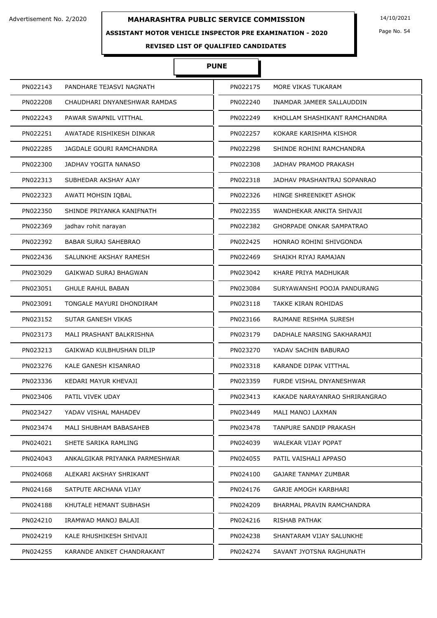## **ASSISTANT MOTOR VEHICLE INSPECTOR PRE EXAMINATION - 2020**

Page No. 54

**REVISED LIST OF QUALIFIED CANDIDATES** 

# **PUNE**

| PN022143 | PANDHARE TEJASVI NAGNATH       | PN022175 | MORE VIKAS TUKARAM              |
|----------|--------------------------------|----------|---------------------------------|
| PN022208 | CHAUDHARI DNYANESHWAR RAMDAS   | PN022240 | INAMDAR JAMEER SALLAUDDIN       |
| PN022243 | PAWAR SWAPNIL VITTHAL          | PN022249 | KHOLLAM SHASHIKANT RAMCHANDRA   |
| PN022251 | AWATADE RISHIKESH DINKAR       | PN022257 | KOKARE KARISHMA KISHOR          |
| PN022285 | JAGDALE GOURI RAMCHANDRA       | PN022298 | SHINDE ROHINI RAMCHANDRA        |
| PN022300 | JADHAV YOGITA NANASO           | PN022308 | JADHAV PRAMOD PRAKASH           |
| PN022313 | SUBHEDAR AKSHAY AJAY           | PN022318 | JADHAV PRASHANTRAJ SOPANRAO     |
| PN022323 | AWATI MOHSIN IQBAL             | PN022326 | HINGE SHREENIKET ASHOK          |
| PN022350 | SHINDE PRIYANKA KANIFNATH      | PN022355 | WANDHEKAR ANKITA SHIVAJI        |
| PN022369 | jadhav rohit narayan           | PN022382 | <b>GHORPADE ONKAR SAMPATRAO</b> |
| PN022392 | <b>BABAR SURAJ SAHEBRAO</b>    | PN022425 | HONRAO ROHINI SHIVGONDA         |
| PN022436 | SALUNKHE AKSHAY RAMESH         | PN022469 | SHAIKH RIYAJ RAMAJAN            |
| PN023029 | GAIKWAD SURAJ BHAGWAN          | PN023042 | KHARE PRIYA MADHUKAR            |
| PN023051 | <b>GHULE RAHUL BABAN</b>       | PN023084 | SURYAWANSHI POOJA PANDURANG     |
| PN023091 | TONGALE MAYURI DHONDIRAM       | PN023118 | TAKKE KIRAN ROHIDAS             |
| PN023152 | SUTAR GANESH VIKAS             | PN023166 | RAJMANE RESHMA SURESH           |
| PN023173 | MALI PRASHANT BALKRISHNA       | PN023179 | DADHALE NARSING SAKHARAMJI      |
| PN023213 | GAIKWAD KULBHUSHAN DILIP       | PN023270 | YADAV SACHIN BABURAO            |
| PN023276 | KALE GANESH KISANRAO           | PN023318 | KARANDE DIPAK VITTHAL           |
| PN023336 | KEDARI MAYUR KHEVAJI           | PN023359 | FURDE VISHAL DNYANESHWAR        |
| PN023406 | PATIL VIVEK UDAY               | PN023413 | KAKADE NARAYANRAO SHRIRANGRAO   |
| PN023427 | YADAV VISHAL MAHADEV           | PN023449 | MALI MANOJ LAXMAN               |
| PN023474 | MALI SHUBHAM BABASAHEB         | PN023478 | TANPURE SANDIP PRAKASH          |
| PN024021 | SHETE SARIKA RAMLING           | PN024039 | WALEKAR VIJAY POPAT             |
| PN024043 | ANKALGIKAR PRIYANKA PARMESHWAR | PN024055 | PATIL VAISHALI APPASO           |
| PN024068 | ALEKARI AKSHAY SHRIKANT        | PN024100 | <b>GAJARE TANMAY ZUMBAR</b>     |
| PN024168 | SATPUTE ARCHANA VIJAY          | PN024176 | GARJE AMOGH KARBHARI            |
| PN024188 | KHUTALE HEMANT SUBHASH         | PN024209 | BHARMAL PRAVIN RAMCHANDRA       |
| PN024210 | IRAMWAD MANOJ BALAJI           | PN024216 | RISHAB PATHAK                   |
| PN024219 | KALE RHUSHIKESH SHIVAJI        | PN024238 | SHANTARAM VIJAY SALUNKHE        |
| PN024255 | KARANDE ANIKET CHANDRAKANT     | PN024274 | SAVANT JYOTSNA RAGHUNATH        |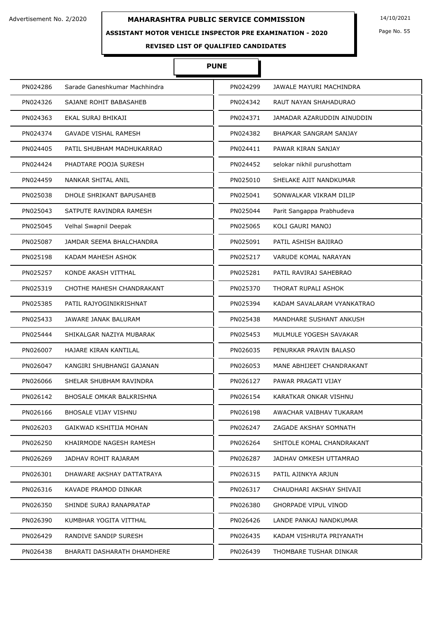#### **ASSISTANT MOTOR VEHICLE INSPECTOR PRE EXAMINATION - 2020**

Page No. 55

**REVISED LIST OF QUALIFIED CANDIDATES** 

# **PUNE**

| PN024286 | Sarade Ganeshkumar Machhindra | PN024299 | JAWALE MAYURI MACHINDRA     |
|----------|-------------------------------|----------|-----------------------------|
| PN024326 | SAJANE ROHIT BABASAHEB        | PN024342 | RAUT NAYAN SHAHADURAO       |
| PN024363 | EKAL SURAJ BHIKAJI            | PN024371 | JAMADAR AZARUDDIN AINUDDIN  |
| PN024374 | <b>GAVADE VISHAL RAMESH</b>   | PN024382 | BHAPKAR SANGRAM SANJAY      |
| PN024405 | PATIL SHUBHAM MADHUKARRAO     | PN024411 | PAWAR KIRAN SANJAY          |
| PN024424 | PHADTARE POOJA SURESH         | PN024452 | selokar nikhil purushottam  |
| PN024459 | NANKAR SHITAL ANIL            | PN025010 | SHELAKE AJIT NANDKUMAR      |
| PN025038 | DHOLE SHRIKANT BAPUSAHEB      | PN025041 | SONWALKAR VIKRAM DILIP      |
| PN025043 | SATPUTE RAVINDRA RAMESH       | PN025044 | Parit Sangappa Prabhudeva   |
| PN025045 | Velhal Swapnil Deepak         | PN025065 | KOLI GAURI MANOJ            |
| PN025087 | JAMDAR SEEMA BHALCHANDRA      | PN025091 | PATIL ASHISH BAJIRAO        |
| PN025198 | KADAM MAHESH ASHOK            | PN025217 | VARUDE KOMAL NARAYAN        |
| PN025257 | KONDE AKASH VITTHAL           | PN025281 | PATIL RAVIRAJ SAHEBRAO      |
| PN025319 | CHOTHE MAHESH CHANDRAKANT     | PN025370 | THORAT RUPALI ASHOK         |
| PN025385 | PATIL RAJYOGINIKRISHNAT       | PN025394 | KADAM SAVALARAM VYANKATRAO  |
| PN025433 | JAWARE JANAK BALURAM          | PN025438 | MANDHARE SUSHANT ANKUSH     |
| PN025444 | SHIKALGAR NAZIYA MUBARAK      | PN025453 | MULMULE YOGESH SAVAKAR      |
| PN026007 | HAJARE KIRAN KANTILAL         | PN026035 | PENURKAR PRAVIN BALASO      |
| PN026047 | KANGIRI SHUBHANGI GAJANAN     | PN026053 | MANE ABHIJEET CHANDRAKANT   |
| PN026066 | SHELAR SHUBHAM RAVINDRA       | PN026127 | PAWAR PRAGATI VIJAY         |
| PN026142 | BHOSALE OMKAR BALKRISHNA      | PN026154 | KARATKAR ONKAR VISHNU       |
| PN026166 | BHOSALE VIJAY VISHNU          | PN026198 | AWACHAR VAIBHAV TUKARAM     |
| PN026203 | GAIKWAD KSHITIJA MOHAN        | PN026247 | ZAGADE AKSHAY SOMNATH       |
| PN026250 | KHAIRMODE NAGESH RAMESH       | PN026264 | SHITOLE KOMAL CHANDRAKANT   |
| PN026269 | JADHAV ROHIT RAJARAM          | PN026287 | JADHAV OMKESH UTTAMRAO      |
| PN026301 | DHAWARE AKSHAY DATTATRAYA     | PN026315 | PATIL AJINKYA ARJUN         |
| PN026316 | KAVADE PRAMOD DINKAR          | PN026317 | CHAUDHARI AKSHAY SHIVAJI    |
| PN026350 | SHINDE SURAJ RANAPRATAP       | PN026380 | <b>GHORPADE VIPUL VINOD</b> |
| PN026390 | KUMBHAR YOGITA VITTHAL        | PN026426 | LANDE PANKAJ NANDKUMAR      |
| PN026429 | RANDIVE SANDIP SURESH         | PN026435 | KADAM VISHRUTA PRIYANATH    |
| PN026438 | BHARATI DASHARATH DHAMDHERE   | PN026439 | THOMBARE TUSHAR DINKAR      |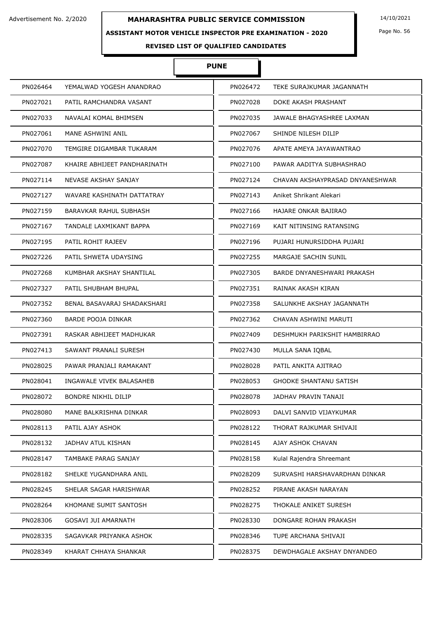## **ASSISTANT MOTOR VEHICLE INSPECTOR PRE EXAMINATION - 2020**

# **PUNE**

I

| PN026464 | YEMALWAD YOGESH ANANDRAO      | PN026472 | TEKE SURAJKUMAR JAGANNATH       |
|----------|-------------------------------|----------|---------------------------------|
| PN027021 | PATIL RAMCHANDRA VASANT       | PN027028 | DOKE AKASH PRASHANT             |
| PN027033 | NAVALAI KOMAL BHIMSEN         | PN027035 | JAWALE BHAGYASHREE LAXMAN       |
| PN027061 | MANE ASHWINI ANIL             | PN027067 | SHINDE NILESH DILIP             |
| PN027070 | TEMGIRE DIGAMBAR TUKARAM      | PN027076 | APATE AMEYA JAYAWANTRAO         |
| PN027087 | KHAIRE ABHIJEET PANDHARINATH  | PN027100 | PAWAR AADITYA SUBHASHRAO        |
| PN027114 | NEVASE AKSHAY SANJAY          | PN027124 | CHAVAN AKSHAYPRASAD DNYANESHWAR |
| PN027127 | WAVARE KASHINATH DATTATRAY    | PN027143 | Aniket Shrikant Alekari         |
| PN027159 | <b>BARAVKAR RAHUL SUBHASH</b> | PN027166 | HAJARE ONKAR BAJIRAO            |
| PN027167 | TANDALE LAXMIKANT BAPPA       | PN027169 | KAIT NITINSING RATANSING        |
| PN027195 | PATIL ROHIT RAJEEV            | PN027196 | PUJARI HUNURSIDDHA PUJARI       |
| PN027226 | PATIL SHWETA UDAYSING         | PN027255 | MARGAJE SACHIN SUNIL            |
| PN027268 | KUMBHAR AKSHAY SHANTILAL      | PN027305 | BARDE DNYANESHWARI PRAKASH      |
| PN027327 | PATIL SHUBHAM BHUPAL          | PN027351 | RAINAK AKASH KIRAN              |
| PN027352 | BENAL BASAVARAJ SHADAKSHARI   | PN027358 | SALUNKHE AKSHAY JAGANNATH       |
| PN027360 | BARDE POOJA DINKAR            | PN027362 | CHAVAN ASHWINI MARUTI           |
| PN027391 | RASKAR ABHIJEET MADHUKAR      | PN027409 | DESHMUKH PARIKSHIT HAMBIRRAO    |
| PN027413 | SAWANT PRANALI SURESH         | PN027430 | MULLA SANA IQBAL                |
| PN028025 | PAWAR PRANJALI RAMAKANT       | PN028028 | PATIL ANKITA AJITRAO            |
| PN028041 | INGAWALE VIVEK BALASAHEB      | PN028053 | <b>GHODKE SHANTANU SATISH</b>   |
| PN028072 | <b>BONDRE NIKHIL DILIP</b>    | PN028078 | JADHAV PRAVIN TANAJI            |
| PN028080 | MANE BALKRISHNA DINKAR        | PN028093 | DALVI SANVID VIJAYKUMAR         |
| PN028113 | PATIL AJAY ASHOK              | PN028122 | THORAT RAJKUMAR SHIVAJI         |
| PN028132 | JADHAV ATUL KISHAN            | PN028145 | AJAY ASHOK CHAVAN               |
| PN028147 | TAMBAKE PARAG SANJAY          | PN028158 | Kulal Rajendra Shreemant        |
| PN028182 | SHELKE YUGANDHARA ANIL        | PN028209 | SURVASHI HARSHAVARDHAN DINKAR   |
| PN028245 | SHELAR SAGAR HARISHWAR        | PN028252 | PIRANE AKASH NARAYAN            |
| PN028264 | KHOMANE SUMIT SANTOSH         | PN028275 | THOKALE ANIKET SURESH           |
| PN028306 | <b>GOSAVI JUI AMARNATH</b>    | PN028330 | DONGARE ROHAN PRAKASH           |
| PN028335 | SAGAVKAR PRIYANKA ASHOK       | PN028346 | TUPE ARCHANA SHIVAJI            |
| PN028349 | KHARAT CHHAYA SHANKAR         | PN028375 | DEWDHAGALE AKSHAY DNYANDEO      |

Page No. 56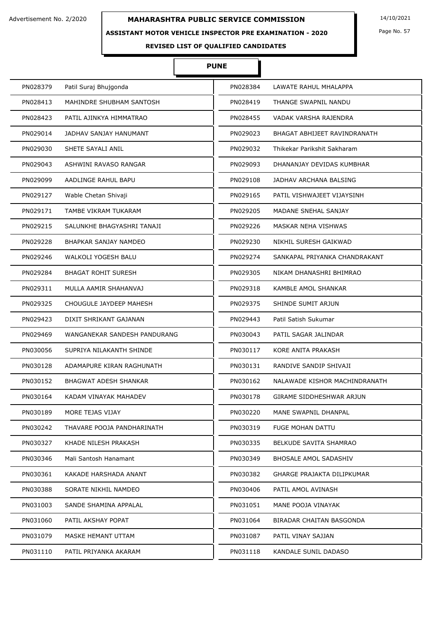## **ASSISTANT MOTOR VEHICLE INSPECTOR PRE EXAMINATION - 2020**

Page No. 57

**REVISED LIST OF QUALIFIED CANDIDATES** 

# **PUNE**

| PN028379 | Patil Suraj Bhujgonda        | PN028384 | LAWATE RAHUL MHALAPPA         |
|----------|------------------------------|----------|-------------------------------|
| PN028413 | MAHINDRE SHUBHAM SANTOSH     | PN028419 | THANGE SWAPNIL NANDU          |
| PN028423 | PATIL AJINKYA HIMMATRAO      | PN028455 | VADAK VARSHA RAJENDRA         |
| PN029014 | JADHAV SANJAY HANUMANT       | PN029023 | BHAGAT ABHIJEET RAVINDRANATH  |
| PN029030 | SHETE SAYALI ANIL            | PN029032 | Thikekar Parikshit Sakharam   |
| PN029043 | ASHWINI RAVASO RANGAR        | PN029093 | DHANANJAY DEVIDAS KUMBHAR     |
| PN029099 | AADLINGE RAHUL BAPU          | PN029108 | JADHAV ARCHANA BALSING        |
| PN029127 | Wable Chetan Shivaji         | PN029165 | PATIL VISHWAJEET VIJAYSINH    |
| PN029171 | TAMBE VIKRAM TUKARAM         | PN029205 | <b>MADANE SNEHAL SANJAY</b>   |
| PN029215 | SALUNKHE BHAGYASHRI TANAJI   | PN029226 | MASKAR NEHA VISHWAS           |
| PN029228 | BHAPKAR SANJAY NAMDEO        | PN029230 | NIKHIL SURESH GAIKWAD         |
| PN029246 | WALKOLI YOGESH BALU          | PN029274 | SANKAPAL PRIYANKA CHANDRAKANT |
| PN029284 | <b>BHAGAT ROHIT SURESH</b>   | PN029305 | NIKAM DHANASHRI BHIMRAO       |
| PN029311 | MULLA AAMIR SHAHANVAJ        | PN029318 | KAMBLE AMOL SHANKAR           |
| PN029325 | CHOUGULE JAYDEEP MAHESH      | PN029375 | SHINDE SUMIT ARJUN            |
| PN029423 | DIXIT SHRIKANT GAJANAN       | PN029443 | Patil Satish Sukumar          |
| PN029469 | WANGANEKAR SANDESH PANDURANG | PN030043 | PATIL SAGAR JALINDAR          |
| PN030056 | SUPRIYA NILAKANTH SHINDE     | PN030117 | KORE ANITA PRAKASH            |
| PN030128 | ADAMAPURE KIRAN RAGHUNATH    | PN030131 | RANDIVE SANDIP SHIVAJI        |
| PN030152 | <b>BHAGWAT ADESH SHANKAR</b> | PN030162 | NALAWADE KISHOR MACHINDRANATH |
| PN030164 | KADAM VINAYAK MAHADEV        | PN030178 | GIRAME SIDDHESHWAR ARJUN      |
| PN030189 | MORE TEJAS VIJAY             | PN030220 | MANE SWAPNIL DHANPAL          |
| PN030242 | THAVARE POOJA PANDHARINATH   | PN030319 | <b>FUGE MOHAN DATTU</b>       |
| PN030327 | KHADE NILESH PRAKASH         | PN030335 | <b>BELKUDE SAVITA SHAMRAO</b> |
| PN030346 | Mali Santosh Hanamant        | PN030349 | BHOSALE AMOL SADASHIV         |
| PN030361 | KAKADE HARSHADA ANANT        | PN030382 | GHARGE PRAJAKTA DILIPKUMAR    |
| PN030388 | SORATE NIKHIL NAMDEO         | PN030406 | PATIL AMOL AVINASH            |
| PN031003 | SANDE SHAMINA APPALAL        | PN031051 | MANE POOJA VINAYAK            |
| PN031060 | PATIL AKSHAY POPAT           | PN031064 | BIRADAR CHAITAN BASGONDA      |
| PN031079 | MASKE HEMANT UTTAM           | PN031087 | PATIL VINAY SAJJAN            |
| PN031110 | PATIL PRIYANKA AKARAM        | PN031118 | KANDALE SUNIL DADASO          |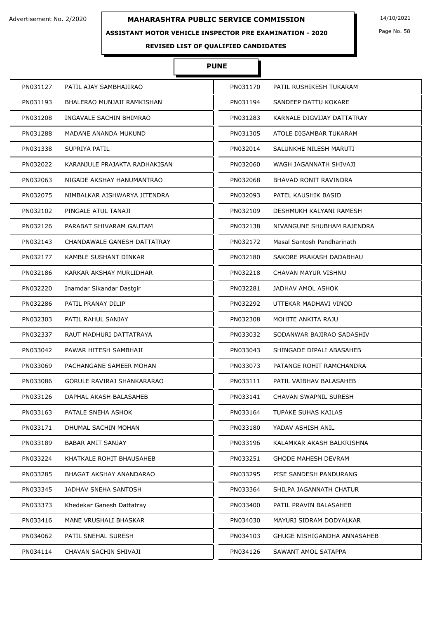## **ASSISTANT MOTOR VEHICLE INSPECTOR PRE EXAMINATION - 2020**

Page No. 58

# **REVISED LIST OF QUALIFIED CANDIDATES**

# **PUNE**

| PN031127 | PATIL AJAY SAMBHAJIRAO        | PN031170 | PATIL RUSHIKESH TUKARAM     |
|----------|-------------------------------|----------|-----------------------------|
| PN031193 | BHALERAO MUNJAJI RAMKISHAN    | PN031194 | SANDEEP DATTU KOKARE        |
| PN031208 | INGAVALE SACHIN BHIMRAO       | PN031283 | KARNALE DIGVIJAY DATTATRAY  |
| PN031288 | MADANE ANANDA MUKUND          | PN031305 | ATOLE DIGAMBAR TUKARAM      |
| PN031338 | <b>SUPRIYA PATIL</b>          | PN032014 | SALUNKHE NILESH MARUTI      |
| PN032022 | KARANJULE PRAJAKTA RADHAKISAN | PN032060 | WAGH JAGANNATH SHIVAJI      |
| PN032063 | NIGADE AKSHAY HANUMANTRAO     | PN032068 | BHAVAD RONIT RAVINDRA       |
| PN032075 | NIMBALKAR AISHWARYA JITENDRA  | PN032093 | PATEL KAUSHIK BASID         |
| PN032102 | PINGALE ATUL TANAJI           | PN032109 | DESHMUKH KALYANI RAMESH     |
| PN032126 | PARABAT SHIVARAM GAUTAM       | PN032138 | NIVANGUNE SHUBHAM RAJENDRA  |
| PN032143 | CHANDAWALE GANESH DATTATRAY   | PN032172 | Masal Santosh Pandharinath  |
| PN032177 | KAMBLE SUSHANT DINKAR         | PN032180 | SAKORE PRAKASH DADABHAU     |
| PN032186 | KARKAR AKSHAY MURLIDHAR       | PN032218 | CHAVAN MAYUR VISHNU         |
| PN032220 | Inamdar Sikandar Dastgir      | PN032281 | JADHAV AMOL ASHOK           |
| PN032286 | PATIL PRANAY DILIP            | PN032292 | UTTEKAR MADHAVI VINOD       |
| PN032303 | PATIL RAHUL SANJAY            | PN032308 | MOHITE ANKITA RAJU          |
| PN032337 | RAUT MADHURI DATTATRAYA       | PN033032 | SODANWAR BAJIRAO SADASHIV   |
| PN033042 | PAWAR HITESH SAMBHAJI         | PN033043 | SHINGADE DIPALI ABASAHEB    |
| PN033069 | PACHANGANE SAMEER MOHAN       | PN033073 | PATANGE ROHIT RAMCHANDRA    |
| PN033086 | GORULE RAVIRAJ SHANKARARAO    | PN033111 | PATIL VAIBHAV BALASAHEB     |
| PN033126 | DAPHAL AKASH BALASAHEB        | PN033141 | CHAVAN SWAPNIL SURESH       |
| PN033163 | PATALE SNEHA ASHOK            | PN033164 | TUPAKE SUHAS KAILAS         |
| PN033171 | DHUMAL SACHIN MOHAN           | PN033180 | YADAV ASHISH ANIL           |
| PN033189 | BABAR AMIT SANJAY             | PN033196 | KALAMKAR AKASH BALKRISHNA   |
| PN033224 | KHATKALE ROHIT BHAUSAHEB      | PN033251 | <b>GHODE MAHESH DEVRAM</b>  |
| PN033285 | BHAGAT AKSHAY ANANDARAO       | PN033295 | PISE SANDESH PANDURANG      |
| PN033345 | JADHAV SNEHA SANTOSH          | PN033364 | SHILPA JAGANNATH CHATUR     |
| PN033373 | Khedekar Ganesh Dattatray     | PN033400 | PATIL PRAVIN BALASAHEB      |
| PN033416 | MANE VRUSHALI BHASKAR         | PN034030 | MAYURI SIDRAM DODYALKAR     |
| PN034062 | PATIL SNEHAL SURESH           | PN034103 | GHUGE NISHIGANDHA ANNASAHEB |
| PN034114 | CHAVAN SACHIN SHIVAJI         | PN034126 | SAWANT AMOL SATAPPA         |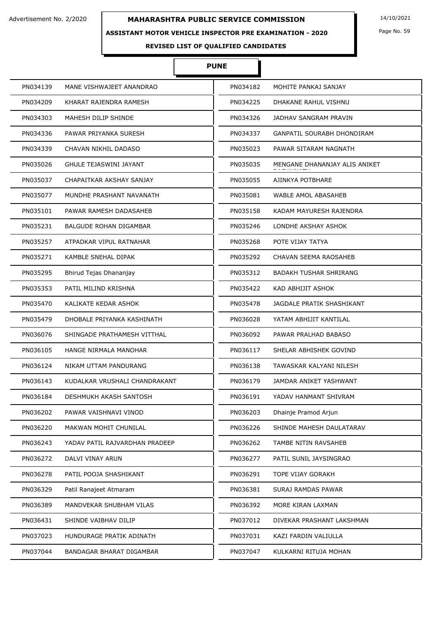## **ASSISTANT MOTOR VEHICLE INSPECTOR PRE EXAMINATION - 2020**

Page No. 59

**REVISED LIST OF QUALIFIED CANDIDATES** 

# **PUNE**

| PN034139 | MANE VISHWAJEET ANANDRAO       | PN034182 | MOHITE PANKAJ SANJAY          |
|----------|--------------------------------|----------|-------------------------------|
| PN034209 | KHARAT RAJENDRA RAMESH         | PN034225 | DHAKANE RAHUL VISHNU          |
| PN034303 | MAHESH DILIP SHINDE            | PN034326 | JADHAV SANGRAM PRAVIN         |
| PN034336 | PAWAR PRIYANKA SURESH          | PN034337 | GANPATIL SOURABH DHONDIRAM    |
| PN034339 | CHAVAN NIKHIL DADASO           | PN035023 | PAWAR SITARAM NAGNATH         |
| PN035026 | <b>GHULE TEJASWINI JAYANT</b>  | PN035035 | MENGANE DHANANJAY ALIS ANIKET |
| PN035037 | CHAPAITKAR AKSHAY SANJAY       | PN035055 | AJINKYA POTBHARE              |
| PN035077 | MUNDHE PRASHANT NAVANATH       | PN035081 | WABLE AMOL ABASAHEB           |
| PN035101 | PAWAR RAMESH DADASAHEB         | PN035158 | KADAM MAYURESH RAJENDRA       |
| PN035231 | <b>BALGUDE ROHAN DIGAMBAR</b>  | PN035246 | LONDHE AKSHAY ASHOK           |
| PN035257 | ATPADKAR VIPUL RATNAHAR        | PN035268 | POTE VIJAY TATYA              |
| PN035271 | KAMBLE SNEHAL DIPAK            | PN035292 | CHAVAN SEEMA RAOSAHEB         |
| PN035295 | Bhirud Tejas Dhananjay         | PN035312 | <b>BADAKH TUSHAR SHRIRANG</b> |
| PN035353 | PATIL MILIND KRISHNA           | PN035422 | KAD ABHIJIT ASHOK             |
| PN035470 | KALIKATE KEDAR ASHOK           | PN035478 | JAGDALE PRATIK SHASHIKANT     |
| PN035479 | DHOBALE PRIYANKA KASHINATH     | PN036028 | YATAM ABHIJIT KANTILAL        |
| PN036076 | SHINGADE PRATHAMESH VITTHAL    | PN036092 | PAWAR PRALHAD BABASO          |
| PN036105 | HANGE NIRMALA MANOHAR          | PN036117 | SHELAR ABHISHEK GOVIND        |
| PN036124 | NIKAM UTTAM PANDURANG          | PN036138 | TAWASKAR KALYANI NILESH       |
| PN036143 | KUDALKAR VRUSHALI CHANDRAKANT  | PN036179 | JAMDAR ANIKET YASHWANT        |
| PN036184 | <b>DESHMUKH AKASH SANTOSH</b>  | PN036191 | YADAV HANMANT SHIVRAM         |
| PN036202 | PAWAR VAISHNAVI VINOD          | PN036203 | Dhainje Pramod Arjun          |
| PN036220 | MAKWAN MOHIT CHUNILAL          | PN036226 | SHINDE MAHESH DAULATARAV      |
| PN036243 | YADAV PATIL RAJVARDHAN PRADEEP | PN036262 | TAMBE NITIN RAVSAHEB          |
| PN036272 | DALVI VINAY ARUN               | PN036277 | PATIL SUNIL JAYSINGRAO        |
| PN036278 | PATIL POOJA SHASHIKANT         | PN036291 | TOPE VIJAY GORAKH             |
| PN036329 | Patil Ranajeet Atmaram         | PN036381 | SURAJ RAMDAS PAWAR            |
| PN036389 | MANDVEKAR SHUBHAM VILAS        | PN036392 | MORE KIRAN LAXMAN             |
| PN036431 | SHINDE VAIBHAV DILIP           | PN037012 | DIVEKAR PRASHANT LAKSHMAN     |
| PN037023 | HUNDURAGE PRATIK ADINATH       | PN037031 | KAZI FARDIN VALIULLA          |
| PN037044 | BANDAGAR BHARAT DIGAMBAR       | PN037047 | KULKARNI RITUJA MOHAN         |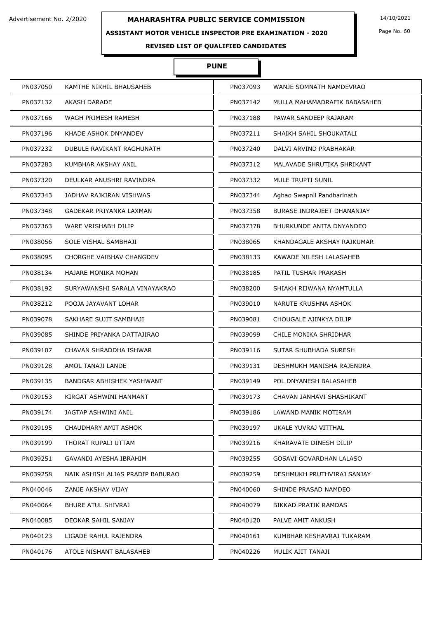## **ASSISTANT MOTOR VEHICLE INSPECTOR PRE EXAMINATION - 2020**

Page No. 60

**REVISED LIST OF QUALIFIED CANDIDATES** 

# **PUNE**

| PN037050 | KAMTHE NIKHIL BHAUSAHEB          | PN037093 | WANJE SOMNATH NAMDEVRAO      |
|----------|----------------------------------|----------|------------------------------|
| PN037132 | AKASH DARADE                     | PN037142 | MULLA MAHAMADRAFIK BABASAHEB |
| PN037166 | WAGH PRIMESH RAMESH              | PN037188 | PAWAR SANDEEP RAJARAM        |
| PN037196 | KHADE ASHOK DNYANDEV             | PN037211 | SHAIKH SAHIL SHOUKATALI      |
| PN037232 | DUBULE RAVIKANT RAGHUNATH        | PN037240 | DALVI ARVIND PRABHAKAR       |
| PN037283 | KUMBHAR AKSHAY ANIL              | PN037312 | MALAVADE SHRUTIKA SHRIKANT   |
| PN037320 | DEULKAR ANUSHRI RAVINDRA         | PN037332 | MULE TRUPTI SUNIL            |
| PN037343 | JADHAV RAJKIRAN VISHWAS          | PN037344 | Aghao Swapnil Pandharinath   |
| PN037348 | GADEKAR PRIYANKA LAXMAN          | PN037358 | BURASE INDRAJEET DHANANJAY   |
| PN037363 | WARE VRISHABH DILIP              | PN037378 | BHURKUNDE ANITA DNYANDEO     |
| PN038056 | SOLE VISHAL SAMBHAJI             | PN038065 | KHANDAGALE AKSHAY RAJKUMAR   |
| PN038095 | CHORGHE VAIBHAV CHANGDEV         | PN038133 | KAWADE NILESH LALASAHEB      |
| PN038134 | <b>HAJARE MONIKA MOHAN</b>       | PN038185 | PATIL TUSHAR PRAKASH         |
| PN038192 | SURYAWANSHI SARALA VINAYAKRAO    | PN038200 | SHIAKH RIJWANA NYAMTULLA     |
| PN038212 | POOJA JAYAVANT LOHAR             | PN039010 | NARUTE KRUSHNA ASHOK         |
| PN039078 | SAKHARE SUJIT SAMBHAJI           | PN039081 | CHOUGALE AJINKYA DILIP       |
| PN039085 | SHINDE PRIYANKA DATTAJIRAO       | PN039099 | CHILE MONIKA SHRIDHAR        |
| PN039107 | CHAVAN SHRADDHA ISHWAR           | PN039116 | SUTAR SHUBHADA SURESH        |
| PN039128 | AMOL TANAJI LANDE                | PN039131 | DESHMUKH MANISHA RAJENDRA    |
| PN039135 | BANDGAR ABHISHEK YASHWANT        | PN039149 | POL DNYANESH BALASAHEB       |
| PN039153 | KIRGAT ASHWINI HANMANT           | PN039173 | CHAVAN JANHAVI SHASHIKANT    |
| PN039174 | JAGTAP ASHWINI ANIL              | PN039186 | LAWAND MANIK MOTIRAM         |
| PN039195 | CHAUDHARY AMIT ASHOK             | PN039197 | UKALE YUVRAJ VITTHAL         |
| PN039199 | THORAT RUPALI UTTAM              | PN039216 | KHARAVATE DINESH DILIP       |
| PN039251 | GAVANDI AYESHA IBRAHIM           | PN039255 | GOSAVI GOVARDHAN LALASO      |
| PN039258 | NAIK ASHISH ALIAS PRADIP BABURAO | PN039259 | DESHMUKH PRUTHVIRAJ SANJAY   |
| PN040046 | ZANJE AKSHAY VIJAY               | PN040060 | SHINDE PRASAD NAMDEO         |
| PN040064 | <b>BHURE ATUL SHIVRAJ</b>        | PN040079 | <b>BIKKAD PRATIK RAMDAS</b>  |
| PN040085 | DEOKAR SAHIL SANJAY              | PN040120 | PALVE AMIT ANKUSH            |
| PN040123 | LIGADE RAHUL RAJENDRA            | PN040161 | KUMBHAR KESHAVRAJ TUKARAM    |
| PN040176 | ATOLE NISHANT BALASAHEB          | PN040226 | MULIK AJIT TANAJI            |
|          |                                  |          |                              |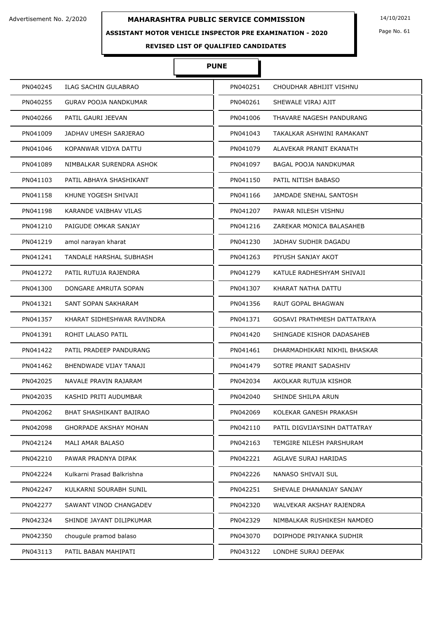#### **ASSISTANT MOTOR VEHICLE INSPECTOR PRE EXAMINATION - 2020**

Ì

Page No. 61

|          |                              | <b>PUNE</b> |                              |
|----------|------------------------------|-------------|------------------------------|
| PN040245 | ILAG SACHIN GULABRAO         | PN040251    | CHOUDHAR ABHIJIT VISHNU      |
| PN040255 | <b>GURAV POOJA NANDKUMAR</b> | PN040261    | SHEWALE VIRAJ AJIT           |
| PN040266 | PATIL GAURI JEEVAN           | PN041006    | THAVARE NAGESH PANDURANG     |
| PN041009 | JADHAV UMESH SARJERAO        | PN041043    | TAKALKAR ASHWINI RAMAKANT    |
| PN041046 | KOPANWAR VIDYA DATTU         | PN041079    | ALAVEKAR PRANIT EKANATH      |
| PN041089 | NIMBALKAR SURENDRA ASHOK     | PN041097    | BAGAL POOJA NANDKUMAR        |
| PN041103 | PATIL ABHAYA SHASHIKANT      | PN041150    | PATIL NITISH BABASO          |
| PN041158 | KHUNE YOGESH SHIVAJI         | PN041166    | JAMDADE SNEHAL SANTOSH       |
| PN041198 | KARANDE VAIBHAV VILAS        | PN041207    | PAWAR NILESH VISHNU          |
| PN041210 | PAIGUDE OMKAR SANJAY         | PN041216    | ZAREKAR MONICA BALASAHEB     |
| PN041219 | amol narayan kharat          | PN041230    | JADHAV SUDHIR DAGADU         |
| PN041241 | TANDALE HARSHAL SUBHASH      | PN041263    | PIYUSH SANJAY AKOT           |
| PN041272 | PATIL RUTUJA RAJENDRA        | PN041279    | KATULE RADHESHYAM SHIVAJI    |
| PN041300 | DONGARE AMRUTA SOPAN         | PN041307    | KHARAT NATHA DATTU           |
| PN041321 | SANT SOPAN SAKHARAM          | PN041356    | RAUT GOPAL BHAGWAN           |
| PN041357 | KHARAT SIDHESHWAR RAVINDRA   | PN041371    | GOSAVI PRATHMESH DATTATRAYA  |
| PN041391 | ROHIT LALASO PATIL           | PN041420    | SHINGADE KISHOR DADASAHEB    |
| PN041422 | PATIL PRADEEP PANDURANG      | PN041461    | DHARMADHIKARI NIKHIL BHASKAR |
| PN041462 | BHENDWADE VIJAY TANAJI       | PN041479    | SOTRE PRANIT SADASHIV        |
| PN042025 | NAVALE PRAVIN RAJARAM        | PN042034    | AKOLKAR RUTUJA KISHOR        |
| PN042035 | KASHID PRITI AUDUMBAR        | PN042040    | SHINDE SHILPA ARUN           |
| PN042062 | BHAT SHASHIKANT BAJIRAO      | PN042069    | KOLEKAR GANESH PRAKASH       |
| PN042098 | <b>GHORPADE AKSHAY MOHAN</b> | PN042110    | PATIL DIGVIJAYSINH DATTATRAY |
| PN042124 | <b>MALI AMAR BALASO</b>      | PN042163    | TEMGIRE NILESH PARSHURAM     |
| PN042210 | PAWAR PRADNYA DIPAK          | PN042221    | <b>AGLAVE SURAJ HARIDAS</b>  |
| PN042224 | Kulkarni Prasad Balkrishna   | PN042226    | NANASO SHIVAJI SUL           |
| PN042247 | KULKARNI SOURABH SUNIL       | PN042251    | SHEVALE DHANANJAY SANJAY     |
| PN042277 | SAWANT VINOD CHANGADEV       | PN042320    | WALVEKAR AKSHAY RAJENDRA     |
| PN042324 | SHINDE JAYANT DILIPKUMAR     | PN042329    | NIMBALKAR RUSHIKESH NAMDEO   |
| PN042350 | chougule pramod balaso       | PN043070    | DOIPHODE PRIYANKA SUDHIR     |
| PN043113 | PATIL BABAN MAHIPATI         | PN043122    | LONDHE SURAJ DEEPAK          |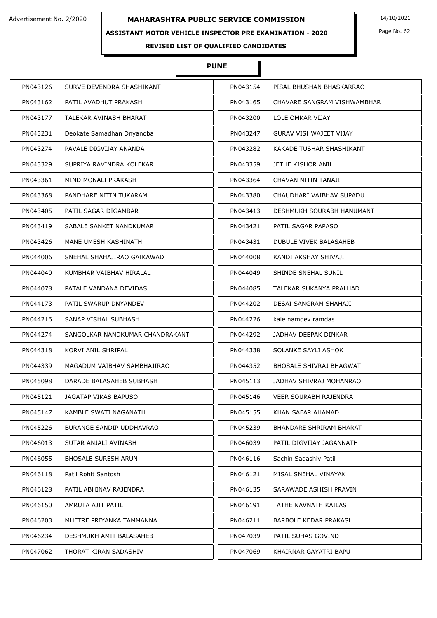#### **ASSISTANT MOTOR VEHICLE INSPECTOR PRE EXAMINATION - 2020**

Ъ

 $\overline{\phantom{a}}$ 

Page No. 62

|          |                                 | <b>PUNE</b> |          |                               |
|----------|---------------------------------|-------------|----------|-------------------------------|
| PN043126 | SURVE DEVENDRA SHASHIKANT       |             | PN043154 | PISAL BHUSHAN BHASKARRAO      |
| PN043162 | PATIL AVADHUT PRAKASH           |             | PN043165 | CHAVARE SANGRAM VISHWAMBHAR   |
| PN043177 | TALEKAR AVINASH BHARAT          |             | PN043200 | LOLE OMKAR VIJAY              |
| PN043231 | Deokate Samadhan Dnyanoba       |             | PN043247 | <b>GURAV VISHWAJEET VIJAY</b> |
| PN043274 | PAVALE DIGVIJAY ANANDA          |             | PN043282 | KAKADE TUSHAR SHASHIKANT      |
| PN043329 | SUPRIYA RAVINDRA KOLEKAR        |             | PN043359 | JETHE KISHOR ANIL             |
| PN043361 | MIND MONALI PRAKASH             |             | PN043364 | CHAVAN NITIN TANAJI           |
| PN043368 | PANDHARE NITIN TUKARAM          |             | PN043380 | CHAUDHARI VAIBHAV SUPADU      |
| PN043405 | PATIL SAGAR DIGAMBAR            |             | PN043413 | DESHMUKH SOURABH HANUMANT     |
| PN043419 | SABALE SANKET NANDKUMAR         |             | PN043421 | PATIL SAGAR PAPASO            |
| PN043426 | MANE UMESH KASHINATH            |             | PN043431 | <b>DUBULE VIVEK BALASAHEB</b> |
| PN044006 | SNEHAL SHAHAJIRAO GAIKAWAD      |             | PN044008 | KANDI AKSHAY SHIVAJI          |
| PN044040 | KUMBHAR VAIBHAV HIRALAL         |             | PN044049 | SHINDE SNEHAL SUNIL           |
| PN044078 | PATALE VANDANA DEVIDAS          |             | PN044085 | TALEKAR SUKANYA PRALHAD       |
| PN044173 | PATIL SWARUP DNYANDEV           |             | PN044202 | DESAI SANGRAM SHAHAJI         |
| PN044216 | SANAP VISHAL SUBHASH            |             | PN044226 | kale namdev ramdas            |
| PN044274 | SANGOLKAR NANDKUMAR CHANDRAKANT |             | PN044292 | JADHAV DEEPAK DINKAR          |
| PN044318 | KORVI ANIL SHRIPAL              |             | PN044338 | SOLANKE SAYLI ASHOK           |
| PN044339 | MAGADUM VAIBHAV SAMBHAJIRAO     |             | PN044352 | BHOSALE SHIVRAJ BHAGWAT       |
| PN045098 | DARADE BALASAHEB SUBHASH        |             | PN045113 | JADHAV SHIVRAJ MOHANRAO       |
| PN045121 | JAGATAP VIKAS BAPUSO            |             | PN045146 | <b>VEER SOURABH RAJENDRA</b>  |
| PN045147 | KAMBLE SWATI NAGANATH           |             | PN045155 | KHAN SAFAR AHAMAD             |
| PN045226 | BURANGE SANDIP UDDHAVRAO        |             | PN045239 | BHANDARE SHRIRAM BHARAT       |
| PN046013 | SUTAR ANJALI AVINASH            |             | PN046039 | PATIL DIGVIJAY JAGANNATH      |
| PN046055 | BHOSALE SURESH ARUN             |             | PN046116 | Sachin Sadashiv Patil         |
| PN046118 | Patil Rohit Santosh             |             | PN046121 | MISAL SNEHAL VINAYAK          |
| PN046128 | PATIL ABHINAV RAJENDRA          |             | PN046135 | SARAWADE ASHISH PRAVIN        |
| PN046150 | AMRUTA AJIT PATIL               |             | PN046191 | TATHE NAVNATH KAILAS          |
| PN046203 | MHETRE PRIYANKA TAMMANNA        |             | PN046211 | BARBOLE KEDAR PRAKASH         |
| PN046234 | DESHMUKH AMIT BALASAHEB         |             | PN047039 | PATIL SUHAS GOVIND            |
| PN047062 | THORAT KIRAN SADASHIV           |             | PN047069 | KHAIRNAR GAYATRI BAPU         |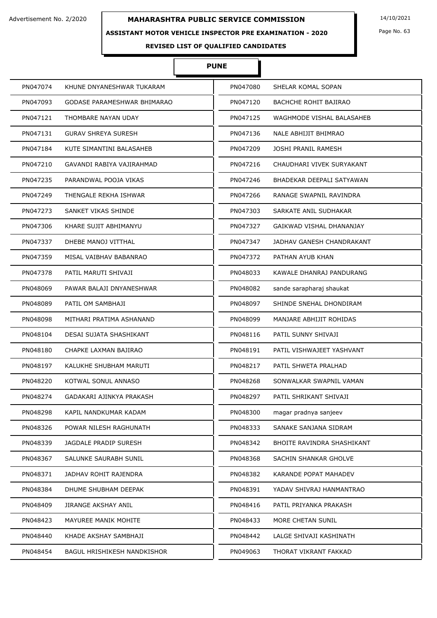#### **ASSISTANT MOTOR VEHICLE INSPECTOR PRE EXAMINATION - 2020**

I

Page No. 63

# **REVISED LIST OF QUALIFIED CANDIDATES**

# **PUNE**

| PN047074 | KHUNE DNYANESHWAR TUKARAM          | PN047080 | SHELAR KOMAL SOPAN         |
|----------|------------------------------------|----------|----------------------------|
| PN047093 | GODASE PARAMESHWAR BHIMARAO        | PN047120 | BACHCHE ROHIT BAJIRAO      |
| PN047121 | THOMBARE NAYAN UDAY                | PN047125 | WAGHMODE VISHAL BALASAHEB  |
| PN047131 | <b>GURAV SHREYA SURESH</b>         | PN047136 | NALE ABHIJIT BHIMRAO       |
| PN047184 | KUTE SIMANTINI BALASAHEB           | PN047209 | <b>JOSHI PRANIL RAMESH</b> |
| PN047210 | GAVANDI RABIYA VAJIRAHMAD          | PN047216 | CHAUDHARI VIVEK SURYAKANT  |
| PN047235 | PARANDWAL POOJA VIKAS              | PN047246 | BHADEKAR DEEPALI SATYAWAN  |
| PN047249 | THENGALE REKHA ISHWAR              | PN047266 | RANAGE SWAPNIL RAVINDRA    |
| PN047273 | SANKET VIKAS SHINDE                | PN047303 | SARKATE ANIL SUDHAKAR      |
| PN047306 | KHARE SUJIT ABHIMANYU              | PN047327 | GAIKWAD VISHAL DHANANJAY   |
| PN047337 | DHEBE MANOJ VITTHAL                | PN047347 | JADHAV GANESH CHANDRAKANT  |
| PN047359 | MISAL VAIBHAV BABANRAO             | PN047372 | PATHAN AYUB KHAN           |
| PN047378 | PATIL MARUTI SHIVAJI               | PN048033 | KAWALE DHANRAJ PANDURANG   |
| PN048069 | PAWAR BALAJI DNYANESHWAR           | PN048082 | sande sarapharaj shaukat   |
| PN048089 | PATIL OM SAMBHAJI                  | PN048097 | SHINDE SNEHAL DHONDIRAM    |
| PN048098 | MITHARI PRATIMA ASHANAND           | PN048099 | MANJARE ABHIJIT ROHIDAS    |
| PN048104 | DESAI SUJATA SHASHIKANT            | PN048116 | PATIL SUNNY SHIVAJI        |
| PN048180 | CHAPKE LAXMAN BAJIRAO              | PN048191 | PATIL VISHWAJEET YASHVANT  |
| PN048197 | KALUKHE SHUBHAM MARUTI             | PN048217 | PATIL SHWETA PRALHAD       |
| PN048220 | KOTWAL SONUL ANNASO                | PN048268 | SONWALKAR SWAPNIL VAMAN    |
| PN048274 | GADAKARI AJINKYA PRAKASH           | PN048297 | PATIL SHRIKANT SHIVAJI     |
| PN048298 | KAPIL NANDKUMAR KADAM              | PN048300 | magar pradnya sanjeev      |
| PN048326 | POWAR NILESH RAGHUNATH             | PN048333 | SANAKE SANJANA SIDRAM      |
| PN048339 | JAGDALE PRADIP SURESH              | PN048342 | BHOITE RAVINDRA SHASHIKANT |
| PN048367 | SALUNKE SAURABH SUNIL              | PN048368 | SACHIN SHANKAR GHOLVE      |
| PN048371 | JADHAV ROHIT RAJENDRA              | PN048382 | KARANDE POPAT MAHADEV      |
| PN048384 | DHUME SHUBHAM DEEPAK               | PN048391 | YADAV SHIVRAJ HANMANTRAO   |
| PN048409 | JIRANGE AKSHAY ANIL                | PN048416 | PATIL PRIYANKA PRAKASH     |
| PN048423 | MAYUREE MANIK MOHITE               | PN048433 | MORE CHETAN SUNIL          |
| PN048440 | KHADE AKSHAY SAMBHAJI              | PN048442 | LALGE SHIVAJI KASHINATH    |
| PN048454 | <b>BAGUL HRISHIKESH NANDKISHOR</b> | PN049063 | THORAT VIKRANT FAKKAD      |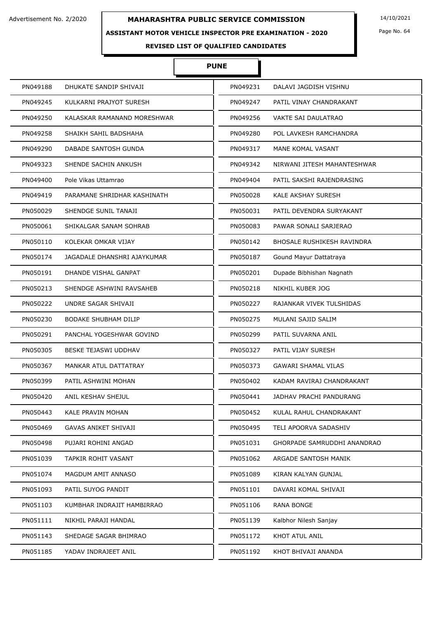#### **ASSISTANT MOTOR VEHICLE INSPECTOR PRE EXAMINATION - 2020**

Page No. 64

# **REVISED LIST OF QUALIFIED CANDIDATES**

# **PUNE**

| PN049188 | DHUKATE SANDIP SHIVAJI      | PN049231 | DALAVI JAGDISH VISHNU        |
|----------|-----------------------------|----------|------------------------------|
| PN049245 | KULKARNI PRAJYOT SURESH     | PN049247 | PATIL VINAY CHANDRAKANT      |
| PN049250 | KALASKAR RAMANAND MORESHWAR | PN049256 | <b>VAKTE SAI DAULATRAO</b>   |
| PN049258 | SHAIKH SAHIL BADSHAHA       | PN049280 | POL LAVKESH RAMCHANDRA       |
| PN049290 | DABADE SANTOSH GUNDA        | PN049317 | MANE KOMAL VASANT            |
| PN049323 | SHENDE SACHIN ANKUSH        | PN049342 | NIRWANI JITESH MAHANTESHWAR  |
| PN049400 | Pole Vikas Uttamrao         | PN049404 | PATIL SAKSHI RAJENDRASING    |
| PN049419 | PARAMANE SHRIDHAR KASHINATH | PN050028 | <b>KALE AKSHAY SURESH</b>    |
| PN050029 | SHENDGE SUNIL TANAJI        | PN050031 | PATIL DEVENDRA SURYAKANT     |
| PN050061 | SHIKALGAR SANAM SOHRAB      | PN050083 | PAWAR SONALI SARJERAO        |
| PN050110 | KOLEKAR OMKAR VIJAY         | PN050142 | BHOSALE RUSHIKESH RAVINDRA   |
| PN050174 | JAGADALE DHANSHRI AJAYKUMAR | PN050187 | Gound Mayur Dattatraya       |
| PN050191 | DHANDE VISHAL GANPAT        | PN050201 | Dupade Bibhishan Nagnath     |
| PN050213 | SHENDGE ASHWINI RAVSAHEB    | PN050218 | NIKHIL KUBER JOG             |
| PN050222 | UNDRE SAGAR SHIVAJI         | PN050227 | RAJANKAR VIVEK TULSHIDAS     |
| PN050230 | <b>BODAKE SHUBHAM DILIP</b> | PN050275 | MULANI SAJID SALIM           |
| PN050291 | PANCHAL YOGESHWAR GOVIND    | PN050299 | PATIL SUVARNA ANIL           |
| PN050305 | BESKE TEJASWI UDDHAV        | PN050327 | PATIL VIJAY SURESH           |
| PN050367 | MANKAR ATUL DATTATRAY       | PN050373 | <b>GAWARI SHAMAL VILAS</b>   |
| PN050399 | PATIL ASHWINI MOHAN         | PN050402 | KADAM RAVIRAJ CHANDRAKANT    |
| PN050420 | ANIL KESHAV SHEJUL          | PN050441 | JADHAV PRACHI PANDURANG      |
| PN050443 | KALE PRAVIN MOHAN           | PN050452 | KULAL RAHUL CHANDRAKANT      |
| PN050469 | <b>GAVAS ANIKET SHIVAJI</b> | PN050495 | <b>TELI APOORVA SADASHIV</b> |
| PN050498 | PUJARI ROHINI ANGAD         | PN051031 | GHORPADE SAMRUDDHI ANANDRAO  |
| PN051039 | TAPKIR ROHIT VASANT         | PN051062 | ARGADE SANTOSH MANIK         |
| PN051074 | MAGDUM AMIT ANNASO          | PN051089 | KIRAN KALYAN GUNJAL          |
| PN051093 | PATIL SUYOG PANDIT          | PN051101 | DAVARI KOMAL SHIVAJI         |
| PN051103 | KUMBHAR INDRAJIT HAMBIRRAO  | PN051106 | <b>RANA BONGE</b>            |
| PN051111 | NIKHIL PARAJI HANDAL        | PN051139 | Kalbhor Nilesh Sanjay        |
| PN051143 | SHEDAGE SAGAR BHIMRAO       | PN051172 | KHOT ATUL ANIL               |
| PN051185 | YADAV INDRAJEET ANIL        | PN051192 | KHOT BHIVAJI ANANDA          |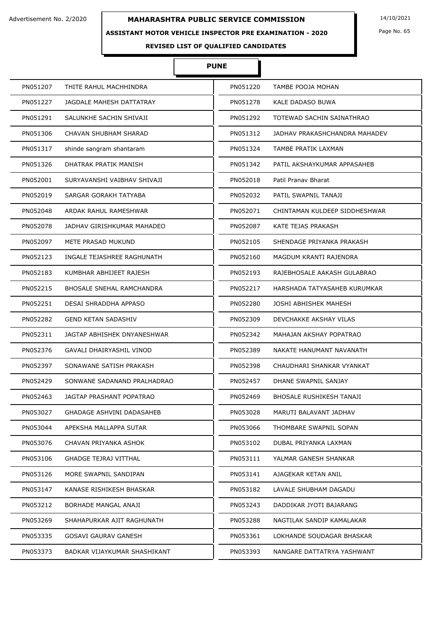## **ASSISTANT MOTOR VEHICLE INSPECTOR PRE EXAMINATION - 2020**

Page No. 65

# **REVISED LIST OF QUALIFIED CANDIDATES**

# **PUNE**

| PN051207 | THITE RAHUL MACHHINDRA           | PN051220 | TAMBE POOJA MOHAN               |
|----------|----------------------------------|----------|---------------------------------|
| PN051227 | JAGDALE MAHESH DATTATRAY         | PN051278 | KALE DADASO BUWA                |
| PN051291 | SALUNKHE SACHIN SHIVAJI          | PN051292 | TOTEWAD SACHIN SAINATHRAO       |
| PN051306 | CHAVAN SHUBHAM SHARAD            | PN051312 | JADHAV PRAKASHCHANDRA MAHADEV   |
| PN051317 | shinde sangram shantaram         | PN051324 | TAMBE PRATIK LAXMAN             |
| PN051326 | DHATRAK PRATIK MANISH            | PN051342 | PATIL AKSHAYKUMAR APPASAHEB     |
| PN052001 | SURYAVANSHI VAIBHAV SHIVAJI      | PN052018 | Patil Pranav Bharat             |
| PN052019 | SARGAR GORAKH TATYABA            | PN052032 | PATIL SWAPNIL TANAJI            |
| PN052048 | ARDAK RAHUL RAMESHWAR            | PN052071 | CHINTAMAN KULDEEP SIDDHESHWAR   |
| PN052078 | JADHAV GIRISHKUMAR MAHADEO       | PN052087 | KATE TEJAS PRAKASH              |
| PN052097 | METE PRASAD MUKUND               | PN052105 | SHENDAGE PRIYANKA PRAKASH       |
| PN052123 | INGALE TEJASHREE RAGHUNATH       | PN052160 | MAGDUM KRANTI RAJENDRA          |
| PN052183 | KUMBHAR ABHIJEET RAJESH          | PN052193 | RAJEBHOSALE AAKASH GULABRAO     |
| PN052215 | <b>BHOSALE SNEHAL RAMCHANDRA</b> | PN052217 | HARSHADA TATYASAHEB KURUMKAR    |
| PN052251 | DESAI SHRADDHA APPASO            | PN052280 | JOSHI ABHISHEK MAHESH           |
| PN052282 | <b>GEND KETAN SADASHIV</b>       | PN052309 | DEVCHAKKE AKSHAY VILAS          |
| PN052311 | JAGTAP ABHISHEK DNYANESHWAR      | PN052342 | MAHAJAN AKSHAY POPATRAO         |
| PN052376 | GAVALI DHAIRYASHIL VINOD         | PN052389 | NAKATE HANUMANT NAVANATH        |
| PN052397 | SONAWANE SATISH PRAKASH          | PN052398 | CHAUDHARI SHANKAR VYANKAT       |
| PN052429 | SONWANE SADANAND PRALHADRAO      | PN052457 | DHANE SWAPNIL SANJAY            |
| PN052463 | JAGTAP PRASHANT POPATRAO         | PN052469 | <b>BHOSALE RUSHIKESH TANAJI</b> |
| PN053027 | GHADAGE ASHVINI DADASAHEB        | PN053028 | MARUTI BALAVANT JADHAV          |
| PN053044 | APEKSHA MALLAPPA SUTAR           | PN053066 | THOMBARE SWAPNIL SOPAN          |
| PN053076 | CHAVAN PRIYANKA ASHOK            | PN053102 | DUBAL PRIYANKA LAXMAN           |
| PN053106 | GHADGE TEJRAJ VITTHAL            | PN053111 | YALMAR GANESH SHANKAR           |
| PN053126 | MORE SWAPNIL SANDIPAN            | PN053141 | AJAGEKAR KETAN ANIL             |
| PN053147 | KANASE RISHIKESH BHASKAR         | PN053182 | LAVALE SHUBHAM DAGADU           |
| PN053212 | BORHADE MANGAL ANAJI             | PN053243 | DADDIKAR JYOTI BAJARANG         |
| PN053269 | SHAHAPURKAR AJIT RAGHUNATH       | PN053288 | NAGTILAK SANDIP KAMALAKAR       |
| PN053335 | GOSAVI GAURAV GANESH             | PN053361 | LOKHANDE SOUDAGAR BHASKAR       |
| PN053373 | BADKAR VIJAYKUMAR SHASHIKANT     | PN053393 | NANGARE DATTATRYA YASHWANT      |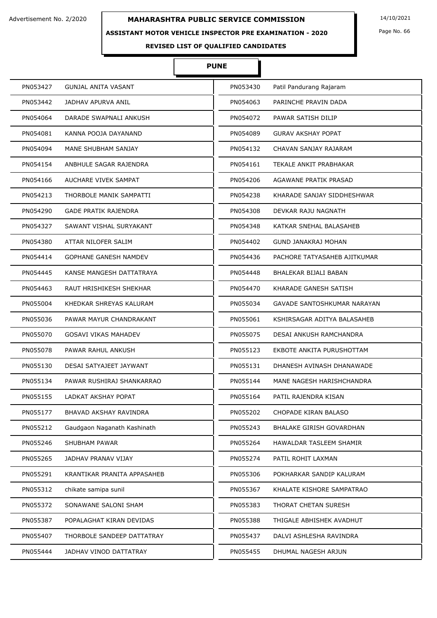#### **ASSISTANT MOTOR VEHICLE INSPECTOR PRE EXAMINATION - 2020**

Page No. 66

# **REVISED LIST OF QUALIFIED CANDIDATES**

# **PUNE**

| PN053427 | <b>GUNJAL ANITA VASANT</b>   | PN053430 | Patil Pandurang Rajaram         |
|----------|------------------------------|----------|---------------------------------|
| PN053442 | JADHAV APURVA ANIL           | PN054063 | PARINCHE PRAVIN DADA            |
| PN054064 | DARADE SWAPNALI ANKUSH       | PN054072 | PAWAR SATISH DILIP              |
| PN054081 | KANNA POOJA DAYANAND         | PN054089 | <b>GURAV AKSHAY POPAT</b>       |
| PN054094 | MANE SHUBHAM SANJAY          | PN054132 | CHAVAN SANJAY RAJARAM           |
| PN054154 | ANBHULE SAGAR RAJENDRA       | PN054161 | TEKALE ANKIT PRABHAKAR          |
| PN054166 | AUCHARE VIVEK SAMPAT         | PN054206 | AGAWANE PRATIK PRASAD           |
| PN054213 | THORBOLE MANIK SAMPATTI      | PN054238 | KHARADE SANJAY SIDDHESHWAR      |
| PN054290 | <b>GADE PRATIK RAJENDRA</b>  | PN054308 | DEVKAR RAJU NAGNATH             |
| PN054327 | SAWANT VISHAL SURYAKANT      | PN054348 | KATKAR SNEHAL BALASAHEB         |
| PN054380 | ATTAR NILOFER SALIM          | PN054402 | <b>GUND JANAKRAJ MOHAN</b>      |
| PN054414 | <b>GOPHANE GANESH NAMDEV</b> | PN054436 | PACHORE TATYASAHEB AJITKUMAR    |
| PN054445 | KANSE MANGESH DATTATRAYA     | PN054448 | BHALEKAR BIJALI BABAN           |
| PN054463 | RAUT HRISHIKESH SHEKHAR      | PN054470 | KHARADE GANESH SATISH           |
| PN055004 | KHEDKAR SHREYAS KALURAM      | PN055034 | GAVADE SANTOSHKUMAR NARAYAN     |
| PN055036 | PAWAR MAYUR CHANDRAKANT      | PN055061 | KSHIRSAGAR ADITYA BALASAHEB     |
| PN055070 | <b>GOSAVI VIKAS MAHADEV</b>  | PN055075 | DESAI ANKUSH RAMCHANDRA         |
| PN055078 | PAWAR RAHUL ANKUSH           | PN055123 | EKBOTE ANKITA PURUSHOTTAM       |
| PN055130 | DESAI SATYAJEET JAYWANT      | PN055131 | DHANESH AVINASH DHANAWADE       |
| PN055134 | PAWAR RUSHIRAJ SHANKARRAO    | PN055144 | MANE NAGESH HARISHCHANDRA       |
| PN055155 | LADKAT AKSHAY POPAT          | PN055164 | PATIL RAJENDRA KISAN            |
| PN055177 | BHAVAD AKSHAY RAVINDRA       | PN055202 | CHOPADE KIRAN BALASO            |
| PN055212 | Gaudgaon Naganath Kashinath  | PN055243 | <b>BHALAKE GIRISH GOVARDHAN</b> |
| PN055246 | <b>SHUBHAM PAWAR</b>         | PN055264 | HAWALDAR TASLEEM SHAMIR         |
| PN055265 | <b>JADHAV PRANAV VIJAY</b>   | PN055274 | PATIL ROHIT LAXMAN              |
| PN055291 | KRANTIKAR PRANITA APPASAHEB  | PN055306 | POKHARKAR SANDIP KALURAM        |
| PN055312 | chikate samipa sunil         | PN055367 | KHALATE KISHORE SAMPATRAO       |
| PN055372 | SONAWANE SALONI SHAM         | PN055383 | THORAT CHETAN SURESH            |
| PN055387 | POPALAGHAT KIRAN DEVIDAS     | PN055388 | THIGALE ABHISHEK AVADHUT        |
| PN055407 | THORBOLE SANDEEP DATTATRAY   | PN055437 | DALVI ASHLESHA RAVINDRA         |
| PN055444 | JADHAV VINOD DATTATRAY       | PN055455 | DHUMAL NAGESH ARJUN             |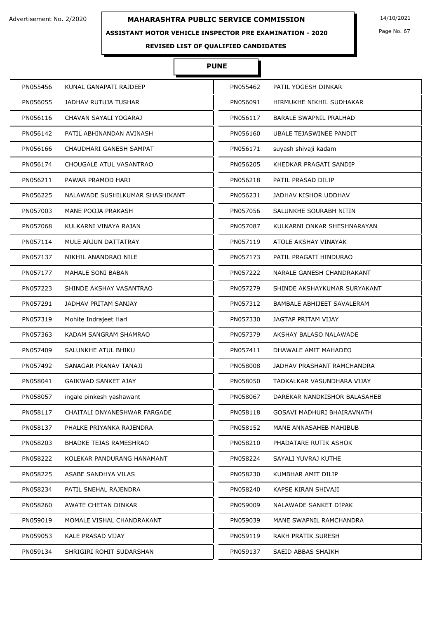## **ASSISTANT MOTOR VEHICLE INSPECTOR PRE EXAMINATION - 2020**

Page No. 67

**REVISED LIST OF QUALIFIED CANDIDATES** 

# **PUNE**

| PN055456 | KUNAL GANAPATI RAJDEEP          | PN055462 | PATIL YOGESH DINKAR           |
|----------|---------------------------------|----------|-------------------------------|
| PN056055 | JADHAV RUTUJA TUSHAR            | PN056091 | HIRMUKHE NIKHIL SUDHAKAR      |
| PN056116 | CHAVAN SAYALI YOGARAJ           | PN056117 | <b>BARALE SWAPNIL PRALHAD</b> |
| PN056142 | PATIL ABHINANDAN AVINASH        | PN056160 | UBALE TEJASWINEE PANDIT       |
| PN056166 | CHAUDHARI GANESH SAMPAT         | PN056171 | suyash shivaji kadam          |
| PN056174 | CHOUGALE ATUL VASANTRAO         | PN056205 | KHEDKAR PRAGATI SANDIP        |
| PN056211 | PAWAR PRAMOD HARI               | PN056218 | PATIL PRASAD DILIP            |
| PN056225 | NALAWADE SUSHILKUMAR SHASHIKANT | PN056231 | JADHAV KISHOR UDDHAV          |
| PN057003 | MANE POOJA PRAKASH              | PN057056 | SALUNKHE SOURABH NITIN        |
| PN057068 | KULKARNI VINAYA RAJAN           | PN057087 | KULKARNI ONKAR SHESHNARAYAN   |
| PN057114 | MULE ARJUN DATTATRAY            | PN057119 | ATOLE AKSHAY VINAYAK          |
| PN057137 | NIKHIL ANANDRAO NILE            | PN057173 | PATIL PRAGATI HINDURAO        |
| PN057177 | MAHALE SONI BABAN               | PN057222 | NARALE GANESH CHANDRAKANT     |
| PN057223 | SHINDE AKSHAY VASANTRAO         | PN057279 | SHINDE AKSHAYKUMAR SURYAKANT  |
| PN057291 | JADHAV PRITAM SANJAY            | PN057312 | BAMBALE ABHIJEET SAVALERAM    |
| PN057319 | Mohite Indrajeet Hari           | PN057330 | JAGTAP PRITAM VIJAY           |
| PN057363 | KADAM SANGRAM SHAMRAO           | PN057379 | AKSHAY BALASO NALAWADE        |
| PN057409 | SALUNKHE ATUL BHIKU             | PN057411 | DHAWALE AMIT MAHADEO          |
| PN057492 | SANAGAR PRANAV TANAJI           | PN058008 | JADHAV PRASHANT RAMCHANDRA    |
| PN058041 | GAIKWAD SANKET AJAY             | PN058050 | TADKALKAR VASUNDHARA VIJAY    |
| PN058057 | ingale pinkesh yashawant        | PN058067 | DAREKAR NANDKISHOR BALASAHEB  |
| PN058117 | CHAITALI DNYANESHWAR FARGADE    | PN058118 | GOSAVI MADHURI BHAIRAVNATH    |
| PN058137 | PHALKE PRIYANKA RAJENDRA        | PN058152 | MANE ANNASAHEB MAHIBUB        |
| PN058203 | BHADKE TEJAS RAMESHRAO          | PN058210 | PHADATARE RUTIK ASHOK         |
| PN058222 | KOLEKAR PANDURANG HANAMANT      | PN058224 | SAYALI YUVRAJ KUTHE           |
| PN058225 | ASABE SANDHYA VILAS             | PN058230 | KUMBHAR AMIT DILIP            |
| PN058234 | PATIL SNEHAL RAJENDRA           | PN058240 | KAPSE KIRAN SHIVAJI           |
| PN058260 | AWATE CHETAN DINKAR             | PN059009 | NALAWADE SANKET DIPAK         |
| PN059019 | MOMALE VISHAL CHANDRAKANT       | PN059039 | MANE SWAPNIL RAMCHANDRA       |
| PN059053 | KALE PRASAD VIJAY               | PN059119 | RAKH PRATIK SURESH            |
| PN059134 | SHRIGIRI ROHIT SUDARSHAN        | PN059137 | SAEID ABBAS SHAIKH            |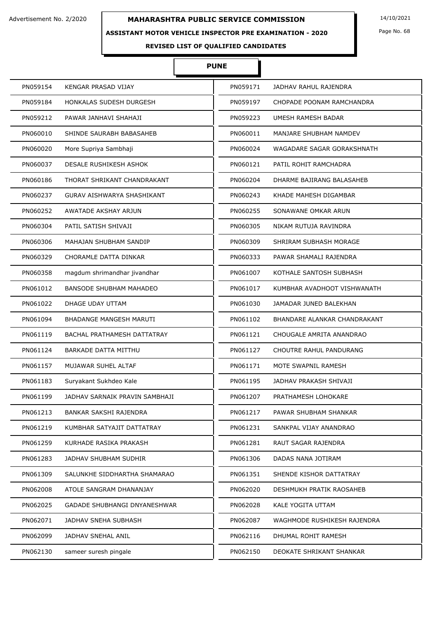#### **ASSISTANT MOTOR VEHICLE INSPECTOR PRE EXAMINATION - 2020**

Page No. 68

# **REVISED LIST OF QUALIFIED CANDIDATES**

# **PUNE**

| PN059154 | KENGAR PRASAD VIJAY                 | PN059171 | JADHAV RAHUL RAJENDRA        |
|----------|-------------------------------------|----------|------------------------------|
| PN059184 | HONKALAS SUDESH DURGESH             | PN059197 | CHOPADE POONAM RAMCHANDRA    |
| PN059212 | PAWAR JANHAVI SHAHAJI               | PN059223 | UMESH RAMESH BADAR           |
| PN060010 | SHINDE SAURABH BABASAHEB            | PN060011 | MANJARE SHUBHAM NAMDEV       |
| PN060020 | More Supriya Sambhaji               | PN060024 | WAGADARE SAGAR GORAKSHNATH   |
| PN060037 | DESALE RUSHIKESH ASHOK              | PN060121 | PATIL ROHIT RAMCHADRA        |
| PN060186 | THORAT SHRIKANT CHANDRAKANT         | PN060204 | DHARME BAJIRANG BALASAHEB    |
| PN060237 | GURAV AISHWARYA SHASHIKANT          | PN060243 | KHADE MAHESH DIGAMBAR        |
| PN060252 | AWATADE AKSHAY ARJUN                | PN060255 | SONAWANE OMKAR ARUN          |
| PN060304 | PATIL SATISH SHIVAJI                | PN060305 | NIKAM RUTUJA RAVINDRA        |
| PN060306 | MAHAJAN SHUBHAM SANDIP              | PN060309 | SHRIRAM SUBHASH MORAGE       |
| PN060329 | CHORAMLE DATTA DINKAR               | PN060333 | PAWAR SHAMALI RAJENDRA       |
| PN060358 | magdum shrimandhar jivandhar        | PN061007 | KOTHALE SANTOSH SUBHASH      |
| PN061012 | <b>BANSODE SHUBHAM MAHADEO</b>      | PN061017 | KUMBHAR AVADHOOT VISHWANATH  |
| PN061022 | DHAGE UDAY UTTAM                    | PN061030 | JAMADAR JUNED BALEKHAN       |
| PN061094 | <b>BHADANGE MANGESH MARUTI</b>      | PN061102 | BHANDARE ALANKAR CHANDRAKANT |
| PN061119 | BACHAL PRATHAMESH DATTATRAY         | PN061121 | CHOUGALE AMRITA ANANDRAO     |
| PN061124 | <b>BARKADE DATTA MITTHU</b>         | PN061127 | CHOUTRE RAHUL PANDURANG      |
| PN061157 | MUJAWAR SUHEL ALTAF                 | PN061171 | MOTE SWAPNIL RAMESH          |
| PN061183 | Suryakant Sukhdeo Kale              | PN061195 | JADHAV PRAKASH SHIVAJI       |
| PN061199 | JADHAV SARNAIK PRAVIN SAMBHAJI      | PN061207 | PRATHAMESH LOHOKARE          |
| PN061213 | BANKAR SAKSHI RAJENDRA              | PN061217 | PAWAR SHUBHAM SHANKAR        |
| PN061219 | KUMBHAR SATYAJIT DATTATRAY          | PN061231 | SANKPAL VIJAY ANANDRAO       |
| PN061259 | KURHADE RASIKA PRAKASH              | PN061281 | RAUT SAGAR RAJENDRA          |
| PN061283 | JADHAV SHUBHAM SUDHIR               | PN061306 | DADAS NANA JOTIRAM           |
| PN061309 | SALUNKHE SIDDHARTHA SHAMARAO        | PN061351 | SHENDE KISHOR DATTATRAY      |
| PN062008 | ATOLE SANGRAM DHANANJAY             | PN062020 | DESHMUKH PRATIK RAOSAHEB     |
| PN062025 | <b>GADADE SHUBHANGI DNYANESHWAR</b> | PN062028 | KALE YOGITA UTTAM            |
| PN062071 | JADHAV SNEHA SUBHASH                | PN062087 | WAGHMODE RUSHIKESH RAJENDRA  |
| PN062099 | JADHAV SNEHAL ANIL                  | PN062116 | DHUMAL ROHIT RAMESH          |
| PN062130 | sameer suresh pingale               | PN062150 | DEOKATE SHRIKANT SHANKAR     |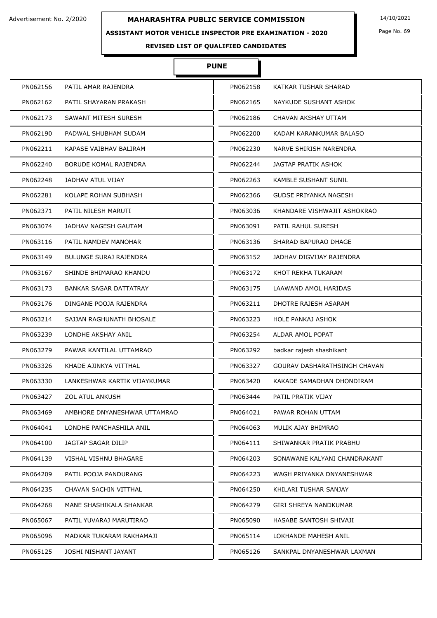## **ASSISTANT MOTOR VEHICLE INSPECTOR PRE EXAMINATION - 2020**

Page No. 69

# **REVISED LIST OF QUALIFIED CANDIDATES**

# **PUNE**

| PN062156 | PATIL AMAR RAJENDRA           | PN062158 | KATKAR TUSHAR SHARAD         |
|----------|-------------------------------|----------|------------------------------|
| PN062162 | PATIL SHAYARAN PRAKASH        | PN062165 | NAYKUDE SUSHANT ASHOK        |
| PN062173 | SAWANT MITESH SURESH          | PN062186 | CHAVAN AKSHAY UTTAM          |
| PN062190 | PADWAL SHUBHAM SUDAM          | PN062200 | KADAM KARANKUMAR BALASO      |
| PN062211 | KAPASE VAIBHAV BALIRAM        | PN062230 | NARVE SHIRISH NARENDRA       |
| PN062240 | <b>BORUDE KOMAL RAJENDRA</b>  | PN062244 | JAGTAP PRATIK ASHOK          |
| PN062248 | JADHAV ATUL VIJAY             | PN062263 | <b>KAMBLE SUSHANT SUNIL</b>  |
| PN062281 | KOLAPE ROHAN SUBHASH          | PN062366 | GUDSE PRIYANKA NAGESH        |
| PN062371 | PATIL NILESH MARUTI           | PN063036 | KHANDARE VISHWAJIT ASHOKRAO  |
| PN063074 | JADHAV NAGESH GAUTAM          | PN063091 | PATIL RAHUL SURESH           |
| PN063116 | PATIL NAMDEV MANOHAR          | PN063136 | SHARAD BAPURAO DHAGE         |
| PN063149 | <b>BULUNGE SURAJ RAJENDRA</b> | PN063152 | JADHAV DIGVIJAY RAJENDRA     |
| PN063167 | SHINDE BHIMARAO KHANDU        | PN063172 | KHOT REKHA TUKARAM           |
| PN063173 | BANKAR SAGAR DATTATRAY        | PN063175 | LAAWAND AMOL HARIDAS         |
| PN063176 | DINGANE POOJA RAJENDRA        | PN063211 | DHOTRE RAJESH ASARAM         |
| PN063214 | SAJJAN RAGHUNATH BHOSALE      | PN063223 | <b>HOLE PANKAJ ASHOK</b>     |
| PN063239 | LONDHE AKSHAY ANIL            | PN063254 | <b>ALDAR AMOL POPAT</b>      |
| PN063279 | PAWAR KANTILAL UTTAMRAO       | PN063292 | badkar rajesh shashikant     |
| PN063326 | KHADE AJINKYA VITTHAL         | PN063327 | GOURAV DASHARATHSINGH CHAVAN |
| PN063330 | LANKESHWAR KARTIK VIJAYKUMAR  | PN063420 | KAKADE SAMADHAN DHONDIRAM    |
| PN063427 | <b>ZOL ATUL ANKUSH</b>        | PN063444 | PATIL PRATIK VIJAY           |
| PN063469 | AMBHORE DNYANESHWAR UTTAMRAO  | PN064021 | PAWAR ROHAN UTTAM            |
| PN064041 | LONDHE PANCHASHILA ANIL       | PN064063 | MULIK AJAY BHIMRAO           |
| PN064100 | JAGTAP SAGAR DILIP            | PN064111 | SHIWANKAR PRATIK PRABHU      |
| PN064139 | VISHAL VISHNU BHAGARE         | PN064203 | SONAWANE KALYANI CHANDRAKANT |
| PN064209 | PATIL POOJA PANDURANG         | PN064223 | WAGH PRIYANKA DNYANESHWAR    |
| PN064235 | CHAVAN SACHIN VITTHAL         | PN064250 | KHILARI TUSHAR SANJAY        |
| PN064268 | MANE SHASHIKALA SHANKAR       | PN064279 | GIRI SHREYA NANDKUMAR        |
| PN065067 | PATIL YUVARAJ MARUTIRAO       | PN065090 | HASABE SANTOSH SHIVAJI       |
| PN065096 | MADKAR TUKARAM RAKHAMAJI      | PN065114 | LOKHANDE MAHESH ANIL         |
| PN065125 | JOSHI NISHANT JAYANT          | PN065126 | SANKPAL DNYANESHWAR LAXMAN   |
|          |                               |          |                              |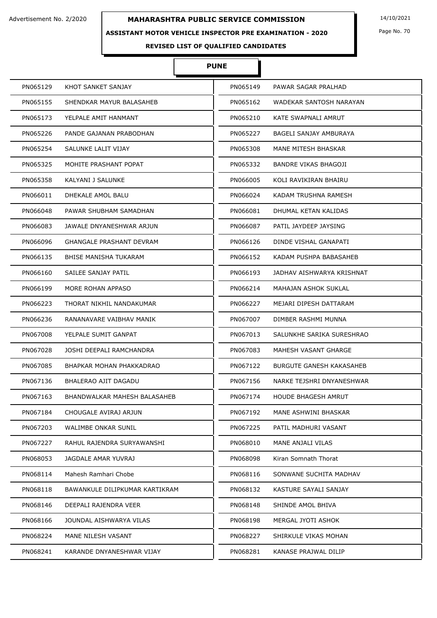## **ASSISTANT MOTOR VEHICLE INSPECTOR PRE EXAMINATION - 2020**

Page No. 70

# **REVISED LIST OF QUALIFIED CANDIDATES**

# **PUNE**

| PN065129 | KHOT SANKET SANJAY              | PN065149 | PAWAR SAGAR PRALHAD         |
|----------|---------------------------------|----------|-----------------------------|
| PN065155 | SHENDKAR MAYUR BALASAHEB        | PN065162 | WADEKAR SANTOSH NARAYAN     |
| PN065173 | YELPALE AMIT HANMANT            | PN065210 | KATE SWAPNALI AMRUT         |
| PN065226 | PANDE GAJANAN PRABODHAN         | PN065227 | BAGELI SANJAY AMBURAYA      |
| PN065254 | SALUNKE LALIT VIJAY             | PN065308 | MANE MITESH BHASKAR         |
| PN065325 | MOHITE PRASHANT POPAT           | PN065332 | <b>BANDRE VIKAS BHAGOJI</b> |
| PN065358 | KALYANI J SALUNKE               | PN066005 | KOLI RAVIKIRAN BHAIRU       |
| PN066011 | DHEKALE AMOL BALU               | PN066024 | KADAM TRUSHNA RAMESH        |
| PN066048 | PAWAR SHUBHAM SAMADHAN          | PN066081 | DHUMAL KETAN KALIDAS        |
| PN066083 | JAWALE DNYANESHWAR ARJUN        | PN066087 | PATIL JAYDEEP JAYSING       |
| PN066096 | <b>GHANGALE PRASHANT DEVRAM</b> | PN066126 | DINDE VISHAL GANAPATI       |
| PN066135 | BHISE MANISHA TUKARAM           | PN066152 | KADAM PUSHPA BABASAHEB      |
| PN066160 | SAILEE SANJAY PATIL             | PN066193 | JADHAV AISHWARYA KRISHNAT   |
| PN066199 | MORE ROHAN APPASO               | PN066214 | MAHAJAN ASHOK SUKLAL        |
| PN066223 | THORAT NIKHIL NANDAKUMAR        | PN066227 | MEJARI DIPESH DATTARAM      |
| PN066236 | RANANAVARE VAIBHAV MANIK        | PN067007 | DIMBER RASHMI MUNNA         |
| PN067008 | YELPALE SUMIT GANPAT            | PN067013 | SALUNKHE SARIKA SURESHRAO   |
| PN067028 | JOSHI DEEPALI RAMCHANDRA        | PN067083 | MAHESH VASANT GHARGE        |
| PN067085 | BHAPKAR MOHAN PHAKKADRAO        | PN067122 | BURGUTE GANESH KAKASAHEB    |
| PN067136 | BHALERAO AJIT DAGADU            | PN067156 | NARKE TEJSHRI DNYANESHWAR   |
| PN067163 | BHANDWALKAR MAHESH BALASAHEB    | PN067174 | HOUDE BHAGESH AMRUT         |
| PN067184 | CHOUGALE AVIRAJ ARJUN           | PN067192 | MANE ASHWINI BHASKAR        |
| PN067203 | WALIMBE ONKAR SUNIL             | PN067225 | PATIL MADHURI VASANT        |
| PN067227 | RAHUL RAJENDRA SURYAWANSHI      | PN068010 | MANE ANJALI VILAS           |
| PN068053 | JAGDALE AMAR YUVRAJ             | PN068098 | Kiran Somnath Thorat        |
| PN068114 | Mahesh Ramhari Chobe            | PN068116 | SONWANE SUCHITA MADHAV      |
| PN068118 | BAWANKULE DILIPKUMAR KARTIKRAM  | PN068132 | KASTURE SAYALI SANJAY       |
| PN068146 | DEEPALI RAJENDRA VEER           | PN068148 | SHINDE AMOL BHIVA           |
| PN068166 | JOUNDAL AISHWARYA VILAS         | PN068198 | MERGAL JYOTI ASHOK          |
| PN068224 | MANE NILESH VASANT              | PN068227 | SHIRKULE VIKAS MOHAN        |
| PN068241 | KARANDE DNYANESHWAR VIJAY       | PN068281 | KANASE PRAJWAL DILIP        |
|          |                                 |          |                             |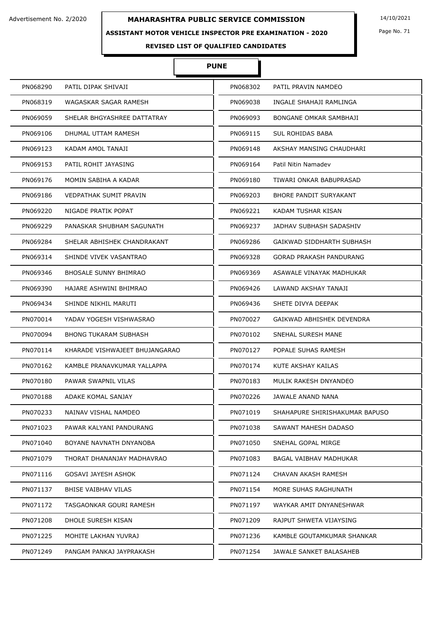## **ASSISTANT MOTOR VEHICLE INSPECTOR PRE EXAMINATION - 2020**

Page No. 71

**REVISED LIST OF QUALIFIED CANDIDATES** 

# **PUNE**

| PN068290<br>PATIL DIPAK SHIVAJI<br>PN068302<br>PATIL PRAVIN NAMDEO<br>PN068319<br>PN069038<br>WAGASKAR SAGAR RAMESH<br>INGALE SHAHAJI RAMLINGA<br>PN069059<br>SHELAR BHGYASHREE DATTATRAY<br>PN069093<br>BONGANE OMKAR SAMBHAJI<br>SUL ROHIDAS BABA<br>PN069106<br>DHUMAL UTTAM RAMESH<br>PN069115<br>PN069123<br>KADAM AMOL TANAJI<br>PN069148<br>AKSHAY MANSING CHAUDHARI<br>PN069153<br>PATIL ROHIT JAYASING<br>PN069164<br>Patil Nitin Namadev<br>PN069176<br>MOMIN SABIHA A KADAR<br>PN069180<br>TIWARI ONKAR BABUPRASAD<br><b>VEDPATHAK SUMIT PRAVIN</b><br>PN069186<br>PN069203<br>BHORE PANDIT SURYAKANT<br>NIGADE PRATIK POPAT<br>PN069220<br>PN069221<br>KADAM TUSHAR KISAN |  |
|---------------------------------------------------------------------------------------------------------------------------------------------------------------------------------------------------------------------------------------------------------------------------------------------------------------------------------------------------------------------------------------------------------------------------------------------------------------------------------------------------------------------------------------------------------------------------------------------------------------------------------------------------------------------------------------|--|
|                                                                                                                                                                                                                                                                                                                                                                                                                                                                                                                                                                                                                                                                                       |  |
|                                                                                                                                                                                                                                                                                                                                                                                                                                                                                                                                                                                                                                                                                       |  |
|                                                                                                                                                                                                                                                                                                                                                                                                                                                                                                                                                                                                                                                                                       |  |
|                                                                                                                                                                                                                                                                                                                                                                                                                                                                                                                                                                                                                                                                                       |  |
|                                                                                                                                                                                                                                                                                                                                                                                                                                                                                                                                                                                                                                                                                       |  |
|                                                                                                                                                                                                                                                                                                                                                                                                                                                                                                                                                                                                                                                                                       |  |
|                                                                                                                                                                                                                                                                                                                                                                                                                                                                                                                                                                                                                                                                                       |  |
|                                                                                                                                                                                                                                                                                                                                                                                                                                                                                                                                                                                                                                                                                       |  |
|                                                                                                                                                                                                                                                                                                                                                                                                                                                                                                                                                                                                                                                                                       |  |
| PN069229<br>PANASKAR SHUBHAM SAGUNATH<br>PN069237<br>JADHAV SUBHASH SADASHIV                                                                                                                                                                                                                                                                                                                                                                                                                                                                                                                                                                                                          |  |
| PN069284<br>PN069286<br>SHELAR ABHISHEK CHANDRAKANT<br>GAIKWAD SIDDHARTH SUBHASH                                                                                                                                                                                                                                                                                                                                                                                                                                                                                                                                                                                                      |  |
| PN069314<br>SHINDE VIVEK VASANTRAO<br>PN069328<br>GORAD PRAKASH PANDURANG                                                                                                                                                                                                                                                                                                                                                                                                                                                                                                                                                                                                             |  |
| <b>BHOSALE SUNNY BHIMRAO</b><br>PN069346<br>PN069369<br>ASAWALE VINAYAK MADHUKAR                                                                                                                                                                                                                                                                                                                                                                                                                                                                                                                                                                                                      |  |
| PN069390<br>HAJARE ASHWINI BHIMRAO<br>PN069426<br>LAWAND AKSHAY TANAJI                                                                                                                                                                                                                                                                                                                                                                                                                                                                                                                                                                                                                |  |
| PN069434<br>SHINDE NIKHIL MARUTI<br>PN069436<br>SHETE DIVYA DEEPAK                                                                                                                                                                                                                                                                                                                                                                                                                                                                                                                                                                                                                    |  |
| PN070014<br>YADAV YOGESH VISHWASRAO<br>PN070027<br>GAIKWAD ABHISHEK DEVENDRA                                                                                                                                                                                                                                                                                                                                                                                                                                                                                                                                                                                                          |  |
| PN070094<br>BHONG TUKARAM SUBHASH<br>PN070102<br>SNEHAL SURESH MANE                                                                                                                                                                                                                                                                                                                                                                                                                                                                                                                                                                                                                   |  |
| PN070114<br>KHARADE VISHWAJEET BHUJANGARAO<br>PN070127<br>POPALE SUHAS RAMESH                                                                                                                                                                                                                                                                                                                                                                                                                                                                                                                                                                                                         |  |
| PN070162<br>KAMBLE PRANAVKUMAR YALLAPPA<br>PN070174<br>KUTE AKSHAY KAILAS                                                                                                                                                                                                                                                                                                                                                                                                                                                                                                                                                                                                             |  |
| PN070180<br>PAWAR SWAPNIL VILAS<br>PN070183<br>MULIK RAKESH DNYANDEO                                                                                                                                                                                                                                                                                                                                                                                                                                                                                                                                                                                                                  |  |
| JAWALE ANAND NANA<br>PN070188<br>ADAKE KOMAL SANJAY<br>PN070226                                                                                                                                                                                                                                                                                                                                                                                                                                                                                                                                                                                                                       |  |
| PN070233<br>NAINAV VISHAL NAMDEO<br>PN071019<br>SHAHAPURE SHIRISHAKUMAR BAPUSO                                                                                                                                                                                                                                                                                                                                                                                                                                                                                                                                                                                                        |  |
| PN071023<br>PAWAR KALYANI PANDURANG<br>PN071038<br>SAWANT MAHESH DADASO                                                                                                                                                                                                                                                                                                                                                                                                                                                                                                                                                                                                               |  |
| PN071040<br>BOYANE NAVNATH DNYANOBA<br>PN071050<br>SNEHAL GOPAL MIRGE                                                                                                                                                                                                                                                                                                                                                                                                                                                                                                                                                                                                                 |  |
| PN071079<br>THORAT DHANANJAY MADHAVRAO<br>PN071083<br>BAGAL VAIBHAV MADHUKAR                                                                                                                                                                                                                                                                                                                                                                                                                                                                                                                                                                                                          |  |
| PN071116<br><b>GOSAVI JAYESH ASHOK</b><br>PN071124<br>CHAVAN AKASH RAMESH                                                                                                                                                                                                                                                                                                                                                                                                                                                                                                                                                                                                             |  |
| PN071137<br>BHISE VAIBHAV VILAS<br>PN071154<br>MORE SUHAS RAGHUNATH                                                                                                                                                                                                                                                                                                                                                                                                                                                                                                                                                                                                                   |  |
| PN071172<br>TASGAONKAR GOURI RAMESH<br>PN071197<br>WAYKAR AMIT DNYANESHWAR                                                                                                                                                                                                                                                                                                                                                                                                                                                                                                                                                                                                            |  |
| PN071208<br>DHOLE SURESH KISAN<br>PN071209<br>RAJPUT SHWETA VIJAYSING                                                                                                                                                                                                                                                                                                                                                                                                                                                                                                                                                                                                                 |  |
| PN071225<br>MOHITE LAKHAN YUVRAJ<br>PN071236<br>KAMBLE GOUTAMKUMAR SHANKAR                                                                                                                                                                                                                                                                                                                                                                                                                                                                                                                                                                                                            |  |
| PN071249<br>PN071254<br>PANGAM PANKAJ JAYPRAKASH<br>JAWALE SANKET BALASAHEB                                                                                                                                                                                                                                                                                                                                                                                                                                                                                                                                                                                                           |  |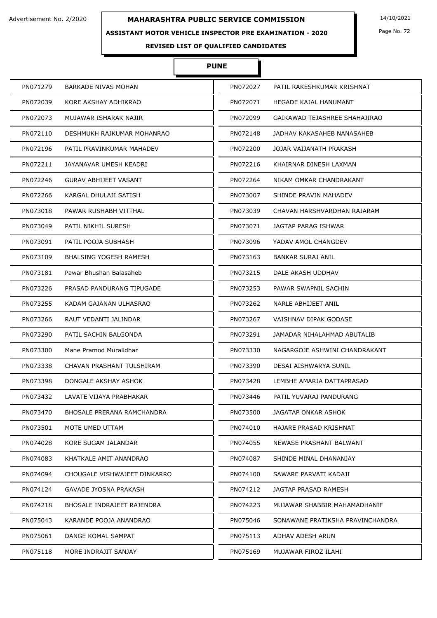## **ASSISTANT MOTOR VEHICLE INSPECTOR PRE EXAMINATION - 2020**

Page No. 72

# **REVISED LIST OF QUALIFIED CANDIDATES**

# **PUNE**

| PN071279 | <b>BARKADE NIVAS MOHAN</b>    | PN072027 | PATIL RAKESHKUMAR KRISHNAT       |
|----------|-------------------------------|----------|----------------------------------|
| PN072039 | KORE AKSHAY ADHIKRAO          | PN072071 | HEGADE KAJAL HANUMANT            |
| PN072073 | MUJAWAR ISHARAK NAJIR         | PN072099 | GAIKAWAD TEJASHREE SHAHAJIRAO    |
| PN072110 | DESHMUKH RAJKUMAR MOHANRAO    | PN072148 | JADHAV KAKASAHEB NANASAHEB       |
| PN072196 | PATIL PRAVINKUMAR MAHADEV     | PN072200 | JOJAR VAIJANATH PRAKASH          |
| PN072211 | JAYANAVAR UMESH KEADRI        | PN072216 | KHAIRNAR DINESH LAXMAN           |
| PN072246 | GURAV ABHIJEET VASANT         | PN072264 | NIKAM OMKAR CHANDRAKANT          |
| PN072266 | KARGAL DHULAJI SATISH         | PN073007 | SHINDE PRAVIN MAHADEV            |
| PN073018 | PAWAR RUSHABH VITTHAL         | PN073039 | CHAVAN HARSHVARDHAN RAJARAM      |
| PN073049 | PATIL NIKHIL SURESH           | PN073071 | JAGTAP PARAG ISHWAR              |
| PN073091 | PATIL POOJA SUBHASH           | PN073096 | YADAV AMOL CHANGDEV              |
| PN073109 | <b>BHALSING YOGESH RAMESH</b> | PN073163 | <b>BANKAR SURAJ ANIL</b>         |
| PN073181 | Pawar Bhushan Balasaheb       | PN073215 | DALE AKASH UDDHAV                |
| PN073226 | PRASAD PANDURANG TIPUGADE     | PN073253 | PAWAR SWAPNIL SACHIN             |
| PN073255 | KADAM GAJANAN ULHASRAO        | PN073262 | NARLE ABHIJEET ANIL              |
| PN073266 | RAUT VEDANTI JALINDAR         | PN073267 | VAISHNAV DIPAK GODASE            |
| PN073290 | PATIL SACHIN BALGONDA         | PN073291 | JAMADAR NIHALAHMAD ABUTALIB      |
| PN073300 | Mane Pramod Muralidhar        | PN073330 | NAGARGOJE ASHWINI CHANDRAKANT    |
| PN073338 | CHAVAN PRASHANT TULSHIRAM     | PN073390 | DESAI AISHWARYA SUNIL            |
| PN073398 | DONGALE AKSHAY ASHOK          | PN073428 | LEMBHE AMARJA DATTAPRASAD        |
| PN073432 | LAVATE VIJAYA PRABHAKAR       | PN073446 | PATIL YUVARAJ PANDURANG          |
| PN073470 | BHOSALE PRERANA RAMCHANDRA    | PN073500 | JAGATAP ONKAR ASHOK              |
| PN073501 | MOTE UMED UTTAM               | PN074010 | HAJARE PRASAD KRISHNAT           |
| PN074028 | KORE SUGAM JALANDAR           | PN074055 | NEWASE PRASHANT BALWANT          |
| PN074083 | KHATKALE AMIT ANANDRAO        | PN074087 | SHINDE MINAL DHANANJAY           |
| PN074094 | CHOUGALE VISHWAJEET DINKARRO  | PN074100 | SAWARE PARVATI KADAJI            |
| PN074124 | GAVADE JYOSNA PRAKASH         | PN074212 | JAGTAP PRASAD RAMESH             |
| PN074218 | BHOSALE INDRAJEET RAJENDRA    | PN074223 | MUJAWAR SHABBIR MAHAMADHANIF     |
| PN075043 | KARANDE POOJA ANANDRAO        | PN075046 | SONAWANE PRATIKSHA PRAVINCHANDRA |
| PN075061 | DANGE KOMAL SAMPAT            | PN075113 | ADHAV ADESH ARUN                 |
| PN075118 | MORE INDRAJIT SANJAY          | PN075169 | MUJAWAR FIROZ ILAHI              |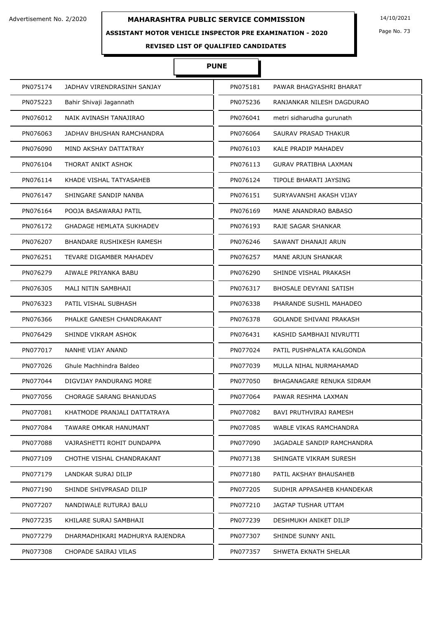### **ASSISTANT MOTOR VEHICLE INSPECTOR PRE EXAMINATION - 2020**

Page No. 73

**REVISED LIST OF QUALIFIED CANDIDATES** 

### **PUNE**

| PN075174 | JADHAV VIRENDRASINH SANJAY       | PN075181 | PAWAR BHAGYASHRI BHARAT       |
|----------|----------------------------------|----------|-------------------------------|
| PN075223 | Bahir Shivaji Jagannath          | PN075236 | RANJANKAR NILESH DAGDURAO     |
| PN076012 | NAIK AVINASH TANAJIRAO           | PN076041 | metri sidharudha gurunath     |
| PN076063 | JADHAV BHUSHAN RAMCHANDRA        | PN076064 | SAURAV PRASAD THAKUR          |
| PN076090 | MIND AKSHAY DATTATRAY            | PN076103 | KALE PRADIP MAHADEV           |
| PN076104 | THORAT ANIKT ASHOK               | PN076113 | <b>GURAV PRATIBHA LAXMAN</b>  |
| PN076114 | KHADE VISHAL TATYASAHEB          | PN076124 | TIPOLE BHARATI JAYSING        |
| PN076147 | SHINGARE SANDIP NANBA            | PN076151 | SURYAVANSHI AKASH VIJAY       |
| PN076164 | POOJA BASAWARAJ PATIL            | PN076169 | MANE ANANDRAO BABASO          |
| PN076172 | <b>GHADAGE HEMLATA SUKHADEV</b>  | PN076193 | RAJE SAGAR SHANKAR            |
| PN076207 | <b>BHANDARE RUSHIKESH RAMESH</b> | PN076246 | SAWANT DHANAJI ARUN           |
| PN076251 | TEVARE DIGAMBER MAHADEV          | PN076257 | MANE ARJUN SHANKAR            |
| PN076279 | AIWALE PRIYANKA BABU             | PN076290 | SHINDE VISHAL PRAKASH         |
| PN076305 | MALI NITIN SAMBHAJI              | PN076317 | <b>BHOSALE DEVYANI SATISH</b> |
| PN076323 | PATIL VISHAL SUBHASH             | PN076338 | PHARANDE SUSHIL MAHADEO       |
| PN076366 | PHALKE GANESH CHANDRAKANT        | PN076378 | GOLANDE SHIVANI PRAKASH       |
| PN076429 | SHINDE VIKRAM ASHOK              | PN076431 | KASHID SAMBHAJI NIVRUTTI      |
| PN077017 | NANHE VIJAY ANAND                | PN077024 | PATIL PUSHPALATA KALGONDA     |
| PN077026 | Ghule Machhindra Baldeo          | PN077039 | MULLA NIHAL NURMAHAMAD        |
| PN077044 | DIGVIJAY PANDURANG MORE          | PN077050 | BHAGANAGARE RENUKA SIDRAM     |
| PN077056 | <b>CHORAGE SARANG BHANUDAS</b>   | PN077064 | PAWAR RESHMA LAXMAN           |
| PN077081 | KHATMODE PRANJALI DATTATRAYA     | PN077082 | BAVI PRUTHVIRAJ RAMESH        |
| PN077084 | TAWARE OMKAR HANUMANT            | PN077085 | WABLE VIKAS RAMCHANDRA        |
| PN077088 | VAJRASHETTI ROHIT DUNDAPPA       | PN077090 | JAGADALE SANDIP RAMCHANDRA    |
| PN077109 | CHOTHE VISHAL CHANDRAKANT        | PN077138 | SHINGATE VIKRAM SURESH        |
| PN077179 | LANDKAR SURAJ DILIP              | PN077180 | PATIL AKSHAY BHAUSAHEB        |
| PN077190 | SHINDE SHIVPRASAD DILIP          | PN077205 | SUDHIR APPASAHEB KHANDEKAR    |
| PN077207 | NANDIWALE RUTURAJ BALU           | PN077210 | JAGTAP TUSHAR UTTAM           |
| PN077235 | KHILARE SURAJ SAMBHAJI           | PN077239 | DESHMUKH ANIKET DILIP         |
| PN077279 | DHARMADHIKARI MADHURYA RAJENDRA  | PN077307 | SHINDE SUNNY ANIL             |
| PN077308 | CHOPADE SAIRAJ VILAS             | PN077357 | SHWETA EKNATH SHELAR          |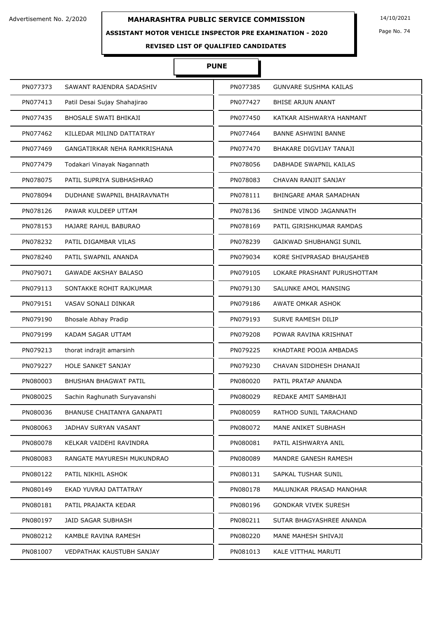#### **ASSISTANT MOTOR VEHICLE INSPECTOR PRE EXAMINATION - 2020**

## **PUNE**

Ì

| PN077373                         | PN077385                     |
|----------------------------------|------------------------------|
| SAWANT RAJENDRA SADASHIV         | <b>GUNVARE SUSHMA KAILAS</b> |
| PN077413                         | PN077427                     |
| Patil Desai Sujay Shahajirao     | BHISE ARJUN ANANT            |
| PN077435                         | PN077450                     |
| BHOSALE SWATI BHIKAJI            | KATKAR AISHWARYA HANMANT     |
| PN077462                         | PN077464                     |
| KILLEDAR MILIND DATTATRAY        | <b>BANNE ASHWINI BANNE</b>   |
| PN077469                         | PN077470                     |
| GANGATIRKAR NEHA RAMKRISHANA     | BHAKARE DIGVIJAY TANAJI      |
| Todakari Vinayak Nagannath       | PN078056                     |
| PN077479                         | DABHADE SWAPNIL KAILAS       |
| PN078075                         | PN078083                     |
| PATIL SUPRIYA SUBHASHRAO         | CHAVAN RANJIT SANJAY         |
| PN078094                         | PN078111                     |
| DUDHANE SWAPNIL BHAIRAVNATH      | BHINGARE AMAR SAMADHAN       |
| PN078126                         | PN078136                     |
| PAWAR KULDEEP UTTAM              | SHINDE VINOD JAGANNATH       |
| PN078153                         | PN078169                     |
| HAJARE RAHUL BABURAO             | PATIL GIRISHKUMAR RAMDAS     |
| PN078232                         | PN078239                     |
| PATIL DIGAMBAR VILAS             | GAIKWAD SHUBHANGI SUNIL      |
| PN078240                         | PN079034                     |
| PATIL SWAPNIL ANANDA             | KORE SHIVPRASAD BHAUSAHEB    |
| PN079071                         | PN079105                     |
| <b>GAWADE AKSHAY BALASO</b>      | LOKARE PRASHANT PURUSHOTTAM  |
| PN079113                         | PN079130                     |
| SONTAKKE ROHIT RAJKUMAR          | SALUNKE AMOL MANSING         |
| PN079151                         | PN079186                     |
| VASAV SONALI DINKAR              | AWATE OMKAR ASHOK            |
| PN079190                         | PN079193                     |
| <b>Bhosale Abhay Pradip</b>      | SURVE RAMESH DILIP           |
| KADAM SAGAR UTTAM                | PN079208                     |
| PN079199                         | POWAR RAVINA KRISHNAT        |
| PN079213                         | PN079225                     |
| thorat indrajit amarsinh         | KHADTARE POOJA AMBADAS       |
| PN079227                         | PN079230                     |
| <b>HOLE SANKET SANJAY</b>        | CHAVAN SIDDHESH DHANAJI      |
| PN080003                         | PN080020                     |
| BHUSHAN BHAGWAT PATIL            | PATIL PRATAP ANANDA          |
| PN080025                         | PN080029                     |
| Sachin Raghunath Suryavanshi     | REDAKE AMIT SAMBHAJI         |
| PN080036                         | PN080059                     |
| BHANUSE CHAITANYA GANAPATI       | RATHOD SUNIL TARACHAND       |
| PN080063                         | PN080072                     |
| JADHAV SURYAN VASANT             | MANE ANIKET SUBHASH          |
| PN080078                         | PN080081                     |
| KELKAR VAIDEHI RAVINDRA          | PATIL AISHWARYA ANIL         |
| PN080083                         | MANDRE GANESH RAMESH         |
| RANGATE MAYURESH MUKUNDRAO       | PN080089                     |
| PATIL NIKHIL ASHOK               | SAPKAL TUSHAR SUNIL          |
| PN080122                         | PN080131                     |
| PN080149                         | PN080178                     |
| EKAD YUVRAJ DATTATRAY            | MALUNJKAR PRASAD MANOHAR     |
| PN080181                         | PN080196                     |
| PATIL PRAJAKTA KEDAR             | GONDKAR VIVEK SURESH         |
| PN080197                         | PN080211                     |
| JAID SAGAR SUBHASH               | SUTAR BHAGYASHREE ANANDA     |
| PN080212                         | PN080220                     |
| KAMBLE RAVINA RAMESH             | MANE MAHESH SHIVAJI          |
| PN081007                         | PN081013                     |
| <b>VEDPATHAK KAUSTUBH SANJAY</b> | KALE VITTHAL MARUTI          |

Page No. 74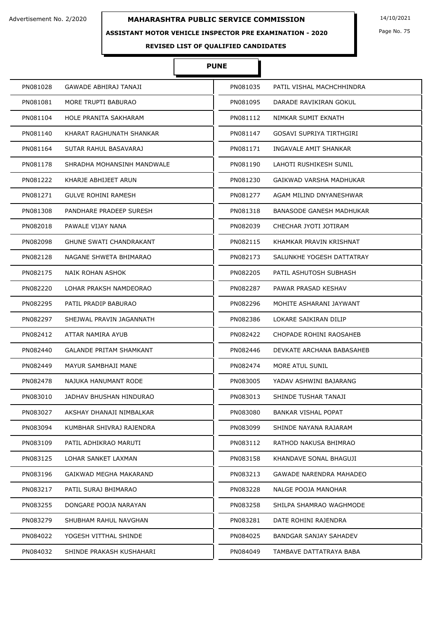#### **ASSISTANT MOTOR VEHICLE INSPECTOR PRE EXAMINATION - 2020**

Page No. 75

**REVISED LIST OF QUALIFIED CANDIDATES** 

### **PUNE**

| PN081028 | GAWADE ABHIRAJ TANAJI      | PN081035 | PATIL VISHAL MACHCHHINDRA       |
|----------|----------------------------|----------|---------------------------------|
| PN081081 | MORE TRUPTI BABURAO        | PN081095 | DARADE RAVIKIRAN GOKUL          |
| PN081104 | HOLE PRANITA SAKHARAM      | PN081112 | NIMKAR SUMIT EKNATH             |
| PN081140 | KHARAT RAGHUNATH SHANKAR   | PN081147 | <b>GOSAVI SUPRIYA TIRTHGIRI</b> |
| PN081164 | SUTAR RAHUL BASAVARAJ      | PN081171 | INGAVALE AMIT SHANKAR           |
| PN081178 | SHRADHA MOHANSINH MANDWALE | PN081190 | LAHOTI RUSHIKESH SUNIL          |
| PN081222 | KHARJE ABHIJEET ARUN       | PN081230 | GAIKWAD VARSHA MADHUKAR         |
| PN081271 | <b>GULVE ROHINI RAMESH</b> | PN081277 | AGAM MILIND DNYANESHWAR         |
| PN081308 | PANDHARE PRADEEP SURESH    | PN081318 | BANASODE GANESH MADHUKAR        |
| PN082018 | PAWALE VIJAY NANA          | PN082039 | CHECHAR JYOTI JOTIRAM           |
| PN082098 | GHUNE SWATI CHANDRAKANT    | PN082115 | KHAMKAR PRAVIN KRISHNAT         |
| PN082128 | NAGANE SHWETA BHIMARAO     | PN082173 | SALUNKHE YOGESH DATTATRAY       |
| PN082175 | NAIK ROHAN ASHOK           | PN082205 | PATIL ASHUTOSH SUBHASH          |
| PN082220 | LOHAR PRAKSH NAMDEORAO     | PN082287 | PAWAR PRASAD KESHAV             |
| PN082295 | PATIL PRADIP BABURAO       | PN082296 | MOHITE ASHARANI JAYWANT         |
| PN082297 | SHEJWAL PRAVIN JAGANNATH   | PN082386 | LOKARE SAIKIRAN DILIP           |
| PN082412 | ATTAR NAMIRA AYUB          | PN082422 | CHOPADE ROHINI RAOSAHEB         |
| PN082440 | GALANDE PRITAM SHAMKANT    | PN082446 | DEVKATE ARCHANA BABASAHEB       |
| PN082449 | MAYUR SAMBHAJI MANE        | PN082474 | MORE ATUL SUNIL                 |
| PN082478 | NAJUKA HANUMANT RODE       | PN083005 | YADAV ASHWINI BAJARANG          |
| PN083010 | JADHAV BHUSHAN HINDURAO    | PN083013 | SHINDE TUSHAR TANAJI            |
| PN083027 | AKSHAY DHANAJI NIMBALKAR   | PN083080 | BANKAR VISHAL POPAT             |
| PN083094 | KUMBHAR SHIVRAJ RAJENDRA   | PN083099 | SHINDE NAYANA RAJARAM           |
| PN083109 | PATIL ADHIKRAO MARUTI      | PN083112 | RATHOD NAKUSA BHIMRAO           |
| PN083125 | LOHAR SANKET LAXMAN        | PN083158 | KHANDAVE SONAL BHAGUJI          |
| PN083196 | GAIKWAD MEGHA MAKARAND     | PN083213 | GAWADE NARENDRA MAHADEO         |
| PN083217 | PATIL SURAJ BHIMARAO       | PN083228 | NALGE POOJA MANOHAR             |
| PN083255 | DONGARE POOJA NARAYAN      | PN083258 | SHILPA SHAMRAO WAGHMODE         |
| PN083279 | SHUBHAM RAHUL NAVGHAN      | PN083281 | DATE ROHINI RAJENDRA            |
| PN084022 | YOGESH VITTHAL SHINDE      | PN084025 | BANDGAR SANJAY SAHADEV          |
| PN084032 | SHINDE PRAKASH KUSHAHARI   | PN084049 | TAMBAVE DATTATRAYA BABA         |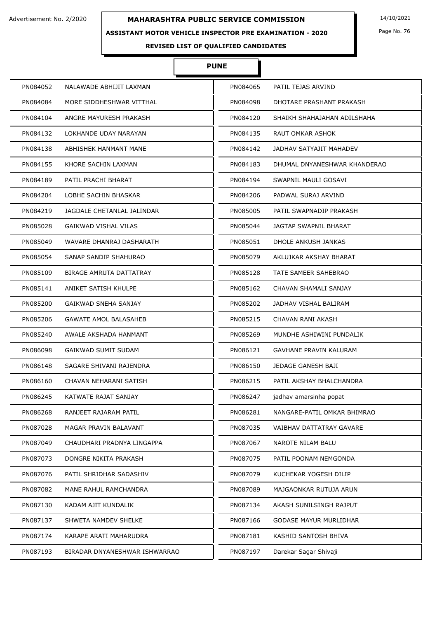#### **ASSISTANT MOTOR VEHICLE INSPECTOR PRE EXAMINATION - 2020**

Page No. 76

### **REVISED LIST OF QUALIFIED CANDIDATES**

### **PUNE**

| PN084052 | NALAWADE ABHIJIT LAXMAN        | PN084065 | PATIL TEJAS ARVIND            |
|----------|--------------------------------|----------|-------------------------------|
| PN084084 | MORE SIDDHESHWAR VITTHAL       | PN084098 | DHOTARE PRASHANT PRAKASH      |
| PN084104 | ANGRE MAYURESH PRAKASH         | PN084120 | SHAIKH SHAHAJAHAN ADILSHAHA   |
| PN084132 | LOKHANDE UDAY NARAYAN          | PN084135 | RAUT OMKAR ASHOK              |
| PN084138 | ABHISHEK HANMANT MANE          | PN084142 | JADHAV SATYAJIT MAHADEV       |
| PN084155 | KHORE SACHIN LAXMAN            | PN084183 | DHUMAL DNYANESHWAR KHANDERAO  |
| PN084189 | PATIL PRACHI BHARAT            | PN084194 | SWAPNIL MAULI GOSAVI          |
| PN084204 | LOBHE SACHIN BHASKAR           | PN084206 | PADWAL SURAJ ARVIND           |
| PN084219 | JAGDALE CHETANLAL JALINDAR     | PN085005 | PATIL SWAPNADIP PRAKASH       |
| PN085028 | <b>GAIKWAD VISHAL VILAS</b>    | PN085044 | JAGTAP SWAPNIL BHARAT         |
| PN085049 | WAVARE DHANRAJ DASHARATH       | PN085051 | DHOLE ANKUSH JANKAS           |
| PN085054 | SANAP SANDIP SHAHURAO          | PN085079 | AKLUJKAR AKSHAY BHARAT        |
| PN085109 | <b>BIRAGE AMRUTA DATTATRAY</b> | PN085128 | TATE SAMEER SAHEBRAO          |
| PN085141 | ANIKET SATISH KHULPE           | PN085162 | CHAVAN SHAMALI SANJAY         |
| PN085200 | GAIKWAD SNEHA SANJAY           | PN085202 | JADHAV VISHAL BALIRAM         |
| PN085206 | <b>GAWATE AMOL BALASAHEB</b>   | PN085215 | CHAVAN RANI AKASH             |
| PN085240 | AWALE AKSHADA HANMANT          | PN085269 | MUNDHE ASHIWINI PUNDALIK      |
| PN086098 | <b>GAIKWAD SUMIT SUDAM</b>     | PN086121 | <b>GAVHANE PRAVIN KALURAM</b> |
| PN086148 | SAGARE SHIVANI RAJENDRA        | PN086150 | JEDAGE GANESH BAJI            |
| PN086160 | CHAVAN NEHARANI SATISH         | PN086215 | PATIL AKSHAY BHALCHANDRA      |
| PN086245 | KATWATE RAJAT SANJAY           | PN086247 | jadhav amarsinha popat        |
| PN086268 | RANJEET RAJARAM PATIL          | PN086281 | NANGARE-PATIL OMKAR BHIMRAO   |
| PN087028 | MAGAR PRAVIN BALAVANT          | PN087035 | VAIBHAV DATTATRAY GAVARE      |
| PN087049 | CHAUDHARI PRADNYA LINGAPPA     | PN087067 | NAROTE NILAM BALU             |
| PN087073 | DONGRE NIKITA PRAKASH          | PN087075 | PATIL POONAM NEMGONDA         |
| PN087076 | PATIL SHRIDHAR SADASHIV        | PN087079 | KUCHEKAR YOGESH DILIP         |
| PN087082 | MANE RAHUL RAMCHANDRA          | PN087089 | MAJGAONKAR RUTUJA ARUN        |
| PN087130 | KADAM AJIT KUNDALIK            | PN087134 | AKASH SUNILSINGH RAJPUT       |
| PN087137 | SHWETA NAMDEV SHELKE           | PN087166 | <b>GODASE MAYUR MURLIDHAR</b> |
| PN087174 | KARAPE ARATI MAHARUDRA         | PN087181 | KASHID SANTOSH BHIVA          |
| PN087193 | BIRADAR DNYANESHWAR ISHWARRAO  | PN087197 | Darekar Sagar Shivaji         |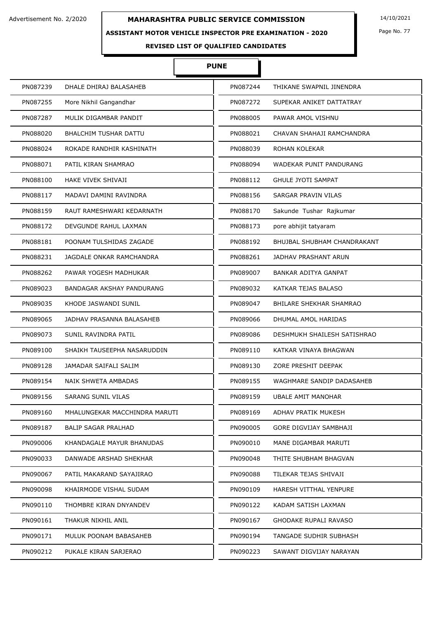### **ASSISTANT MOTOR VEHICLE INSPECTOR PRE EXAMINATION - 2020**

Ì

# **PUNE**

| PN087239 | DHALE DHIRAJ BALASAHEB        | PN087244 | THIKANE SWAPNIL JINENDRA    |
|----------|-------------------------------|----------|-----------------------------|
| PN087255 | More Nikhil Gangandhar        | PN087272 | SUPEKAR ANIKET DATTATRAY    |
| PN087287 | MULIK DIGAMBAR PANDIT         | PN088005 | PAWAR AMOL VISHNU           |
| PN088020 | BHALCHIM TUSHAR DATTU         | PN088021 | CHAVAN SHAHAJI RAMCHANDRA   |
| PN088024 | ROKADE RANDHIR KASHINATH      | PN088039 | ROHAN KOLEKAR               |
| PN088071 | PATIL KIRAN SHAMRAO           | PN088094 | WADEKAR PUNIT PANDURANG     |
| PN088100 | <b>HAKE VIVEK SHIVAJI</b>     | PN088112 | <b>GHULE JYOTI SAMPAT</b>   |
| PN088117 | MADAVI DAMINI RAVINDRA        | PN088156 | SARGAR PRAVIN VILAS         |
| PN088159 | RAUT RAMESHWARI KEDARNATH     | PN088170 | Sakunde Tushar Rajkumar     |
| PN088172 | DEVGUNDE RAHUL LAXMAN         | PN088173 | pore abhijit tatyaram       |
| PN088181 | POONAM TULSHIDAS ZAGADE       | PN088192 | BHUJBAL SHUBHAM CHANDRAKANT |
| PN088231 | JAGDALE ONKAR RAMCHANDRA      | PN088261 | <b>JADHAV PRASHANT ARUN</b> |
| PN088262 | PAWAR YOGESH MADHUKAR         | PN089007 | <b>BANKAR ADITYA GANPAT</b> |
| PN089023 | BANDAGAR AKSHAY PANDURANG     | PN089032 | KATKAR TEJAS BALASO         |
| PN089035 | KHODE JASWANDI SUNIL          | PN089047 | BHILARE SHEKHAR SHAMRAO     |
| PN089065 | JADHAV PRASANNA BALASAHEB     | PN089066 | DHUMAL AMOL HARIDAS         |
| PN089073 | SUNIL RAVINDRA PATIL          | PN089086 | DESHMUKH SHAILESH SATISHRAO |
| PN089100 | SHAIKH TAUSEEPHA NASARUDDIN   | PN089110 | KATKAR VINAYA BHAGWAN       |
| PN089128 | JAMADAR SAIFALI SALIM         | PN089130 | ZORE PRESHIT DEEPAK         |
| PN089154 | <b>NAIK SHWETA AMBADAS</b>    | PN089155 | WAGHMARE SANDIP DADASAHEB   |
| PN089156 | <b>SARANG SUNIL VILAS</b>     | PN089159 | <b>UBALE AMIT MANOHAR</b>   |
| PN089160 | MHALUNGEKAR MACCHINDRA MARUTI | PN089169 | ADHAV PRATIK MUKESH         |
| PN089187 | BALIP SAGAR PRALHAD           | PN090005 | GORE DIGVIJAY SAMBHAJI      |
| PN090006 | KHANDAGALE MAYUR BHANUDAS     | PN090010 | MANE DIGAMBAR MARUTI        |
| PN090033 | DANWADE ARSHAD SHEKHAR        | PN090048 | THITE SHUBHAM BHAGVAN       |
| PN090067 | PATIL MAKARAND SAYAJIRAO      | PN090088 | TILEKAR TEJAS SHIVAJI       |
| PN090098 | KHAIRMODE VISHAL SUDAM        | PN090109 | HARESH VITTHAL YENPURE      |
| PN090110 | THOMBRE KIRAN DNYANDEV        | PN090122 | KADAM SATISH LAXMAN         |
| PN090161 | THAKUR NIKHIL ANIL            | PN090167 | GHODAKE RUPALI RAVASO       |
| PN090171 | MULUK POONAM BABASAHEB        | PN090194 | TANGADE SUDHIR SUBHASH      |
| PN090212 | PUKALE KIRAN SARJERAO         | PN090223 | SAWANT DIGVIJAY NARAYAN     |

Page No. 77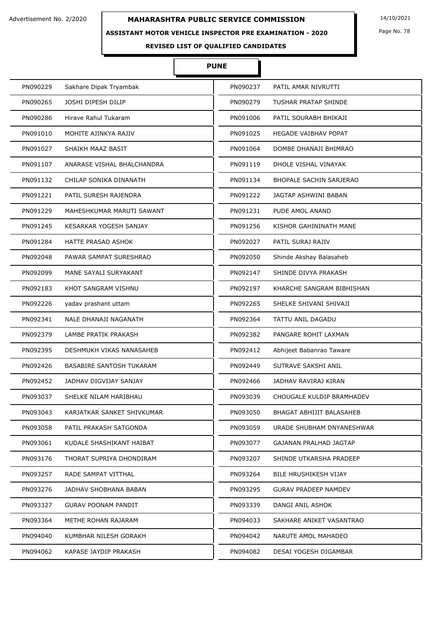### **ASSISTANT MOTOR VEHICLE INSPECTOR PRE EXAMINATION - 2020**

Page No. 78

**REVISED LIST OF QUALIFIED CANDIDATES** 

### **PUNE**

| PN090229 | Sakhare Dipak Tryambak          | PN090237 | PATIL AMAR NIVRUTTI            |
|----------|---------------------------------|----------|--------------------------------|
| PN090265 | JOSHI DIPESH DILIP              | PN090279 | TUSHAR PRATAP SHINDE           |
| PN090286 | Hirave Rahul Tukaram            | PN091006 | PATIL SOURABH BHIKAJI          |
| PN091010 | MOHITE AJINKYA RAJIV            | PN091025 | <b>HEGADE VAIBHAV POPAT</b>    |
| PN091027 | SHAIKH MAAZ BASIT               | PN091064 | DOMBE DHANAJI BHIMRAO          |
| PN091107 | ANARASE VISHAL BHALCHANDRA      | PN091119 | DHOLE VISHAL VINAYAK           |
| PN091132 | CHILAP SONIKA DINANATH          | PN091134 | <b>BHOPALE SACHIN SARJERAO</b> |
| PN091221 | PATIL SURESH RAJENDRA           | PN091222 | JAGTAP ASHWINI BABAN           |
| PN091229 | MAHESHKUMAR MARUTI SAWANT       | PN091231 | PUDE AMOL ANAND                |
| PN091245 | KESARKAR YOGESH SANJAY          | PN091256 | KISHOR GAHININATH MANE         |
| PN091284 | <b>HATTE PRASAD ASHOK</b>       | PN092027 | PATIL SURAJ RAJIV              |
| PN092048 | PAWAR SAMPAT SURESHRAO          | PN092050 | Shinde Akshay Balasaheb        |
| PN092099 | MANE SAYALI SURYAKANT           | PN092147 | SHINDE DIVYA PRAKASH           |
| PN092183 | KHOT SANGRAM VISHNU             | PN092197 | KHARCHE SANGRAM BIBHISHAN      |
| PN092226 | yadav prashant uttam            | PN092265 | SHELKE SHIVANI SHIVAJI         |
| PN092341 | NALE DHANAJI NAGANATH           | PN092364 | TATTU ANIL DAGADU              |
| PN092379 | LAMBE PRATIK PRAKASH            | PN092382 | PANGARE ROHIT LAXMAN           |
| PN092395 | DESHMUKH VIKAS NANASAHEB        | PN092412 | Abhijeet Babanrao Taware       |
| PN092426 | <b>BASABIRE SANTOSH TUKARAM</b> | PN092449 | SUTRAVE SAKSHI ANIL            |
| PN092452 | JADHAV DIGVIJAY SANJAY          | PN092466 | JADHAV RAVIRAJ KIRAN           |
| PN093037 | SHELKE NILAM HARIBHAU           | PN093039 | CHOUGALE KULDIP BRAMHADEV      |
| PN093043 | KARJATKAR SANKET SHIVKUMAR      | PN093050 | BHAGAT ABHIJIT BALASAHEB       |
| PN093058 | PATIL PRAKASH SATGONDA          | PN093059 | URADE SHUBHAM DNYANESHWAR      |
| PN093061 | KUDALE SHASHIKANT HAIBAT        | PN093077 | GAJANAN PRALHAD JAGTAP         |
| PN093176 | THORAT SUPRIYA DHONDIRAM        | PN093207 | SHINDE UTKARSHA PRADEEP        |
| PN093257 | RADE SAMPAT VITTHAL             | PN093264 | <b>BILE HRUSHIKESH VIJAY</b>   |
| PN093276 | JADHAV SHOBHANA BABAN           | PN093295 | <b>GURAV PRADEEP NAMDEV</b>    |
| PN093327 | <b>GURAV POONAM PANDIT</b>      | PN093339 | DANGI ANIL ASHOK               |
| PN093364 | METHE ROHAN RAJARAM             | PN094033 | SAKHARE ANIKET VASANTRAO       |
| PN094040 | KUMBHAR NILESH GORAKH           | PN094042 | NARUTE AMOL MAHADEO            |
| PN094062 | KAPASE JAYDIP PRAKASH           | PN094082 | DESAI YOGESH DIGAMBAR          |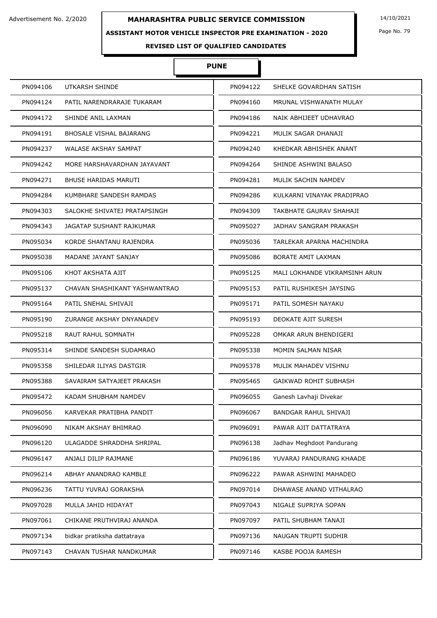### **ASSISTANT MOTOR VEHICLE INSPECTOR PRE EXAMINATION - 2020**

Page No. 79

**REVISED LIST OF QUALIFIED CANDIDATES** 

## **PUNE**

| PN094106 | <b>UTKARSH SHINDE</b>         | PN094122 | SHELKE GOVARDHAN SATISH       |
|----------|-------------------------------|----------|-------------------------------|
| PN094124 | PATIL NARENDRARAJE TUKARAM    | PN094160 | MRUNAL VISHWANATH MULAY       |
| PN094172 | SHINDE ANIL LAXMAN            | PN094186 | NAIK ABHIJEET UDHAVRAO        |
| PN094191 | BHOSALE VISHAL BAJARANG       | PN094221 | MULIK SAGAR DHANAJI           |
| PN094237 | <b>WALASE AKSHAY SAMPAT</b>   | PN094240 | KHEDKAR ABHISHEK ANANT        |
| PN094242 | MORE HARSHAVARDHAN JAYAVANT   | PN094264 | SHINDE ASHWINI BALASO         |
| PN094271 | BHUSE HARIDAS MARUTI          | PN094281 | MULIK SACHIN NAMDEV           |
| PN094284 | KUMBHARE SANDESH RAMDAS       | PN094286 | KULKARNI VINAYAK PRADIPRAO    |
| PN094303 | SALOKHE SHIVATEJ PRATAPSINGH  | PN094309 | TAKBHATE GAURAV SHAHAJI       |
| PN094343 | JAGATAP SUSHANT RAJKUMAR      | PN095027 | JADHAV SANGRAM PRAKASH        |
| PN095034 | KORDE SHANTANU RAJENDRA       | PN095036 | TARLEKAR APARNA MACHINDRA     |
| PN095038 | MADANE JAYANT SANJAY          | PN095086 | BORATE AMIT LAXMAN            |
| PN095106 | KHOT AKSHATA AJIT             | PN095125 | MALI LOKHANDE VIKRAMSINH ARUN |
| PN095137 | CHAVAN SHASHIKANT YASHWANTRAO | PN095153 | PATIL RUSHIKESH JAYSING       |
| PN095164 | PATIL SNEHAL SHIVAJI          | PN095171 | PATIL SOMESH NAYAKU           |
| PN095190 | ZURANGE AKSHAY DNYANADEV      | PN095193 | DEOKATE AJIT SURESH           |
| PN095218 | RAUT RAHUL SOMNATH            | PN095228 | OMKAR ARUN BHENDIGERI         |
| PN095314 | SHINDE SANDESH SUDAMRAO       | PN095338 | MOMIN SALMAN NISAR            |
| PN095358 | SHILEDAR ILIYAS DASTGIR       | PN095378 | MULIK MAHADEV VISHNU          |
| PN095388 | SAVAIRAM SATYAJEET PRAKASH    | PN095465 | <b>GAIKWAD ROHIT SUBHASH</b>  |
| PN095472 | KADAM SHUBHAM NAMDEV          | PN096055 | Ganesh Lavhaji Divekar        |
| PN096056 | KARVEKAR PRATIBHA PANDIT      | PN096067 | <b>BANDGAR RAHUL SHIVAJI</b>  |
| PN096090 | NIKAM AKSHAY BHIMRAO          | PN096091 | PAWAR AJIT DATTATRAYA         |
| PN096120 | ULAGADDE SHRADDHA SHRIPAL     | PN096138 | Jadhav Meghdoot Pandurang     |
| PN096147 | ANJALI DILIP RAJMANE          | PN096186 | YUVARAJ PANDURANG KHAADE      |
| PN096214 | ABHAY ANANDRAO KAMBLE         | PN096222 | PAWAR ASHWINI MAHADEO         |
| PN096236 | TATTU YUVRAJ GORAKSHA         | PN097014 | DHAWASE ANAND VITHALRAO       |
| PN097028 | MULLA JAHID HIDAYAT           | PN097043 | NIGALE SUPRIYA SOPAN          |
| PN097061 | CHIKANE PRUTHVIRAJ ANANDA     | PN097097 | PATIL SHUBHAM TANAJI          |
| PN097134 | bidkar pratiksha dattatraya   | PN097136 | NAUGAN TRUPTI SUDHIR          |
| PN097143 | CHAVAN TUSHAR NANDKUMAR       | PN097146 | KASBE POOJA RAMESH            |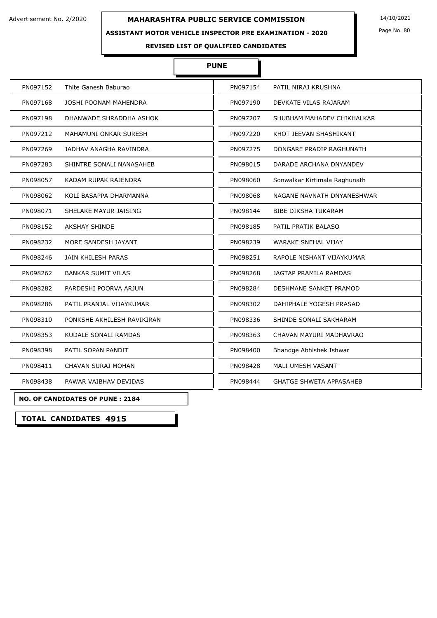#### **ASSISTANT MOTOR VEHICLE INSPECTOR PRE EXAMINATION - 2020**

Page No. 80

**REVISED LIST OF QUALIFIED CANDIDATES** 

#### **PUNE**

I

| PN097152<br>Thite Ganesh Baburao       | PN097154 | PATIL NIRAJ KRUSHNA            |
|----------------------------------------|----------|--------------------------------|
| PN097168<br>JOSHI POONAM MAHENDRA      | PN097190 | DEVKATE VILAS RAJARAM          |
| PN097198<br>DHANWADE SHRADDHA ASHOK    | PN097207 | SHUBHAM MAHADEV CHIKHALKAR     |
| PN097212<br>MAHAMUNI ONKAR SURESH      | PN097220 | KHOT JEEVAN SHASHIKANT         |
| PN097269<br>JADHAV ANAGHA RAVINDRA     | PN097275 | DONGARE PRADIP RAGHUNATH       |
| PN097283<br>SHINTRE SONALI NANASAHEB   | PN098015 | DARADE ARCHANA DNYANDEV        |
| PN098057<br>KADAM RUPAK RAJENDRA       | PN098060 | Sonwalkar Kirtimala Raghunath  |
| PN098062<br>KOLI BASAPPA DHARMANNA     | PN098068 | NAGANE NAVNATH DNYANESHWAR     |
| PN098071<br>SHELAKE MAYUR JAISING      | PN098144 | <b>BIBE DIKSHA TUKARAM</b>     |
| <b>AKSHAY SHINDE</b><br>PN098152       | PN098185 | PATIL PRATIK BALASO            |
| PN098232<br>MORE SANDESH JAYANT        | PN098239 | WARAKE SNEHAL VIJAY            |
| PN098246<br>JAIN KHILESH PARAS         | PN098251 | RAPOLE NISHANT VIJAYKUMAR      |
| PN098262<br><b>BANKAR SUMIT VILAS</b>  | PN098268 | JAGTAP PRAMILA RAMDAS          |
| PN098282<br>PARDESHI POORVA ARJUN      | PN098284 | DESHMANE SANKET PRAMOD         |
| PN098286<br>PATIL PRANJAL VIJAYKUMAR   | PN098302 | DAHIPHALE YOGESH PRASAD        |
| PN098310<br>PONKSHE AKHILESH RAVIKIRAN | PN098336 | SHINDE SONALI SAKHARAM         |
| PN098353<br>KUDALE SONALI RAMDAS       | PN098363 | CHAVAN MAYURI MADHAVRAO        |
| PN098398<br>PATIL SOPAN PANDIT         | PN098400 | Bhandge Abhishek Ishwar        |
| PN098411<br>CHAVAN SURAJ MOHAN         | PN098428 | MALI UMESH VASANT              |
| PN098438<br>PAWAR VAIBHAV DEVIDAS      | PN098444 | <b>GHATGE SHWETA APPASAHEB</b> |
|                                        |          |                                |

**NO. OF CANDIDATES OF PUNE : 2184**

**TOTAL CANDIDATES 4915**